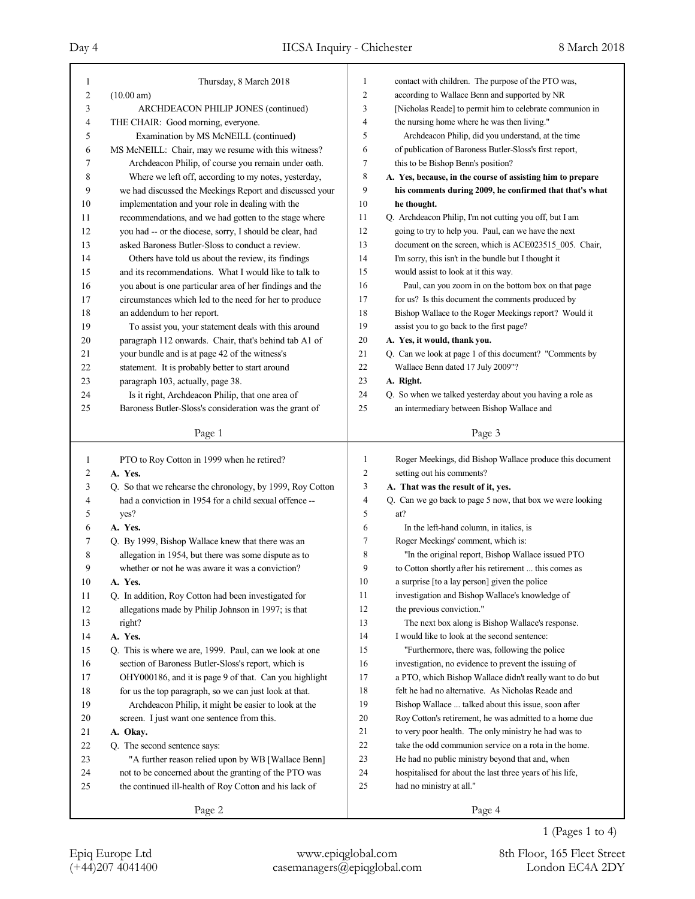| $\mathbf{1}$   | Thursday, 8 March 2018                                     | $\mathbf{1}$   | contact with children. The purpose of the PTO was,         |
|----------------|------------------------------------------------------------|----------------|------------------------------------------------------------|
| $\overline{c}$ | (10.00 am)                                                 | $\overline{c}$ | according to Wallace Benn and supported by NR              |
| 3              | ARCHDEACON PHILIP JONES (continued)                        | 3              | [Nicholas Reade] to permit him to celebrate communion in   |
| 4              | THE CHAIR: Good morning, everyone.                         | 4              | the nursing home where he was then living."                |
| 5              | Examination by MS McNEILL (continued)                      | 5              | Archdeacon Philip, did you understand, at the time         |
| 6              | MS McNEILL: Chair, may we resume with this witness?        | 6              | of publication of Baroness Butler-Sloss's first report,    |
| 7              | Archdeacon Philip, of course you remain under oath.        | 7              | this to be Bishop Benn's position?                         |
| 8              | Where we left off, according to my notes, yesterday,       | 8              | A. Yes, because, in the course of assisting him to prepare |
| 9              | we had discussed the Meekings Report and discussed your    | 9              | his comments during 2009, he confirmed that that's what    |
| 10             | implementation and your role in dealing with the           | 10             | he thought.                                                |
| 11             | recommendations, and we had gotten to the stage where      | 11             | Q. Archdeacon Philip, I'm not cutting you off, but I am    |
| 12             | you had -- or the diocese, sorry, I should be clear, had   | 12             | going to try to help you. Paul, can we have the next       |
| 13             | asked Baroness Butler-Sloss to conduct a review.           | 13             | document on the screen, which is ACE023515_005. Chair,     |
| 14             | Others have told us about the review, its findings         | 14             | I'm sorry, this isn't in the bundle but I thought it       |
| 15             | and its recommendations. What I would like to talk to      | 15             | would assist to look at it this way.                       |
| 16             | you about is one particular area of her findings and the   | 16             | Paul, can you zoom in on the bottom box on that page       |
| 17             | circumstances which led to the need for her to produce     | 17             | for us? Is this document the comments produced by          |
| 18             | an addendum to her report.                                 | 18             | Bishop Wallace to the Roger Meekings report? Would it      |
| 19             | To assist you, your statement deals with this around       | 19             | assist you to go back to the first page?                   |
| 20             | paragraph 112 onwards. Chair, that's behind tab A1 of      | 20             | A. Yes, it would, thank you.                               |
| 21             | your bundle and is at page 42 of the witness's             | 21             | Q. Can we look at page 1 of this document? "Comments by    |
| 22             | statement. It is probably better to start around           | 22             | Wallace Benn dated 17 July 2009"?                          |
| 23             | paragraph 103, actually, page 38.                          | 23             | A. Right.                                                  |
| 24             | Is it right, Archdeacon Philip, that one area of           | 24             | Q. So when we talked yesterday about you having a role as  |
| 25             | Baroness Butler-Sloss's consideration was the grant of     | 25             | an intermediary between Bishop Wallace and                 |
|                |                                                            |                |                                                            |
|                | Page 1                                                     |                | Page 3                                                     |
|                |                                                            |                |                                                            |
|                |                                                            |                |                                                            |
| $\mathbf{1}$   | PTO to Roy Cotton in 1999 when he retired?                 | 1              | Roger Meekings, did Bishop Wallace produce this document   |
| $\overline{c}$ | A. Yes.                                                    | $\overline{c}$ | setting out his comments?                                  |
| 3              | Q. So that we rehearse the chronology, by 1999, Roy Cotton | 3              | A. That was the result of it, yes.                         |
| 4              | had a conviction in 1954 for a child sexual offence --     | 4              | Q. Can we go back to page 5 now, that box we were looking  |
| 5              | yes?                                                       | 5              | at?                                                        |
| 6              | A. Yes.                                                    | 6              | In the left-hand column, in italics, is                    |
| 7              | Q. By 1999, Bishop Wallace knew that there was an          | 7              | Roger Meekings' comment, which is:                         |
| 8              | allegation in 1954, but there was some dispute as to       | 8              | "In the original report, Bishop Wallace issued PTO         |
| 9              | whether or not he was aware it was a conviction?           | 9              | to Cotton shortly after his retirement  this comes as      |
| 10             | A. Yes.                                                    | 10             | a surprise [to a lay person] given the police              |
| 11             | Q. In addition, Roy Cotton had been investigated for       | 11             | investigation and Bishop Wallace's knowledge of            |
| $12\,$         | allegations made by Philip Johnson in 1997; is that        | 12             | the previous conviction."                                  |
| 13             | right?                                                     | 13             | The next box along is Bishop Wallace's response.           |
| 14             | A. Yes.                                                    | 14             | I would like to look at the second sentence:               |
| 15             | Q. This is where we are, 1999. Paul, can we look at one    | 15             | "Furthermore, there was, following the police              |
| 16             | section of Baroness Butler-Sloss's report, which is        | 16             | investigation, no evidence to prevent the issuing of       |
| 17             | OHY000186, and it is page 9 of that. Can you highlight     | 17             | a PTO, which Bishop Wallace didn't really want to do but   |
| 18             | for us the top paragraph, so we can just look at that.     | 18             | felt he had no alternative. As Nicholas Reade and          |
| 19             | Archdeacon Philip, it might be easier to look at the       | 19             | Bishop Wallace  talked about this issue, soon after        |
| 20             | screen. I just want one sentence from this.                | 20             | Roy Cotton's retirement, he was admitted to a home due     |
| 21             | A. Okay.                                                   | 21             | to very poor health. The only ministry he had was to       |
| 22             | Q. The second sentence says:                               | 22             | take the odd communion service on a rota in the home.      |
| 23             | "A further reason relied upon by WB [Wallace Benn]         | 23             | He had no public ministry beyond that and, when            |
| 24             | not to be concerned about the granting of the PTO was      | 24             | hospitalised for about the last three years of his life,   |
| 25             | the continued ill-health of Roy Cotton and his lack of     | 25             | had no ministry at all."                                   |
|                | Page 2                                                     |                | Page 4                                                     |

1 (Pages 1 to 4)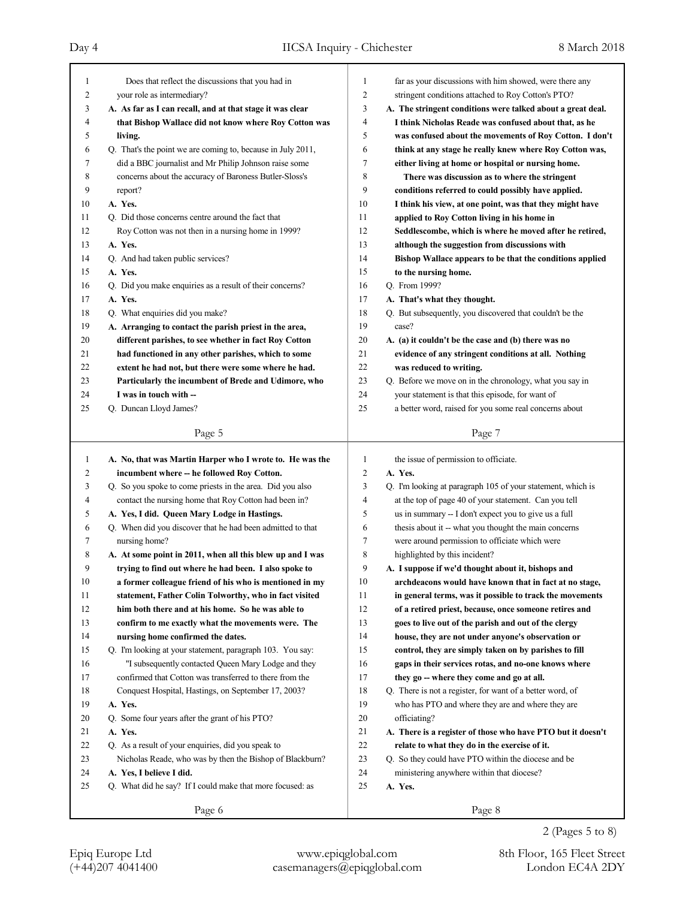| 1            | Does that reflect the discussions that you had in           | $\mathbf{1}$   | far as your discussions with him showed, were there any     |
|--------------|-------------------------------------------------------------|----------------|-------------------------------------------------------------|
| 2            | your role as intermediary?                                  | $\overline{c}$ | stringent conditions attached to Roy Cotton's PTO?          |
| 3            | A. As far as I can recall, and at that stage it was clear   | 3              | A. The stringent conditions were talked about a great deal. |
| 4            | that Bishop Wallace did not know where Roy Cotton was       | 4              | I think Nicholas Reade was confused about that, as he       |
| 5            | living.                                                     | 5              | was confused about the movements of Roy Cotton. I don't     |
| 6            | Q. That's the point we are coming to, because in July 2011, | 6              | think at any stage he really knew where Roy Cotton was,     |
| 7            | did a BBC journalist and Mr Philip Johnson raise some       | 7              | either living at home or hospital or nursing home.          |
| 8            | concerns about the accuracy of Baroness Butler-Sloss's      | 8              | There was discussion as to where the stringent              |
| 9            | report?                                                     | 9              | conditions referred to could possibly have applied.         |
| 10           | A. Yes.                                                     | 10             | I think his view, at one point, was that they might have    |
| 11           | Q. Did those concerns centre around the fact that           | 11             | applied to Roy Cotton living in his home in                 |
| 12           | Roy Cotton was not then in a nursing home in 1999?          | 12             | Seddlescombe, which is where he moved after he retired,     |
| 13           | A. Yes.                                                     | 13             | although the suggestion from discussions with               |
| 14           | Q. And had taken public services?                           | 14             | Bishop Wallace appears to be that the conditions applied    |
| 15           | A. Yes.                                                     | 15             | to the nursing home.                                        |
| 16           | Q. Did you make enquiries as a result of their concerns?    | 16             | Q. From 1999?                                               |
| 17           | A. Yes.                                                     | 17             | A. That's what they thought.                                |
| 18           | Q. What enquiries did you make?                             | 18             | Q. But subsequently, you discovered that couldn't be the    |
| 19           | A. Arranging to contact the parish priest in the area,      | 19             | case?                                                       |
| 20           | different parishes, to see whether in fact Roy Cotton       | 20             | A. (a) it couldn't be the case and (b) there was no         |
| 21           | had functioned in any other parishes, which to some         | 21             | evidence of any stringent conditions at all. Nothing        |
| 22           | extent he had not, but there were some where he had.        | 22             | was reduced to writing.                                     |
| 23           | Particularly the incumbent of Brede and Udimore, who        | 23             | Q. Before we move on in the chronology, what you say in     |
| 24           | I was in touch with --                                      | 24             | your statement is that this episode, for want of            |
| 25           | Q. Duncan Lloyd James?                                      | 25             | a better word, raised for you some real concerns about      |
|              |                                                             |                |                                                             |
|              | Page 5                                                      |                | Page 7                                                      |
|              |                                                             |                |                                                             |
|              |                                                             |                |                                                             |
| $\mathbf{1}$ | A. No, that was Martin Harper who I wrote to. He was the    | $\mathbf{1}$   | the issue of permission to officiate.                       |
| 2            | incumbent where -- he followed Roy Cotton.                  | $\overline{2}$ | A. Yes.                                                     |
| 3            | Q. So you spoke to come priests in the area. Did you also   | 3              | Q. I'm looking at paragraph 105 of your statement, which is |
| 4            | contact the nursing home that Roy Cotton had been in?       | 4              | at the top of page 40 of your statement. Can you tell       |
| 5            | A. Yes, I did. Queen Mary Lodge in Hastings.                | 5              | us in summary -- I don't expect you to give us a full       |
| 6            | Q. When did you discover that he had been admitted to that  | 6              | thesis about it -- what you thought the main concerns       |
| 7            | nursing home?                                               | 7              | were around permission to officiate which were              |
| 8            | A. At some point in 2011, when all this blew up and I was   | 8              | highlighted by this incident?                               |
| 9            | trying to find out where he had been. I also spoke to       | 9              | A. I suppose if we'd thought about it, bishops and          |
| $10\,$       | a former colleague friend of his who is mentioned in my     | 10             | archdeacons would have known that in fact at no stage,      |
| 11           | statement, Father Colin Tolworthy, who in fact visited      | 11             | in general terms, was it possible to track the movements    |
| 12           | him both there and at his home. So he was able to           | 12             | of a retired priest, because, once someone retires and      |
| 13           | confirm to me exactly what the movements were. The          | 13             | goes to live out of the parish and out of the clergy        |
| 14           | nursing home confirmed the dates.                           | 14             | house, they are not under anyone's observation or           |
| 15           | Q. I'm looking at your statement, paragraph 103. You say:   | 15             | control, they are simply taken on by parishes to fill       |
| 16           | "I subsequently contacted Queen Mary Lodge and they         | 16             | gaps in their services rotas, and no-one knows where        |
| 17           | confirmed that Cotton was transferred to there from the     | 17             | they go -- where they come and go at all.                   |
| 18           | Conquest Hospital, Hastings, on September 17, 2003?         | 18             | Q. There is not a register, for want of a better word, of   |
| 19           | A. Yes.                                                     | 19             | who has PTO and where they are and where they are           |
| 20           | Q. Some four years after the grant of his PTO?              | $20\,$         | officiating?                                                |
| 21           | A. Yes.                                                     | 21             | A. There is a register of those who have PTO but it doesn't |
| 22           | Q. As a result of your enquiries, did you speak to          | 22             | relate to what they do in the exercise of it.               |
| 23           | Nicholas Reade, who was by then the Bishop of Blackburn?    | 23             | Q. So they could have PTO within the diocese and be         |
| 24           | A. Yes, I believe I did.                                    | 24             | ministering anywhere within that diocese?                   |
| 25           | Q. What did he say? If I could make that more focused: as   | 25             | A. Yes.                                                     |
|              | Page 6                                                      |                | Page 8                                                      |

<sup>2 (</sup>Pages 5 to 8)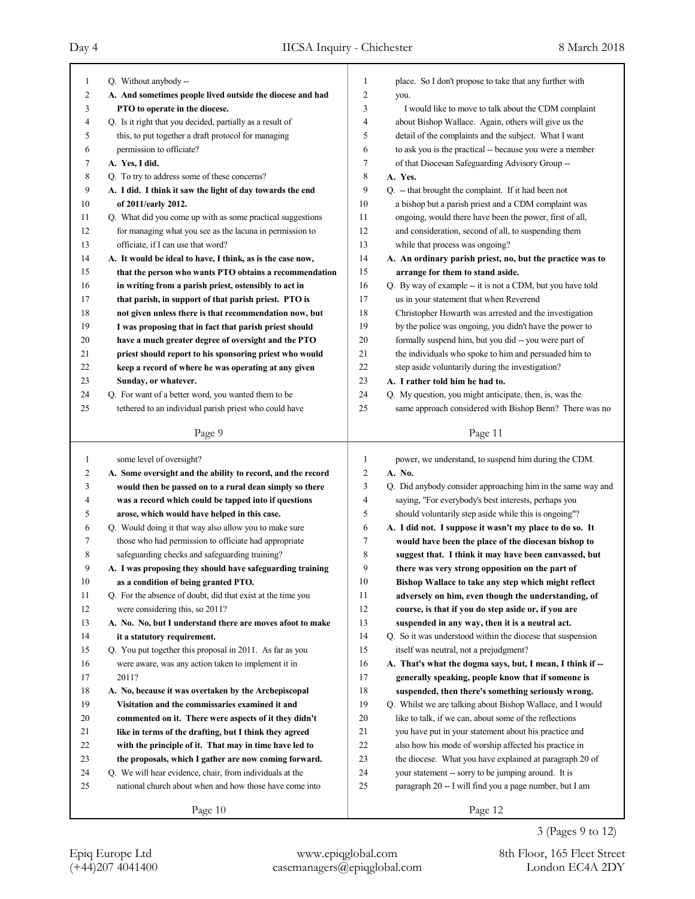| $\mathbf{1}$ | Q. Without anybody --                                       | 1  | place. So I don't propose to take that any further with     |
|--------------|-------------------------------------------------------------|----|-------------------------------------------------------------|
| 2            | A. And sometimes people lived outside the diocese and had   | 2  | you.                                                        |
| 3            | PTO to operate in the diocese.                              | 3  | I would like to move to talk about the CDM complaint        |
| 4            | Q. Is it right that you decided, partially as a result of   | 4  | about Bishop Wallace. Again, others will give us the        |
| 5            | this, to put together a draft protocol for managing         | 5  | detail of the complaints and the subject. What I want       |
| 6            | permission to officiate?                                    | 6  | to ask you is the practical -- because you were a member    |
| 7            | A. Yes, I did.                                              | 7  | of that Diocesan Safeguarding Advisory Group --             |
| 8            | Q. To try to address some of these concerns?                | 8  | A. Yes.                                                     |
| 9            | A. I did. I think it saw the light of day towards the end   | 9  | Q. - that brought the complaint. If it had been not         |
| 10           | of 2011/early 2012.                                         | 10 | a bishop but a parish priest and a CDM complaint was        |
| 11           | Q. What did you come up with as some practical suggestions  | 11 | ongoing, would there have been the power, first of all,     |
| 12           | for managing what you see as the lacuna in permission to    | 12 | and consideration, second of all, to suspending them        |
| 13           | officiate, if I can use that word?                          | 13 | while that process was ongoing?                             |
| 14           | A. It would be ideal to have, I think, as is the case now,  | 14 | A. An ordinary parish priest, no, but the practice was to   |
| 15           | that the person who wants PTO obtains a recommendation      | 15 | arrange for them to stand aside.                            |
| 16           | in writing from a parish priest, ostensibly to act in       | 16 | Q. By way of example -- it is not a CDM, but you have told  |
| 17           | that parish, in support of that parish priest. PTO is       | 17 | us in your statement that when Reverend                     |
| 18           | not given unless there is that recommendation now, but      | 18 | Christopher Howarth was arrested and the investigation      |
| 19           | I was proposing that in fact that parish priest should      | 19 | by the police was ongoing, you didn't have the power to     |
| 20           | have a much greater degree of oversight and the PTO         | 20 | formally suspend him, but you did -- you were part of       |
| 21           | priest should report to his sponsoring priest who would     | 21 | the individuals who spoke to him and persuaded him to       |
| 22           | keep a record of where he was operating at any given        | 22 | step aside voluntarily during the investigation?            |
| 23           | Sunday, or whatever.                                        | 23 | A. I rather told him he had to.                             |
| 24           | Q. For want of a better word, you wanted them to be         | 24 | Q. My question, you might anticipate, then, is, was the     |
| 25           | tethered to an individual parish priest who could have      | 25 | same approach considered with Bishop Benn? There was no     |
|              |                                                             |    |                                                             |
|              | Page 9                                                      |    | Page 11                                                     |
|              |                                                             |    |                                                             |
|              |                                                             |    |                                                             |
| 1            | some level of oversight?                                    | 1  | power, we understand, to suspend him during the CDM.        |
| 2            | A. Some oversight and the ability to record, and the record | 2  | A. No.                                                      |
| 3            | would then be passed on to a rural dean simply so there     | 3  | Q. Did anybody consider approaching him in the same way and |
| 4            | was a record which could be tapped into if questions        | 4  | saying, "For everybody's best interests, perhaps you        |
| 5            | arose, which would have helped in this case.                | 5  | should voluntarily step aside while this is ongoing"?       |
| 6            | Q. Would doing it that way also allow you to make sure      | 6  | A. I did not. I suppose it wasn't my place to do so. It     |
| 7            | those who had permission to officiate had appropriate       | 7  | would have been the place of the diocesan bishop to         |
| 8            | safeguarding checks and safeguarding training?              | 8  | suggest that. I think it may have been canvassed, but       |
| 9            | A. I was proposing they should have safeguarding training   | 9  | there was very strong opposition on the part of             |
| 10           | as a condition of being granted PTO.                        | 10 | Bishop Wallace to take any step which might reflect         |
| 11           | Q. For the absence of doubt, did that exist at the time you | 11 | adversely on him, even though the understanding, of         |
| 12           | were considering this, so 2011?                             | 12 | course, is that if you do step aside or, if you are         |
| 13           | A. No. No, but I understand there are moves afoot to make   | 13 | suspended in any way, then it is a neutral act.             |
| 14           | it a statutory requirement.                                 | 14 | Q. So it was understood within the diocese that suspension  |
| 15           | Q. You put together this proposal in 2011. As far as you    | 15 | itself was neutral, not a prejudgment?                      |
| 16           | were aware, was any action taken to implement it in         | 16 | A. That's what the dogma says, but, I mean, I think if --   |
| 17           | 2011?                                                       | 17 | generally speaking, people know that if someone is          |
| 18           | A. No, because it was overtaken by the Archepiscopal        | 18 | suspended, then there's something seriously wrong.          |
| 19           | Visitation and the commissaries examined it and             | 19 | Q. Whilst we are talking about Bishop Wallace, and I would  |
| $20\,$       | commented on it. There were aspects of it they didn't       | 20 | like to talk, if we can, about some of the reflections      |
| 21           | like in terms of the drafting, but I think they agreed      | 21 | you have put in your statement about his practice and       |
| 22           | with the principle of it. That may in time have led to      | 22 | also how his mode of worship affected his practice in       |
| 23           | the proposals, which I gather are now coming forward.       | 23 | the diocese. What you have explained at paragraph 20 of     |
| 24           | Q. We will hear evidence, chair, from individuals at the    | 24 | your statement -- sorry to be jumping around. It is         |
| 25           | national church about when and how those have come into     | 25 | paragraph 20 -- I will find you a page number, but I am     |
|              | Page 10                                                     |    | Page 12                                                     |

3 (Pages 9 to 12)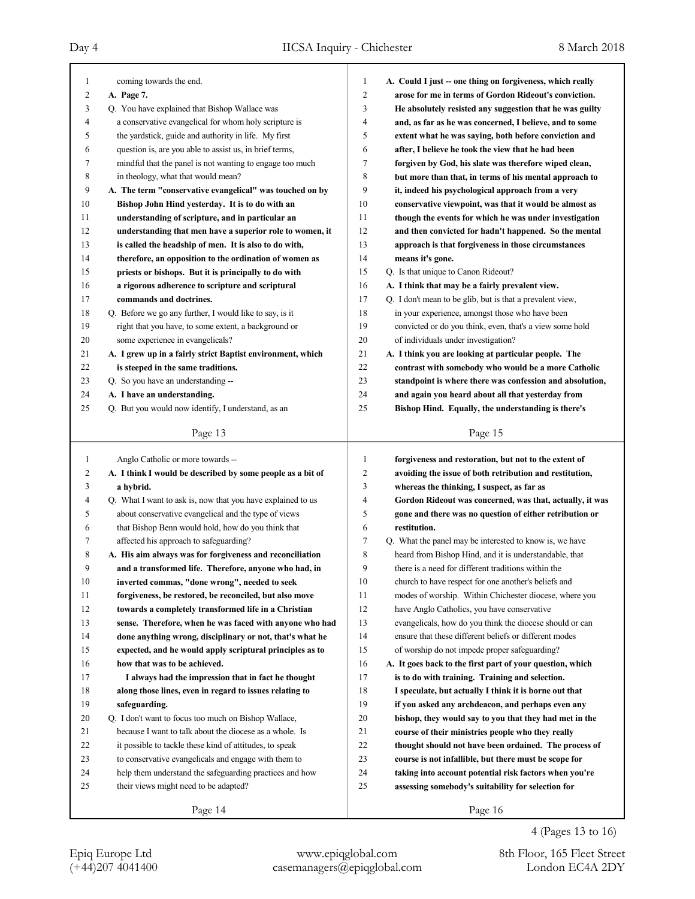| 1  | coming towards the end.                                     | 1<br>$\overline{2}$ | A. Could I just - one thing on forgiveness, which really  |
|----|-------------------------------------------------------------|---------------------|-----------------------------------------------------------|
| 2  | A. Page 7.                                                  |                     | arose for me in terms of Gordon Rideout's conviction.     |
| 3  | Q. You have explained that Bishop Wallace was               | 3                   | He absolutely resisted any suggestion that he was guilty  |
| 4  | a conservative evangelical for whom holy scripture is       | 4                   | and, as far as he was concerned, I believe, and to some   |
| 5  | the yardstick, guide and authority in life. My first        | 5                   | extent what he was saying, both before conviction and     |
| 6  | question is, are you able to assist us, in brief terms,     | 6                   | after, I believe he took the view that he had been        |
| 7  | mindful that the panel is not wanting to engage too much    | 7                   | forgiven by God, his slate was therefore wiped clean,     |
| 8  | in theology, what that would mean?                          | 8                   | but more than that, in terms of his mental approach to    |
| 9  | A. The term "conservative evangelical" was touched on by    | 9                   | it, indeed his psychological approach from a very         |
| 10 | Bishop John Hind yesterday. It is to do with an             | 10                  | conservative viewpoint, was that it would be almost as    |
| 11 | understanding of scripture, and in particular an            | 11                  | though the events for which he was under investigation    |
| 12 | understanding that men have a superior role to women, it    | 12                  | and then convicted for hadn't happened. So the mental     |
| 13 | is called the headship of men. It is also to do with,       | 13                  | approach is that forgiveness in those circumstances       |
| 14 | therefore, an opposition to the ordination of women as      | 14                  | means it's gone.                                          |
| 15 | priests or bishops. But it is principally to do with        | 15                  | Q. Is that unique to Canon Rideout?                       |
| 16 | a rigorous adherence to scripture and scriptural            | 16                  | A. I think that may be a fairly prevalent view.           |
| 17 | commands and doctrines.                                     | 17                  | Q. I don't mean to be glib, but is that a prevalent view, |
| 18 | Q. Before we go any further, I would like to say, is it     | 18                  | in your experience, amongst those who have been           |
| 19 | right that you have, to some extent, a background or        | 19                  | convicted or do you think, even, that's a view some hold  |
| 20 | some experience in evangelicals?                            | 20                  | of individuals under investigation?                       |
| 21 | A. I grew up in a fairly strict Baptist environment, which  | 21                  | A. I think you are looking at particular people. The      |
| 22 | is steeped in the same traditions.                          | 22                  | contrast with somebody who would be a more Catholic       |
| 23 | Q. So you have an understanding --                          | 23                  | standpoint is where there was confession and absolution,  |
| 24 | A. I have an understanding.                                 | 24                  | and again you heard about all that yesterday from         |
| 25 | Q. But you would now identify, I understand, as an          | 25                  | Bishop Hind. Equally, the understanding is there's        |
|    |                                                             |                     |                                                           |
|    | Page 13                                                     |                     | Page 15                                                   |
|    |                                                             |                     |                                                           |
|    |                                                             |                     |                                                           |
| 1  | Anglo Catholic or more towards --                           | 1                   | forgiveness and restoration, but not to the extent of     |
| 2  | A. I think I would be described by some people as a bit of  | $\overline{c}$      | avoiding the issue of both retribution and restitution,   |
| 3  | a hybrid.                                                   | 3                   | whereas the thinking, I suspect, as far as                |
| 4  | Q. What I want to ask is, now that you have explained to us | 4                   | Gordon Rideout was concerned, was that, actually, it was  |
| 5  | about conservative evangelical and the type of views        | 5                   | gone and there was no question of either retribution or   |
| 6  | that Bishop Benn would hold, how do you think that          | 6                   | restitution.                                              |
| 7  | affected his approach to safeguarding?                      | 7                   | Q. What the panel may be interested to know is, we have   |
| 8  | A. His aim always was for forgiveness and reconciliation    | 8                   | heard from Bishop Hind, and it is understandable, that    |
| 9  | and a transformed life. Therefore, anyone who had, in       | 9                   | there is a need for different traditions within the       |
| 10 | inverted commas, "done wrong", needed to seek               | 10                  | church to have respect for one another's beliefs and      |
| 11 | forgiveness, be restored, be reconciled, but also move      | 11                  | modes of worship. Within Chichester diocese, where you    |
| 12 | towards a completely transformed life in a Christian        | 12                  | have Anglo Catholics, you have conservative               |
| 13 | sense. Therefore, when he was faced with anyone who had     | 13                  | evangelicals, how do you think the diocese should or can  |
| 14 | done anything wrong, disciplinary or not, that's what he    | 14                  | ensure that these different beliefs or different modes    |
| 15 | expected, and he would apply scriptural principles as to    | 15                  | of worship do not impede proper safeguarding?             |
| 16 | how that was to be achieved.                                | 16                  | A. It goes back to the first part of your question, which |
| 17 | I always had the impression that in fact he thought         | 17                  | is to do with training. Training and selection.           |
| 18 | along those lines, even in regard to issues relating to     | 18                  | I speculate, but actually I think it is borne out that    |
| 19 | safeguarding.                                               | 19                  | if you asked any archdeacon, and perhaps even any         |
| 20 | Q. I don't want to focus too much on Bishop Wallace,        | $20\,$              | bishop, they would say to you that they had met in the    |
| 21 | because I want to talk about the diocese as a whole. Is     | 21                  | course of their ministries people who they really         |
| 22 | it possible to tackle these kind of attitudes, to speak     | $22\,$              | thought should not have been ordained. The process of     |
| 23 | to conservative evangelicals and engage with them to        | 23                  | course is not infallible, but there must be scope for     |
| 24 | help them understand the safeguarding practices and how     | 24                  | taking into account potential risk factors when you're    |
| 25 | their views might need to be adapted?                       | 25                  | assessing somebody's suitability for selection for        |
|    | Page 14                                                     |                     | Page 16                                                   |

# 4 (Pages 13 to 16)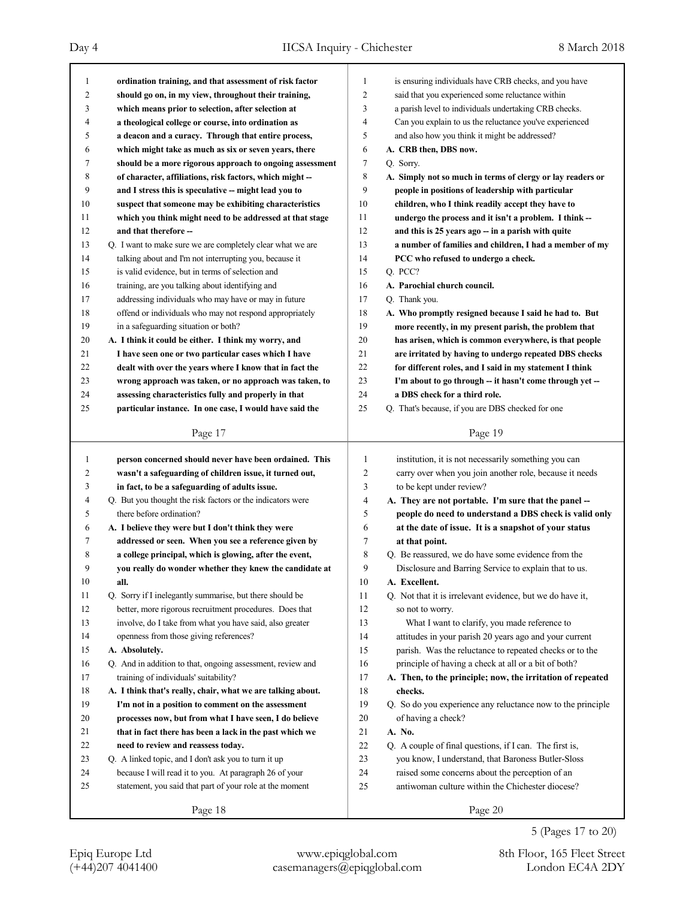| 1  | ordination training, and that assessment of risk factor     | 1              | is ensuring individuals have CRB checks, and you have       |
|----|-------------------------------------------------------------|----------------|-------------------------------------------------------------|
| 2  | should go on, in my view, throughout their training,        | $\overline{c}$ | said that you experienced some reluctance within            |
| 3  | which means prior to selection, after selection at          | 3              | a parish level to individuals undertaking CRB checks.       |
| 4  | a theological college or course, into ordination as         | 4              | Can you explain to us the reluctance you've experienced     |
| 5  | a deacon and a curacy. Through that entire process,         | 5              | and also how you think it might be addressed?               |
| 6  | which might take as much as six or seven years, there       | 6              | A. CRB then, DBS now.                                       |
| 7  | should be a more rigorous approach to ongoing assessment    | 7              | Q. Sorry.                                                   |
| 8  | of character, affiliations, risk factors, which might -     | 8              | A. Simply not so much in terms of clergy or lay readers or  |
| 9  | and I stress this is speculative -- might lead you to       | 9              | people in positions of leadership with particular           |
| 10 | suspect that someone may be exhibiting characteristics      | 10             | children, who I think readily accept they have to           |
| 11 | which you think might need to be addressed at that stage    | 11             | undergo the process and it isn't a problem. I think --      |
| 12 | and that therefore --                                       | 12             | and this is 25 years ago - in a parish with quite           |
| 13 | Q. I want to make sure we are completely clear what we are  | 13             | a number of families and children, I had a member of my     |
| 14 | talking about and I'm not interrupting you, because it      | 14             | PCC who refused to undergo a check.                         |
| 15 | is valid evidence, but in terms of selection and            | 15             | Q. PCC?                                                     |
| 16 | training, are you talking about identifying and             | 16             | A. Parochial church council.                                |
| 17 | addressing individuals who may have or may in future        | 17             | Q. Thank you.                                               |
| 18 | offend or individuals who may not respond appropriately     | 18             | A. Who promptly resigned because I said he had to. But      |
| 19 | in a safeguarding situation or both?                        | 19             | more recently, in my present parish, the problem that       |
| 20 | A. I think it could be either. I think my worry, and        | 20             |                                                             |
|    |                                                             | 21             | has arisen, which is common everywhere, is that people      |
| 21 | I have seen one or two particular cases which I have        | 22             | are irritated by having to undergo repeated DBS checks      |
| 22 | dealt with over the years where I know that in fact the     |                | for different roles, and I said in my statement I think     |
| 23 | wrong approach was taken, or no approach was taken, to      | 23             | I'm about to go through -- it hasn't come through yet --    |
| 24 | assessing characteristics fully and properly in that        | 24             | a DBS check for a third role.                               |
| 25 | particular instance. In one case, I would have said the     | 25             | Q. That's because, if you are DBS checked for one           |
|    | Page 17                                                     |                | Page 19                                                     |
|    |                                                             |                |                                                             |
|    |                                                             |                |                                                             |
| 1  | person concerned should never have been ordained. This      | 1              | institution, it is not necessarily something you can        |
| 2  | wasn't a safeguarding of children issue, it turned out,     | $\overline{2}$ | carry over when you join another role, because it needs     |
| 3  | in fact, to be a safeguarding of adults issue.              | 3              | to be kept under review?                                    |
| 4  | Q. But you thought the risk factors or the indicators were  | $\overline{4}$ | A. They are not portable. I'm sure that the panel --        |
| 5  | there before ordination?                                    | 5              | people do need to understand a DBS check is valid only      |
| 6  | A. I believe they were but I don't think they were          | 6              | at the date of issue. It is a snapshot of your status       |
| 7  | addressed or seen. When you see a reference given by        | $\tau$         | at that point.                                              |
| 8  | a college principal, which is glowing, after the event,     | 8              | Q. Be reassured, we do have some evidence from the          |
| 9  | you really do wonder whether they knew the candidate at     | 9              | Disclosure and Barring Service to explain that to us.       |
| 10 | all.                                                        | 10             | A. Excellent.                                               |
| 11 | Q. Sorry if I inelegantly summarise, but there should be    | 11             | Q. Not that it is irrelevant evidence, but we do have it,   |
| 12 | better, more rigorous recruitment procedures. Does that     | 12             | so not to worry.                                            |
| 13 | involve, do I take from what you have said, also greater    | 13             | What I want to clarify, you made reference to               |
| 14 | openness from those giving references?                      | 14             | attitudes in your parish 20 years ago and your current      |
| 15 | A. Absolutely.                                              | 15             | parish. Was the reluctance to repeated checks or to the     |
| 16 | Q. And in addition to that, ongoing assessment, review and  | 16             | principle of having a check at all or a bit of both?        |
| 17 | training of individuals' suitability?                       | 17             | A. Then, to the principle; now, the irritation of repeated  |
| 18 | A. I think that's really, chair, what we are talking about. | 18             | checks.                                                     |
| 19 | I'm not in a position to comment on the assessment          | 19             | Q. So do you experience any reluctance now to the principle |
| 20 | processes now, but from what I have seen, I do believe      | 20             | of having a check?                                          |
| 21 | that in fact there has been a lack in the past which we     | 21             | A. No.                                                      |
| 22 | need to review and reassess today.                          | 22             | Q. A couple of final questions, if I can. The first is,     |
| 23 | Q. A linked topic, and I don't ask you to turn it up        | 23             | you know, I understand, that Baroness Butler-Sloss          |
| 24 | because I will read it to you. At paragraph 26 of your      | 24             | raised some concerns about the perception of an             |
| 25 | statement, you said that part of your role at the moment    | 25             | antiwoman culture within the Chichester diocese?            |
|    | Page 18                                                     |                | Page 20                                                     |

5 (Pages 17 to 20)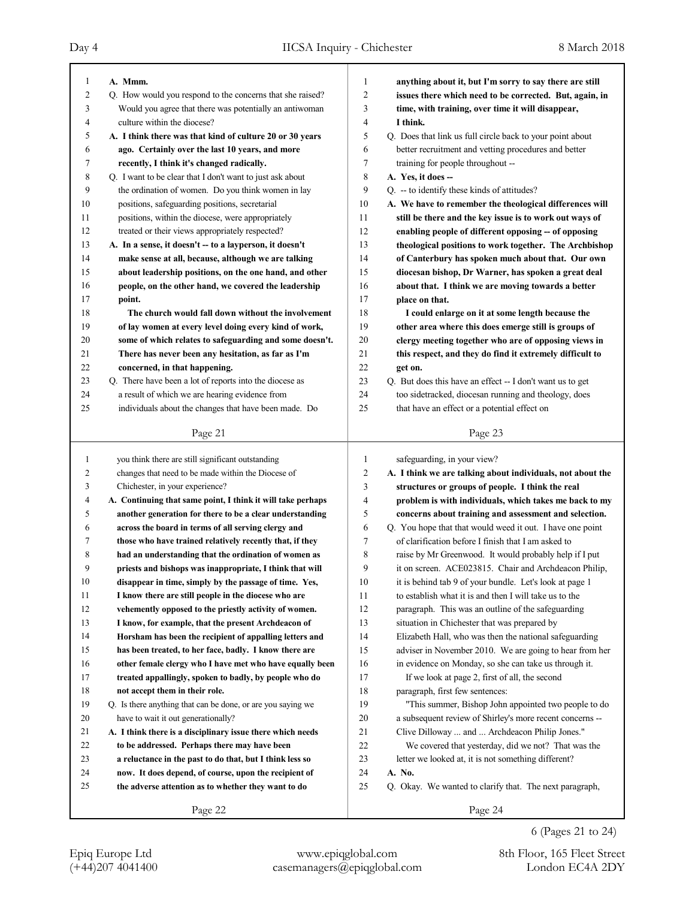| $\mathbf{1}$   | A. Mmm.                                                     | 1                | anything about it, but I'm sorry to say there are still    |
|----------------|-------------------------------------------------------------|------------------|------------------------------------------------------------|
| $\overline{c}$ | Q. How would you respond to the concerns that she raised?   | $\overline{2}$   | issues there which need to be corrected. But, again, in    |
| 3              | Would you agree that there was potentially an antiwoman     | 3                | time, with training, over time it will disappear,          |
| $\overline{4}$ | culture within the diocese?                                 | 4                | I think.                                                   |
| 5              | A. I think there was that kind of culture 20 or 30 years    | 5                | Q. Does that link us full circle back to your point about  |
| 6              | ago. Certainly over the last 10 years, and more             | 6                | better recruitment and vetting procedures and better       |
| 7              | recently, I think it's changed radically.                   | 7                | training for people throughout --                          |
| 8              | Q. I want to be clear that I don't want to just ask about   | 8                | A. Yes, it does --                                         |
| 9              | the ordination of women. Do you think women in lay          | 9                | Q. -- to identify these kinds of attitudes?                |
| 10             | positions, safeguarding positions, secretarial              | 10               | A. We have to remember the theological differences will    |
| 11             | positions, within the diocese, were appropriately           | 11               | still be there and the key issue is to work out ways of    |
| 12             | treated or their views appropriately respected?             | 12               | enabling people of different opposing -- of opposing       |
| 13             | A. In a sense, it doesn't -- to a layperson, it doesn't     | 13               | theological positions to work together. The Archbishop     |
| 14             | make sense at all, because, although we are talking         | 14               | of Canterbury has spoken much about that. Our own          |
| 15             | about leadership positions, on the one hand, and other      | 15               | diocesan bishop, Dr Warner, has spoken a great deal        |
| 16             | people, on the other hand, we covered the leadership        | 16               | about that. I think we are moving towards a better         |
| 17             | point.                                                      | 17               | place on that.                                             |
| 18             | The church would fall down without the involvement          | 18               | I could enlarge on it at some length because the           |
| 19             | of lay women at every level doing every kind of work,       | 19               | other area where this does emerge still is groups of       |
| 20             | some of which relates to safeguarding and some doesn't.     | 20               | clergy meeting together who are of opposing views in       |
| 21             | There has never been any hesitation, as far as I'm          | 21               | this respect, and they do find it extremely difficult to   |
| 22             | concerned, in that happening.                               | 22               | get on.                                                    |
| 23             | Q. There have been a lot of reports into the diocese as     | 23               | Q. But does this have an effect -- I don't want us to get  |
| 24             | a result of which we are hearing evidence from              | 24               | too sidetracked, diocesan running and theology, does       |
| 25             | individuals about the changes that have been made. Do       | 25               | that have an effect or a potential effect on               |
|                |                                                             |                  |                                                            |
|                | Page 21                                                     |                  | Page 23                                                    |
|                |                                                             |                  |                                                            |
|                |                                                             |                  |                                                            |
| $\mathbf{1}$   | you think there are still significant outstanding           | 1                | safeguarding, in your view?                                |
| 2              | changes that need to be made within the Diocese of          | $\boldsymbol{2}$ | A. I think we are talking about individuals, not about the |
| 3              | Chichester, in your experience?                             | 3                | structures or groups of people. I think the real           |
| 4              | A. Continuing that same point, I think it will take perhaps | $\overline{4}$   | problem is with individuals, which takes me back to my     |
| 5              | another generation for there to be a clear understanding    | 5                | concerns about training and assessment and selection.      |
| 6              | across the board in terms of all serving clergy and         | 6                | Q. You hope that that would weed it out. I have one point  |
| 7              | those who have trained relatively recently that, if they    | 7                | of clarification before I finish that I am asked to        |
| 8              | had an understanding that the ordination of women as        | 8                | raise by Mr Greenwood. It would probably help if I put     |
| 9              | priests and bishops was inappropriate, I think that will    | 9                | it on screen. ACE023815. Chair and Archdeacon Philip,      |
| 10             | disappear in time, simply by the passage of time. Yes,      | $10\,$           | it is behind tab 9 of your bundle. Let's look at page 1    |
| 11             | I know there are still people in the diocese who are        | 11               | to establish what it is and then I will take us to the     |
| 12             | vehemently opposed to the priestly activity of women.       | 12               | paragraph. This was an outline of the safeguarding         |
| 13             | I know, for example, that the present Archdeacon of         | 13               | situation in Chichester that was prepared by               |
| 14             | Horsham has been the recipient of appalling letters and     | 14               | Elizabeth Hall, who was then the national safeguarding     |
| 15             | has been treated, to her face, badly. I know there are      | 15               | adviser in November 2010. We are going to hear from her    |
| 16             | other female clergy who I have met who have equally been    | 16               | in evidence on Monday, so she can take us through it.      |
| 17             | treated appallingly, spoken to badly, by people who do      | 17               | If we look at page 2, first of all, the second             |
| 18             | not accept them in their role.                              | 18               | paragraph, first few sentences:                            |
| 19             | Q. Is there anything that can be done, or are you saying we | 19               | "This summer, Bishop John appointed two people to do       |
| 20             | have to wait it out generationally?                         | $20\,$           | a subsequent review of Shirley's more recent concerns --   |
| 21             | A. I think there is a disciplinary issue there which needs  | 21               | Clive Dilloway  and  Archdeacon Philip Jones."             |
| 22             | to be addressed. Perhaps there may have been                | 22               | We covered that yesterday, did we not? That was the        |
| 23             | a reluctance in the past to do that, but I think less so    | 23               | letter we looked at, it is not something different?        |
| 24             | now. It does depend, of course, upon the recipient of       | 24               | A. No.                                                     |
| 25             | the adverse attention as to whether they want to do         | 25               | Q. Okay. We wanted to clarify that. The next paragraph,    |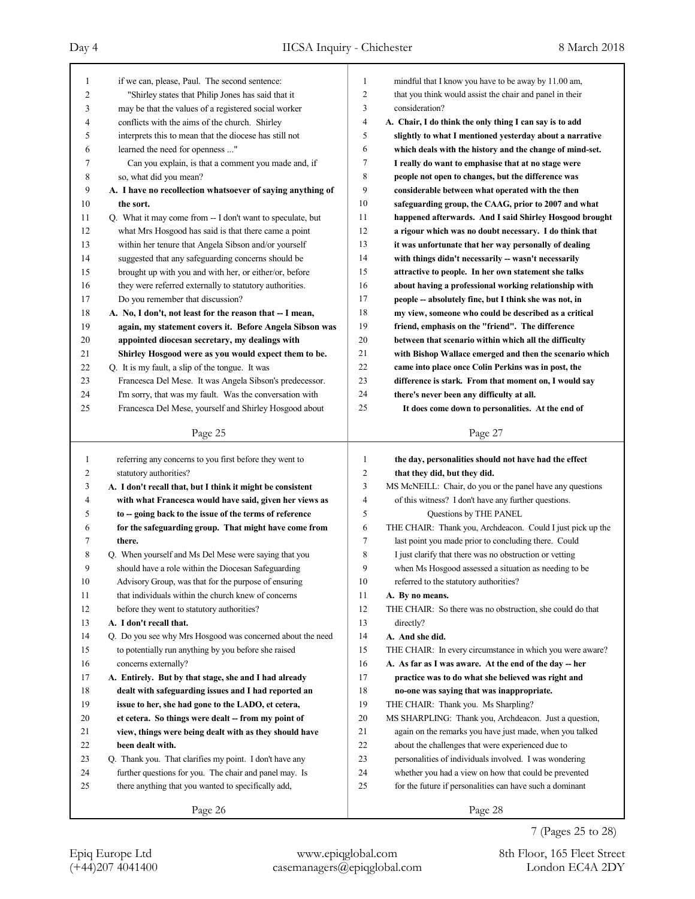### Day 4 IICSA Inquiry - Chichester 8 March 2018

Page 25 1 if we can, please, Paul. The second sentence: 2 "Shirley states that Philip Jones has said that it 3 may be that the values of a registered social worker 4 conflicts with the aims of the church. Shirley 5 interprets this to mean that the diocese has still not 6 learned the need for openness ..." 7 Can you explain, is that a comment you made and, if 8 so, what did you mean? 9 **A. I have no recollection whatsoever of saying anything of** 10 **the sort.** 11 Q. What it may come from -- I don't want to speculate, but 12 what Mrs Hosgood has said is that there came a point 13 within her tenure that Angela Sibson and/or yourself 14 suggested that any safeguarding concerns should be 15 brought up with you and with her, or either/or, before 16 they were referred externally to statutory authorities. 17 Do you remember that discussion? 18 **A. No, I don't, not least for the reason that -- I mean,** 19 **again, my statement covers it. Before Angela Sibson was** 20 **appointed diocesan secretary, my dealings with** 21 **Shirley Hosgood were as you would expect them to be.** 22 Q. It is my fault, a slip of the tongue. It was 23 Francesca Del Mese. It was Angela Sibson's predecessor. 24 I'm sorry, that was my fault. Was the conversation with 25 Francesca Del Mese, yourself and Shirley Hosgood about Page 26 1 referring any concerns to you first before they went to 2 statutory authorities? 3 **A. I don't recall that, but I think it might be consistent** 4 **with what Francesca would have said, given her views as** 5 **to -- going back to the issue of the terms of reference** 6 **for the safeguarding group. That might have come from** 7 **there.** 8 Q. When yourself and Ms Del Mese were saying that you 9 should have a role within the Diocesan Safeguarding 10 Advisory Group, was that for the purpose of ensuring 11 that individuals within the church knew of concerns 12 before they went to statutory authorities? 13 **A. I don't recall that.** 14 Q. Do you see why Mrs Hosgood was concerned about the need 15 to potentially run anything by you before she raised 16 concerns externally? 17 **A. Entirely. But by that stage, she and I had already** 18 **dealt with safeguarding issues and I had reported an** 19 **issue to her, she had gone to the LADO, et cetera,** 20 **et cetera. So things were dealt -- from my point of** 21 **view, things were being dealt with as they should have** 22 **been dealt with.** 23 Q. Thank you. That clarifies my point. I don't have any 24 further questions for you. The chair and panel may. Is 25 there anything that you wanted to specifically add, Page 27 1 mindful that I know you have to be away by 11.00 am, 2 that you think would assist the chair and panel in their 3 consideration? 4 **A. Chair, I do think the only thing I can say is to add** 5 **slightly to what I mentioned yesterday about a narrative** 6 **which deals with the history and the change of mind-set.** 7 **I really do want to emphasise that at no stage were** 8 **people not open to changes, but the difference was** 9 **considerable between what operated with the then** 10 **safeguarding group, the CAAG, prior to 2007 and what** 11 **happened afterwards. And I said Shirley Hosgood brought** 12 **a rigour which was no doubt necessary. I do think that** 13 **it was unfortunate that her way personally of dealing** 14 **with things didn't necessarily -- wasn't necessarily** 15 **attractive to people. In her own statement she talks** 16 **about having a professional working relationship with** 17 **people -- absolutely fine, but I think she was not, in** 18 **my view, someone who could be described as a critical** 19 **friend, emphasis on the "friend". The difference** 20 **between that scenario within which all the difficulty** 21 **with Bishop Wallace emerged and then the scenario which** 22 **came into place once Colin Perkins was in post, the** 23 **difference is stark. From that moment on, I would say** 24 **there's never been any difficulty at all.** 25 **It does come down to personalities. At the end of** Page 28 1 **the day, personalities should not have had the effect** 2 **that they did, but they did.** 3 MS McNEILL: Chair, do you or the panel have any questions 4 of this witness? I don't have any further questions. 5 Questions by THE PANEL 6 THE CHAIR: Thank you, Archdeacon. Could I just pick up the 7 last point you made prior to concluding there. Could 8 I just clarify that there was no obstruction or vetting 9 when Ms Hosgood assessed a situation as needing to be 10 referred to the statutory authorities? 11 **A. By no means.** 12 THE CHAIR: So there was no obstruction, she could do that 13 directly? 14 **A. And she did.** 15 THE CHAIR: In every circumstance in which you were aware? 16 **A. As far as I was aware. At the end of the day -- her** 17 **practice was to do what she believed was right and** 18 **no-one was saying that was inappropriate.** 19 THE CHAIR: Thank you. Ms Sharpling? 20 MS SHARPLING: Thank you, Archdeacon. Just a question, 21 again on the remarks you have just made, when you talked 22 about the challenges that were experienced due to 23 personalities of individuals involved. I was wondering 24 whether you had a view on how that could be prevented 25 for the future if personalities can have such a dominant

(+44)207 4041400 casemanagers@epiqglobal.com London EC4A 2DY Epiq Europe Ltd www.epiqglobal.com 8th Floor, 165 Fleet Street

7 (Pages 25 to 28)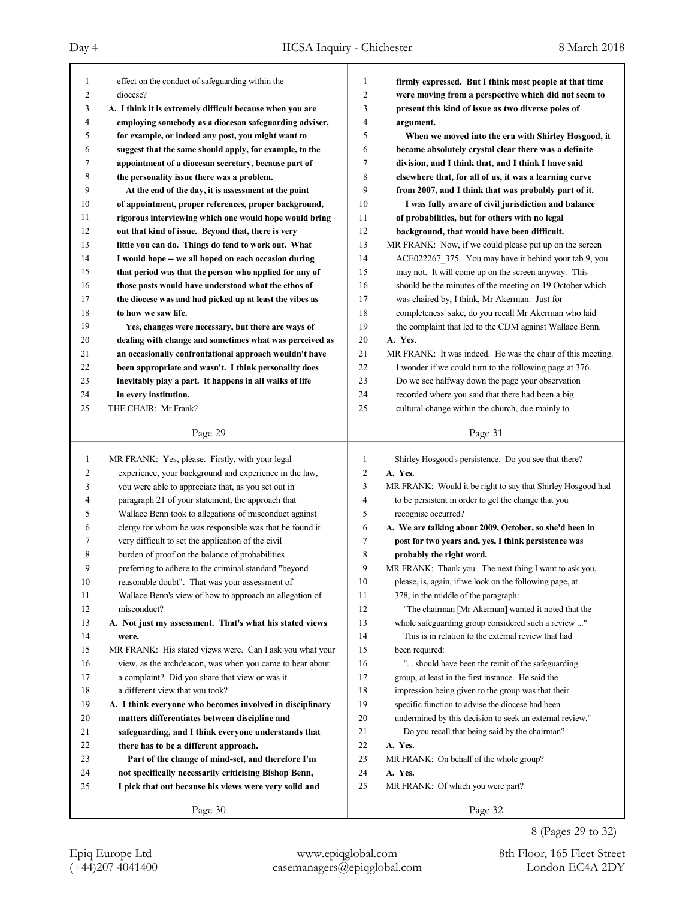| 1        | effect on the conduct of safeguarding within the                                                              | 1                   | firmly expressed. But I think most people at that time                                                              |
|----------|---------------------------------------------------------------------------------------------------------------|---------------------|---------------------------------------------------------------------------------------------------------------------|
| 2        | diocese?                                                                                                      | 2                   | were moving from a perspective which did not seem to                                                                |
| 3        | A. I think it is extremely difficult because when you are                                                     | 3                   | present this kind of issue as two diverse poles of                                                                  |
| 4        | employing somebody as a diocesan safeguarding adviser,                                                        | 4<br>5              | argument.                                                                                                           |
| 5        | for example, or indeed any post, you might want to                                                            |                     | When we moved into the era with Shirley Hosgood, it                                                                 |
| 6        | suggest that the same should apply, for example, to the                                                       | 6                   | became absolutely crystal clear there was a definite                                                                |
| 7        | appointment of a diocesan secretary, because part of                                                          | 7                   | division, and I think that, and I think I have said                                                                 |
| 8        | the personality issue there was a problem.                                                                    | 8<br>9              | elsewhere that, for all of us, it was a learning curve                                                              |
| 9        | At the end of the day, it is assessment at the point                                                          |                     | from 2007, and I think that was probably part of it.                                                                |
| 10       | of appointment, proper references, proper background,                                                         | 10                  | I was fully aware of civil jurisdiction and balance                                                                 |
| 11       | rigorous interviewing which one would hope would bring                                                        | 11                  | of probabilities, but for others with no legal                                                                      |
| 12       | out that kind of issue. Beyond that, there is very                                                            | 12<br>13            | background, that would have been difficult.                                                                         |
| 13       | little you can do. Things do tend to work out. What                                                           | 14                  | MR FRANK: Now, if we could please put up on the screen                                                              |
| 14       | I would hope -- we all hoped on each occasion during                                                          | 15                  | ACE022267_375. You may have it behind your tab 9, you                                                               |
| 15<br>16 | that period was that the person who applied for any of<br>those posts would have understood what the ethos of | 16                  | may not. It will come up on the screen anyway. This<br>should be the minutes of the meeting on 19 October which     |
| 17       | the diocese was and had picked up at least the vibes as                                                       | 17                  | was chaired by, I think, Mr Akerman. Just for                                                                       |
| 18       | to how we saw life.                                                                                           | 18                  | completeness' sake, do you recall Mr Akerman who laid                                                               |
| 19       |                                                                                                               | 19                  | the complaint that led to the CDM against Wallace Benn.                                                             |
| 20       | Yes, changes were necessary, but there are ways of<br>dealing with change and sometimes what was perceived as | 20                  | A. Yes.                                                                                                             |
| 21       | an occasionally confrontational approach wouldn't have                                                        | 21                  | MR FRANK: It was indeed. He was the chair of this meeting.                                                          |
| 22       | been appropriate and wasn't. I think personality does                                                         | 22                  | I wonder if we could turn to the following page at 376.                                                             |
| 23       | inevitably play a part. It happens in all walks of life                                                       | 23                  | Do we see halfway down the page your observation                                                                    |
| 24       | in every institution.                                                                                         | 24                  | recorded where you said that there had been a big                                                                   |
| 25       | THE CHAIR: Mr Frank?                                                                                          | 25                  | cultural change within the church, due mainly to                                                                    |
|          |                                                                                                               |                     |                                                                                                                     |
|          | Page 29                                                                                                       |                     | Page 31                                                                                                             |
|          |                                                                                                               |                     |                                                                                                                     |
|          |                                                                                                               |                     |                                                                                                                     |
| 1        | MR FRANK: Yes, please. Firstly, with your legal                                                               | $\mathbf{1}$        | Shirley Hosgood's persistence. Do you see that there?                                                               |
| 2<br>3   | experience, your background and experience in the law,                                                        | $\overline{2}$<br>3 | A. Yes.                                                                                                             |
| 4        | you were able to appreciate that, as you set out in<br>paragraph 21 of your statement, the approach that      | $\overline{4}$      | MR FRANK: Would it be right to say that Shirley Hosgood had<br>to be persistent in order to get the change that you |
| 5        | Wallace Benn took to allegations of misconduct against                                                        | 5                   | recognise occurred?                                                                                                 |
| 6        | clergy for whom he was responsible was that he found it                                                       | 6                   | A. We are talking about 2009, October, so she'd been in                                                             |
| 7        | very difficult to set the application of the civil                                                            | 7                   | post for two years and, yes, I think persistence was                                                                |
| 8        | burden of proof on the balance of probabilities                                                               | 8                   | probably the right word.                                                                                            |
| 9        | preferring to adhere to the criminal standard "beyond                                                         | 9                   | MR FRANK: Thank you. The next thing I want to ask you,                                                              |
| 10       | reasonable doubt". That was your assessment of                                                                | 10                  | please, is, again, if we look on the following page, at                                                             |
| 11       | Wallace Benn's view of how to approach an allegation of                                                       | 11                  | 378, in the middle of the paragraph:                                                                                |
| 12       | misconduct?                                                                                                   | 12                  | "The chairman [Mr Akerman] wanted it noted that the                                                                 |
| 13       | A. Not just my assessment. That's what his stated views                                                       | 13                  | whole safeguarding group considered such a review "                                                                 |
| 14       | were.                                                                                                         | 14                  | This is in relation to the external review that had                                                                 |
| 15       | MR FRANK: His stated views were. Can I ask you what your                                                      | 15                  | been required:                                                                                                      |
| 16       | view, as the archdeacon, was when you came to hear about                                                      | 16                  | " should have been the remit of the safeguarding                                                                    |
| 17       | a complaint? Did you share that view or was it                                                                | 17                  | group, at least in the first instance. He said the                                                                  |
| 18       | a different view that you took?                                                                               | 18                  | impression being given to the group was that their                                                                  |
| 19       | A. I think everyone who becomes involved in disciplinary                                                      | 19                  | specific function to advise the diocese had been                                                                    |
| 20       | matters differentiates between discipline and                                                                 | 20                  | undermined by this decision to seek an external review."                                                            |
| 21       | safeguarding, and I think everyone understands that                                                           | 21                  | Do you recall that being said by the chairman?                                                                      |
| 22       | there has to be a different approach.                                                                         | 22                  | A. Yes.                                                                                                             |
| 23       | Part of the change of mind-set, and therefore I'm                                                             | 23                  | MR FRANK: On behalf of the whole group?                                                                             |
| 24       | not specifically necessarily criticising Bishop Benn,                                                         | 24                  | A. Yes.                                                                                                             |
| 25       | I pick that out because his views were very solid and                                                         | 25                  | MR FRANK: Of which you were part?                                                                                   |
|          | Page 30                                                                                                       |                     | Page 32                                                                                                             |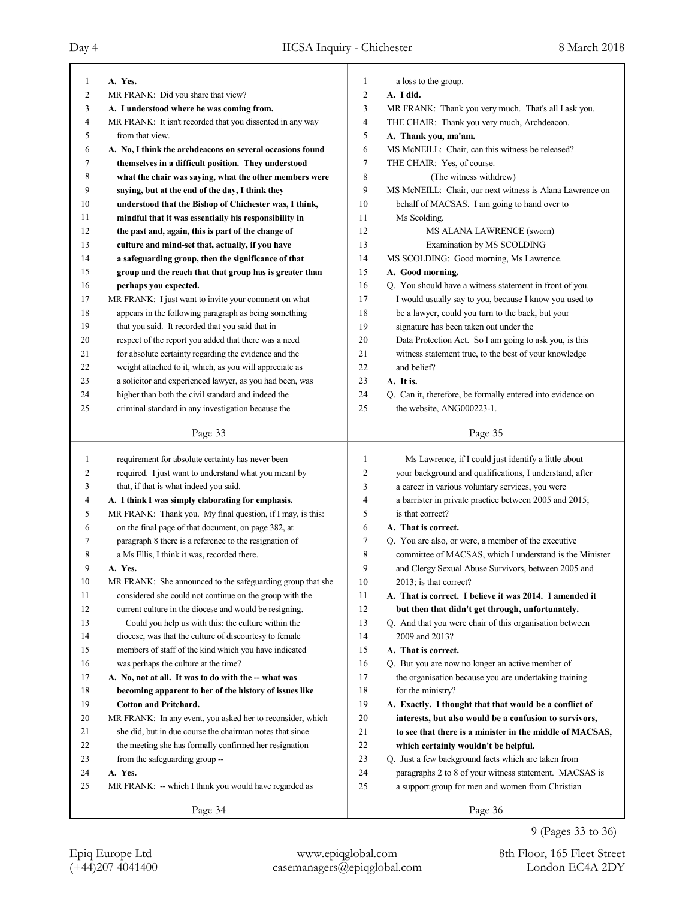| $\overline{2}$<br>2<br>MR FRANK: Did you share that view?<br>A. I did.<br>3<br>3<br>A. I understood where he was coming from.<br>MR FRANK: Thank you very much. That's all I ask you.<br>4<br>MR FRANK: It isn't recorded that you dissented in any way<br>4<br>THE CHAIR: Thank you very much, Archdeacon.<br>5<br>5<br>from that view.<br>A. Thank you, ma'am.<br>MS McNEILL: Chair, can this witness be released?<br>6<br>A. No, I think the archdeacons on several occasions found<br>6<br>$\tau$<br>7<br>themselves in a difficult position. They understood<br>THE CHAIR: Yes, of course.<br>8<br>8<br>(The witness withdrew)<br>what the chair was saying, what the other members were<br>9<br>9<br>saying, but at the end of the day, I think they<br>MS McNEILL: Chair, our next witness is Alana Lawrence on<br>behalf of MACSAS. I am going to hand over to<br>10<br>understood that the Bishop of Chichester was, I think,<br>10<br>11<br>11<br>Ms Scolding.<br>mindful that it was essentially his responsibility in<br>12<br>the past and, again, this is part of the change of<br>12<br>MS ALANA LAWRENCE (sworn)<br>13<br>13<br>culture and mind-set that, actually, if you have<br>Examination by MS SCOLDING<br>14<br>MS SCOLDING: Good morning, Ms Lawrence.<br>14<br>a safeguarding group, then the significance of that<br>15<br>group and the reach that that group has is greater than<br>15<br>A. Good morning.<br>Q. You should have a witness statement in front of you.<br>16<br>16<br>perhaps you expected.<br>17<br>17<br>MR FRANK: I just want to invite your comment on what<br>I would usually say to you, because I know you used to<br>18<br>appears in the following paragraph as being something<br>18<br>be a lawyer, could you turn to the back, but your<br>19<br>19<br>that you said. It recorded that you said that in<br>signature has been taken out under the<br>20<br>respect of the report you added that there was a need<br>20<br>Data Protection Act. So I am going to ask you, is this<br>for absolute certainty regarding the evidence and the<br>21<br>21<br>witness statement true, to the best of your knowledge<br>weight attached to it, which, as you will appreciate as<br>22<br>22<br>and belief?<br>a solicitor and experienced lawyer, as you had been, was<br>23<br>23<br>A. It is.<br>24<br>Q. Can it, therefore, be formally entered into evidence on<br>24<br>higher than both the civil standard and indeed the<br>25<br>25<br>criminal standard in any investigation because the<br>the website, ANG000223-1.<br>Page 33<br>Page 35<br>requirement for absolute certainty has never been<br>1<br>Ms Lawrence, if I could just identify a little about<br>1<br>$\overline{2}$<br>2<br>required. I just want to understand what you meant by<br>your background and qualifications, I understand, after<br>3<br>a career in various voluntary services, you were<br>3<br>that, if that is what indeed you said.<br>$\overline{4}$<br>a barrister in private practice between 2005 and 2015;<br>4<br>A. I think I was simply elaborating for emphasis.<br>5<br>5<br>MR FRANK: Thank you. My final question, if I may, is this:<br>is that correct?<br>on the final page of that document, on page 382, at<br>6<br>A. That is correct.<br>6<br>7<br>paragraph 8 there is a reference to the resignation of<br>Q. You are also, or were, a member of the executive<br>7<br>8<br>committee of MACSAS, which I understand is the Minister<br>8<br>a Ms Ellis, I think it was, recorded there.<br>9<br>and Clergy Sexual Abuse Survivors, between 2005 and<br>9<br>A. Yes.<br>10<br>MR FRANK: She announced to the safeguarding group that she<br>10<br>2013; is that correct?<br>considered she could not continue on the group with the<br>11<br>11<br>A. That is correct. I believe it was 2014. I amended it<br>12<br>12<br>current culture in the diocese and would be resigning.<br>but then that didn't get through, unfortunately.<br>13<br>Could you help us with this: the culture within the<br>13<br>Q. And that you were chair of this organisation between<br>14<br>14<br>diocese, was that the culture of discourtesy to female<br>2009 and 2013?<br>15<br>15<br>members of staff of the kind which you have indicated<br>A. That is correct.<br>16<br>was perhaps the culture at the time?<br>16<br>Q. But you are now no longer an active member of<br>17<br>17<br>the organisation because you are undertaking training<br>A. No, not at all. It was to do with the -- what was<br>18<br>18<br>becoming apparent to her of the history of issues like<br>for the ministry?<br>19<br>19<br><b>Cotton and Pritchard.</b><br>A. Exactly. I thought that that would be a conflict of<br>20<br>MR FRANK: In any event, you asked her to reconsider, which<br>20<br>interests, but also would be a confusion to survivors,<br>21<br>she did, but in due course the chairman notes that since<br>21<br>to see that there is a minister in the middle of MACSAS,<br>22<br>22<br>the meeting she has formally confirmed her resignation<br>which certainly wouldn't be helpful. | 1  | A. Yes.                        | 1  | a loss to the group.                                |
|-----------------------------------------------------------------------------------------------------------------------------------------------------------------------------------------------------------------------------------------------------------------------------------------------------------------------------------------------------------------------------------------------------------------------------------------------------------------------------------------------------------------------------------------------------------------------------------------------------------------------------------------------------------------------------------------------------------------------------------------------------------------------------------------------------------------------------------------------------------------------------------------------------------------------------------------------------------------------------------------------------------------------------------------------------------------------------------------------------------------------------------------------------------------------------------------------------------------------------------------------------------------------------------------------------------------------------------------------------------------------------------------------------------------------------------------------------------------------------------------------------------------------------------------------------------------------------------------------------------------------------------------------------------------------------------------------------------------------------------------------------------------------------------------------------------------------------------------------------------------------------------------------------------------------------------------------------------------------------------------------------------------------------------------------------------------------------------------------------------------------------------------------------------------------------------------------------------------------------------------------------------------------------------------------------------------------------------------------------------------------------------------------------------------------------------------------------------------------------------------------------------------------------------------------------------------------------------------------------------------------------------------------------------------------------------------------------------------------------------------------------------------------------------------------------------------------------------------------------------------------------------------------------------------------------------------------------------------------------------------------------------------------------------------------------------------------------------------------------------------------------------------------------------------------------------------------------------------------------------------------------------------------------------------------------------------------------------------------------------------------------------------------------------------------------------------------------------------------------------------------------------------------------------------------------------------------------------------------------------------------------------------------------------------------------------------------------------------------------------------------------------------------------------------------------------------------------------------------------------------------------------------------------------------------------------------------------------------------------------------------------------------------------------------------------------------------------------------------------------------------------------------------------------------------------------------------------------------------------------------------------------------------------------------------------------------------------------------------------------------------------------------------------------------------------------------------------------------------------------------------------------------------------------------------------------------------------------------------------------------------------------------------------------------------------------------------------------------------------------------------------------------------------------------------------------------------------------------------------------------------------------------------------------------------------------------------------------------------------------------------------------------------------------------------------------------------------------------------------------------------------------------------------|----|--------------------------------|----|-----------------------------------------------------|
|                                                                                                                                                                                                                                                                                                                                                                                                                                                                                                                                                                                                                                                                                                                                                                                                                                                                                                                                                                                                                                                                                                                                                                                                                                                                                                                                                                                                                                                                                                                                                                                                                                                                                                                                                                                                                                                                                                                                                                                                                                                                                                                                                                                                                                                                                                                                                                                                                                                                                                                                                                                                                                                                                                                                                                                                                                                                                                                                                                                                                                                                                                                                                                                                                                                                                                                                                                                                                                                                                                                                                                                                                                                                                                                                                                                                                                                                                                                                                                                                                                                                                                                                                                                                                                                                                                                                                                                                                                                                                                                                                                                                                                                                                                                                                                                                                                                                                                                                                                                                                                                                                                                                                     |    |                                |    |                                                     |
|                                                                                                                                                                                                                                                                                                                                                                                                                                                                                                                                                                                                                                                                                                                                                                                                                                                                                                                                                                                                                                                                                                                                                                                                                                                                                                                                                                                                                                                                                                                                                                                                                                                                                                                                                                                                                                                                                                                                                                                                                                                                                                                                                                                                                                                                                                                                                                                                                                                                                                                                                                                                                                                                                                                                                                                                                                                                                                                                                                                                                                                                                                                                                                                                                                                                                                                                                                                                                                                                                                                                                                                                                                                                                                                                                                                                                                                                                                                                                                                                                                                                                                                                                                                                                                                                                                                                                                                                                                                                                                                                                                                                                                                                                                                                                                                                                                                                                                                                                                                                                                                                                                                                                     |    |                                |    |                                                     |
|                                                                                                                                                                                                                                                                                                                                                                                                                                                                                                                                                                                                                                                                                                                                                                                                                                                                                                                                                                                                                                                                                                                                                                                                                                                                                                                                                                                                                                                                                                                                                                                                                                                                                                                                                                                                                                                                                                                                                                                                                                                                                                                                                                                                                                                                                                                                                                                                                                                                                                                                                                                                                                                                                                                                                                                                                                                                                                                                                                                                                                                                                                                                                                                                                                                                                                                                                                                                                                                                                                                                                                                                                                                                                                                                                                                                                                                                                                                                                                                                                                                                                                                                                                                                                                                                                                                                                                                                                                                                                                                                                                                                                                                                                                                                                                                                                                                                                                                                                                                                                                                                                                                                                     |    |                                |    |                                                     |
|                                                                                                                                                                                                                                                                                                                                                                                                                                                                                                                                                                                                                                                                                                                                                                                                                                                                                                                                                                                                                                                                                                                                                                                                                                                                                                                                                                                                                                                                                                                                                                                                                                                                                                                                                                                                                                                                                                                                                                                                                                                                                                                                                                                                                                                                                                                                                                                                                                                                                                                                                                                                                                                                                                                                                                                                                                                                                                                                                                                                                                                                                                                                                                                                                                                                                                                                                                                                                                                                                                                                                                                                                                                                                                                                                                                                                                                                                                                                                                                                                                                                                                                                                                                                                                                                                                                                                                                                                                                                                                                                                                                                                                                                                                                                                                                                                                                                                                                                                                                                                                                                                                                                                     |    |                                |    |                                                     |
|                                                                                                                                                                                                                                                                                                                                                                                                                                                                                                                                                                                                                                                                                                                                                                                                                                                                                                                                                                                                                                                                                                                                                                                                                                                                                                                                                                                                                                                                                                                                                                                                                                                                                                                                                                                                                                                                                                                                                                                                                                                                                                                                                                                                                                                                                                                                                                                                                                                                                                                                                                                                                                                                                                                                                                                                                                                                                                                                                                                                                                                                                                                                                                                                                                                                                                                                                                                                                                                                                                                                                                                                                                                                                                                                                                                                                                                                                                                                                                                                                                                                                                                                                                                                                                                                                                                                                                                                                                                                                                                                                                                                                                                                                                                                                                                                                                                                                                                                                                                                                                                                                                                                                     |    |                                |    |                                                     |
|                                                                                                                                                                                                                                                                                                                                                                                                                                                                                                                                                                                                                                                                                                                                                                                                                                                                                                                                                                                                                                                                                                                                                                                                                                                                                                                                                                                                                                                                                                                                                                                                                                                                                                                                                                                                                                                                                                                                                                                                                                                                                                                                                                                                                                                                                                                                                                                                                                                                                                                                                                                                                                                                                                                                                                                                                                                                                                                                                                                                                                                                                                                                                                                                                                                                                                                                                                                                                                                                                                                                                                                                                                                                                                                                                                                                                                                                                                                                                                                                                                                                                                                                                                                                                                                                                                                                                                                                                                                                                                                                                                                                                                                                                                                                                                                                                                                                                                                                                                                                                                                                                                                                                     |    |                                |    |                                                     |
|                                                                                                                                                                                                                                                                                                                                                                                                                                                                                                                                                                                                                                                                                                                                                                                                                                                                                                                                                                                                                                                                                                                                                                                                                                                                                                                                                                                                                                                                                                                                                                                                                                                                                                                                                                                                                                                                                                                                                                                                                                                                                                                                                                                                                                                                                                                                                                                                                                                                                                                                                                                                                                                                                                                                                                                                                                                                                                                                                                                                                                                                                                                                                                                                                                                                                                                                                                                                                                                                                                                                                                                                                                                                                                                                                                                                                                                                                                                                                                                                                                                                                                                                                                                                                                                                                                                                                                                                                                                                                                                                                                                                                                                                                                                                                                                                                                                                                                                                                                                                                                                                                                                                                     |    |                                |    |                                                     |
|                                                                                                                                                                                                                                                                                                                                                                                                                                                                                                                                                                                                                                                                                                                                                                                                                                                                                                                                                                                                                                                                                                                                                                                                                                                                                                                                                                                                                                                                                                                                                                                                                                                                                                                                                                                                                                                                                                                                                                                                                                                                                                                                                                                                                                                                                                                                                                                                                                                                                                                                                                                                                                                                                                                                                                                                                                                                                                                                                                                                                                                                                                                                                                                                                                                                                                                                                                                                                                                                                                                                                                                                                                                                                                                                                                                                                                                                                                                                                                                                                                                                                                                                                                                                                                                                                                                                                                                                                                                                                                                                                                                                                                                                                                                                                                                                                                                                                                                                                                                                                                                                                                                                                     |    |                                |    |                                                     |
|                                                                                                                                                                                                                                                                                                                                                                                                                                                                                                                                                                                                                                                                                                                                                                                                                                                                                                                                                                                                                                                                                                                                                                                                                                                                                                                                                                                                                                                                                                                                                                                                                                                                                                                                                                                                                                                                                                                                                                                                                                                                                                                                                                                                                                                                                                                                                                                                                                                                                                                                                                                                                                                                                                                                                                                                                                                                                                                                                                                                                                                                                                                                                                                                                                                                                                                                                                                                                                                                                                                                                                                                                                                                                                                                                                                                                                                                                                                                                                                                                                                                                                                                                                                                                                                                                                                                                                                                                                                                                                                                                                                                                                                                                                                                                                                                                                                                                                                                                                                                                                                                                                                                                     |    |                                |    |                                                     |
|                                                                                                                                                                                                                                                                                                                                                                                                                                                                                                                                                                                                                                                                                                                                                                                                                                                                                                                                                                                                                                                                                                                                                                                                                                                                                                                                                                                                                                                                                                                                                                                                                                                                                                                                                                                                                                                                                                                                                                                                                                                                                                                                                                                                                                                                                                                                                                                                                                                                                                                                                                                                                                                                                                                                                                                                                                                                                                                                                                                                                                                                                                                                                                                                                                                                                                                                                                                                                                                                                                                                                                                                                                                                                                                                                                                                                                                                                                                                                                                                                                                                                                                                                                                                                                                                                                                                                                                                                                                                                                                                                                                                                                                                                                                                                                                                                                                                                                                                                                                                                                                                                                                                                     |    |                                |    |                                                     |
|                                                                                                                                                                                                                                                                                                                                                                                                                                                                                                                                                                                                                                                                                                                                                                                                                                                                                                                                                                                                                                                                                                                                                                                                                                                                                                                                                                                                                                                                                                                                                                                                                                                                                                                                                                                                                                                                                                                                                                                                                                                                                                                                                                                                                                                                                                                                                                                                                                                                                                                                                                                                                                                                                                                                                                                                                                                                                                                                                                                                                                                                                                                                                                                                                                                                                                                                                                                                                                                                                                                                                                                                                                                                                                                                                                                                                                                                                                                                                                                                                                                                                                                                                                                                                                                                                                                                                                                                                                                                                                                                                                                                                                                                                                                                                                                                                                                                                                                                                                                                                                                                                                                                                     |    |                                |    |                                                     |
|                                                                                                                                                                                                                                                                                                                                                                                                                                                                                                                                                                                                                                                                                                                                                                                                                                                                                                                                                                                                                                                                                                                                                                                                                                                                                                                                                                                                                                                                                                                                                                                                                                                                                                                                                                                                                                                                                                                                                                                                                                                                                                                                                                                                                                                                                                                                                                                                                                                                                                                                                                                                                                                                                                                                                                                                                                                                                                                                                                                                                                                                                                                                                                                                                                                                                                                                                                                                                                                                                                                                                                                                                                                                                                                                                                                                                                                                                                                                                                                                                                                                                                                                                                                                                                                                                                                                                                                                                                                                                                                                                                                                                                                                                                                                                                                                                                                                                                                                                                                                                                                                                                                                                     |    |                                |    |                                                     |
|                                                                                                                                                                                                                                                                                                                                                                                                                                                                                                                                                                                                                                                                                                                                                                                                                                                                                                                                                                                                                                                                                                                                                                                                                                                                                                                                                                                                                                                                                                                                                                                                                                                                                                                                                                                                                                                                                                                                                                                                                                                                                                                                                                                                                                                                                                                                                                                                                                                                                                                                                                                                                                                                                                                                                                                                                                                                                                                                                                                                                                                                                                                                                                                                                                                                                                                                                                                                                                                                                                                                                                                                                                                                                                                                                                                                                                                                                                                                                                                                                                                                                                                                                                                                                                                                                                                                                                                                                                                                                                                                                                                                                                                                                                                                                                                                                                                                                                                                                                                                                                                                                                                                                     |    |                                |    |                                                     |
|                                                                                                                                                                                                                                                                                                                                                                                                                                                                                                                                                                                                                                                                                                                                                                                                                                                                                                                                                                                                                                                                                                                                                                                                                                                                                                                                                                                                                                                                                                                                                                                                                                                                                                                                                                                                                                                                                                                                                                                                                                                                                                                                                                                                                                                                                                                                                                                                                                                                                                                                                                                                                                                                                                                                                                                                                                                                                                                                                                                                                                                                                                                                                                                                                                                                                                                                                                                                                                                                                                                                                                                                                                                                                                                                                                                                                                                                                                                                                                                                                                                                                                                                                                                                                                                                                                                                                                                                                                                                                                                                                                                                                                                                                                                                                                                                                                                                                                                                                                                                                                                                                                                                                     |    |                                |    |                                                     |
|                                                                                                                                                                                                                                                                                                                                                                                                                                                                                                                                                                                                                                                                                                                                                                                                                                                                                                                                                                                                                                                                                                                                                                                                                                                                                                                                                                                                                                                                                                                                                                                                                                                                                                                                                                                                                                                                                                                                                                                                                                                                                                                                                                                                                                                                                                                                                                                                                                                                                                                                                                                                                                                                                                                                                                                                                                                                                                                                                                                                                                                                                                                                                                                                                                                                                                                                                                                                                                                                                                                                                                                                                                                                                                                                                                                                                                                                                                                                                                                                                                                                                                                                                                                                                                                                                                                                                                                                                                                                                                                                                                                                                                                                                                                                                                                                                                                                                                                                                                                                                                                                                                                                                     |    |                                |    |                                                     |
|                                                                                                                                                                                                                                                                                                                                                                                                                                                                                                                                                                                                                                                                                                                                                                                                                                                                                                                                                                                                                                                                                                                                                                                                                                                                                                                                                                                                                                                                                                                                                                                                                                                                                                                                                                                                                                                                                                                                                                                                                                                                                                                                                                                                                                                                                                                                                                                                                                                                                                                                                                                                                                                                                                                                                                                                                                                                                                                                                                                                                                                                                                                                                                                                                                                                                                                                                                                                                                                                                                                                                                                                                                                                                                                                                                                                                                                                                                                                                                                                                                                                                                                                                                                                                                                                                                                                                                                                                                                                                                                                                                                                                                                                                                                                                                                                                                                                                                                                                                                                                                                                                                                                                     |    |                                |    |                                                     |
|                                                                                                                                                                                                                                                                                                                                                                                                                                                                                                                                                                                                                                                                                                                                                                                                                                                                                                                                                                                                                                                                                                                                                                                                                                                                                                                                                                                                                                                                                                                                                                                                                                                                                                                                                                                                                                                                                                                                                                                                                                                                                                                                                                                                                                                                                                                                                                                                                                                                                                                                                                                                                                                                                                                                                                                                                                                                                                                                                                                                                                                                                                                                                                                                                                                                                                                                                                                                                                                                                                                                                                                                                                                                                                                                                                                                                                                                                                                                                                                                                                                                                                                                                                                                                                                                                                                                                                                                                                                                                                                                                                                                                                                                                                                                                                                                                                                                                                                                                                                                                                                                                                                                                     |    |                                |    |                                                     |
|                                                                                                                                                                                                                                                                                                                                                                                                                                                                                                                                                                                                                                                                                                                                                                                                                                                                                                                                                                                                                                                                                                                                                                                                                                                                                                                                                                                                                                                                                                                                                                                                                                                                                                                                                                                                                                                                                                                                                                                                                                                                                                                                                                                                                                                                                                                                                                                                                                                                                                                                                                                                                                                                                                                                                                                                                                                                                                                                                                                                                                                                                                                                                                                                                                                                                                                                                                                                                                                                                                                                                                                                                                                                                                                                                                                                                                                                                                                                                                                                                                                                                                                                                                                                                                                                                                                                                                                                                                                                                                                                                                                                                                                                                                                                                                                                                                                                                                                                                                                                                                                                                                                                                     |    |                                |    |                                                     |
|                                                                                                                                                                                                                                                                                                                                                                                                                                                                                                                                                                                                                                                                                                                                                                                                                                                                                                                                                                                                                                                                                                                                                                                                                                                                                                                                                                                                                                                                                                                                                                                                                                                                                                                                                                                                                                                                                                                                                                                                                                                                                                                                                                                                                                                                                                                                                                                                                                                                                                                                                                                                                                                                                                                                                                                                                                                                                                                                                                                                                                                                                                                                                                                                                                                                                                                                                                                                                                                                                                                                                                                                                                                                                                                                                                                                                                                                                                                                                                                                                                                                                                                                                                                                                                                                                                                                                                                                                                                                                                                                                                                                                                                                                                                                                                                                                                                                                                                                                                                                                                                                                                                                                     |    |                                |    |                                                     |
|                                                                                                                                                                                                                                                                                                                                                                                                                                                                                                                                                                                                                                                                                                                                                                                                                                                                                                                                                                                                                                                                                                                                                                                                                                                                                                                                                                                                                                                                                                                                                                                                                                                                                                                                                                                                                                                                                                                                                                                                                                                                                                                                                                                                                                                                                                                                                                                                                                                                                                                                                                                                                                                                                                                                                                                                                                                                                                                                                                                                                                                                                                                                                                                                                                                                                                                                                                                                                                                                                                                                                                                                                                                                                                                                                                                                                                                                                                                                                                                                                                                                                                                                                                                                                                                                                                                                                                                                                                                                                                                                                                                                                                                                                                                                                                                                                                                                                                                                                                                                                                                                                                                                                     |    |                                |    |                                                     |
|                                                                                                                                                                                                                                                                                                                                                                                                                                                                                                                                                                                                                                                                                                                                                                                                                                                                                                                                                                                                                                                                                                                                                                                                                                                                                                                                                                                                                                                                                                                                                                                                                                                                                                                                                                                                                                                                                                                                                                                                                                                                                                                                                                                                                                                                                                                                                                                                                                                                                                                                                                                                                                                                                                                                                                                                                                                                                                                                                                                                                                                                                                                                                                                                                                                                                                                                                                                                                                                                                                                                                                                                                                                                                                                                                                                                                                                                                                                                                                                                                                                                                                                                                                                                                                                                                                                                                                                                                                                                                                                                                                                                                                                                                                                                                                                                                                                                                                                                                                                                                                                                                                                                                     |    |                                |    |                                                     |
|                                                                                                                                                                                                                                                                                                                                                                                                                                                                                                                                                                                                                                                                                                                                                                                                                                                                                                                                                                                                                                                                                                                                                                                                                                                                                                                                                                                                                                                                                                                                                                                                                                                                                                                                                                                                                                                                                                                                                                                                                                                                                                                                                                                                                                                                                                                                                                                                                                                                                                                                                                                                                                                                                                                                                                                                                                                                                                                                                                                                                                                                                                                                                                                                                                                                                                                                                                                                                                                                                                                                                                                                                                                                                                                                                                                                                                                                                                                                                                                                                                                                                                                                                                                                                                                                                                                                                                                                                                                                                                                                                                                                                                                                                                                                                                                                                                                                                                                                                                                                                                                                                                                                                     |    |                                |    |                                                     |
|                                                                                                                                                                                                                                                                                                                                                                                                                                                                                                                                                                                                                                                                                                                                                                                                                                                                                                                                                                                                                                                                                                                                                                                                                                                                                                                                                                                                                                                                                                                                                                                                                                                                                                                                                                                                                                                                                                                                                                                                                                                                                                                                                                                                                                                                                                                                                                                                                                                                                                                                                                                                                                                                                                                                                                                                                                                                                                                                                                                                                                                                                                                                                                                                                                                                                                                                                                                                                                                                                                                                                                                                                                                                                                                                                                                                                                                                                                                                                                                                                                                                                                                                                                                                                                                                                                                                                                                                                                                                                                                                                                                                                                                                                                                                                                                                                                                                                                                                                                                                                                                                                                                                                     |    |                                |    |                                                     |
|                                                                                                                                                                                                                                                                                                                                                                                                                                                                                                                                                                                                                                                                                                                                                                                                                                                                                                                                                                                                                                                                                                                                                                                                                                                                                                                                                                                                                                                                                                                                                                                                                                                                                                                                                                                                                                                                                                                                                                                                                                                                                                                                                                                                                                                                                                                                                                                                                                                                                                                                                                                                                                                                                                                                                                                                                                                                                                                                                                                                                                                                                                                                                                                                                                                                                                                                                                                                                                                                                                                                                                                                                                                                                                                                                                                                                                                                                                                                                                                                                                                                                                                                                                                                                                                                                                                                                                                                                                                                                                                                                                                                                                                                                                                                                                                                                                                                                                                                                                                                                                                                                                                                                     |    |                                |    |                                                     |
|                                                                                                                                                                                                                                                                                                                                                                                                                                                                                                                                                                                                                                                                                                                                                                                                                                                                                                                                                                                                                                                                                                                                                                                                                                                                                                                                                                                                                                                                                                                                                                                                                                                                                                                                                                                                                                                                                                                                                                                                                                                                                                                                                                                                                                                                                                                                                                                                                                                                                                                                                                                                                                                                                                                                                                                                                                                                                                                                                                                                                                                                                                                                                                                                                                                                                                                                                                                                                                                                                                                                                                                                                                                                                                                                                                                                                                                                                                                                                                                                                                                                                                                                                                                                                                                                                                                                                                                                                                                                                                                                                                                                                                                                                                                                                                                                                                                                                                                                                                                                                                                                                                                                                     |    |                                |    |                                                     |
|                                                                                                                                                                                                                                                                                                                                                                                                                                                                                                                                                                                                                                                                                                                                                                                                                                                                                                                                                                                                                                                                                                                                                                                                                                                                                                                                                                                                                                                                                                                                                                                                                                                                                                                                                                                                                                                                                                                                                                                                                                                                                                                                                                                                                                                                                                                                                                                                                                                                                                                                                                                                                                                                                                                                                                                                                                                                                                                                                                                                                                                                                                                                                                                                                                                                                                                                                                                                                                                                                                                                                                                                                                                                                                                                                                                                                                                                                                                                                                                                                                                                                                                                                                                                                                                                                                                                                                                                                                                                                                                                                                                                                                                                                                                                                                                                                                                                                                                                                                                                                                                                                                                                                     |    |                                |    |                                                     |
|                                                                                                                                                                                                                                                                                                                                                                                                                                                                                                                                                                                                                                                                                                                                                                                                                                                                                                                                                                                                                                                                                                                                                                                                                                                                                                                                                                                                                                                                                                                                                                                                                                                                                                                                                                                                                                                                                                                                                                                                                                                                                                                                                                                                                                                                                                                                                                                                                                                                                                                                                                                                                                                                                                                                                                                                                                                                                                                                                                                                                                                                                                                                                                                                                                                                                                                                                                                                                                                                                                                                                                                                                                                                                                                                                                                                                                                                                                                                                                                                                                                                                                                                                                                                                                                                                                                                                                                                                                                                                                                                                                                                                                                                                                                                                                                                                                                                                                                                                                                                                                                                                                                                                     |    |                                |    |                                                     |
|                                                                                                                                                                                                                                                                                                                                                                                                                                                                                                                                                                                                                                                                                                                                                                                                                                                                                                                                                                                                                                                                                                                                                                                                                                                                                                                                                                                                                                                                                                                                                                                                                                                                                                                                                                                                                                                                                                                                                                                                                                                                                                                                                                                                                                                                                                                                                                                                                                                                                                                                                                                                                                                                                                                                                                                                                                                                                                                                                                                                                                                                                                                                                                                                                                                                                                                                                                                                                                                                                                                                                                                                                                                                                                                                                                                                                                                                                                                                                                                                                                                                                                                                                                                                                                                                                                                                                                                                                                                                                                                                                                                                                                                                                                                                                                                                                                                                                                                                                                                                                                                                                                                                                     |    |                                |    |                                                     |
|                                                                                                                                                                                                                                                                                                                                                                                                                                                                                                                                                                                                                                                                                                                                                                                                                                                                                                                                                                                                                                                                                                                                                                                                                                                                                                                                                                                                                                                                                                                                                                                                                                                                                                                                                                                                                                                                                                                                                                                                                                                                                                                                                                                                                                                                                                                                                                                                                                                                                                                                                                                                                                                                                                                                                                                                                                                                                                                                                                                                                                                                                                                                                                                                                                                                                                                                                                                                                                                                                                                                                                                                                                                                                                                                                                                                                                                                                                                                                                                                                                                                                                                                                                                                                                                                                                                                                                                                                                                                                                                                                                                                                                                                                                                                                                                                                                                                                                                                                                                                                                                                                                                                                     |    |                                |    |                                                     |
|                                                                                                                                                                                                                                                                                                                                                                                                                                                                                                                                                                                                                                                                                                                                                                                                                                                                                                                                                                                                                                                                                                                                                                                                                                                                                                                                                                                                                                                                                                                                                                                                                                                                                                                                                                                                                                                                                                                                                                                                                                                                                                                                                                                                                                                                                                                                                                                                                                                                                                                                                                                                                                                                                                                                                                                                                                                                                                                                                                                                                                                                                                                                                                                                                                                                                                                                                                                                                                                                                                                                                                                                                                                                                                                                                                                                                                                                                                                                                                                                                                                                                                                                                                                                                                                                                                                                                                                                                                                                                                                                                                                                                                                                                                                                                                                                                                                                                                                                                                                                                                                                                                                                                     |    |                                |    |                                                     |
|                                                                                                                                                                                                                                                                                                                                                                                                                                                                                                                                                                                                                                                                                                                                                                                                                                                                                                                                                                                                                                                                                                                                                                                                                                                                                                                                                                                                                                                                                                                                                                                                                                                                                                                                                                                                                                                                                                                                                                                                                                                                                                                                                                                                                                                                                                                                                                                                                                                                                                                                                                                                                                                                                                                                                                                                                                                                                                                                                                                                                                                                                                                                                                                                                                                                                                                                                                                                                                                                                                                                                                                                                                                                                                                                                                                                                                                                                                                                                                                                                                                                                                                                                                                                                                                                                                                                                                                                                                                                                                                                                                                                                                                                                                                                                                                                                                                                                                                                                                                                                                                                                                                                                     |    |                                |    |                                                     |
|                                                                                                                                                                                                                                                                                                                                                                                                                                                                                                                                                                                                                                                                                                                                                                                                                                                                                                                                                                                                                                                                                                                                                                                                                                                                                                                                                                                                                                                                                                                                                                                                                                                                                                                                                                                                                                                                                                                                                                                                                                                                                                                                                                                                                                                                                                                                                                                                                                                                                                                                                                                                                                                                                                                                                                                                                                                                                                                                                                                                                                                                                                                                                                                                                                                                                                                                                                                                                                                                                                                                                                                                                                                                                                                                                                                                                                                                                                                                                                                                                                                                                                                                                                                                                                                                                                                                                                                                                                                                                                                                                                                                                                                                                                                                                                                                                                                                                                                                                                                                                                                                                                                                                     |    |                                |    |                                                     |
|                                                                                                                                                                                                                                                                                                                                                                                                                                                                                                                                                                                                                                                                                                                                                                                                                                                                                                                                                                                                                                                                                                                                                                                                                                                                                                                                                                                                                                                                                                                                                                                                                                                                                                                                                                                                                                                                                                                                                                                                                                                                                                                                                                                                                                                                                                                                                                                                                                                                                                                                                                                                                                                                                                                                                                                                                                                                                                                                                                                                                                                                                                                                                                                                                                                                                                                                                                                                                                                                                                                                                                                                                                                                                                                                                                                                                                                                                                                                                                                                                                                                                                                                                                                                                                                                                                                                                                                                                                                                                                                                                                                                                                                                                                                                                                                                                                                                                                                                                                                                                                                                                                                                                     |    |                                |    |                                                     |
|                                                                                                                                                                                                                                                                                                                                                                                                                                                                                                                                                                                                                                                                                                                                                                                                                                                                                                                                                                                                                                                                                                                                                                                                                                                                                                                                                                                                                                                                                                                                                                                                                                                                                                                                                                                                                                                                                                                                                                                                                                                                                                                                                                                                                                                                                                                                                                                                                                                                                                                                                                                                                                                                                                                                                                                                                                                                                                                                                                                                                                                                                                                                                                                                                                                                                                                                                                                                                                                                                                                                                                                                                                                                                                                                                                                                                                                                                                                                                                                                                                                                                                                                                                                                                                                                                                                                                                                                                                                                                                                                                                                                                                                                                                                                                                                                                                                                                                                                                                                                                                                                                                                                                     |    |                                |    |                                                     |
|                                                                                                                                                                                                                                                                                                                                                                                                                                                                                                                                                                                                                                                                                                                                                                                                                                                                                                                                                                                                                                                                                                                                                                                                                                                                                                                                                                                                                                                                                                                                                                                                                                                                                                                                                                                                                                                                                                                                                                                                                                                                                                                                                                                                                                                                                                                                                                                                                                                                                                                                                                                                                                                                                                                                                                                                                                                                                                                                                                                                                                                                                                                                                                                                                                                                                                                                                                                                                                                                                                                                                                                                                                                                                                                                                                                                                                                                                                                                                                                                                                                                                                                                                                                                                                                                                                                                                                                                                                                                                                                                                                                                                                                                                                                                                                                                                                                                                                                                                                                                                                                                                                                                                     |    |                                |    |                                                     |
|                                                                                                                                                                                                                                                                                                                                                                                                                                                                                                                                                                                                                                                                                                                                                                                                                                                                                                                                                                                                                                                                                                                                                                                                                                                                                                                                                                                                                                                                                                                                                                                                                                                                                                                                                                                                                                                                                                                                                                                                                                                                                                                                                                                                                                                                                                                                                                                                                                                                                                                                                                                                                                                                                                                                                                                                                                                                                                                                                                                                                                                                                                                                                                                                                                                                                                                                                                                                                                                                                                                                                                                                                                                                                                                                                                                                                                                                                                                                                                                                                                                                                                                                                                                                                                                                                                                                                                                                                                                                                                                                                                                                                                                                                                                                                                                                                                                                                                                                                                                                                                                                                                                                                     |    |                                |    |                                                     |
|                                                                                                                                                                                                                                                                                                                                                                                                                                                                                                                                                                                                                                                                                                                                                                                                                                                                                                                                                                                                                                                                                                                                                                                                                                                                                                                                                                                                                                                                                                                                                                                                                                                                                                                                                                                                                                                                                                                                                                                                                                                                                                                                                                                                                                                                                                                                                                                                                                                                                                                                                                                                                                                                                                                                                                                                                                                                                                                                                                                                                                                                                                                                                                                                                                                                                                                                                                                                                                                                                                                                                                                                                                                                                                                                                                                                                                                                                                                                                                                                                                                                                                                                                                                                                                                                                                                                                                                                                                                                                                                                                                                                                                                                                                                                                                                                                                                                                                                                                                                                                                                                                                                                                     |    |                                |    |                                                     |
|                                                                                                                                                                                                                                                                                                                                                                                                                                                                                                                                                                                                                                                                                                                                                                                                                                                                                                                                                                                                                                                                                                                                                                                                                                                                                                                                                                                                                                                                                                                                                                                                                                                                                                                                                                                                                                                                                                                                                                                                                                                                                                                                                                                                                                                                                                                                                                                                                                                                                                                                                                                                                                                                                                                                                                                                                                                                                                                                                                                                                                                                                                                                                                                                                                                                                                                                                                                                                                                                                                                                                                                                                                                                                                                                                                                                                                                                                                                                                                                                                                                                                                                                                                                                                                                                                                                                                                                                                                                                                                                                                                                                                                                                                                                                                                                                                                                                                                                                                                                                                                                                                                                                                     |    |                                |    |                                                     |
|                                                                                                                                                                                                                                                                                                                                                                                                                                                                                                                                                                                                                                                                                                                                                                                                                                                                                                                                                                                                                                                                                                                                                                                                                                                                                                                                                                                                                                                                                                                                                                                                                                                                                                                                                                                                                                                                                                                                                                                                                                                                                                                                                                                                                                                                                                                                                                                                                                                                                                                                                                                                                                                                                                                                                                                                                                                                                                                                                                                                                                                                                                                                                                                                                                                                                                                                                                                                                                                                                                                                                                                                                                                                                                                                                                                                                                                                                                                                                                                                                                                                                                                                                                                                                                                                                                                                                                                                                                                                                                                                                                                                                                                                                                                                                                                                                                                                                                                                                                                                                                                                                                                                                     |    |                                |    |                                                     |
|                                                                                                                                                                                                                                                                                                                                                                                                                                                                                                                                                                                                                                                                                                                                                                                                                                                                                                                                                                                                                                                                                                                                                                                                                                                                                                                                                                                                                                                                                                                                                                                                                                                                                                                                                                                                                                                                                                                                                                                                                                                                                                                                                                                                                                                                                                                                                                                                                                                                                                                                                                                                                                                                                                                                                                                                                                                                                                                                                                                                                                                                                                                                                                                                                                                                                                                                                                                                                                                                                                                                                                                                                                                                                                                                                                                                                                                                                                                                                                                                                                                                                                                                                                                                                                                                                                                                                                                                                                                                                                                                                                                                                                                                                                                                                                                                                                                                                                                                                                                                                                                                                                                                                     |    |                                |    |                                                     |
|                                                                                                                                                                                                                                                                                                                                                                                                                                                                                                                                                                                                                                                                                                                                                                                                                                                                                                                                                                                                                                                                                                                                                                                                                                                                                                                                                                                                                                                                                                                                                                                                                                                                                                                                                                                                                                                                                                                                                                                                                                                                                                                                                                                                                                                                                                                                                                                                                                                                                                                                                                                                                                                                                                                                                                                                                                                                                                                                                                                                                                                                                                                                                                                                                                                                                                                                                                                                                                                                                                                                                                                                                                                                                                                                                                                                                                                                                                                                                                                                                                                                                                                                                                                                                                                                                                                                                                                                                                                                                                                                                                                                                                                                                                                                                                                                                                                                                                                                                                                                                                                                                                                                                     |    |                                |    |                                                     |
|                                                                                                                                                                                                                                                                                                                                                                                                                                                                                                                                                                                                                                                                                                                                                                                                                                                                                                                                                                                                                                                                                                                                                                                                                                                                                                                                                                                                                                                                                                                                                                                                                                                                                                                                                                                                                                                                                                                                                                                                                                                                                                                                                                                                                                                                                                                                                                                                                                                                                                                                                                                                                                                                                                                                                                                                                                                                                                                                                                                                                                                                                                                                                                                                                                                                                                                                                                                                                                                                                                                                                                                                                                                                                                                                                                                                                                                                                                                                                                                                                                                                                                                                                                                                                                                                                                                                                                                                                                                                                                                                                                                                                                                                                                                                                                                                                                                                                                                                                                                                                                                                                                                                                     |    |                                |    |                                                     |
|                                                                                                                                                                                                                                                                                                                                                                                                                                                                                                                                                                                                                                                                                                                                                                                                                                                                                                                                                                                                                                                                                                                                                                                                                                                                                                                                                                                                                                                                                                                                                                                                                                                                                                                                                                                                                                                                                                                                                                                                                                                                                                                                                                                                                                                                                                                                                                                                                                                                                                                                                                                                                                                                                                                                                                                                                                                                                                                                                                                                                                                                                                                                                                                                                                                                                                                                                                                                                                                                                                                                                                                                                                                                                                                                                                                                                                                                                                                                                                                                                                                                                                                                                                                                                                                                                                                                                                                                                                                                                                                                                                                                                                                                                                                                                                                                                                                                                                                                                                                                                                                                                                                                                     |    |                                |    |                                                     |
|                                                                                                                                                                                                                                                                                                                                                                                                                                                                                                                                                                                                                                                                                                                                                                                                                                                                                                                                                                                                                                                                                                                                                                                                                                                                                                                                                                                                                                                                                                                                                                                                                                                                                                                                                                                                                                                                                                                                                                                                                                                                                                                                                                                                                                                                                                                                                                                                                                                                                                                                                                                                                                                                                                                                                                                                                                                                                                                                                                                                                                                                                                                                                                                                                                                                                                                                                                                                                                                                                                                                                                                                                                                                                                                                                                                                                                                                                                                                                                                                                                                                                                                                                                                                                                                                                                                                                                                                                                                                                                                                                                                                                                                                                                                                                                                                                                                                                                                                                                                                                                                                                                                                                     |    |                                |    |                                                     |
|                                                                                                                                                                                                                                                                                                                                                                                                                                                                                                                                                                                                                                                                                                                                                                                                                                                                                                                                                                                                                                                                                                                                                                                                                                                                                                                                                                                                                                                                                                                                                                                                                                                                                                                                                                                                                                                                                                                                                                                                                                                                                                                                                                                                                                                                                                                                                                                                                                                                                                                                                                                                                                                                                                                                                                                                                                                                                                                                                                                                                                                                                                                                                                                                                                                                                                                                                                                                                                                                                                                                                                                                                                                                                                                                                                                                                                                                                                                                                                                                                                                                                                                                                                                                                                                                                                                                                                                                                                                                                                                                                                                                                                                                                                                                                                                                                                                                                                                                                                                                                                                                                                                                                     |    |                                |    |                                                     |
|                                                                                                                                                                                                                                                                                                                                                                                                                                                                                                                                                                                                                                                                                                                                                                                                                                                                                                                                                                                                                                                                                                                                                                                                                                                                                                                                                                                                                                                                                                                                                                                                                                                                                                                                                                                                                                                                                                                                                                                                                                                                                                                                                                                                                                                                                                                                                                                                                                                                                                                                                                                                                                                                                                                                                                                                                                                                                                                                                                                                                                                                                                                                                                                                                                                                                                                                                                                                                                                                                                                                                                                                                                                                                                                                                                                                                                                                                                                                                                                                                                                                                                                                                                                                                                                                                                                                                                                                                                                                                                                                                                                                                                                                                                                                                                                                                                                                                                                                                                                                                                                                                                                                                     |    |                                |    |                                                     |
|                                                                                                                                                                                                                                                                                                                                                                                                                                                                                                                                                                                                                                                                                                                                                                                                                                                                                                                                                                                                                                                                                                                                                                                                                                                                                                                                                                                                                                                                                                                                                                                                                                                                                                                                                                                                                                                                                                                                                                                                                                                                                                                                                                                                                                                                                                                                                                                                                                                                                                                                                                                                                                                                                                                                                                                                                                                                                                                                                                                                                                                                                                                                                                                                                                                                                                                                                                                                                                                                                                                                                                                                                                                                                                                                                                                                                                                                                                                                                                                                                                                                                                                                                                                                                                                                                                                                                                                                                                                                                                                                                                                                                                                                                                                                                                                                                                                                                                                                                                                                                                                                                                                                                     |    |                                |    |                                                     |
|                                                                                                                                                                                                                                                                                                                                                                                                                                                                                                                                                                                                                                                                                                                                                                                                                                                                                                                                                                                                                                                                                                                                                                                                                                                                                                                                                                                                                                                                                                                                                                                                                                                                                                                                                                                                                                                                                                                                                                                                                                                                                                                                                                                                                                                                                                                                                                                                                                                                                                                                                                                                                                                                                                                                                                                                                                                                                                                                                                                                                                                                                                                                                                                                                                                                                                                                                                                                                                                                                                                                                                                                                                                                                                                                                                                                                                                                                                                                                                                                                                                                                                                                                                                                                                                                                                                                                                                                                                                                                                                                                                                                                                                                                                                                                                                                                                                                                                                                                                                                                                                                                                                                                     |    |                                |    |                                                     |
|                                                                                                                                                                                                                                                                                                                                                                                                                                                                                                                                                                                                                                                                                                                                                                                                                                                                                                                                                                                                                                                                                                                                                                                                                                                                                                                                                                                                                                                                                                                                                                                                                                                                                                                                                                                                                                                                                                                                                                                                                                                                                                                                                                                                                                                                                                                                                                                                                                                                                                                                                                                                                                                                                                                                                                                                                                                                                                                                                                                                                                                                                                                                                                                                                                                                                                                                                                                                                                                                                                                                                                                                                                                                                                                                                                                                                                                                                                                                                                                                                                                                                                                                                                                                                                                                                                                                                                                                                                                                                                                                                                                                                                                                                                                                                                                                                                                                                                                                                                                                                                                                                                                                                     | 23 | from the safeguarding group -- | 23 | Q. Just a few background facts which are taken from |
| 24<br>24<br>paragraphs 2 to 8 of your witness statement. MACSAS is<br>A. Yes.                                                                                                                                                                                                                                                                                                                                                                                                                                                                                                                                                                                                                                                                                                                                                                                                                                                                                                                                                                                                                                                                                                                                                                                                                                                                                                                                                                                                                                                                                                                                                                                                                                                                                                                                                                                                                                                                                                                                                                                                                                                                                                                                                                                                                                                                                                                                                                                                                                                                                                                                                                                                                                                                                                                                                                                                                                                                                                                                                                                                                                                                                                                                                                                                                                                                                                                                                                                                                                                                                                                                                                                                                                                                                                                                                                                                                                                                                                                                                                                                                                                                                                                                                                                                                                                                                                                                                                                                                                                                                                                                                                                                                                                                                                                                                                                                                                                                                                                                                                                                                                                                       |    |                                |    |                                                     |
| 25<br>25<br>MR FRANK: -- which I think you would have regarded as<br>a support group for men and women from Christian                                                                                                                                                                                                                                                                                                                                                                                                                                                                                                                                                                                                                                                                                                                                                                                                                                                                                                                                                                                                                                                                                                                                                                                                                                                                                                                                                                                                                                                                                                                                                                                                                                                                                                                                                                                                                                                                                                                                                                                                                                                                                                                                                                                                                                                                                                                                                                                                                                                                                                                                                                                                                                                                                                                                                                                                                                                                                                                                                                                                                                                                                                                                                                                                                                                                                                                                                                                                                                                                                                                                                                                                                                                                                                                                                                                                                                                                                                                                                                                                                                                                                                                                                                                                                                                                                                                                                                                                                                                                                                                                                                                                                                                                                                                                                                                                                                                                                                                                                                                                                               |    |                                |    |                                                     |
| Page 34<br>Page 36                                                                                                                                                                                                                                                                                                                                                                                                                                                                                                                                                                                                                                                                                                                                                                                                                                                                                                                                                                                                                                                                                                                                                                                                                                                                                                                                                                                                                                                                                                                                                                                                                                                                                                                                                                                                                                                                                                                                                                                                                                                                                                                                                                                                                                                                                                                                                                                                                                                                                                                                                                                                                                                                                                                                                                                                                                                                                                                                                                                                                                                                                                                                                                                                                                                                                                                                                                                                                                                                                                                                                                                                                                                                                                                                                                                                                                                                                                                                                                                                                                                                                                                                                                                                                                                                                                                                                                                                                                                                                                                                                                                                                                                                                                                                                                                                                                                                                                                                                                                                                                                                                                                                  |    |                                |    |                                                     |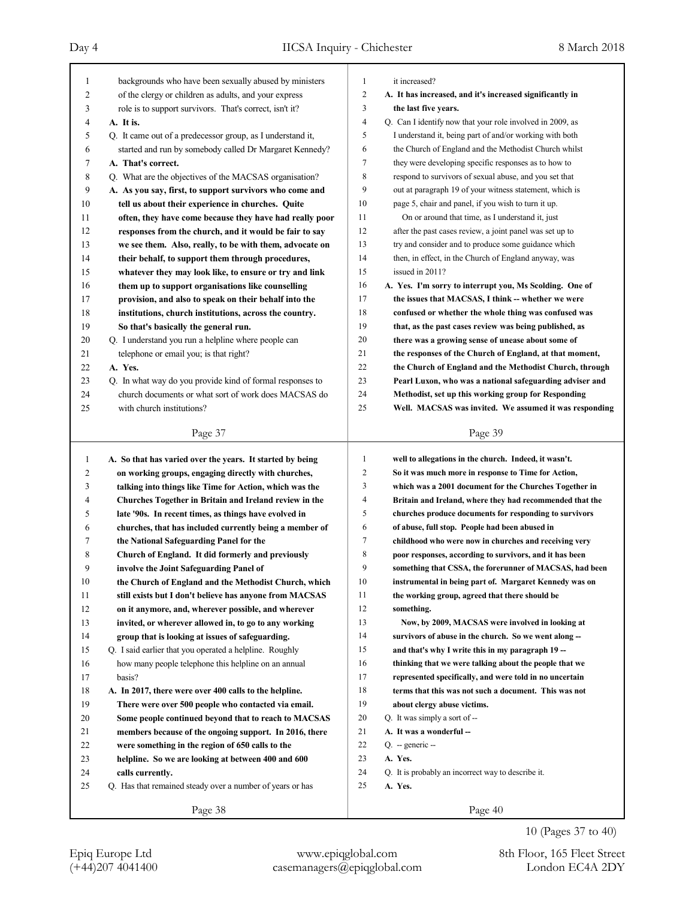| 1              | backgrounds who have been sexually abused by ministers                                                          | 1              | it increased?                                             |
|----------------|-----------------------------------------------------------------------------------------------------------------|----------------|-----------------------------------------------------------|
| $\overline{c}$ | of the clergy or children as adults, and your express                                                           | $\overline{c}$ | A. It has increased, and it's increased significantly in  |
| 3              | role is to support survivors. That's correct, isn't it?                                                         | 3              | the last five years.                                      |
| 4              | A. It is.                                                                                                       | 4              | Q. Can I identify now that your role involved in 2009, as |
| 5              | Q. It came out of a predecessor group, as I understand it,                                                      | 5              | I understand it, being part of and/or working with both   |
| 6              | started and run by somebody called Dr Margaret Kennedy?                                                         | 6              | the Church of England and the Methodist Church whilst     |
| 7              | A. That's correct.                                                                                              | $\tau$         | they were developing specific responses as to how to      |
| 8              | Q. What are the objectives of the MACSAS organisation?                                                          | 8              | respond to survivors of sexual abuse, and you set that    |
| 9              | A. As you say, first, to support survivors who come and                                                         | 9              | out at paragraph 19 of your witness statement, which is   |
| 10             | tell us about their experience in churches. Quite                                                               | 10             | page 5, chair and panel, if you wish to turn it up.       |
| 11             | often, they have come because they have had really poor                                                         | 11             | On or around that time, as I understand it, just          |
| 12             | responses from the church, and it would be fair to say                                                          | 12             | after the past cases review, a joint panel was set up to  |
| 13             | we see them. Also, really, to be with them, advocate on                                                         | 13             | try and consider and to produce some guidance which       |
| 14             | their behalf, to support them through procedures,                                                               | 14             | then, in effect, in the Church of England anyway, was     |
| 15             | whatever they may look like, to ensure or try and link                                                          | 15             | issued in 2011?                                           |
| 16             | them up to support organisations like counselling                                                               | 16             | A. Yes. I'm sorry to interrupt you, Ms Scolding. One of   |
| 17             |                                                                                                                 | 17             | the issues that MACSAS, I think -- whether we were        |
| 18             | provision, and also to speak on their behalf into the<br>institutions, church institutions, across the country. | 18             | confused or whether the whole thing was confused was      |
| 19             |                                                                                                                 | 19             |                                                           |
| 20             | So that's basically the general run.<br>Q. I understand you run a helpline where people can                     | 20             | that, as the past cases review was being published, as    |
|                |                                                                                                                 | 21             | there was a growing sense of unease about some of         |
| 21             | telephone or email you; is that right?                                                                          |                | the responses of the Church of England, at that moment,   |
| 22             | A. Yes.                                                                                                         | 22             | the Church of England and the Methodist Church, through   |
| 23             | Q. In what way do you provide kind of formal responses to                                                       | 23             | Pearl Luxon, who was a national safeguarding adviser and  |
| 24             | church documents or what sort of work does MACSAS do                                                            | 24             | Methodist, set up this working group for Responding       |
| 25             | with church institutions?                                                                                       | 25             | Well. MACSAS was invited. We assumed it was responding    |
|                | Page 37                                                                                                         |                | Page 39                                                   |
|                |                                                                                                                 |                |                                                           |
|                |                                                                                                                 |                |                                                           |
| $\mathbf{1}$   | A. So that has varied over the years. It started by being                                                       | 1              | well to allegations in the church. Indeed, it wasn't.     |
| 2              | on working groups, engaging directly with churches,                                                             | 2              | So it was much more in response to Time for Action,       |
| 3              | talking into things like Time for Action, which was the                                                         | 3              | which was a 2001 document for the Churches Together in    |
| 4              | Churches Together in Britain and Ireland review in the                                                          | 4              | Britain and Ireland, where they had recommended that the  |
| 5              | late '90s. In recent times, as things have evolved in                                                           | 5              | churches produce documents for responding to survivors    |
| 6              | churches, that has included currently being a member of                                                         | 6              | of abuse, full stop. People had been abused in            |
| 7              | the National Safeguarding Panel for the                                                                         | 7              | childhood who were now in churches and receiving very     |
| 8              | Church of England. It did formerly and previously                                                               | 8              | poor responses, according to survivors, and it has been   |
| 9              | involve the Joint Safeguarding Panel of                                                                         | 9              | something that CSSA, the forerunner of MACSAS, had been   |
| 10             | the Church of England and the Methodist Church, which                                                           | 10             | instrumental in being part of. Margaret Kennedy was on    |
| 11             | still exists but I don't believe has anyone from MACSAS                                                         | 11             | the working group, agreed that there should be            |
| 12             | on it anymore, and, wherever possible, and wherever                                                             | 12             | something.                                                |
| 13             | invited, or wherever allowed in, to go to any working                                                           | 13             | Now, by 2009, MACSAS were involved in looking at          |
| 14             | group that is looking at issues of safeguarding.                                                                | 14             | survivors of abuse in the church. So we went along --     |
| 15             | Q. I said earlier that you operated a helpline. Roughly                                                         | 15             | and that's why I write this in my paragraph 19 --         |
| 16             | how many people telephone this helpline on an annual                                                            | 16             | thinking that we were talking about the people that we    |
| 17             | basis?                                                                                                          | 17             | represented specifically, and were told in no uncertain   |
| 18             | A. In 2017, there were over 400 calls to the helpline.                                                          | 18             | terms that this was not such a document. This was not     |
| 19             | There were over 500 people who contacted via email.                                                             | 19             | about clergy abuse victims.                               |
| 20             | Some people continued beyond that to reach to MACSAS                                                            | 20             | Q. It was simply a sort of --                             |
| 21             | members because of the ongoing support. In 2016, there                                                          | 21             | A. It was a wonderful --                                  |
| 22             | were something in the region of 650 calls to the                                                                | 22             | $Q. -$ generic $-$                                        |
| 23             | helpline. So we are looking at between 400 and 600                                                              | 23             | A. Yes.                                                   |
| 24             | calls currently.                                                                                                | 24             | Q. It is probably an incorrect way to describe it.        |
| 25             | Q. Has that remained steady over a number of years or has                                                       | 25             | A. Yes.                                                   |

10 (Pages 37 to 40)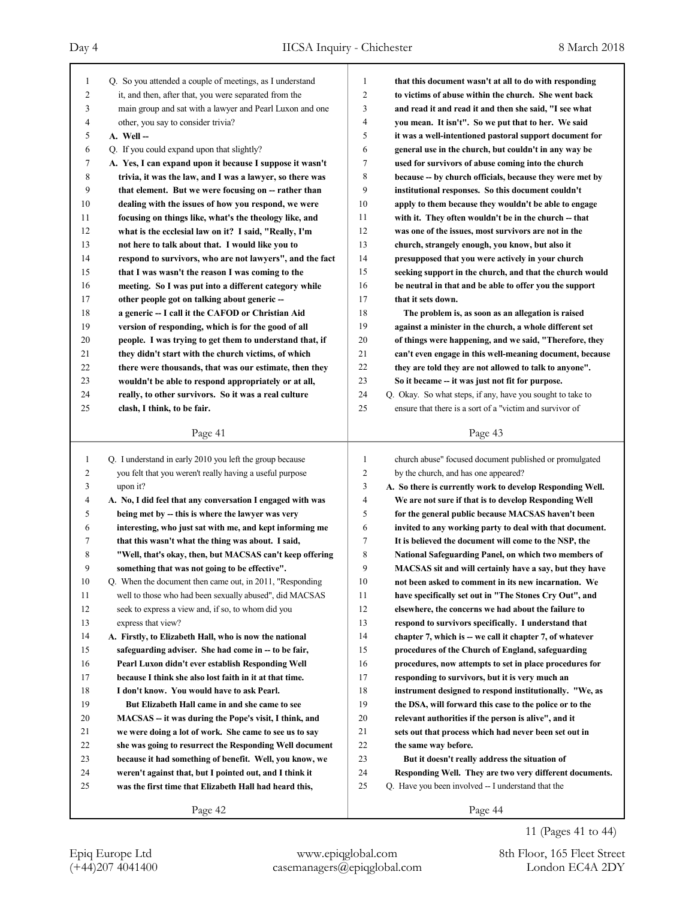| $\mathbf{1}$   | Q. So you attended a couple of meetings, as I understand   | 1              | that this document wasn't at all to do with responding     |
|----------------|------------------------------------------------------------|----------------|------------------------------------------------------------|
| $\overline{c}$ | it, and then, after that, you were separated from the      | $\overline{c}$ | to victims of abuse within the church. She went back       |
| 3              | main group and sat with a lawyer and Pearl Luxon and one   | 3              | and read it and read it and then she said, "I see what     |
| 4              | other, you say to consider trivia?                         | $\overline{4}$ | you mean. It isn't". So we put that to her. We said        |
| 5              | A. Well --                                                 | 5              | it was a well-intentioned pastoral support document for    |
| 6              | Q. If you could expand upon that slightly?                 | 6              | general use in the church, but couldn't in any way be      |
| 7              | A. Yes, I can expand upon it because I suppose it wasn't   | 7              | used for survivors of abuse coming into the church         |
| 8              | trivia, it was the law, and I was a lawyer, so there was   | 8              | because -- by church officials, because they were met by   |
| 9              | that element. But we were focusing on -- rather than       | 9              | institutional responses. So this document couldn't         |
| 10             | dealing with the issues of how you respond, we were        | 10             | apply to them because they wouldn't be able to engage      |
| 11             | focusing on things like, what's the theology like, and     | 11             | with it. They often wouldn't be in the church -- that      |
| 12             | what is the ecclesial law on it? I said, "Really, I'm      | 12             | was one of the issues, most survivors are not in the       |
| 13             | not here to talk about that. I would like you to           | 13             | church, strangely enough, you know, but also it            |
| 14             | respond to survivors, who are not lawyers", and the fact   | 14             | presupposed that you were actively in your church          |
| 15             | that I was wasn't the reason I was coming to the           | 15             | seeking support in the church, and that the church would   |
| 16             | meeting. So I was put into a different category while      | 16             | be neutral in that and be able to offer you the support    |
| 17             | other people got on talking about generic --               | 17             | that it sets down.                                         |
| 18             | a generic -- I call it the CAFOD or Christian Aid          | 18             | The problem is, as soon as an allegation is raised         |
| 19             | version of responding, which is for the good of all        | 19             | against a minister in the church, a whole different set    |
| 20             | people. I was trying to get them to understand that, if    | 20             | of things were happening, and we said, "Therefore, they    |
| 21             | they didn't start with the church victims, of which        | 21             | can't even engage in this well-meaning document, because   |
| 22             | there were thousands, that was our estimate, then they     | 22             | they are told they are not allowed to talk to anyone".     |
| 23             | wouldn't be able to respond appropriately or at all,       | 23             | So it became -- it was just not fit for purpose.           |
| 24             | really, to other survivors. So it was a real culture       | 24             | Q. Okay. So what steps, if any, have you sought to take to |
| 25             | clash, I think, to be fair.                                | 25             | ensure that there is a sort of a "victim and survivor of   |
|                |                                                            |                |                                                            |
|                | Page 41                                                    |                | Page 43                                                    |
| $\mathbf{1}$   | Q. I understand in early 2010 you left the group because   | $\mathbf{1}$   | church abuse" focused document published or promulgated    |
| 2              | you felt that you weren't really having a useful purpose   | $\overline{c}$ | by the church, and has one appeared?                       |
| 3              | upon it?                                                   | 3              | A. So there is currently work to develop Responding Well.  |
| 4              | A. No, I did feel that any conversation I engaged with was | $\overline{4}$ | We are not sure if that is to develop Responding Well      |
| 5              | being met by -- this is where the lawyer was very          | 5              | for the general public because MACSAS haven't been         |
| 6              | interesting, who just sat with me, and kept informing me   | 6              | invited to any working party to deal with that document.   |
| 7              | that this wasn't what the thing was about. I said,         | 7              | It is believed the document will come to the NSP, the      |
| 8              | "Well, that's okay, then, but MACSAS can't keep offering   | 8              | National Safeguarding Panel, on which two members of       |
| 9              | something that was not going to be effective".             | 9              | MACSAS sit and will certainly have a say, but they have    |
| 10             | Q. When the document then came out, in 2011, "Responding   | $10\,$         | not been asked to comment in its new incarnation. We       |
| 11             | well to those who had been sexually abused", did MACSAS    | 11             | have specifically set out in "The Stones Cry Out", and     |
| 12             | seek to express a view and, if so, to whom did you         | 12             | elsewhere, the concerns we had about the failure to        |
| 13             | express that view?                                         | 13             | respond to survivors specifically. I understand that       |
| 14             | A. Firstly, to Elizabeth Hall, who is now the national     | 14             | chapter 7, which is -- we call it chapter 7, of whatever   |
| 15             | safeguarding adviser. She had come in -- to be fair,       | 15             | procedures of the Church of England, safeguarding          |
|                |                                                            |                |                                                            |
|                |                                                            |                |                                                            |
| 16             | Pearl Luxon didn't ever establish Responding Well          | 16             | procedures, now attempts to set in place procedures for    |
| 17             | because I think she also lost faith in it at that time.    | 17             | responding to survivors, but it is very much an            |
| 18             | I don't know. You would have to ask Pearl.                 | 18             | instrument designed to respond institutionally. "We, as    |
| 19             | But Elizabeth Hall came in and she came to see             | 19             | the DSA, will forward this case to the police or to the    |
| 20             | MACSAS -- it was during the Pope's visit, I think, and     | 20             | relevant authorities if the person is alive", and it       |
| 21             | we were doing a lot of work. She came to see us to say     | 21             | sets out that process which had never been set out in      |
| 22             | she was going to resurrect the Responding Well document    | $22\,$         | the same way before.                                       |
| 23             | because it had something of benefit. Well, you know, we    | 23             | But it doesn't really address the situation of             |
| 24             | weren't against that, but I pointed out, and I think it    | 24             | Responding Well. They are two very different documents.    |
| 25             | was the first time that Elizabeth Hall had heard this,     | 25             | Q. Have you been involved -- I understand that the         |

11 (Pages 41 to 44)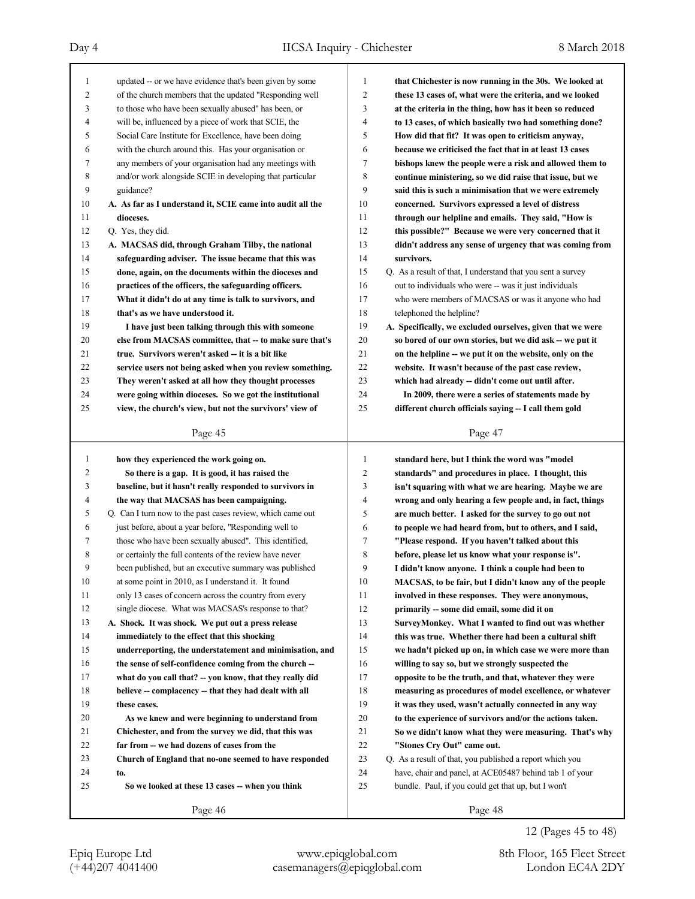| 1              | updated -- or we have evidence that's been given by some   | 1              | that Chichester is now running in the 30s. We looked at     |
|----------------|------------------------------------------------------------|----------------|-------------------------------------------------------------|
| $\overline{c}$ | of the church members that the updated "Responding well    | $\overline{c}$ | these 13 cases of, what were the criteria, and we looked    |
| 3              | to those who have been sexually abused" has been, or       | 3              | at the criteria in the thing, how has it been so reduced    |
| 4              | will be, influenced by a piece of work that SCIE, the      | 4              | to 13 cases, of which basically two had something done?     |
| 5              | Social Care Institute for Excellence, have been doing      | 5              | How did that fit? It was open to criticism anyway,          |
| 6              | with the church around this. Has your organisation or      | 6              | because we criticised the fact that in at least 13 cases    |
| 7              | any members of your organisation had any meetings with     | 7              | bishops knew the people were a risk and allowed them to     |
| 8              | and/or work alongside SCIE in developing that particular   | 8              | continue ministering, so we did raise that issue, but we    |
| 9              | guidance?                                                  | 9              | said this is such a minimisation that we were extremely     |
| 10             | A. As far as I understand it, SCIE came into audit all the | 10             | concerned. Survivors expressed a level of distress          |
| 11             | dioceses.                                                  | 11             | through our helpline and emails. They said, "How is         |
| 12             | Q. Yes, they did.                                          | 12             | this possible?" Because we were very concerned that it      |
| 13             | A. MACSAS did, through Graham Tilby, the national          | 13             | didn't address any sense of urgency that was coming from    |
| 14             | safeguarding adviser. The issue became that this was       | 14             | survivors.                                                  |
| 15             | done, again, on the documents within the dioceses and      | 15             | Q. As a result of that, I understand that you sent a survey |
| 16             | practices of the officers, the safeguarding officers.      | 16             | out to individuals who were -- was it just individuals      |
| 17             | What it didn't do at any time is talk to survivors, and    | 17             | who were members of MACSAS or was it anyone who had         |
| 18             | that's as we have understood it.                           | 18             | telephoned the helpline?                                    |
| 19             | I have just been talking through this with someone         | 19             | A. Specifically, we excluded ourselves, given that we were  |
| 20             | else from MACSAS committee, that -- to make sure that's    | 20             | so bored of our own stories, but we did ask -- we put it    |
| 21             | true. Survivors weren't asked - it is a bit like           | 21             | on the helpline -- we put it on the website, only on the    |
| 22             | service users not being asked when you review something.   | 22             | website. It wasn't because of the past case review,         |
| 23             | They weren't asked at all how they thought processes       | 23             | which had already -- didn't come out until after.           |
| 24             | were going within dioceses. So we got the institutional    | 24             | In 2009, there were a series of statements made by          |
| 25             | view, the church's view, but not the survivors' view of    | 25             | different church officials saying -- I call them gold       |
|                |                                                            |                |                                                             |
|                | Page 45                                                    |                | Page 47                                                     |
|                |                                                            |                |                                                             |
|                |                                                            |                |                                                             |
| 1              | how they experienced the work going on.                    | 1              | standard here, but I think the word was "model              |
| $\overline{c}$ | So there is a gap. It is good, it has raised the           | 2              | standards" and procedures in place. I thought, this         |
| 3              | baseline, but it hasn't really responded to survivors in   | 3              | isn't squaring with what we are hearing. Maybe we are       |
| 4              | the way that MACSAS has been campaigning.                  | 4              | wrong and only hearing a few people and, in fact, things    |
| 5              | Q. Can I turn now to the past cases review, which came out | 5              | are much better. I asked for the survey to go out not       |
| 6              | just before, about a year before, "Responding well to      | 6              | to people we had heard from, but to others, and I said,     |
| 7              | those who have been sexually abused". This identified,     | 7              | "Please respond. If you haven't talked about this           |
| 8              | or certainly the full contents of the review have never    | 8              | before, please let us know what your response is".          |
| 9              | been published, but an executive summary was published     | 9              | I didn't know anyone. I think a couple had been to          |
| 10             | at some point in 2010, as I understand it. It found        | 10             | MACSAS, to be fair, but I didn't know any of the people     |
| 11             | only 13 cases of concern across the country from every     | 11             | involved in these responses. They were anonymous,           |
| 12             | single diocese. What was MACSAS's response to that?        | 12             | primarily -- some did email, some did it on                 |
| 13             | A. Shock. It was shock. We put out a press release         | 13             | SurveyMonkey. What I wanted to find out was whether         |
| 14             | immediately to the effect that this shocking               | 14             | this was true. Whether there had been a cultural shift      |
| 15             | underreporting, the understatement and minimisation, and   | 15             | we hadn't picked up on, in which case we were more than     |
| 16             | the sense of self-confidence coming from the church --     | 16             | willing to say so, but we strongly suspected the            |
| 17             | what do you call that? -- you know, that they really did   | 17             | opposite to be the truth, and that, whatever they were      |
| 18             | believe -- complacency -- that they had dealt with all     | 18             | measuring as procedures of model excellence, or whatever    |
| 19             | these cases.                                               | 19             | it was they used, wasn't actually connected in any way      |
| 20             | As we knew and were beginning to understand from           | 20             | to the experience of survivors and/or the actions taken.    |
| 21             | Chichester, and from the survey we did, that this was      | 21             | So we didn't know what they were measuring. That's why      |
| 22             | far from -- we had dozens of cases from the                | $22\,$         | "Stones Cry Out" came out.                                  |
| 23             | Church of England that no-one seemed to have responded     | 23             | Q. As a result of that, you published a report which you    |
| 24             | to.                                                        | 24             | have, chair and panel, at ACE05487 behind tab 1 of your     |
| 25             | So we looked at these 13 cases -- when you think           | 25             | bundle. Paul, if you could get that up, but I won't         |
|                | Page 46                                                    |                | Page 48                                                     |

12 (Pages 45 to 48)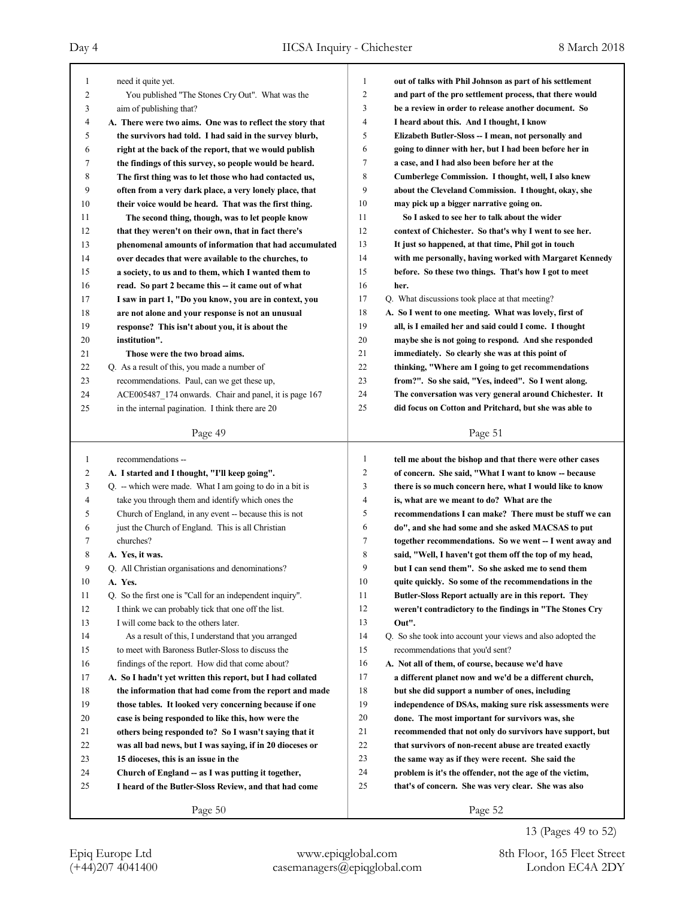| 1      | need it quite yet.                                         | 1              | out of talks with Phil Johnson as part of his settlement    |
|--------|------------------------------------------------------------|----------------|-------------------------------------------------------------|
| 2      | You published "The Stones Cry Out". What was the           | $\overline{c}$ | and part of the pro settlement process, that there would    |
| 3      | aim of publishing that?                                    | 3              | be a review in order to release another document. So        |
| 4      | A. There were two aims. One was to reflect the story that  | 4              | I heard about this. And I thought, I know                   |
| 5      | the survivors had told. I had said in the survey blurb,    | 5              | Elizabeth Butler-Sloss -- I mean, not personally and        |
| 6      | right at the back of the report, that we would publish     | 6              | going to dinner with her, but I had been before her in      |
| 7      | the findings of this survey, so people would be heard.     | 7              | a case, and I had also been before her at the               |
| 8      | The first thing was to let those who had contacted us,     | 8              | Cumberlege Commission. I thought, well, I also knew         |
| 9      | often from a very dark place, a very lonely place, that    | 9              | about the Cleveland Commission. I thought, okay, she        |
| 10     | their voice would be heard. That was the first thing.      | 10             | may pick up a bigger narrative going on.                    |
| 11     | The second thing, though, was to let people know           | 11             | So I asked to see her to talk about the wider               |
| 12     | that they weren't on their own, that in fact there's       | 12             | context of Chichester. So that's why I went to see her.     |
| 13     | phenomenal amounts of information that had accumulated     | 13             | It just so happened, at that time, Phil got in touch        |
| 14     | over decades that were available to the churches, to       | 14             | with me personally, having worked with Margaret Kennedy     |
| 15     | a society, to us and to them, which I wanted them to       | 15             | before. So these two things. That's how I got to meet       |
| 16     | read. So part 2 became this -- it came out of what         | 16             | her.                                                        |
| 17     | I saw in part 1, "Do you know, you are in context, you     | 17             | Q. What discussions took place at that meeting?             |
| 18     | are not alone and your response is not an unusual          | 18             | A. So I went to one meeting. What was lovely, first of      |
| 19     | response? This isn't about you, it is about the            | 19             | all, is I emailed her and said could I come. I thought      |
| 20     | institution".                                              | 20             | maybe she is not going to respond. And she responded        |
| 21     | Those were the two broad aims.                             | 21             | immediately. So clearly she was at this point of            |
| 22     | Q. As a result of this, you made a number of               | 22             | thinking, "Where am I going to get recommendations          |
| 23     | recommendations. Paul, can we get these up,                | 23             | from?". So she said, "Yes, indeed". So I went along.        |
| 24     | ACE005487 174 onwards. Chair and panel, it is page 167     | 24             | The conversation was very general around Chichester. It     |
| 25     | in the internal pagination. I think there are 20           | 25             | did focus on Cotton and Pritchard, but she was able to      |
|        | Page 49                                                    |                | Page 51                                                     |
|        |                                                            |                |                                                             |
|        |                                                            |                |                                                             |
| 1      | recommendations --                                         | $\mathbf{1}$   | tell me about the bishop and that there were other cases    |
| 2      | A. I started and I thought, "I'll keep going".             | $\overline{c}$ | of concern. She said, "What I want to know -- because       |
| 3      | $Q.$ – which were made. What I am going to do in a bit is  | 3              | there is so much concern here, what I would like to know    |
| 4      | take you through them and identify which ones the          | 4              | is, what are we meant to do? What are the                   |
| 5      | Church of England, in any event -- because this is not     | 5              | recommendations I can make? There must be stuff we can      |
| 6      | just the Church of England. This is all Christian          | 6              | do", and she had some and she asked MACSAS to put           |
| 7      | churches?                                                  | 7              | together recommendations. So we went -- I went away and     |
| 8      | A. Yes, it was.                                            | 8              | said, "Well, I haven't got them off the top of my head,     |
| 9      | Q. All Christian organisations and denominations?          | 9              | but I can send them". So she asked me to send them          |
| $10\,$ | A. Yes.                                                    | $10\,$         | quite quickly. So some of the recommendations in the        |
| 11     | Q. So the first one is "Call for an independent inquiry".  | 11             | Butler-Sloss Report actually are in this report. They       |
| 12     | I think we can probably tick that one off the list.        | 12             | weren't contradictory to the findings in "The Stones Cry    |
| 13     | I will come back to the others later.                      | 13             | Out".                                                       |
| 14     | As a result of this, I understand that you arranged        | 14             | Q. So she took into account your views and also adopted the |
| 15     | to meet with Baroness Butler-Sloss to discuss the          | 15             | recommendations that you'd sent?                            |
| 16     | findings of the report. How did that come about?           | 16             | A. Not all of them, of course, because we'd have            |
| 17     | A. So I hadn't yet written this report, but I had collated | 17             | a different planet now and we'd be a different church,      |
| 18     | the information that had come from the report and made     | 18             | but she did support a number of ones, including             |
| 19     | those tables. It looked very concerning because if one     | 19             | independence of DSAs, making sure risk assessments were     |
| 20     | case is being responded to like this, how were the         | $20\,$         | done. The most important for survivors was, she             |
| 21     | others being responded to? So I wasn't saying that it      | 21             | recommended that not only do survivors have support, but    |
| 22     | was all bad news, but I was saying, if in 20 dioceses or   | 22             | that survivors of non-recent abuse are treated exactly      |
| 23     | 15 dioceses, this is an issue in the                       | 23             | the same way as if they were recent. She said the           |
| 24     | Church of England -- as I was putting it together,         | 24             | problem is it's the offender, not the age of the victim,    |
| 25     | I heard of the Butler-Sloss Review, and that had come      | 25             | that's of concern. She was very clear. She was also         |

(+44)207 4041400 casemanagers@epiqglobal.com London EC4A 2DY Epiq Europe Ltd www.epiqglobal.com 8th Floor, 165 Fleet Street

13 (Pages 49 to 52)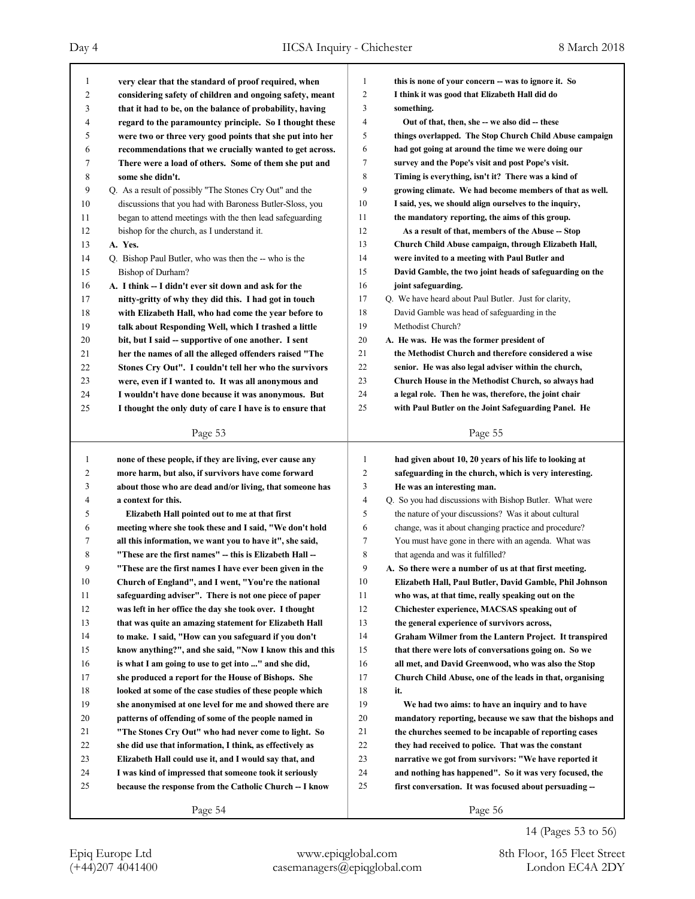Day 4 IICSA Inquiry - Chichester 8 March 2018

| 1              | very clear that the standard of proof required, when     | 1              | this is none of your concern -- was to ignore it. So     |
|----------------|----------------------------------------------------------|----------------|----------------------------------------------------------|
| 2              | considering safety of children and ongoing safety, meant | $\overline{2}$ | I think it was good that Elizabeth Hall did do           |
| 3              | that it had to be, on the balance of probability, having | 3              | something.                                               |
| 4              | regard to the paramountcy principle. So I thought these  | $\overline{4}$ | Out of that, then, she -- we also did -- these           |
| 5              | were two or three very good points that she put into her | 5              | things overlapped. The Stop Church Child Abuse campaign  |
| 6              | recommendations that we crucially wanted to get across.  | 6              | had got going at around the time we were doing our       |
| 7              | There were a load of others. Some of them she put and    | 7              | survey and the Pope's visit and post Pope's visit.       |
| 8              | some she didn't.                                         | 8              | Timing is everything, isn't it? There was a kind of      |
| 9              | Q. As a result of possibly "The Stones Cry Out" and the  | 9              | growing climate. We had become members of that as well.  |
| 10             | discussions that you had with Baroness Butler-Sloss, you | 10             | I said, yes, we should align ourselves to the inquiry,   |
| 11             | began to attend meetings with the then lead safeguarding | 11             | the mandatory reporting, the aims of this group.         |
| 12             | bishop for the church, as I understand it.               | 12             | As a result of that, members of the Abuse -- Stop        |
| 13             | A. Yes.                                                  | 13             | Church Child Abuse campaign, through Elizabeth Hall,     |
| 14             | Q. Bishop Paul Butler, who was then the -- who is the    | 14             | were invited to a meeting with Paul Butler and           |
| 15             | Bishop of Durham?                                        | 15             | David Gamble, the two joint heads of safeguarding on the |
| 16             | A. I think -- I didn't ever sit down and ask for the     | 16             | joint safeguarding.                                      |
| 17             | nitty-gritty of why they did this. I had got in touch    | 17             | Q. We have heard about Paul Butler. Just for clarity,    |
| 18             | with Elizabeth Hall, who had come the year before to     | 18             | David Gamble was head of safeguarding in the             |
| 19             | talk about Responding Well, which I trashed a little     | 19             | Methodist Church?                                        |
| 20             | bit, but I said -- supportive of one another. I sent     | 20             | A. He was. He was the former president of                |
| 21             | her the names of all the alleged offenders raised "The   | 21             | the Methodist Church and therefore considered a wise     |
| 22             | Stones Cry Out". I couldn't tell her who the survivors   | 22             | senior. He was also legal adviser within the church,     |
| 23             | were, even if I wanted to. It was all anonymous and      | 23             | Church House in the Methodist Church, so always had      |
| 24             | I wouldn't have done because it was anonymous. But       | 24             | a legal role. Then he was, therefore, the joint chair    |
| 25             | I thought the only duty of care I have is to ensure that | 25             | with Paul Butler on the Joint Safeguarding Panel. He     |
|                |                                                          |                |                                                          |
|                | Page 53                                                  |                | Page 55                                                  |
|                |                                                          |                |                                                          |
|                |                                                          |                |                                                          |
| 1              | none of these people, if they are living, ever cause any | 1              | had given about 10, 20 years of his life to looking at   |
| $\overline{c}$ | more harm, but also, if survivors have come forward      | $\overline{2}$ | safeguarding in the church, which is very interesting.   |
| 3              | about those who are dead and/or living, that someone has | 3              | He was an interesting man.                               |
| 4              | a context for this.                                      | $\overline{4}$ | Q. So you had discussions with Bishop Butler. What were  |
| 5              | Elizabeth Hall pointed out to me at that first           | 5              | the nature of your discussions? Was it about cultural    |
| 6              | meeting where she took these and I said, "We don't hold  | 6              | change, was it about changing practice and procedure?    |
| 7              | all this information, we want you to have it", she said, | 7              | You must have gone in there with an agenda. What was     |
| 8              | "These are the first names" -- this is Elizabeth Hall -- | 8              | that agenda and was it fulfilled?                        |
| 9              | "These are the first names I have ever been given in the | 9              | A. So there were a number of us at that first meeting.   |
| 10             | Church of England", and I went, "You're the national     | 10             | Elizabeth Hall, Paul Butler, David Gamble, Phil Johnson  |
| 11             | safeguarding adviser". There is not one piece of paper   | 11             | who was, at that time, really speaking out on the        |
| 12             | was left in her office the day she took over. I thought  | 12             | Chichester experience, MACSAS speaking out of            |
| 13             | that was quite an amazing statement for Elizabeth Hall   | 13             | the general experience of survivors across,              |
| 14             | to make. I said, "How can you safeguard if you don't     | 14             | Graham Wilmer from the Lantern Project. It transpired    |
| 15             | know anything?", and she said, "Now I know this and this | 15             | that there were lots of conversations going on. So we    |
| 16             | is what I am going to use to get into " and she did,     | 16             | all met, and David Greenwood, who was also the Stop      |
| 17             | she produced a report for the House of Bishops. She      | 17             | Church Child Abuse, one of the leads in that, organising |
| 18             | looked at some of the case studies of these people which | 18             | it.                                                      |
| 19             | she anonymised at one level for me and showed there are  | 19             | We had two aims: to have an inquiry and to have          |
| 20             | patterns of offending of some of the people named in     | 20             | mandatory reporting, because we saw that the bishops and |
| 21             | "The Stones Cry Out" who had never come to light. So     | 21             | the churches seemed to be incapable of reporting cases   |
| 22             | she did use that information, I think, as effectively as | 22             | they had received to police. That was the constant       |
| 23             | Elizabeth Hall could use it, and I would say that, and   | 23             | narrative we got from survivors: "We have reported it    |
| 24             | I was kind of impressed that someone took it seriously   | 24             | and nothing has happened". So it was very focused, the   |
| 25             | because the response from the Catholic Church -- I know  | 25             | first conversation. It was focused about persuading --   |

14 (Pages 53 to 56)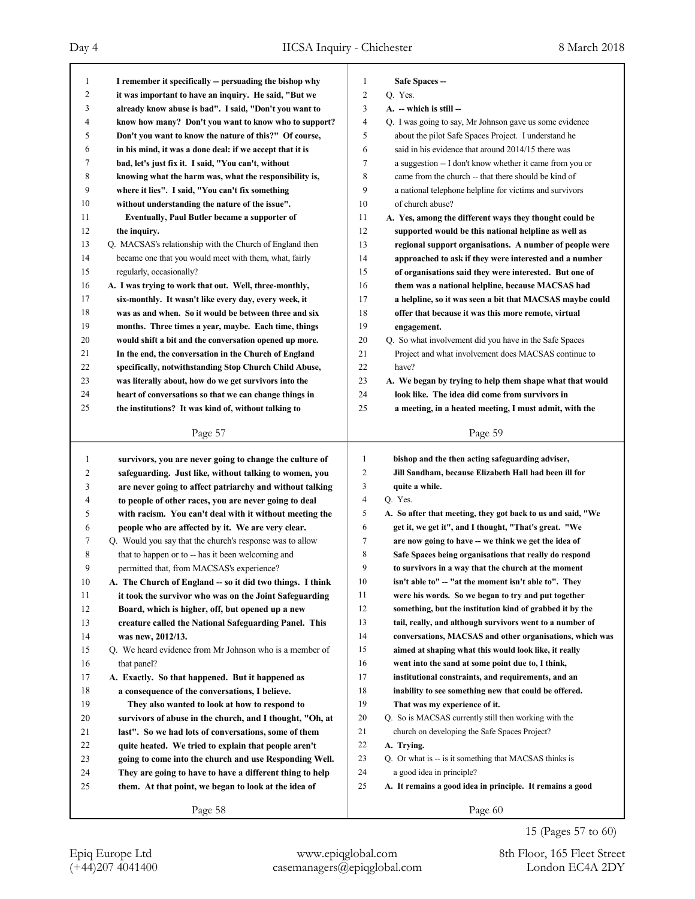| $\mathbf{1}$ | I remember it specifically -- persuading the bishop why   | $\mathbf{1}$   | Safe Spaces-                                                |
|--------------|-----------------------------------------------------------|----------------|-------------------------------------------------------------|
| 2            | it was important to have an inquiry. He said, "But we     | $\overline{c}$ | Q. Yes.                                                     |
| 3            | already know abuse is bad". I said, "Don't you want to    | 3              | A. - which is still -                                       |
| 4            | know how many? Don't you want to know who to support?     | $\overline{4}$ | Q. I was going to say, Mr Johnson gave us some evidence     |
| 5            | Don't you want to know the nature of this?" Of course,    | 5              | about the pilot Safe Spaces Project. I understand he        |
| 6            | in his mind, it was a done deal: if we accept that it is  | 6              | said in his evidence that around 2014/15 there was          |
| 7            | bad, let's just fix it. I said, "You can't, without       | 7              | a suggestion -- I don't know whether it came from you or    |
| 8            | knowing what the harm was, what the responsibility is,    | 8              | came from the church -- that there should be kind of        |
| 9            | where it lies". I said, "You can't fix something          | 9              | a national telephone helpline for victims and survivors     |
| 10           | without understanding the nature of the issue".           | 10             | of church abuse?                                            |
| 11           | Eventually, Paul Butler became a supporter of             | 11             | A. Yes, among the different ways they thought could be      |
| 12           | the inquiry.                                              | 12             | supported would be this national helpline as well as        |
| 13           | Q. MACSAS's relationship with the Church of England then  | 13             | regional support organisations. A number of people were     |
| 14           | became one that you would meet with them, what, fairly    | 14             | approached to ask if they were interested and a number      |
| 15           | regularly, occasionally?                                  | 15             | of organisations said they were interested. But one of      |
| 16           | A. I was trying to work that out. Well, three-monthly,    | 16             | them was a national helpline, because MACSAS had            |
| 17           | six-monthly. It wasn't like every day, every week, it     | 17             | a helpline, so it was seen a bit that MACSAS maybe could    |
| 18           | was as and when. So it would be between three and six     | 18             | offer that because it was this more remote, virtual         |
| 19           | months. Three times a year, maybe. Each time, things      | 19             | engagement.                                                 |
| 20           | would shift a bit and the conversation opened up more.    | 20             | Q. So what involvement did you have in the Safe Spaces      |
| 21           | In the end, the conversation in the Church of England     | 21             | Project and what involvement does MACSAS continue to        |
| 22           | specifically, notwithstanding Stop Church Child Abuse,    | 22             | have?                                                       |
| 23           | was literally about, how do we get survivors into the     | 23             | A. We began by trying to help them shape what that would    |
| 24           | heart of conversations so that we can change things in    | 24             | look like. The idea did come from survivors in              |
| 25           | the institutions? It was kind of, without talking to      | 25             | a meeting, in a heated meeting, I must admit, with the      |
|              |                                                           |                |                                                             |
|              | Page 57                                                   |                | Page 59                                                     |
|              |                                                           |                |                                                             |
|              |                                                           |                |                                                             |
| 1            | survivors, you are never going to change the culture of   | $\mathbf{1}$   | bishop and the then acting safeguarding adviser,            |
| 2            | safeguarding. Just like, without talking to women, you    | 2              | Jill Sandham, because Elizabeth Hall had been ill for       |
| 3            | are never going to affect patriarchy and without talking  | 3              | quite a while.                                              |
| 4            | to people of other races, you are never going to deal     | 4              | Q. Yes.                                                     |
| 5            | with racism. You can't deal with it without meeting the   | 5              | A. So after that meeting, they got back to us and said, "We |
| 6            | people who are affected by it. We are very clear.         | 6              | get it, we get it", and I thought, "That's great. "We       |
| 7            | Q. Would you say that the church's response was to allow  | 7              | are now going to have -- we think we get the idea of        |
| 8            | that to happen or to -- has it been welcoming and         | 8              | Safe Spaces being organisations that really do respond      |
| 9            | permitted that, from MACSAS's experience?                 | 9              | to survivors in a way that the church at the moment         |
| 10           | A. The Church of England -- so it did two things. I think | 10             | isn't able to" -- "at the moment isn't able to". They       |
| 11           | it took the survivor who was on the Joint Safeguarding    | 11             | were his words. So we began to try and put together         |
| 12           | Board, which is higher, off, but opened up a new          | 12             | something, but the institution kind of grabbed it by the    |
| 13           | creature called the National Safeguarding Panel. This     | 13             | tail, really, and although survivors went to a number of    |
| 14           | was new, 2012/13.                                         | 14             | conversations, MACSAS and other organisations, which was    |
| 15           | Q. We heard evidence from Mr Johnson who is a member of   | 15             | aimed at shaping what this would look like, it really       |
| 16           | that panel?                                               | 16             | went into the sand at some point due to, I think,           |
| 17           | A. Exactly. So that happened. But it happened as          | 17             | institutional constraints, and requirements, and an         |
| 18           | a consequence of the conversations, I believe.            | 18             | inability to see something new that could be offered.       |
| 19           | They also wanted to look at how to respond to             | 19             | That was my experience of it.                               |
| 20           | survivors of abuse in the church, and I thought, "Oh, at  | 20             | Q. So is MACSAS currently still then working with the       |
| 21           | last". So we had lots of conversations, some of them      | 21             | church on developing the Safe Spaces Project?               |
| 22           | quite heated. We tried to explain that people aren't      | 22             | A. Trying.                                                  |
| 23           | going to come into the church and use Responding Well.    | 23             | Q. Or what is -- is it something that MACSAS thinks is      |
| 24           | They are going to have to have a different thing to help  | 24             | a good idea in principle?                                   |
| 25           | them. At that point, we began to look at the idea of      | 25             | A. It remains a good idea in principle. It remains a good   |
|              | Page 58                                                   |                | Page 60                                                     |

15 (Pages 57 to 60)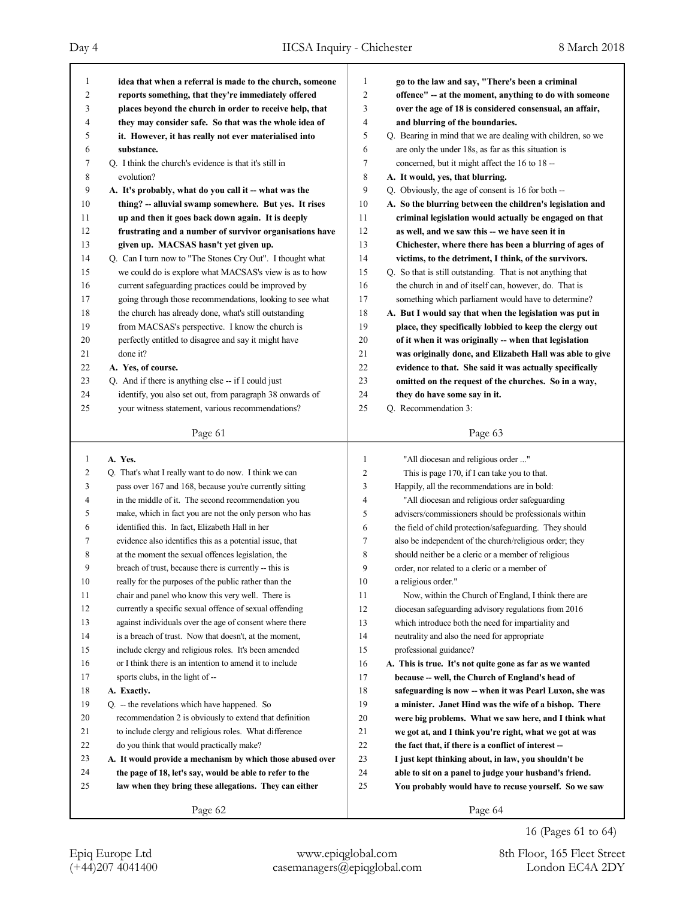| 1            | idea that when a referral is made to the church, someone     | 1              | go to the law and say, "There's been a criminal                                                                   |
|--------------|--------------------------------------------------------------|----------------|-------------------------------------------------------------------------------------------------------------------|
| 2            | reports something, that they're immediately offered          | 2              | offence" -- at the moment, anything to do with someone                                                            |
| 3            | places beyond the church in order to receive help, that      | 3              | over the age of 18 is considered consensual, an affair,                                                           |
| 4            | they may consider safe. So that was the whole idea of        | 4              | and blurring of the boundaries.                                                                                   |
| 5            | it. However, it has really not ever materialised into        | 5              | Q. Bearing in mind that we are dealing with children, so we                                                       |
| 6            | substance.                                                   | 6              | are only the under 18s, as far as this situation is                                                               |
| 7            | Q. I think the church's evidence is that it's still in       | 7              | concerned, but it might affect the 16 to 18 --                                                                    |
| 8            | evolution?                                                   | 8              | A. It would, yes, that blurring.                                                                                  |
| 9            | A. It's probably, what do you call it -- what was the        | 9              | Q. Obviously, the age of consent is 16 for both --                                                                |
| 10           | thing? -- alluvial swamp somewhere. But yes. It rises        | 10             | A. So the blurring between the children's legislation and                                                         |
| 11           | up and then it goes back down again. It is deeply            | 11             | criminal legislation would actually be engaged on that                                                            |
| 12           | frustrating and a number of survivor organisations have      | 12             | as well, and we saw this -- we have seen it in                                                                    |
| 13           | given up. MACSAS hasn't yet given up.                        | 13             | Chichester, where there has been a blurring of ages of                                                            |
| 14           | Q. Can I turn now to "The Stones Cry Out". I thought what    | 14             | victims, to the detriment, I think, of the survivors.                                                             |
| 15           | we could do is explore what MACSAS's view is as to how       | 15             | Q. So that is still outstanding. That is not anything that                                                        |
| 16           | current safeguarding practices could be improved by          | 16             | the church in and of itself can, however, do. That is                                                             |
| 17           | going through those recommendations, looking to see what     | 17             | something which parliament would have to determine?                                                               |
| 18           | the church has already done, what's still outstanding        | 18             | A. But I would say that when the legislation was put in                                                           |
| 19           | from MACSAS's perspective. I know the church is              | 19             | place, they specifically lobbied to keep the clergy out                                                           |
| 20           | perfectly entitled to disagree and say it might have         | 20             | of it when it was originally -- when that legislation                                                             |
| 21           | done it?                                                     | 21             | was originally done, and Elizabeth Hall was able to give                                                          |
| 22           | A. Yes, of course.                                           | 22             | evidence to that. She said it was actually specifically                                                           |
| 23           | Q. And if there is anything else -- if I could just          | 23             | omitted on the request of the churches. So in a way,                                                              |
| 24           | identify, you also set out, from paragraph 38 onwards of     | 24             | they do have some say in it.                                                                                      |
| 25           | your witness statement, various recommendations?             | 25             | Q. Recommendation 3:                                                                                              |
|              |                                                              |                |                                                                                                                   |
|              |                                                              |                |                                                                                                                   |
|              | Page 61                                                      |                | Page 63                                                                                                           |
|              |                                                              |                |                                                                                                                   |
| $\mathbf{1}$ | A. Yes.                                                      | $\mathbf{1}$   | "All diocesan and religious order "                                                                               |
| 2            | Q. That's what I really want to do now. I think we can       | $\overline{c}$ | This is page 170, if I can take you to that.                                                                      |
| 3            | pass over 167 and 168, because you're currently sitting      | 3              | Happily, all the recommendations are in bold:                                                                     |
| 4            | in the middle of it. The second recommendation you           | 4              | "All diocesan and religious order safeguarding                                                                    |
| 5            | make, which in fact you are not the only person who has      | 5              | advisers/commissioners should be professionals within                                                             |
| 6            | identified this. In fact, Elizabeth Hall in her              | 6              | the field of child protection/safeguarding. They should                                                           |
| 7<br>8       | evidence also identifies this as a potential issue, that     | 7              | also be independent of the church/religious order; they                                                           |
|              | at the moment the sexual offences legislation, the           | 8              | should neither be a cleric or a member of religious                                                               |
| 9<br>10      | breach of trust, because there is currently -- this is       | 9              | order, nor related to a cleric or a member of                                                                     |
|              | really for the purposes of the public rather than the        | 10             | a religious order."                                                                                               |
| 11           | chair and panel who know this very well. There is            | 11             | Now, within the Church of England, I think there are                                                              |
| 12           | currently a specific sexual offence of sexual offending      | 12             | diocesan safeguarding advisory regulations from 2016                                                              |
| 13           | against individuals over the age of consent where there      | 13             | which introduce both the need for impartiality and                                                                |
| 14           | is a breach of trust. Now that doesn't, at the moment,       | 14             | neutrality and also the need for appropriate                                                                      |
| 15           | include clergy and religious roles. It's been amended        | 15             | professional guidance?                                                                                            |
| 16           | or I think there is an intention to amend it to include      | 16             | A. This is true. It's not quite gone as far as we wanted                                                          |
| 17           | sports clubs, in the light of --                             | 17             | because -- well, the Church of England's head of                                                                  |
| 18<br>19     | A. Exactly.<br>Q. -- the revelations which have happened. So | 18<br>19       | safeguarding is now -- when it was Pearl Luxon, she was<br>a minister. Janet Hind was the wife of a bishop. There |

21 to include clergy and religious roles. What difference 22 do you think that would practically make?

23 **A. It would provide a mechanism by which those abused over**

- 24 **the page of 18, let's say, would be able to refer to the**
- 25 **law when they bring these allegations. They can either**

Page 62

16 (Pages 61 to 64)

Page 64

 **we got at, and I think you're right, what we got at was the fact that, if there is a conflict of interest -- I just kept thinking about, in law, you shouldn't be able to sit on a panel to judge your husband's friend. You probably would have to recuse yourself. So we saw**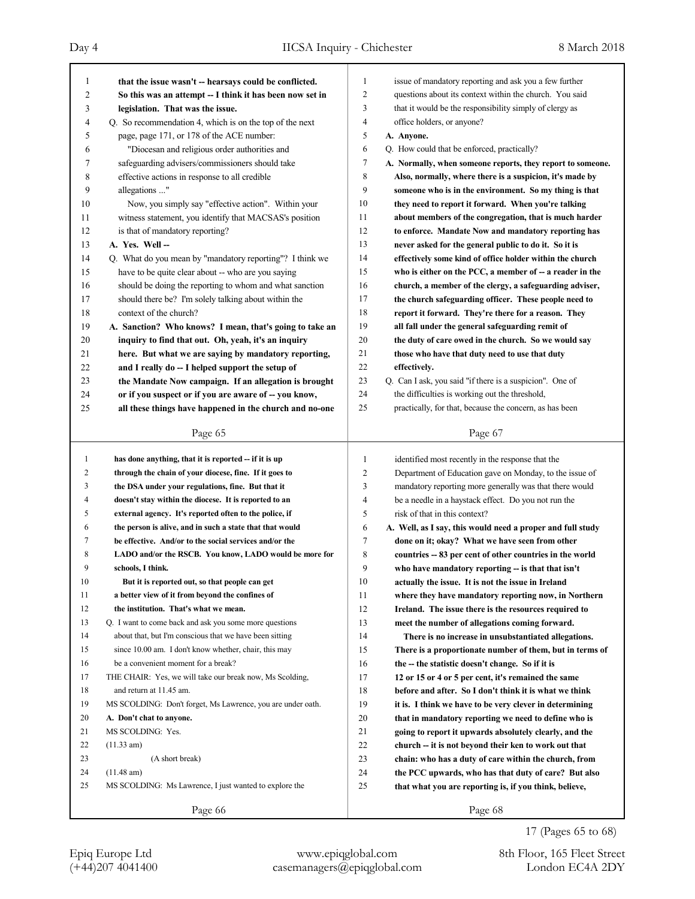| 1                          |                                                             |        |                                                                                                                   |
|----------------------------|-------------------------------------------------------------|--------|-------------------------------------------------------------------------------------------------------------------|
|                            | that the issue wasn't -- hearsays could be conflicted.      | 1<br>2 | issue of mandatory reporting and ask you a few further<br>questions about its context within the church. You said |
| 2                          | So this was an attempt -- I think it has been now set in    | 3      | that it would be the responsibility simply of clergy as                                                           |
| 3                          | legislation. That was the issue.                            |        |                                                                                                                   |
| 4                          | Q. So recommendation 4, which is on the top of the next     | 4<br>5 | office holders, or anyone?                                                                                        |
| 5                          | page, page 171, or 178 of the ACE number:                   |        | A. Anyone.                                                                                                        |
| 6                          | "Diocesan and religious order authorities and               | 6      | Q. How could that be enforced, practically?                                                                       |
| 7                          | safeguarding advisers/commissioners should take             | 7      | A. Normally, when someone reports, they report to someone.                                                        |
| 8                          | effective actions in response to all credible               | 8      | Also, normally, where there is a suspicion, it's made by                                                          |
| 9<br>allegations "         |                                                             | 9      | someone who is in the environment. So my thing is that                                                            |
| 10                         | Now, you simply say "effective action". Within your         | 10     | they need to report it forward. When you're talking                                                               |
| 11                         | witness statement, you identify that MACSAS's position      | 11     | about members of the congregation, that is much harder                                                            |
| 12                         | is that of mandatory reporting?                             | 12     | to enforce. Mandate Now and mandatory reporting has                                                               |
| 13<br>A. Yes. Well-        |                                                             | 13     | never asked for the general public to do it. So it is                                                             |
| 14                         | Q. What do you mean by "mandatory reporting"? I think we    | 14     | effectively some kind of office holder within the church                                                          |
| 15                         | have to be quite clear about -- who are you saying          | 15     | who is either on the PCC, a member of $-$ a reader in the                                                         |
| 16                         | should be doing the reporting to whom and what sanction     | 16     | church, a member of the clergy, a safeguarding adviser,                                                           |
| 17                         | should there be? I'm solely talking about within the        | 17     | the church safeguarding officer. These people need to                                                             |
| 18                         | context of the church?                                      | 18     | report it forward. They're there for a reason. They                                                               |
| 19                         | A. Sanction? Who knows? I mean, that's going to take an     | 19     | all fall under the general safeguarding remit of                                                                  |
| 20                         | inquiry to find that out. Oh, yeah, it's an inquiry         | 20     | the duty of care owed in the church. So we would say                                                              |
| 21                         | here. But what we are saying by mandatory reporting,        | 21     | those who have that duty need to use that duty                                                                    |
| 22                         | and I really do -- I helped support the setup of            | 22     | effectively.                                                                                                      |
| 23                         | the Mandate Now campaign. If an allegation is brought       | 23     | Q. Can I ask, you said "if there is a suspicion". One of                                                          |
| 24                         | or if you suspect or if you are aware of -- you know,       | 24     | the difficulties is working out the threshold,                                                                    |
| 25                         | all these things have happened in the church and no-one     | 25     | practically, for that, because the concern, as has been                                                           |
|                            | Page 65                                                     |        | Page 67                                                                                                           |
|                            |                                                             |        |                                                                                                                   |
|                            |                                                             |        |                                                                                                                   |
| 1                          | has done anything, that it is reported -- if it is up       | 1      | identified most recently in the response that the                                                                 |
| 2                          | through the chain of your diocese, fine. If it goes to      | 2      | Department of Education gave on Monday, to the issue of                                                           |
| 3                          | the DSA under your regulations, fine. But that it           | 3      | mandatory reporting more generally was that there would                                                           |
| 4                          | doesn't stay within the diocese. It is reported to an       | 4      | be a needle in a haystack effect. Do you not run the                                                              |
| 5                          | external agency. It's reported often to the police, if      | 5      | risk of that in this context?                                                                                     |
| 6                          | the person is alive, and in such a state that that would    | 6      | A. Well, as I say, this would need a proper and full study                                                        |
| 7                          | be effective. And/or to the social services and/or the      | 7      | done on it; okay? What we have seen from other                                                                    |
| 8                          | LADO and/or the RSCB. You know, LADO would be more for      | 8      | countries -- 83 per cent of other countries in the world                                                          |
| 9<br>schools, I think.     |                                                             | 9      | who have mandatory reporting -- is that that isn't                                                                |
| 10                         | But it is reported out, so that people can get              | 10     | actually the issue. It is not the issue in Ireland                                                                |
| 11                         | a better view of it from beyond the confines of             | 11     | where they have mandatory reporting now, in Northern                                                              |
| 12                         | the institution. That's what we mean.                       | 12     | Ireland. The issue there is the resources required to                                                             |
| 13                         | Q. I want to come back and ask you some more questions      | 13     | meet the number of allegations coming forward.                                                                    |
| 14                         | about that, but I'm conscious that we have been sitting     | 14     | There is no increase in unsubstantiated allegations.                                                              |
| 15                         | since 10.00 am. I don't know whether, chair, this may       | 15     | There is a proportionate number of them, but in terms of                                                          |
| 16                         | be a convenient moment for a break?                         | 16     | the -- the statistic doesn't change. So if it is                                                                  |
| 17                         | THE CHAIR: Yes, we will take our break now, Ms Scolding,    | 17     | 12 or 15 or 4 or 5 per cent, it's remained the same                                                               |
| 18                         | and return at 11.45 am.                                     | 18     | before and after. So I don't think it is what we think                                                            |
| 19                         | MS SCOLDING: Don't forget, Ms Lawrence, you are under oath. | 19     | it is. I think we have to be very clever in determining                                                           |
| 20                         | A. Don't chat to anyone.                                    | 20     | that in mandatory reporting we need to define who is                                                              |
| 21<br>MS SCOLDING: Yes.    |                                                             | 21     | going to report it upwards absolutely clearly, and the                                                            |
| 22<br>(11.33 am)           |                                                             | 22     | church -- it is not beyond their ken to work out that                                                             |
| 23                         | (A short break)                                             | 23     | chain: who has a duty of care within the church, from                                                             |
| 24<br>$(11.48 \text{ am})$ |                                                             | 24     | the PCC upwards, who has that duty of care? But also                                                              |
| 25                         | MS SCOLDING: Ms Lawrence, I just wanted to explore the      | 25     | that what you are reporting is, if you think, believe,                                                            |

17 (Pages 65 to 68)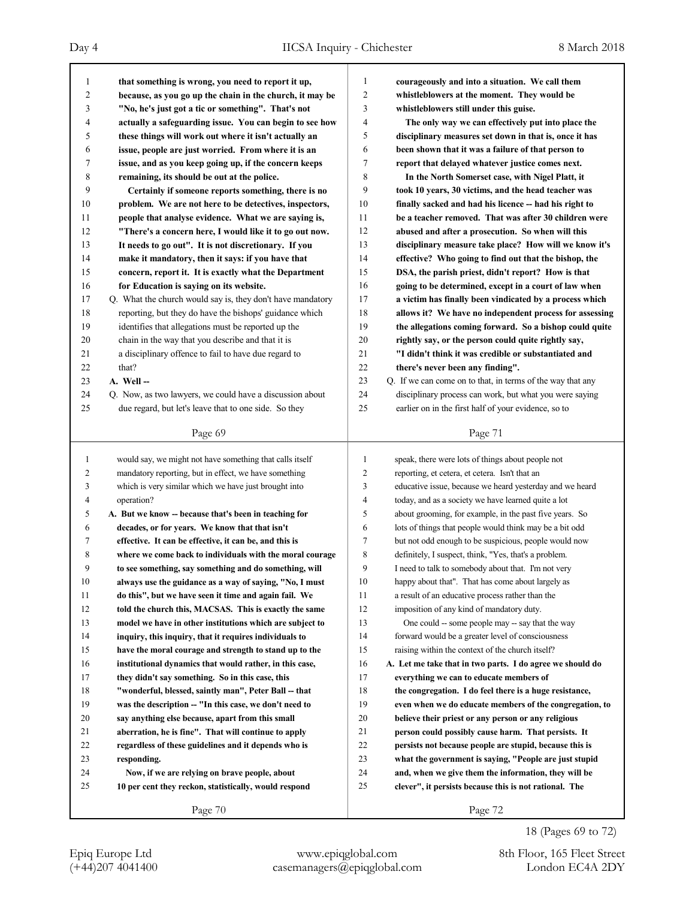| 1            | that something is wrong, you need to report it up,                                                       | 1      | courageously and into a situation. We call them                                                                    |
|--------------|----------------------------------------------------------------------------------------------------------|--------|--------------------------------------------------------------------------------------------------------------------|
| 2            | because, as you go up the chain in the church, it may be                                                 | 2      | whistleblowers at the moment. They would be                                                                        |
| 3            | "No, he's just got a tic or something". That's not                                                       | 3      | whistleblowers still under this guise.                                                                             |
| 4            | actually a safeguarding issue. You can begin to see how                                                  | 4      | The only way we can effectively put into place the                                                                 |
| 5            | these things will work out where it isn't actually an                                                    | 5      | disciplinary measures set down in that is, once it has                                                             |
| 6            | issue, people are just worried. From where it is an                                                      | 6      | been shown that it was a failure of that person to                                                                 |
| 7            | issue, and as you keep going up, if the concern keeps                                                    | 7      | report that delayed whatever justice comes next.                                                                   |
| 8            | remaining, its should be out at the police.                                                              | 8      | In the North Somerset case, with Nigel Platt, it                                                                   |
| 9            | Certainly if someone reports something, there is no                                                      | 9      | took 10 years, 30 victims, and the head teacher was                                                                |
| 10           | problem. We are not here to be detectives, inspectors,                                                   | 10     | finally sacked and had his licence -- had his right to                                                             |
| 11           | people that analyse evidence. What we are saying is,                                                     | 11     | be a teacher removed. That was after 30 children were                                                              |
| 12           | "There's a concern here, I would like it to go out now.                                                  | 12     | abused and after a prosecution. So when will this                                                                  |
| 13           | It needs to go out". It is not discretionary. If you                                                     | 13     | disciplinary measure take place? How will we know it's                                                             |
| 14           | make it mandatory, then it says: if you have that                                                        | 14     | effective? Who going to find out that the bishop, the                                                              |
| 15           | concern, report it. It is exactly what the Department                                                    | 15     | DSA, the parish priest, didn't report? How is that                                                                 |
| 16           | for Education is saying on its website.                                                                  | 16     | going to be determined, except in a court of law when                                                              |
| 17           | Q. What the church would say is, they don't have mandatory                                               | 17     | a victim has finally been vindicated by a process which                                                            |
| 18           | reporting, but they do have the bishops' guidance which                                                  | 18     | allows it? We have no independent process for assessing                                                            |
| 19           | identifies that allegations must be reported up the                                                      | 19     | the allegations coming forward. So a bishop could quite                                                            |
| 20           | chain in the way that you describe and that it is                                                        | 20     | rightly say, or the person could quite rightly say,                                                                |
| 21           | a disciplinary offence to fail to have due regard to                                                     | 21     | "I didn't think it was credible or substantiated and                                                               |
| 22           | that?                                                                                                    | 22     | there's never been any finding".                                                                                   |
| 23           | A. Well --                                                                                               | 23     | Q. If we can come on to that, in terms of the way that any                                                         |
| 24           | Q. Now, as two lawyers, we could have a discussion about                                                 | 24     | disciplinary process can work, but what you were saying                                                            |
| 25           | due regard, but let's leave that to one side. So they                                                    | 25     | earlier on in the first half of your evidence, so to                                                               |
|              |                                                                                                          |        |                                                                                                                    |
|              | Page 69                                                                                                  |        | Page 71                                                                                                            |
|              |                                                                                                          |        |                                                                                                                    |
|              |                                                                                                          |        |                                                                                                                    |
| $\mathbf{1}$ | would say, we might not have something that calls itself                                                 | 1      | speak, there were lots of things about people not                                                                  |
| 2            | mandatory reporting, but in effect, we have something                                                    | 2      | reporting, et cetera, et cetera. Isn't that an                                                                     |
| 3<br>4       | which is very similar which we have just brought into                                                    | 3<br>4 | educative issue, because we heard yesterday and we heard                                                           |
| 5            | operation?<br>A. But we know -- because that's been in teaching for                                      | 5      | today, and as a society we have learned quite a lot                                                                |
| 6            |                                                                                                          | 6      | about grooming, for example, in the past five years. So<br>lots of things that people would think may be a bit odd |
| 7            | decades, or for years. We know that that isn't<br>effective. It can be effective, it can be, and this is | 7      | but not odd enough to be suspicious, people would now                                                              |
| 8            | where we come back to individuals with the moral courage                                                 | 8      |                                                                                                                    |
| 9            | to see something, say something and do something, will                                                   | 9      | definitely, I suspect, think, "Yes, that's a problem.<br>I need to talk to somebody about that. I'm not very       |
| 10           | always use the guidance as a way of saying, "No, I must                                                  | 10     | happy about that". That has come about largely as                                                                  |
| 11           | do this", but we have seen it time and again fail. We                                                    | 11     | a result of an educative process rather than the                                                                   |
| 12           | told the church this, MACSAS. This is exactly the same                                                   | 12     | imposition of any kind of mandatory duty.                                                                          |
| 13           | model we have in other institutions which are subject to                                                 | 13     | One could -- some people may -- say that the way                                                                   |
| 14           | inquiry, this inquiry, that it requires individuals to                                                   | 14     | forward would be a greater level of consciousness                                                                  |
| 15           | have the moral courage and strength to stand up to the                                                   | 15     | raising within the context of the church itself?                                                                   |
| 16           | institutional dynamics that would rather, in this case,                                                  | 16     | A. Let me take that in two parts. I do agree we should do                                                          |
| 17           | they didn't say something. So in this case, this                                                         | 17     | everything we can to educate members of                                                                            |
| 18           | "wonderful, blessed, saintly man", Peter Ball -- that                                                    | 18     | the congregation. I do feel there is a huge resistance,                                                            |
| 19           | was the description -- "In this case, we don't need to                                                   | 19     | even when we do educate members of the congregation, to                                                            |
| 20           | say anything else because, apart from this small                                                         | 20     | believe their priest or any person or any religious                                                                |
| 21           | aberration, he is fine". That will continue to apply                                                     | 21     | person could possibly cause harm. That persists. It                                                                |
| 22           | regardless of these guidelines and it depends who is                                                     | 22     | persists not because people are stupid, because this is                                                            |
| 23           | responding.                                                                                              | 23     | what the government is saying, "People are just stupid                                                             |
| 24           | Now, if we are relying on brave people, about                                                            | 24     | and, when we give them the information, they will be                                                               |
| 25           | 10 per cent they reckon, statistically, would respond                                                    | 25     | clever", it persists because this is not rational. The                                                             |
|              | Page 70                                                                                                  |        | Page 72                                                                                                            |

18 (Pages 69 to 72)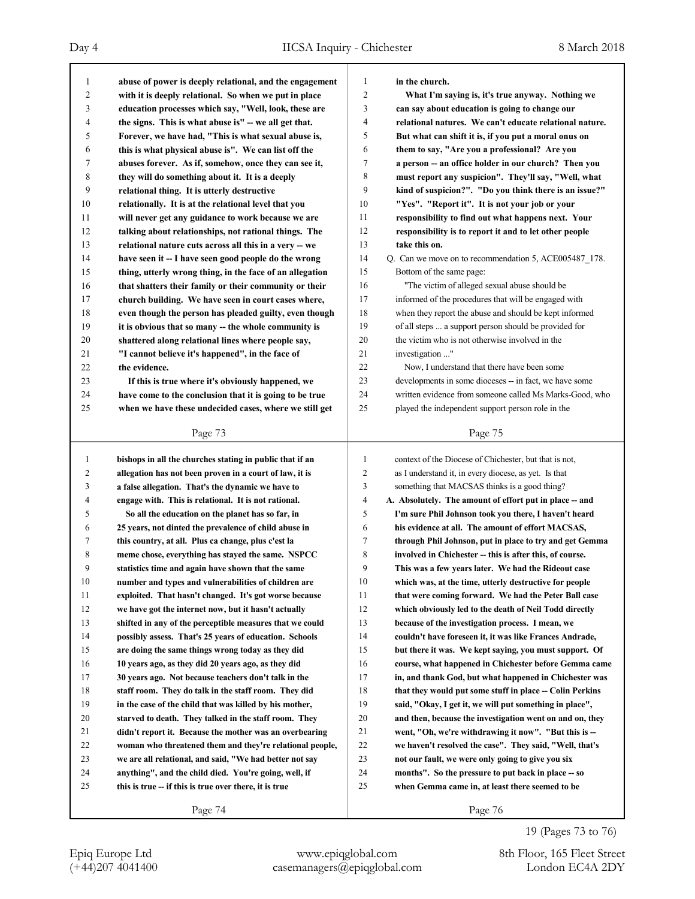| 1        | abuse of power is deeply relational, and the engagement                                                         | 1              | in the church.                                                                                         |
|----------|-----------------------------------------------------------------------------------------------------------------|----------------|--------------------------------------------------------------------------------------------------------|
| 2        | with it is deeply relational. So when we put in place                                                           | $\overline{c}$ | What I'm saying is, it's true anyway. Nothing we                                                       |
| 3        | education processes which say, "Well, look, these are                                                           | 3              | can say about education is going to change our                                                         |
| 4        | the signs. This is what abuse is" - we all get that.                                                            | 4              | relational natures. We can't educate relational nature.                                                |
| 5        | Forever, we have had, "This is what sexual abuse is,                                                            | 5              | But what can shift it is, if you put a moral onus on                                                   |
| 6        | this is what physical abuse is". We can list off the                                                            | 6              | them to say, "Are you a professional? Are you                                                          |
| 7        | abuses forever. As if, somehow, once they can see it,                                                           | 7              | a person -- an office holder in our church? Then you                                                   |
| 8        | they will do something about it. It is a deeply                                                                 | 8              | must report any suspicion". They'll say, "Well, what                                                   |
| 9        | relational thing. It is utterly destructive                                                                     | 9              | kind of suspicion?". "Do you think there is an issue?"                                                 |
| 10       | relationally. It is at the relational level that you                                                            | 10             | "Yes". "Report it". It is not your job or your                                                         |
| 11       | will never get any guidance to work because we are                                                              | 11             | responsibility to find out what happens next. Your                                                     |
| 12       | talking about relationships, not rational things. The                                                           | 12             | responsibility is to report it and to let other people                                                 |
| 13       | relational nature cuts across all this in a very -- we                                                          | 13             | take this on.                                                                                          |
| 14       | have seen it -- I have seen good people do the wrong                                                            | 14             | Q. Can we move on to recommendation 5, ACE005487_178.                                                  |
| 15       | thing, utterly wrong thing, in the face of an allegation                                                        | 15             | Bottom of the same page:                                                                               |
| 16       | that shatters their family or their community or their                                                          | 16             | "The victim of alleged sexual abuse should be                                                          |
| 17       | church building. We have seen in court cases where,                                                             | 17             | informed of the procedures that will be engaged with                                                   |
| 18       | even though the person has pleaded guilty, even though                                                          | 18             | when they report the abuse and should be kept informed                                                 |
| 19       | it is obvious that so many -- the whole community is                                                            | 19             | of all steps  a support person should be provided for                                                  |
| 20       | shattered along relational lines where people say,                                                              | 20             | the victim who is not otherwise involved in the                                                        |
| 21       | "I cannot believe it's happened", in the face of                                                                | 21             | investigation "                                                                                        |
| 22       | the evidence.                                                                                                   | 22             | Now, I understand that there have been some                                                            |
| 23       | If this is true where it's obviously happened, we                                                               | 23             | developments in some dioceses -- in fact, we have some                                                 |
| 24       | have come to the conclusion that it is going to be true                                                         | 24             | written evidence from someone called Ms Marks-Good, who                                                |
| 25       | when we have these undecided cases, where we still get                                                          | 25             | played the independent support person role in the                                                      |
|          |                                                                                                                 |                |                                                                                                        |
|          | Page 73                                                                                                         |                |                                                                                                        |
|          |                                                                                                                 |                | Page 75                                                                                                |
|          |                                                                                                                 |                |                                                                                                        |
| 1        | bishops in all the churches stating in public that if an                                                        | $\mathbf{1}$   | context of the Diocese of Chichester, but that is not,                                                 |
| 2        | allegation has not been proven in a court of law, it is                                                         | $\overline{c}$ | as I understand it, in every diocese, as yet. Is that                                                  |
| 3<br>4   | a false allegation. That's the dynamic we have to                                                               | 3<br>4         | something that MACSAS thinks is a good thing?                                                          |
| 5        | engage with. This is relational. It is not rational.                                                            | 5              | A. Absolutely. The amount of effort put in place - and                                                 |
| 6        | So all the education on the planet has so far, in                                                               | 6              | I'm sure Phil Johnson took you there, I haven't heard                                                  |
| 7        | 25 years, not dinted the prevalence of child abuse in                                                           | 7              | his evidence at all. The amount of effort MACSAS,                                                      |
|          | this country, at all. Plus ca change, plus c'est la                                                             |                | through Phil Johnson, put in place to try and get Gemma                                                |
| 8<br>9   | meme chose, everything has stayed the same. NSPCC                                                               | 8<br>9         | involved in Chichester -- this is after this, of course.                                               |
|          | statistics time and again have shown that the same                                                              |                | This was a few years later. We had the Rideout case                                                    |
| 10       | number and types and vulnerabilities of children are                                                            | 10             | which was, at the time, utterly destructive for people                                                 |
| 11       | exploited. That hasn't changed. It's got worse because                                                          | 11             | that were coming forward. We had the Peter Ball case                                                   |
| 12       | we have got the internet now, but it hasn't actually                                                            | 12             | which obviously led to the death of Neil Todd directly                                                 |
| 13       | shifted in any of the perceptible measures that we could                                                        | 13             | because of the investigation process. I mean, we                                                       |
| 14       | possibly assess. That's 25 years of education. Schools                                                          | 14             | couldn't have foreseen it, it was like Frances Andrade,                                                |
| 15       | are doing the same things wrong today as they did                                                               | 15             | but there it was. We kept saying, you must support. Of                                                 |
| 16       | 10 years ago, as they did 20 years ago, as they did                                                             | 16             | course, what happened in Chichester before Gemma came                                                  |
| 17       | 30 years ago. Not because teachers don't talk in the                                                            | 17             | in, and thank God, but what happened in Chichester was                                                 |
| 18       | staff room. They do talk in the staff room. They did                                                            | 18             | that they would put some stuff in place - Colin Perkins                                                |
| 19       | in the case of the child that was killed by his mother,                                                         | 19             | said, "Okay, I get it, we will put something in place",                                                |
| 20       | starved to death. They talked in the staff room. They                                                           | 20             | and then, because the investigation went on and on, they                                               |
| 21       | didn't report it. Because the mother was an overbearing                                                         | 21             | went, "Oh, we're withdrawing it now". "But this is --                                                  |
| 22       | woman who threatened them and they're relational people,                                                        | 22             | we haven't resolved the case". They said, "Well, that's                                                |
| 23       | we are all relational, and said, "We had better not say                                                         | 23             | not our fault, we were only going to give you six                                                      |
| 24<br>25 | anything", and the child died. You're going, well, if<br>this is true -- if this is true over there, it is true | 24<br>25       | months". So the pressure to put back in place -- so<br>when Gemma came in, at least there seemed to be |

19 (Pages 73 to 76)

(+44)207 4041400 casemanagers@epiqglobal.com London EC4A 2DY Epiq Europe Ltd www.epiqglobal.com 8th Floor, 165 Fleet Street

Page 76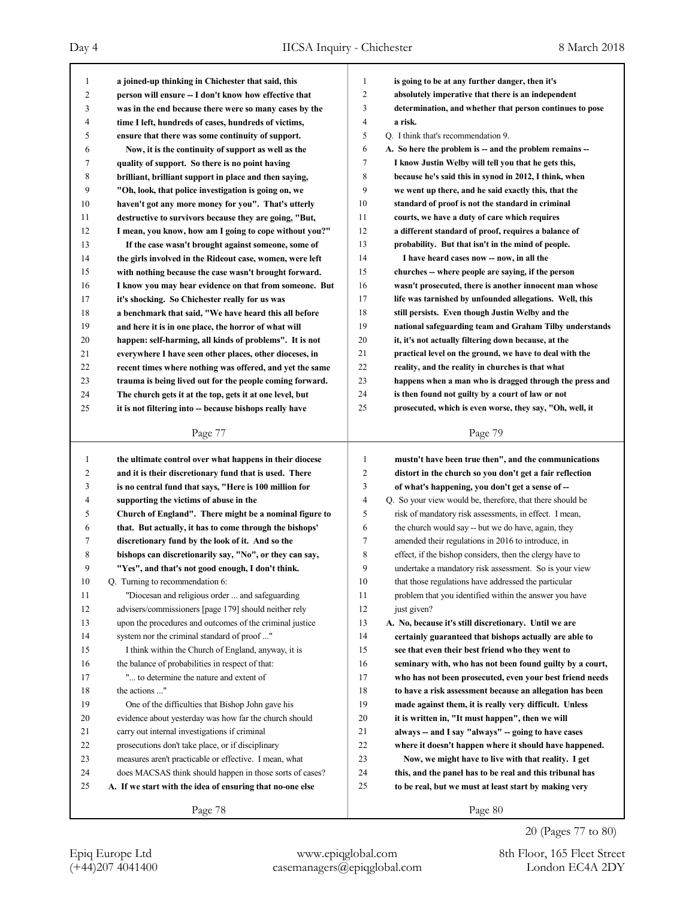| 1                       | a joined-up thinking in Chichester that said, this                                                                | 1              | is going to be at any further danger, then it's                                                                  |
|-------------------------|-------------------------------------------------------------------------------------------------------------------|----------------|------------------------------------------------------------------------------------------------------------------|
| $\overline{c}$          | person will ensure -- I don't know how effective that                                                             | 2              | absolutely imperative that there is an independent                                                               |
| 3                       | was in the end because there were so many cases by the                                                            | 3              | determination, and whether that person continues to pose                                                         |
| 4                       | time I left, hundreds of cases, hundreds of victims,                                                              | 4              | a risk.                                                                                                          |
| 5                       | ensure that there was some continuity of support.                                                                 | 5              | Q. I think that's recommendation 9.                                                                              |
| 6                       | Now, it is the continuity of support as well as the                                                               | 6              | A. So here the problem is -- and the problem remains --                                                          |
| 7                       | quality of support. So there is no point having                                                                   | 7              | I know Justin Welby will tell you that he gets this,                                                             |
| 8                       | brilliant, brilliant support in place and then saying,                                                            | 8              | because he's said this in synod in 2012, I think, when                                                           |
| 9                       | "Oh, look, that police investigation is going on, we                                                              | 9              | we went up there, and he said exactly this, that the                                                             |
| 10                      | haven't got any more money for you". That's utterly                                                               | 10             | standard of proof is not the standard in criminal                                                                |
| 11                      | destructive to survivors because they are going, "But,                                                            | 11             | courts, we have a duty of care which requires                                                                    |
| 12                      | I mean, you know, how am I going to cope without you?"                                                            | 12             | a different standard of proof, requires a balance of                                                             |
| 13                      | If the case wasn't brought against someone, some of                                                               | 13             | probability. But that isn't in the mind of people.                                                               |
| 14                      | the girls involved in the Rideout case, women, were left                                                          | 14             | I have heard cases now -- now, in all the                                                                        |
| 15                      | with nothing because the case wasn't brought forward.                                                             | 15             | churches -- where people are saying, if the person                                                               |
| 16                      | I know you may hear evidence on that from someone. But                                                            | 16             | wasn't prosecuted, there is another innocent man whose                                                           |
| 17                      | it's shocking. So Chichester really for us was                                                                    | 17             | life was tarnished by unfounded allegations. Well, this                                                          |
| 18                      | a benchmark that said, "We have heard this all before                                                             | 18             | still persists. Even though Justin Welby and the                                                                 |
| 19                      | and here it is in one place, the horror of what will                                                              | 19             | national safeguarding team and Graham Tilby understands                                                          |
| 20                      | happen: self-harming, all kinds of problems". It is not                                                           | 20             | it, it's not actually filtering down because, at the                                                             |
| 21                      | everywhere I have seen other places, other dioceses, in                                                           | 21             | practical level on the ground, we have to deal with the                                                          |
| 22                      | recent times where nothing was offered, and yet the same                                                          | 22             | reality, and the reality in churches is that what                                                                |
| 23                      | trauma is being lived out for the people coming forward.                                                          | 23             | happens when a man who is dragged through the press and                                                          |
| 24                      | The church gets it at the top, gets it at one level, but                                                          | 24             | is then found not guilty by a court of law or not                                                                |
| 25                      | it is not filtering into -- because bishops really have                                                           | 25             | prosecuted, which is even worse, they say, "Oh, well, it                                                         |
|                         |                                                                                                                   |                |                                                                                                                  |
|                         | Page 77                                                                                                           |                | Page 79                                                                                                          |
|                         |                                                                                                                   |                |                                                                                                                  |
| $\mathbf{1}$            |                                                                                                                   | 1              |                                                                                                                  |
| $\overline{\mathbf{c}}$ | the ultimate control over what happens in their diocese<br>and it is their discretionary fund that is used. There | $\overline{c}$ | mustn't have been true then", and the communications<br>distort in the church so you don't get a fair reflection |
| 3                       |                                                                                                                   | 3              |                                                                                                                  |
| 4                       | is no central fund that says, "Here is 100 million for<br>supporting the victims of abuse in the                  | 4              | of what's happening, you don't get a sense of --<br>Q. So your view would be, therefore, that there should be    |
| 5                       | Church of England". There might be a nominal figure to                                                            | 5              | risk of mandatory risk assessments, in effect. I mean,                                                           |
| 6                       | that. But actually, it has to come through the bishops'                                                           | 6              | the church would say -- but we do have, again, they                                                              |
| 7                       | discretionary fund by the look of it. And so the                                                                  | 7              | amended their regulations in 2016 to introduce, in                                                               |
| 8                       | bishops can discretionarily say, "No", or they can say,                                                           | 8              | effect, if the bishop considers, then the clergy have to                                                         |
| 9                       |                                                                                                                   | 9              | undertake a mandatory risk assessment. So is your view                                                           |
| 10                      | "Yes", and that's not good enough, I don't think.                                                                 | 10             |                                                                                                                  |
| 11                      | Q. Turning to recommendation 6:<br>"Diocesan and religious order  and safeguarding                                | 11             | that those regulations have addressed the particular<br>problem that you identified within the answer you have   |
| 12                      | advisers/commissioners [page 179] should neither rely                                                             | 12             | just given?                                                                                                      |
| 13                      | upon the procedures and outcomes of the criminal justice                                                          | 13             | A. No, because it's still discretionary. Until we are                                                            |
| 14                      | system nor the criminal standard of proof "                                                                       | 14             | certainly guaranteed that bishops actually are able to                                                           |
| 15                      | I think within the Church of England, anyway, it is                                                               | 15             | see that even their best friend who they went to                                                                 |
| 16                      | the balance of probabilities in respect of that:                                                                  | 16             | seminary with, who has not been found guilty by a court,                                                         |
| 17                      | " to determine the nature and extent of                                                                           | 17             | who has not been prosecuted, even your best friend needs                                                         |
| 18                      | the actions "                                                                                                     | 18             | to have a risk assessment because an allegation has been                                                         |
| 19                      | One of the difficulties that Bishop John gave his                                                                 | 19             | made against them, it is really very difficult. Unless                                                           |
| 20                      | evidence about yesterday was how far the church should                                                            | 20             | it is written in, "It must happen", then we will                                                                 |
| 21                      | carry out internal investigations if criminal                                                                     | 21             | always -- and I say "always" -- going to have cases                                                              |
| 22                      | prosecutions don't take place, or if disciplinary                                                                 | 22             | where it doesn't happen where it should have happened.                                                           |
| 23                      | measures aren't practicable or effective. I mean, what                                                            | 23             | Now, we might have to live with that reality. I get                                                              |
| 24                      | does MACSAS think should happen in those sorts of cases?                                                          | 24             | this, and the panel has to be real and this tribunal has                                                         |
| 25                      | A. If we start with the idea of ensuring that no-one else                                                         | 25             | to be real, but we must at least start by making very                                                            |
|                         | Page 78                                                                                                           |                | Page 80                                                                                                          |

20 (Pages 77 to 80)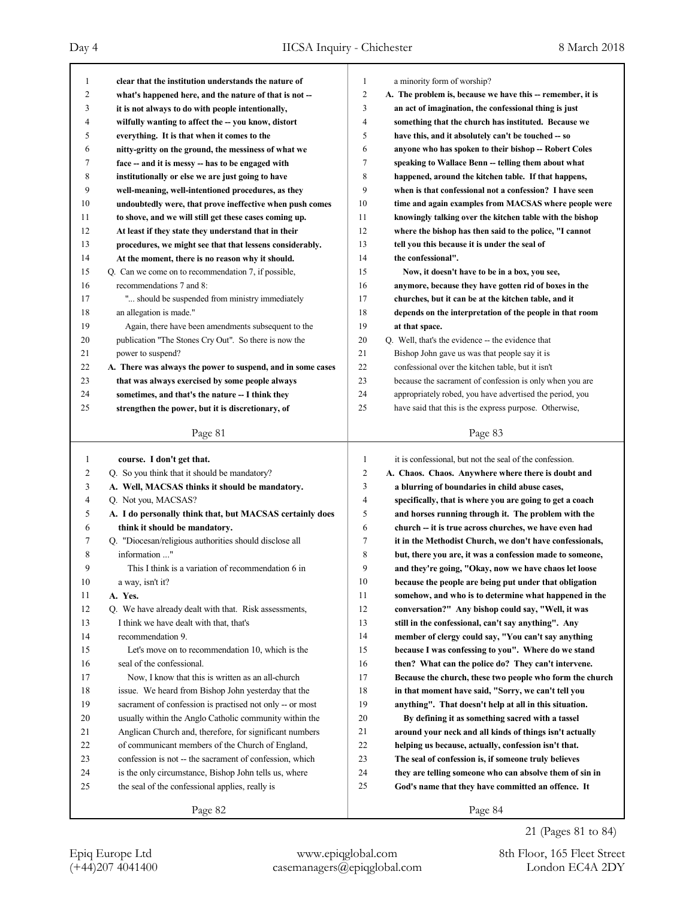| 1  | clear that the institution understands the nature of        | 1              | a minority form of worship?                                |
|----|-------------------------------------------------------------|----------------|------------------------------------------------------------|
| 2  | what's happened here, and the nature of that is not -       | 2              | A. The problem is, because we have this -- remember, it is |
| 3  | it is not always to do with people intentionally,           | 3              | an act of imagination, the confessional thing is just      |
| 4  | wilfully wanting to affect the -- you know, distort         | $\overline{4}$ | something that the church has instituted. Because we       |
| 5  | everything. It is that when it comes to the                 | 5              | have this, and it absolutely can't be touched -- so        |
| 6  | nitty-gritty on the ground, the messiness of what we        | 6              | anyone who has spoken to their bishop -- Robert Coles      |
| 7  | face -- and it is messy -- has to be engaged with           | 7              | speaking to Wallace Benn -- telling them about what        |
| 8  | institutionally or else we are just going to have           | 8              | happened, around the kitchen table. If that happens,       |
| 9  | well-meaning, well-intentioned procedures, as they          | 9              | when is that confessional not a confession? I have seen    |
| 10 | undoubtedly were, that prove ineffective when push comes    | 10             | time and again examples from MACSAS where people were      |
| 11 | to shove, and we will still get these cases coming up.      | 11             | knowingly talking over the kitchen table with the bishop   |
| 12 | At least if they state they understand that in their        | 12             | where the bishop has then said to the police, "I cannot    |
| 13 | procedures, we might see that that lessens considerably.    | 13             | tell you this because it is under the seal of              |
| 14 | At the moment, there is no reason why it should.            | 14             | the confessional".                                         |
| 15 | Q. Can we come on to recommendation 7, if possible,         | 15             | Now, it doesn't have to be in a box, you see,              |
| 16 | recommendations 7 and 8:                                    | 16             | anymore, because they have gotten rid of boxes in the      |
| 17 | " should be suspended from ministry immediately             | 17             | churches, but it can be at the kitchen table, and it       |
| 18 | an allegation is made."                                     | 18             | depends on the interpretation of the people in that room   |
| 19 | Again, there have been amendments subsequent to the         | 19             | at that space.                                             |
| 20 | publication "The Stones Cry Out". So there is now the       | 20             | Q. Well, that's the evidence -- the evidence that          |
| 21 | power to suspend?                                           | 21             | Bishop John gave us was that people say it is              |
| 22 | A. There was always the power to suspend, and in some cases | 22             | confessional over the kitchen table, but it isn't          |
| 23 | that was always exercised by some people always             | 23             | because the sacrament of confession is only when you are   |
| 24 | sometimes, and that's the nature -- I think they            | 24             | appropriately robed, you have advertised the period, you   |
| 25 | strengthen the power, but it is discretionary, of           | 25             | have said that this is the express purpose. Otherwise,     |
|    |                                                             |                |                                                            |
|    | Page 81                                                     |                | Page 83                                                    |
|    |                                                             |                |                                                            |
|    |                                                             |                |                                                            |
| 1  | course. I don't get that.                                   | 1              | it is confessional, but not the seal of the confession.    |
| 2  | Q. So you think that it should be mandatory?                | $\overline{c}$ | A. Chaos. Chaos. Anywhere where there is doubt and         |
| 3  | A. Well, MACSAS thinks it should be mandatory.              | 3              | a blurring of boundaries in child abuse cases,             |
| 4  | Q. Not you, MACSAS?                                         | $\overline{4}$ | specifically, that is where you are going to get a coach   |
| 5  | A. I do personally think that, but MACSAS certainly does    | 5              | and horses running through it. The problem with the        |
| 6  | think it should be mandatory.                               | 6              | church -- it is true across churches, we have even had     |
| 7  | Q. "Diocesan/religious authorities should disclose all      | 7              | it in the Methodist Church, we don't have confessionals,   |
| 8  | information "                                               | 8              | but, there you are, it was a confession made to someone,   |
| 9  | This I think is a variation of recommendation 6 in          | 9              | and they're going, "Okay, now we have chaos let loose      |
| 10 | a way, isn't it?                                            | 10             | because the people are being put under that obligation     |
| 11 | A. Yes.                                                     | 11             | somehow, and who is to determine what happened in the      |
| 12 | Q. We have already dealt with that. Risk assessments,       | 12             | conversation?" Any bishop could say, "Well, it was         |
| 13 | I think we have dealt with that, that's                     | 13             | still in the confessional, can't say anything". Any        |
| 14 | recommendation 9.                                           | 14             | member of clergy could say, "You can't say anything        |
| 15 | Let's move on to recommendation 10, which is the            | 15             | because I was confessing to you". Where do we stand        |
| 16 | seal of the confessional.                                   | 16             | then? What can the police do? They can't intervene.        |
| 17 | Now, I know that this is written as an all-church           | 17             | Because the church, these two people who form the church   |
| 18 | issue. We heard from Bishop John yesterday that the         | 18             | in that moment have said, "Sorry, we can't tell you        |
| 19 | sacrament of confession is practised not only -- or most    | 19             | anything". That doesn't help at all in this situation.     |
| 20 | usually within the Anglo Catholic community within the      | 20             | By defining it as something sacred with a tassel           |
| 21 | Anglican Church and, therefore, for significant numbers     | 21             | around your neck and all kinds of things isn't actually    |
| 22 | of communicant members of the Church of England,            | 22             | helping us because, actually, confession isn't that.       |
| 23 | confession is not -- the sacrament of confession, which     | 23             | The seal of confession is, if someone truly believes       |
| 24 | is the only circumstance, Bishop John tells us, where       | 24             | they are telling someone who can absolve them of sin in    |
| 25 | the seal of the confessional applies, really is             | 25             | God's name that they have committed an offence. It         |

21 (Pages 81 to 84)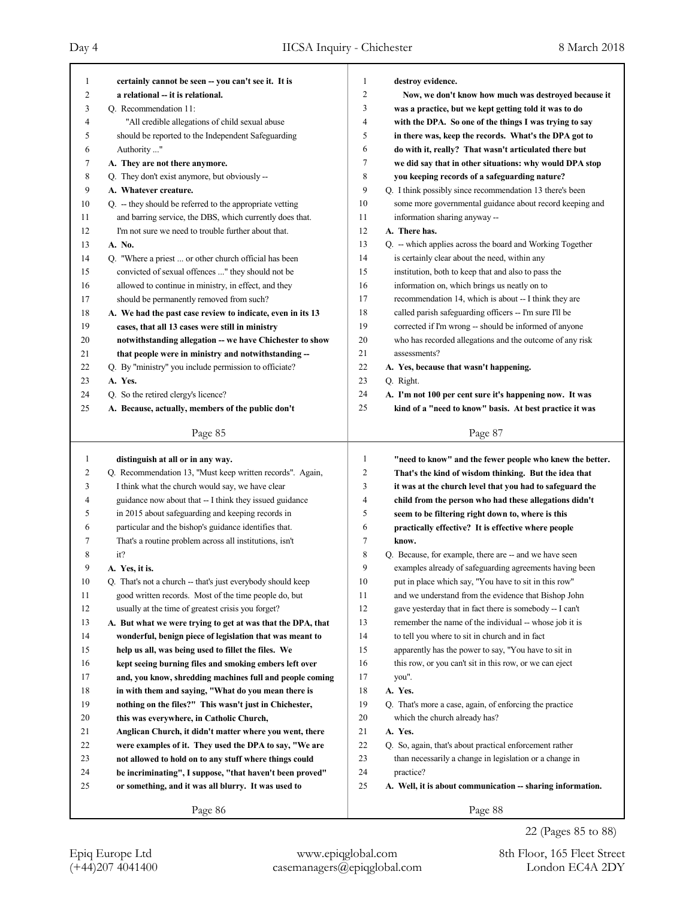٦

| 1      | certainly cannot be seen -- you can't see it. It is                                                              | 1      | destroy evidence.                                            |
|--------|------------------------------------------------------------------------------------------------------------------|--------|--------------------------------------------------------------|
| 2      | a relational -- it is relational.                                                                                | 2      | Now, we don't know how much was destroyed because it         |
| 3      | Q. Recommendation 11:                                                                                            | 3      | was a practice, but we kept getting told it was to do        |
| 4      | "All credible allegations of child sexual abuse                                                                  | 4      | with the DPA. So one of the things I was trying to say       |
| 5      | should be reported to the Independent Safeguarding                                                               | 5      | in there was, keep the records. What's the DPA got to        |
| 6      | Authority "                                                                                                      | 6      | do with it, really? That wasn't articulated there but        |
| 7      | A. They are not there anymore.                                                                                   | 7      | we did say that in other situations: why would DPA stop      |
| 8      | Q. They don't exist anymore, but obviously --                                                                    | 8      | you keeping records of a safeguarding nature?                |
| 9      | A. Whatever creature.                                                                                            | 9      | Q. I think possibly since recommendation 13 there's been     |
| 10     | Q. - they should be referred to the appropriate vetting                                                          | 10     | some more governmental guidance about record keeping and     |
| 11     | and barring service, the DBS, which currently does that.                                                         | 11     | information sharing anyway --                                |
| 12     | I'm not sure we need to trouble further about that.                                                              | 12     | A. There has.                                                |
| 13     | A. No.                                                                                                           | 13     | Q. -- which applies across the board and Working Together    |
| 14     | Q. "Where a priest  or other church official has been                                                            | 14     | is certainly clear about the need, within any                |
| 15     | convicted of sexual offences " they should not be                                                                | 15     | institution, both to keep that and also to pass the          |
| 16     | allowed to continue in ministry, in effect, and they                                                             | 16     | information on, which brings us neatly on to                 |
| 17     | should be permanently removed from such?                                                                         | 17     | recommendation 14, which is about -- I think they are        |
| 18     | A. We had the past case review to indicate, even in its 13                                                       | 18     | called parish safeguarding officers -- I'm sure I'll be      |
| 19     | cases, that all 13 cases were still in ministry                                                                  | 19     | corrected if I'm wrong -- should be informed of anyone       |
| 20     | notwithstanding allegation -- we have Chichester to show                                                         | 20     | who has recorded allegations and the outcome of any risk     |
| 21     | that people were in ministry and notwithstanding --                                                              | 21     | assessments?                                                 |
| 22     | Q. By "ministry" you include permission to officiate?                                                            | 22     | A. Yes, because that wasn't happening.                       |
| 23     | A. Yes.                                                                                                          | 23     | Q. Right.                                                    |
| 24     | Q. So the retired clergy's licence?                                                                              | 24     | A. I'm not 100 per cent sure it's happening now. It was      |
| 25     | A. Because, actually, members of the public don't                                                                | 25     | kind of a "need to know" basis. At best practice it was      |
|        | Page 85                                                                                                          |        | Page 87                                                      |
|        |                                                                                                                  |        |                                                              |
|        |                                                                                                                  |        |                                                              |
| 1      | distinguish at all or in any way.                                                                                | 1      | "need to know" and the fewer people who knew the better.     |
| 2      | Q. Recommendation 13, "Must keep written records". Again,                                                        | 2      | That's the kind of wisdom thinking. But the idea that        |
| 3<br>4 | I think what the church would say, we have clear                                                                 | 3<br>4 | it was at the church level that you had to safeguard the     |
| 5      | guidance now about that -- I think they issued guidance                                                          | 5      | child from the person who had these allegations didn't       |
| 6      | in 2015 about safeguarding and keeping records in                                                                | 6      | seem to be filtering right down to, where is this            |
| 7      | particular and the bishop's guidance identifies that.<br>That's a routine problem across all institutions, isn't | 7      | practically effective? It is effective where people<br>know. |
| 8      | it?                                                                                                              | 8      | Q. Because, for example, there are -- and we have seen       |
| 9      | A. Yes, it is.                                                                                                   | 9      | examples already of safeguarding agreements having been      |
| 10     | Q. That's not a church -- that's just everybody should keep                                                      | 10     | put in place which say, "You have to sit in this row"        |
| 11     | good written records. Most of the time people do, but                                                            | 11     | and we understand from the evidence that Bishop John         |
| 12     | usually at the time of greatest crisis you forget?                                                               | 12     | gave yesterday that in fact there is somebody -- I can't     |
| 13     | A. But what we were trying to get at was that the DPA, that                                                      | 13     | remember the name of the individual -- whose job it is       |
| 14     | wonderful, benign piece of legislation that was meant to                                                         | 14     | to tell you where to sit in church and in fact               |
| 15     | help us all, was being used to fillet the files. We                                                              | 15     | apparently has the power to say, "You have to sit in         |
| 16     | kept seeing burning files and smoking embers left over                                                           | 16     | this row, or you can't sit in this row, or we can eject      |
| 17     | and, you know, shredding machines full and people coming                                                         | 17     | you".                                                        |
| 18     | in with them and saying, "What do you mean there is                                                              | 18     | A. Yes.                                                      |
| 19     | nothing on the files?" This wasn't just in Chichester,                                                           | 19     | Q. That's more a case, again, of enforcing the practice      |
| 20     | this was everywhere, in Catholic Church,                                                                         | 20     | which the church already has?                                |
| 21     | Anglican Church, it didn't matter where you went, there                                                          | 21     | A. Yes.                                                      |
| 22     | were examples of it. They used the DPA to say, "We are                                                           | 22     | Q. So, again, that's about practical enforcement rather      |
| 23     | not allowed to hold on to any stuff where things could                                                           | 23     | than necessarily a change in legislation or a change in      |
| 24     | be incriminating", I suppose, "that haven't been proved"                                                         | 24     | practice?                                                    |
| 25     | or something, and it was all blurry. It was used to                                                              | 25     | A. Well, it is about communication -- sharing information.   |

(+44)207 4041400 casemanagers@epiqglobal.com London EC4A 2DY Epiq Europe Ltd www.epiqglobal.com 8th Floor, 165 Fleet Street

22 (Pages 85 to 88)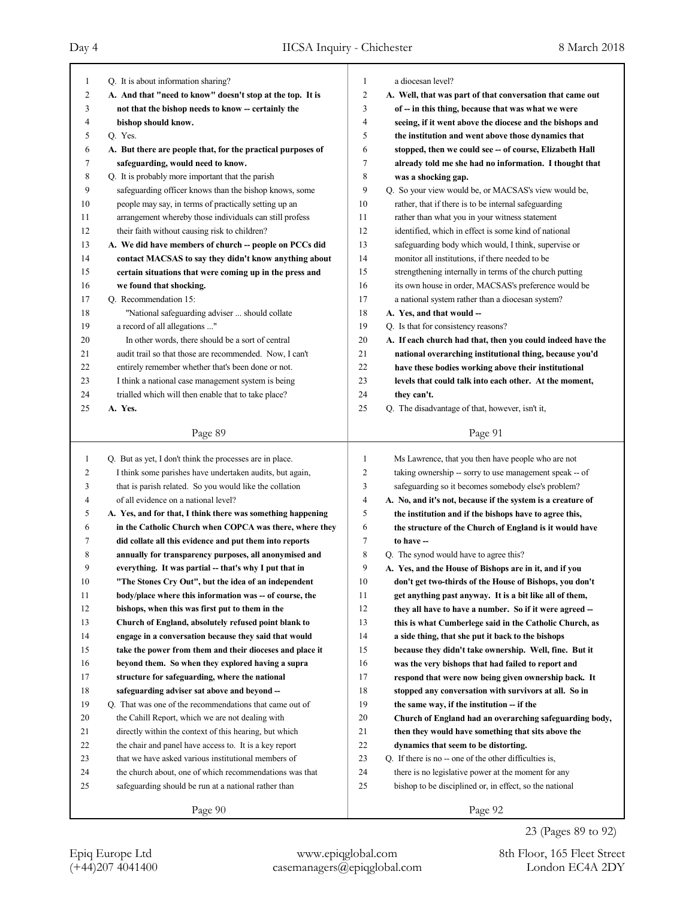| 1            | Q. It is about information sharing?                         | $\mathbf{1}$        | a diocesan level?                                           |
|--------------|-------------------------------------------------------------|---------------------|-------------------------------------------------------------|
| 2            | A. And that "need to know" doesn't stop at the top. It is   | $\overline{2}$      | A. Well, that was part of that conversation that came out   |
| 3            | not that the bishop needs to know -- certainly the          | 3                   | of -- in this thing, because that was what we were          |
| 4            | bishop should know.                                         | $\overline{4}$      | seeing, if it went above the diocese and the bishops and    |
| 5            | Q. Yes.                                                     | 5                   | the institution and went above those dynamics that          |
| 6            | A. But there are people that, for the practical purposes of | 6                   | stopped, then we could see -- of course, Elizabeth Hall     |
| 7            | safeguarding, would need to know.                           | 7                   | already told me she had no information. I thought that      |
| 8            | Q. It is probably more important that the parish            | 8                   | was a shocking gap.                                         |
| 9            | safeguarding officer knows than the bishop knows, some      | 9                   | Q. So your view would be, or MACSAS's view would be,        |
| 10           | people may say, in terms of practically setting up an       | 10                  | rather, that if there is to be internal safeguarding        |
| 11           | arrangement whereby those individuals can still profess     | 11                  | rather than what you in your witness statement              |
| 12           | their faith without causing risk to children?               | 12                  | identified, which in effect is some kind of national        |
| 13           | A. We did have members of church -- people on PCCs did      | 13                  | safeguarding body which would, I think, supervise or        |
| 14           | contact MACSAS to say they didn't know anything about       | 14                  | monitor all institutions, if there needed to be             |
| 15           | certain situations that were coming up in the press and     | 15                  | strengthening internally in terms of the church putting     |
| 16           | we found that shocking.                                     | 16                  | its own house in order, MACSAS's preference would be        |
| 17           | Q. Recommendation 15:                                       | 17                  | a national system rather than a diocesan system?            |
| 18           | "National safeguarding adviser  should collate              | 18                  | A. Yes, and that would --                                   |
| 19           | a record of all allegations "                               | 19                  | Q. Is that for consistency reasons?                         |
| 20           | In other words, there should be a sort of central           | 20                  | A. If each church had that, then you could indeed have the  |
| 21           | audit trail so that those are recommended. Now, I can't     | 21                  | national overarching institutional thing, because you'd     |
| 22           | entirely remember whether that's been done or not.          | 22                  | have these bodies working above their institutional         |
| 23           | I think a national case management system is being          | 23                  | levels that could talk into each other. At the moment,      |
| 24           | trialled which will then enable that to take place?         | 24                  | they can't.                                                 |
| 25           | A. Yes.                                                     | 25                  | Q. The disadvantage of that, however, isn't it,             |
|              |                                                             |                     |                                                             |
|              | Page 89                                                     |                     | Page 91                                                     |
|              |                                                             |                     |                                                             |
|              |                                                             | 1                   |                                                             |
| $\mathbf{1}$ | Q. But as yet, I don't think the processes are in place.    | $\overline{2}$      | Ms Lawrence, that you then have people who are not          |
| 2            | I think some parishes have undertaken audits, but again,    |                     | taking ownership -- sorry to use management speak -- of     |
| 3            | that is parish related. So you would like the collation     | 3<br>$\overline{4}$ | safeguarding so it becomes somebody else's problem?         |
| 4            | of all evidence on a national level?                        |                     | A. No, and it's not, because if the system is a creature of |
| 5            | A. Yes, and for that, I think there was something happening | 5                   | the institution and if the bishops have to agree this,      |
| 6            | in the Catholic Church when COPCA was there, where they     | 6                   | the structure of the Church of England is it would have     |
| 7            | did collate all this evidence and put them into reports     | 7                   | to have --                                                  |
| 8            | annually for transparency purposes, all anonymised and      | 8                   | Q. The synod would have to agree this?                      |
| 9            | everything. It was partial -- that's why I put that in      | 9                   | A. Yes, and the House of Bishops are in it, and if you      |
| 10           | "The Stones Cry Out", but the idea of an independent        | 10                  | don't get two-thirds of the House of Bishops, you don't     |
| 11           | body/place where this information was -- of course, the     | 11                  | get anything past anyway. It is a bit like all of them,     |
| 12           | bishops, when this was first put to them in the             | 12                  | they all have to have a number. So if it were agreed --     |
| 13           | Church of England, absolutely refused point blank to        | 13                  | this is what Cumberlege said in the Catholic Church, as     |
| 14           | engage in a conversation because they said that would       | 14                  | a side thing, that she put it back to the bishops           |
| 15           | take the power from them and their dioceses and place it    | 15                  | because they didn't take ownership. Well, fine. But it      |
| 16           | beyond them. So when they explored having a supra           | 16                  | was the very bishops that had failed to report and          |
| 17           | structure for safeguarding, where the national              | 17                  | respond that were now being given ownership back. It        |
| 18           | safeguarding adviser sat above and beyond --                | 18                  | stopped any conversation with survivors at all. So in       |
| 19           | Q. That was one of the recommendations that came out of     | 19                  | the same way, if the institution -- if the                  |
| 20           | the Cahill Report, which we are not dealing with            | 20                  | Church of England had an overarching safeguarding body,     |
| 21           | directly within the context of this hearing, but which      | 21                  | then they would have something that sits above the          |
| 22           | the chair and panel have access to. It is a key report      | 22                  | dynamics that seem to be distorting.                        |
| 23           | that we have asked various institutional members of         | 23                  | Q. If there is no -- one of the other difficulties is,      |
| 24           | the church about, one of which recommendations was that     | 24                  | there is no legislative power at the moment for any         |
| 25           | safeguarding should be run at a national rather than        | 25                  | bishop to be disciplined or, in effect, so the national     |
|              | Page 90                                                     |                     | Page 92                                                     |

23 (Pages 89 to 92)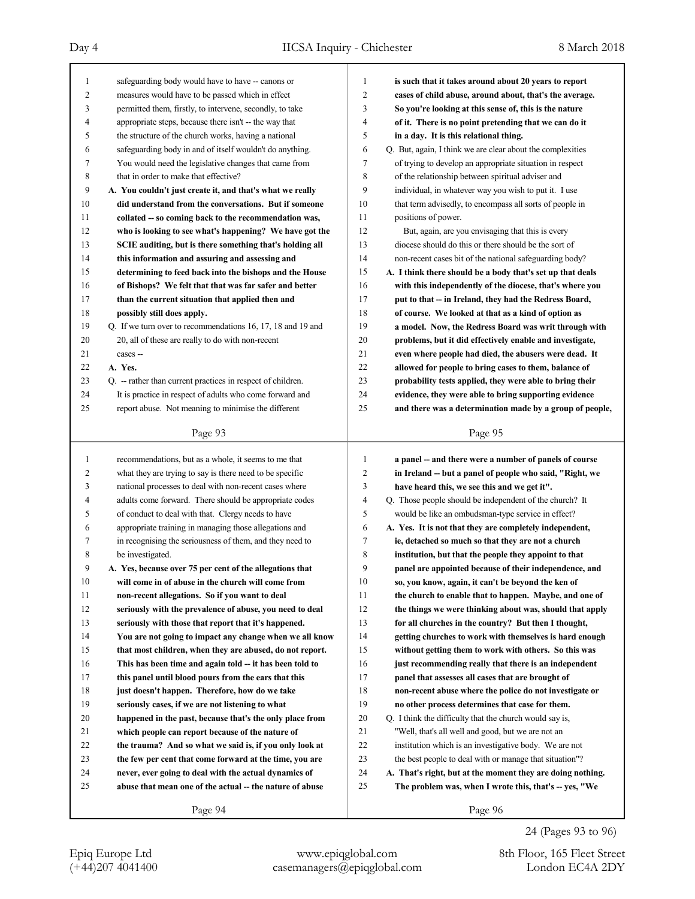## Day 4 IICSA Inquiry - Chichester 8 March 2018

| 1      | safeguarding body would have to have -- canons or           | $\mathbf{1}$   | is such that it takes around about 20 years to report      |
|--------|-------------------------------------------------------------|----------------|------------------------------------------------------------|
| 2      | measures would have to be passed which in effect            | 2              | cases of child abuse, around about, that's the average.    |
| 3      | permitted them, firstly, to intervene, secondly, to take    | 3              | So you're looking at this sense of, this is the nature     |
| 4      | appropriate steps, because there isn't -- the way that      | 4              | of it. There is no point pretending that we can do it      |
| 5      | the structure of the church works, having a national        | 5              | in a day. It is this relational thing.                     |
| 6      | safeguarding body in and of itself wouldn't do anything.    | 6              | Q. But, again, I think we are clear about the complexities |
| 7      | You would need the legislative changes that came from       | 7              | of trying to develop an appropriate situation in respect   |
| 8      | that in order to make that effective?                       | 8              | of the relationship between spiritual adviser and          |
| 9      | A. You couldn't just create it, and that's what we really   | 9              | individual, in whatever way you wish to put it. I use      |
| 10     | did understand from the conversations. But if someone       | 10             | that term advisedly, to encompass all sorts of people in   |
| 11     | collated -- so coming back to the recommendation was,       | 11             | positions of power.                                        |
| 12     | who is looking to see what's happening? We have got the     | 12             | But, again, are you envisaging that this is every          |
| 13     | SCIE auditing, but is there something that's holding all    | 13             | diocese should do this or there should be the sort of      |
| 14     | this information and assuring and assessing and             | 14             | non-recent cases bit of the national safeguarding body?    |
| 15     | determining to feed back into the bishops and the House     | 15             | A. I think there should be a body that's set up that deals |
| 16     | of Bishops? We felt that that was far safer and better      | 16             | with this independently of the diocese, that's where you   |
| 17     | than the current situation that applied then and            | 17             | put to that -- in Ireland, they had the Redress Board,     |
| 18     | possibly still does apply.                                  | 18             | of course. We looked at that as a kind of option as        |
| 19     | Q. If we turn over to recommendations 16, 17, 18 and 19 and | 19             | a model. Now, the Redress Board was writ through with      |
| 20     | 20, all of these are really to do with non-recent           | 20             | problems, but it did effectively enable and investigate,   |
| 21     | cases --                                                    | 21             | even where people had died, the abusers were dead. It      |
| 22     | A. Yes.                                                     | 22             | allowed for people to bring cases to them, balance of      |
| 23     | Q. -- rather than current practices in respect of children. | 23             | probability tests applied, they were able to bring their   |
| 24     | It is practice in respect of adults who come forward and    | 24             | evidence, they were able to bring supporting evidence      |
| 25     | report abuse. Not meaning to minimise the different         | 25             | and there was a determination made by a group of people,   |
|        |                                                             |                |                                                            |
|        | Page 93                                                     |                | Page 95                                                    |
|        |                                                             |                |                                                            |
|        |                                                             |                |                                                            |
| 1      | recommendations, but as a whole, it seems to me that        | $\mathbf{1}$   | a panel – and there were a number of panels of course      |
| 2      | what they are trying to say is there need to be specific    | $\overline{c}$ | in Ireland -- but a panel of people who said, "Right, we   |
| 3      | national processes to deal with non-recent cases where      | 3              | have heard this, we see this and we get it".               |
| 4      | adults come forward. There should be appropriate codes      | 4              | Q. Those people should be independent of the church? It    |
| 5      | of conduct to deal with that. Clergy needs to have          | 5              | would be like an ombudsman-type service in effect?         |
| 6      | appropriate training in managing those allegations and      | 6              | A. Yes. It is not that they are completely independent,    |
| 7      | in recognising the seriousness of them, and they need to    | 7              | ie, detached so much so that they are not a church         |
| 8      | be investigated.                                            | 8              | institution, but that the people they appoint to that      |
| 9      | A. Yes, because over 75 per cent of the allegations that    | 9              | panel are appointed because of their independence, and     |
| $10\,$ | will come in of abuse in the church will come from          | 10             | so, you know, again, it can't be beyond the ken of         |
| 11     | non-recent allegations. So if you want to deal              | 11             | the church to enable that to happen. Maybe, and one of     |
| 12     | seriously with the prevalence of abuse, you need to deal    | 12             | the things we were thinking about was, should that apply   |
| 13     | seriously with those that report that it's happened.        | 13             | for all churches in the country? But then I thought,       |
| 14     | You are not going to impact any change when we all know     | 14             | getting churches to work with themselves is hard enough    |
| 15     | that most children, when they are abused, do not report.    | 15             | without getting them to work with others. So this was      |
| 16     | This has been time and again told -- it has been told to    | 16             | just recommending really that there is an independent      |
| 17     | this panel until blood pours from the ears that this        | 17             | panel that assesses all cases that are brought of          |
| 18     | just doesn't happen. Therefore, how do we take              | 18             | non-recent abuse where the police do not investigate or    |
| 19     | seriously cases, if we are not listening to what            | 19             | no other process determines that case for them.            |
| 20     | happened in the past, because that's the only place from    | 20             | Q. I think the difficulty that the church would say is,    |
| 21     | which people can report because of the nature of            | 21             | "Well, that's all well and good, but we are not an         |
| 22     | the trauma? And so what we said is, if you only look at     | 22             | institution which is an investigative body. We are not     |
| 23     | the few per cent that come forward at the time, you are     | 23             | the best people to deal with or manage that situation"?    |
| 24     | never, ever going to deal with the actual dynamics of       | 24             | A. That's right, but at the moment they are doing nothing. |
| 25     | abuse that mean one of the actual -- the nature of abuse    | 25             | The problem was, when I wrote this, that's - yes, "We      |

(+44)207 4041400 casemanagers@epiqglobal.com London EC4A 2DY Epiq Europe Ltd www.epiqglobal.com 8th Floor, 165 Fleet Street

24 (Pages 93 to 96)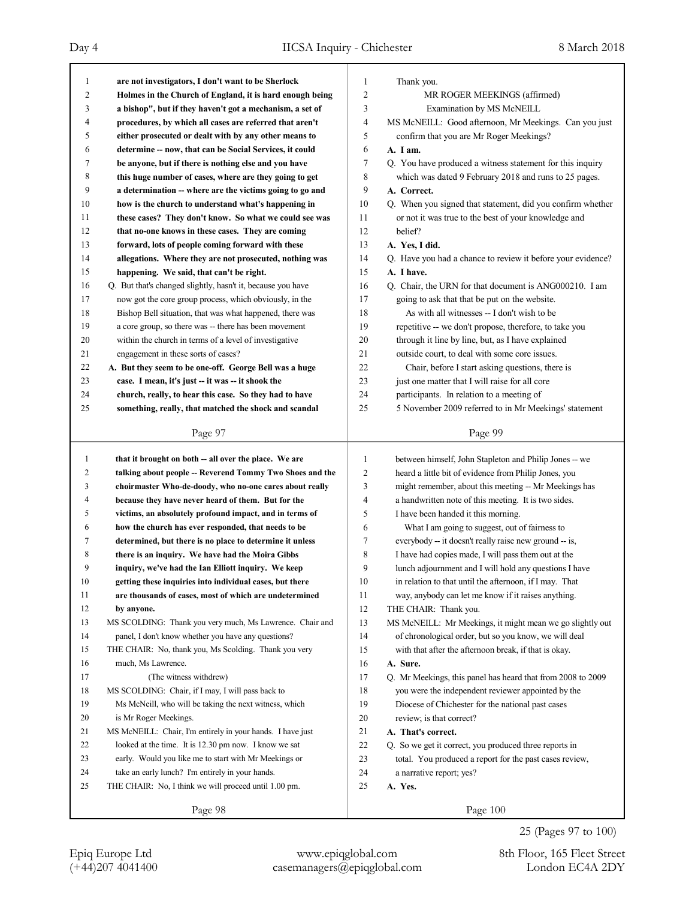| 1              | are not investigators, I don't want to be Sherlock          | 1              | Thank you.                                                  |
|----------------|-------------------------------------------------------------|----------------|-------------------------------------------------------------|
| $\overline{c}$ | Holmes in the Church of England, it is hard enough being    | $\overline{c}$ | MR ROGER MEEKINGS (affirmed)                                |
| 3              | a bishop", but if they haven't got a mechanism, a set of    | 3              | Examination by MS McNEILL                                   |
| 4              | procedures, by which all cases are referred that aren't     | 4              | MS McNEILL: Good afternoon, Mr Meekings. Can you just       |
| 5              | either prosecuted or dealt with by any other means to       | 5              | confirm that you are Mr Roger Meekings?                     |
| 6              | determine -- now, that can be Social Services, it could     | 6              | A. I am.                                                    |
| 7              | be anyone, but if there is nothing else and you have        | 7              | Q. You have produced a witness statement for this inquiry   |
| 8              | this huge number of cases, where are they going to get      | 8              | which was dated 9 February 2018 and runs to 25 pages.       |
| 9              | a determination -- where are the victims going to go and    | 9              | A. Correct.                                                 |
| 10             | how is the church to understand what's happening in         | 10             | Q. When you signed that statement, did you confirm whether  |
| 11             | these cases? They don't know. So what we could see was      | 11             | or not it was true to the best of your knowledge and        |
| 12             | that no-one knows in these cases. They are coming           | 12             | belief?                                                     |
| 13             | forward, lots of people coming forward with these           | 13             | A. Yes, I did.                                              |
| 14             | allegations. Where they are not prosecuted, nothing was     | 14             | Q. Have you had a chance to review it before your evidence? |
| 15             | happening. We said, that can't be right.                    | 15             | A. I have.                                                  |
| 16             | Q. But that's changed slightly, hasn't it, because you have | 16             | Q. Chair, the URN for that document is ANG000210. I am      |
| 17             | now got the core group process, which obviously, in the     | 17             | going to ask that that be put on the website.               |
| 18             | Bishop Bell situation, that was what happened, there was    | 18             | As with all witnesses -- I don't wish to be                 |
| 19             | a core group, so there was -- there has been movement       | 19             | repetitive -- we don't propose, therefore, to take you      |
| 20             | within the church in terms of a level of investigative      | 20             | through it line by line, but, as I have explained           |
| 21             | engagement in these sorts of cases?                         | 21             | outside court, to deal with some core issues.               |
| 22             | A. But they seem to be one-off. George Bell was a huge      | 22             | Chair, before I start asking questions, there is            |
| 23             | case. I mean, it's just -- it was -- it shook the           | 23             | just one matter that I will raise for all core              |
| 24             | church, really, to hear this case. So they had to have      | 24             | participants. In relation to a meeting of                   |
| 25             | something, really, that matched the shock and scandal       | 25             | 5 November 2009 referred to in Mr Meekings' statement       |
|                |                                                             |                |                                                             |
|                | Page 97                                                     |                | Page 99                                                     |
|                |                                                             |                |                                                             |
|                |                                                             |                |                                                             |
| 1              | that it brought on both -- all over the place. We are       | 1              | between himself, John Stapleton and Philip Jones -- we      |
| 2              | talking about people -- Reverend Tommy Two Shoes and the    | $\overline{c}$ | heard a little bit of evidence from Philip Jones, you       |
| 3              | choirmaster Who-de-doody, who no-one cares about really     | 3              | might remember, about this meeting -- Mr Meekings has       |
| 4              | because they have never heard of them. But for the          | 4              | a handwritten note of this meeting. It is two sides.        |
| 5              | victims, an absolutely profound impact, and in terms of     | 5              | I have been handed it this morning.                         |
| 6              | how the church has ever responded, that needs to be         | 6              | What I am going to suggest, out of fairness to              |
| 7              | determined, but there is no place to determine it unless    | 7              | everybody -- it doesn't really raise new ground -- is,      |
| 8              | there is an inquiry. We have had the Moira Gibbs            | 8              | I have had copies made, I will pass them out at the         |
| 9              | inquiry, we've had the Ian Elliott inquiry. We keep         | 9              | lunch adjournment and I will hold any questions I have      |
| 10             | getting these inquiries into individual cases, but there    | $10\,$         | in relation to that until the afternoon, if I may. That     |
| 11             | are thousands of cases, most of which are undetermined      | 11             | way, anybody can let me know if it raises anything.         |
| 12             | by anyone.                                                  | 12             | THE CHAIR: Thank you.                                       |
| 13             | MS SCOLDING: Thank you very much, Ms Lawrence. Chair and    | 13             | MS McNEILL: Mr Meekings, it might mean we go slightly out   |
| 14             | panel, I don't know whether you have any questions?         | 14             | of chronological order, but so you know, we will deal       |
| 15             | THE CHAIR: No, thank you, Ms Scolding. Thank you very       | 15             | with that after the afternoon break, if that is okay.       |
| 16             | much, Ms Lawrence.                                          | 16             | A. Sure.                                                    |
| 17             | (The witness withdrew)                                      | 17             | Q. Mr Meekings, this panel has heard that from 2008 to 2009 |
| 18             | MS SCOLDING: Chair, if I may, I will pass back to           | 18             | you were the independent reviewer appointed by the          |
| 19             | Ms McNeill, who will be taking the next witness, which      | 19             | Diocese of Chichester for the national past cases           |
| 20             | is Mr Roger Meekings.                                       | 20             | review; is that correct?                                    |
| 21             | MS McNEILL: Chair, I'm entirely in your hands. I have just  | 21             | A. That's correct.                                          |
| 22             | looked at the time. It is 12.30 pm now. I know we sat       | $22\,$         | Q. So we get it correct, you produced three reports in      |
| 23             | early. Would you like me to start with Mr Meekings or       | 23             | total. You produced a report for the past cases review,     |
| 24             | take an early lunch? I'm entirely in your hands.            | 24             | a narrative report; yes?                                    |
| 25             | THE CHAIR: No, I think we will proceed until 1.00 pm.       | 25             | A. Yes.                                                     |
|                | Page 98                                                     |                | Page 100                                                    |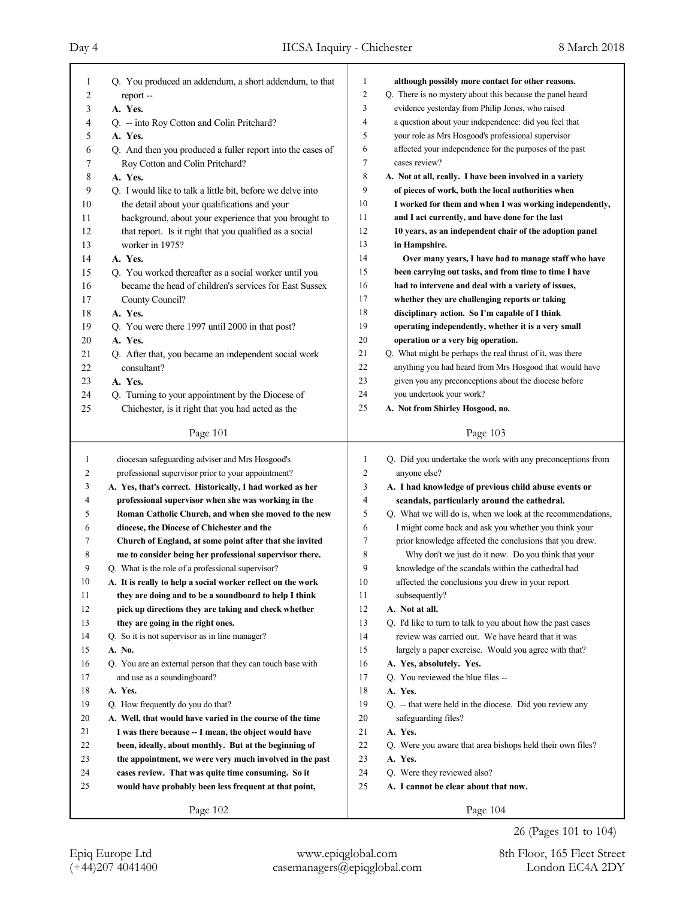| 1              | Q. You produced an addendum, a short addendum, to that      | 1              | although possibly more contact for other reasons.           |
|----------------|-------------------------------------------------------------|----------------|-------------------------------------------------------------|
| $\overline{c}$ | report --                                                   | $\overline{c}$ | Q. There is no mystery about this because the panel heard   |
| 3              | A. Yes.                                                     | 3              | evidence yesterday from Philip Jones, who raised            |
| 4              | Q. -- into Roy Cotton and Colin Pritchard?                  | 4              | a question about your independence: did you feel that       |
| 5              | A. Yes.                                                     | 5              | your role as Mrs Hosgood's professional supervisor          |
| 6              | Q. And then you produced a fuller report into the cases of  | 6              | affected your independence for the purposes of the past     |
| 7              | Roy Cotton and Colin Pritchard?                             | 7              | cases review?                                               |
| 8              | A. Yes.                                                     | 8              | A. Not at all, really. I have been involved in a variety    |
| 9              | Q. I would like to talk a little bit, before we delve into  | 9              | of pieces of work, both the local authorities when          |
| 10             | the detail about your qualifications and your               | 10             | I worked for them and when I was working independently,     |
| 11             | background, about your experience that you brought to       | 11             | and I act currently, and have done for the last             |
| 12             | that report. Is it right that you qualified as a social     | 12             | 10 years, as an independent chair of the adoption panel     |
| 13             | worker in 1975?                                             | 13             | in Hampshire.                                               |
| 14             | A. Yes.                                                     | 14             | Over many years, I have had to manage staff who have        |
| 15             | Q. You worked thereafter as a social worker until you       | 15             | been carrying out tasks, and from time to time I have       |
| 16             | became the head of children's services for East Sussex      | 16             | had to intervene and deal with a variety of issues,         |
| 17             | County Council?                                             | 17             | whether they are challenging reports or taking              |
| 18             | A. Yes.                                                     | 18             | disciplinary action. So I'm capable of I think              |
| 19             | Q. You were there 1997 until 2000 in that post?             | 19             | operating independently, whether it is a very small         |
| 20             | A. Yes.                                                     | 20             | operation or a very big operation.                          |
| 21             | Q. After that, you became an independent social work        | 21             | Q. What might be perhaps the real thrust of it, was there   |
| 22             | consultant?                                                 | 22             | anything you had heard from Mrs Hosgood that would have     |
| 23             | A. Yes.                                                     | 23             | given you any preconceptions about the diocese before       |
| 24             | Q. Turning to your appointment by the Diocese of            | 24             | you undertook your work?                                    |
| 25             | Chichester, is it right that you had acted as the           | 25             | A. Not from Shirley Hosgood, no.                            |
|                |                                                             |                |                                                             |
|                | Page 101                                                    |                | Page 103                                                    |
|                |                                                             |                |                                                             |
|                |                                                             |                |                                                             |
| 1              | diocesan safeguarding adviser and Mrs Hosgood's             | 1              | Q. Did you undertake the work with any preconceptions from  |
| 2              | professional supervisor prior to your appointment?          | 2              | anyone else?                                                |
| 3              | A. Yes, that's correct. Historically, I had worked as her   | 3              | A. I had knowledge of previous child abuse events or        |
| 4              | professional supervisor when she was working in the         | 4              | scandals, particularly around the cathedral.                |
| 5              | Roman Catholic Church, and when she moved to the new        | 5              | Q. What we will do is, when we look at the recommendations, |
| 6              | diocese, the Diocese of Chichester and the                  | 6              | I might come back and ask you whether you think your        |
| 7              | Church of England, at some point after that she invited     | 7              | prior knowledge affected the conclusions that you drew.     |
| 8              | me to consider being her professional supervisor there.     | 8              | Why don't we just do it now. Do you think that your         |
| 9              | Q. What is the role of a professional supervisor?           | 9              | knowledge of the scandals within the cathedral had          |
| 10             | A. It is really to help a social worker reflect on the work | 10             | affected the conclusions you drew in your report            |
| 11             | they are doing and to be a soundboard to help I think       | 11             | subsequently?                                               |
| 12             | pick up directions they are taking and check whether        | 12             | A. Not at all.                                              |
| 13             | they are going in the right ones.                           | 13             | Q. I'd like to turn to talk to you about how the past cases |
| 14             | Q. So it is not supervisor as in line manager?              | 14             | review was carried out. We have heard that it was           |
| 15             | A. No.                                                      | 15             | largely a paper exercise. Would you agree with that?        |
| 16             | Q. You are an external person that they can touch base with | 16             | A. Yes, absolutely. Yes.                                    |
| 17             | and use as a soundingboard?                                 | 17             | Q. You reviewed the blue files --                           |
| 18             | A. Yes.                                                     | 18             | A. Yes.                                                     |
| 19             | Q. How frequently do you do that?                           | 19             | Q. -- that were held in the diocese. Did you review any     |
| 20             | A. Well, that would have varied in the course of the time   | 20             | safeguarding files?                                         |
| 21             | I was there because -- I mean, the object would have        | 21             | A. Yes.                                                     |
| 22             | been, ideally, about monthly. But at the beginning of       | 22             | Q. Were you aware that area bishops held their own files?   |
| 23             | the appointment, we were very much involved in the past     | 23             | A. Yes.                                                     |
| 24             | cases review. That was quite time consuming. So it          | 24             | Q. Were they reviewed also?                                 |
| 25             | would have probably been less frequent at that point,       | 25             | A. I cannot be clear about that now.                        |
|                | Page 102                                                    |                | Page 104                                                    |

26 (Pages 101 to 104)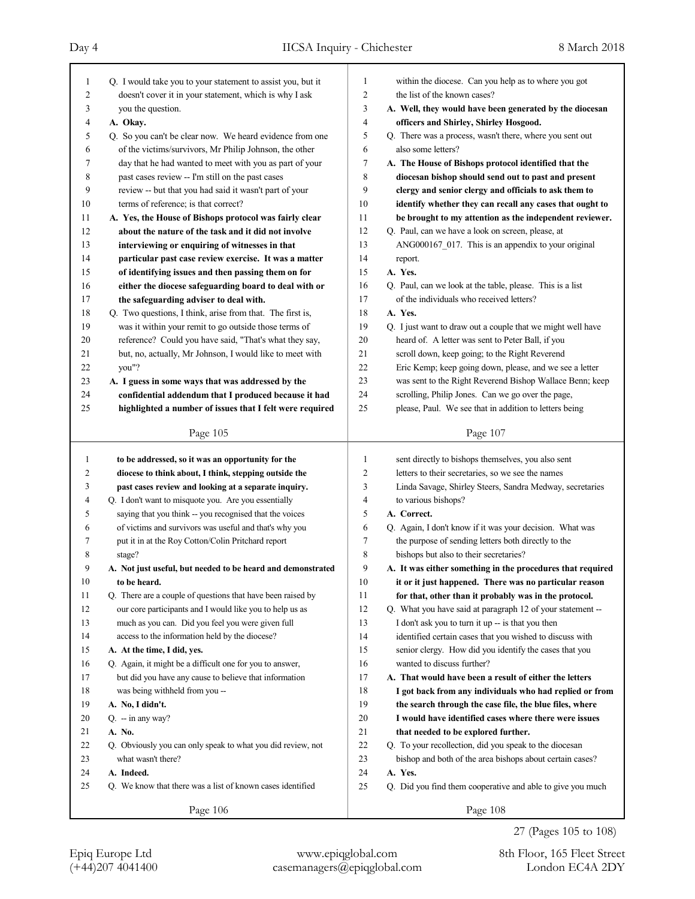| 1              | Q. I would take you to your statement to assist you, but it | $\mathbf{1}$   | within the diocese. Can you help as to where you got        |
|----------------|-------------------------------------------------------------|----------------|-------------------------------------------------------------|
| 2              | doesn't cover it in your statement, which is why I ask      | $\overline{2}$ | the list of the known cases?                                |
| 3              | you the question.                                           | 3              | A. Well, they would have been generated by the diocesan     |
| 4              | A. Okay.                                                    | $\overline{4}$ | officers and Shirley, Shirley Hosgood.                      |
| 5              | Q. So you can't be clear now. We heard evidence from one    | 5              | Q. There was a process, wasn't there, where you sent out    |
| 6              | of the victims/survivors, Mr Philip Johnson, the other      | 6              | also some letters?                                          |
| 7              | day that he had wanted to meet with you as part of your     | 7              | A. The House of Bishops protocol identified that the        |
| 8              | past cases review -- I'm still on the past cases            | 8              | diocesan bishop should send out to past and present         |
| 9              | review -- but that you had said it wasn't part of your      | 9              | clergy and senior clergy and officials to ask them to       |
| 10             | terms of reference; is that correct?                        | 10             | identify whether they can recall any cases that ought to    |
| 11             | A. Yes, the House of Bishops protocol was fairly clear      | 11             | be brought to my attention as the independent reviewer.     |
| 12             | about the nature of the task and it did not involve         | 12             | Q. Paul, can we have a look on screen, please, at           |
| 13             | interviewing or enquiring of witnesses in that              | 13             | ANG000167 017. This is an appendix to your original         |
| 14             | particular past case review exercise. It was a matter       | 14             | report.                                                     |
| 15             | of identifying issues and then passing them on for          | 15             | A. Yes.                                                     |
| 16             | either the diocese safeguarding board to deal with or       | 16             | Q. Paul, can we look at the table, please. This is a list   |
| 17             | the safeguarding adviser to deal with.                      | 17             | of the individuals who received letters?                    |
| 18             | Q. Two questions, I think, arise from that. The first is,   | 18             | A. Yes.                                                     |
| 19             | was it within your remit to go outside those terms of       | 19             | Q. I just want to draw out a couple that we might well have |
| 20             | reference? Could you have said, "That's what they say,      | 20             | heard of. A letter was sent to Peter Ball, if you           |
| 21             | but, no, actually, Mr Johnson, I would like to meet with    | 21             | scroll down, keep going; to the Right Reverend              |
| 22             | you"?                                                       | 22             | Eric Kemp; keep going down, please, and we see a letter     |
| 23             | A. I guess in some ways that was addressed by the           | 23             | was sent to the Right Reverend Bishop Wallace Benn; keep    |
| 24             | confidential addendum that I produced because it had        | 24             | scrolling, Philip Jones. Can we go over the page,           |
| 25             | highlighted a number of issues that I felt were required    | 25             | please, Paul. We see that in addition to letters being      |
|                |                                                             |                |                                                             |
|                | Page 105                                                    |                | Page 107                                                    |
|                |                                                             |                |                                                             |
|                |                                                             |                |                                                             |
| $\mathbf{1}$   | to be addressed, so it was an opportunity for the           | $\mathbf{1}$   | sent directly to bishops themselves, you also sent          |
| $\overline{c}$ | diocese to think about, I think, stepping outside the       | $\overline{2}$ | letters to their secretaries, so we see the names           |
| 3              | past cases review and looking at a separate inquiry.        | 3              | Linda Savage, Shirley Steers, Sandra Medway, secretaries    |
| 4              | Q. I don't want to misquote you. Are you essentially        | $\overline{4}$ | to various bishops?                                         |
| 5              | saying that you think -- you recognised that the voices     | 5              | A. Correct.                                                 |
| 6              | of victims and survivors was useful and that's why you      | 6              | Q. Again, I don't know if it was your decision. What was    |
| 7              | put it in at the Roy Cotton/Colin Pritchard report          | 7              | the purpose of sending letters both directly to the         |
| 8              | stage?                                                      | 8              | bishops but also to their secretaries?                      |
| 9              | A. Not just useful, but needed to be heard and demonstrated | 9              | A. It was either something in the procedures that required  |
| 10             | to be heard.                                                | 10             | it or it just happened. There was no particular reason      |
| 11             | Q. There are a couple of questions that have been raised by | 11             | for that, other than it probably was in the protocol.       |
| 12             | our core participants and I would like you to help us as    | 12             | Q. What you have said at paragraph 12 of your statement --  |
| 13             | much as you can. Did you feel you were given full           | 13             | I don't ask you to turn it up -- is that you then           |
| 14             | access to the information held by the diocese?              | 14             | identified certain cases that you wished to discuss with    |
| 15             | A. At the time, I did, yes.                                 | 15             | senior clergy. How did you identify the cases that you      |
| 16             | Q. Again, it might be a difficult one for you to answer,    | 16             | wanted to discuss further?                                  |
| 17             | but did you have any cause to believe that information      | 17             | A. That would have been a result of either the letters      |
| 18             | was being withheld from you --                              | 18             | I got back from any individuals who had replied or from     |
| 19             | A. No, I didn't.                                            | 19             | the search through the case file, the blue files, where     |
| 20             | $Q. - in any way?$                                          | 20             | I would have identified cases where there were issues       |
| 21             | A. No.                                                      | 21             | that needed to be explored further.                         |
| 22             | Q. Obviously you can only speak to what you did review, not | $22\,$         | Q. To your recollection, did you speak to the diocesan      |
| 23             | what wasn't there?                                          | 23             | bishop and both of the area bishops about certain cases?    |
| 24             | A. Indeed.                                                  | 24             | A. Yes.                                                     |
| 25             | Q. We know that there was a list of known cases identified  | 25             | Q. Did you find them cooperative and able to give you much  |

27 (Pages 105 to 108)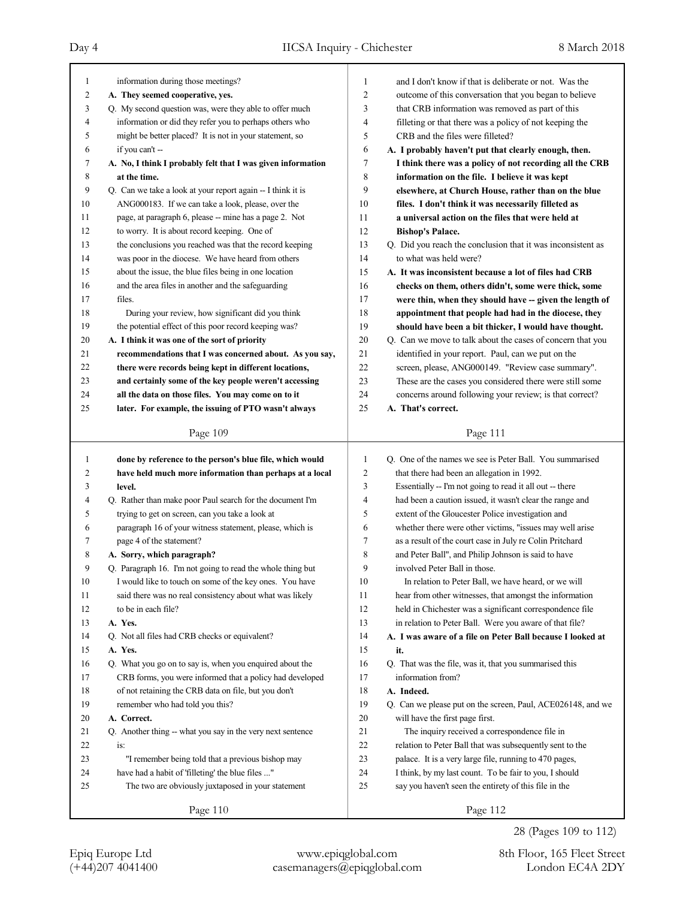# Day 4 IICSA Inquiry - Chichester 8 March 2018

т

| 1        | information during those meetings?                                                                           | 1                       | and I don't know if that is deliberate or not. Was the                                                               |
|----------|--------------------------------------------------------------------------------------------------------------|-------------------------|----------------------------------------------------------------------------------------------------------------------|
| 2        | A. They seemed cooperative, yes.                                                                             | 2                       | outcome of this conversation that you began to believe                                                               |
| 3        | Q. My second question was, were they able to offer much                                                      | 3                       | that CRB information was removed as part of this                                                                     |
| 4        | information or did they refer you to perhaps others who                                                      | $\overline{4}$          | filleting or that there was a policy of not keeping the                                                              |
| 5        | might be better placed? It is not in your statement, so                                                      | 5                       | CRB and the files were filleted?                                                                                     |
| 6        | if you can't --                                                                                              | 6                       | A. I probably haven't put that clearly enough, then.                                                                 |
| 7        | A. No, I think I probably felt that I was given information                                                  | $\tau$                  | I think there was a policy of not recording all the CRB                                                              |
| 8        | at the time.                                                                                                 | 8                       | information on the file. I believe it was kept                                                                       |
| 9        | Q. Can we take a look at your report again -- I think it is                                                  | 9                       | elsewhere, at Church House, rather than on the blue                                                                  |
| 10       | ANG000183. If we can take a look, please, over the                                                           | 10                      |                                                                                                                      |
|          |                                                                                                              |                         | files. I don't think it was necessarily filleted as                                                                  |
| 11<br>12 | page, at paragraph 6, please -- mine has a page 2. Not                                                       | 11                      | a universal action on the files that were held at                                                                    |
|          | to worry. It is about record keeping. One of                                                                 | 12                      | <b>Bishop's Palace.</b>                                                                                              |
| 13       | the conclusions you reached was that the record keeping                                                      | 13                      | Q. Did you reach the conclusion that it was inconsistent as                                                          |
| 14       | was poor in the diocese. We have heard from others                                                           | 14                      | to what was held were?                                                                                               |
| 15       | about the issue, the blue files being in one location                                                        | 15                      | A. It was inconsistent because a lot of files had CRB                                                                |
| 16       | and the area files in another and the safeguarding                                                           | 16                      | checks on them, others didn't, some were thick, some                                                                 |
| 17       | files.                                                                                                       | 17                      | were thin, when they should have -- given the length of                                                              |
| 18       | During your review, how significant did you think                                                            | 18                      | appointment that people had had in the diocese, they                                                                 |
| 19       | the potential effect of this poor record keeping was?                                                        | 19                      | should have been a bit thicker, I would have thought.                                                                |
| $20\,$   | A. I think it was one of the sort of priority                                                                | 20                      | Q. Can we move to talk about the cases of concern that you                                                           |
| 21       | recommendations that I was concerned about. As you say,                                                      | 21                      | identified in your report. Paul, can we put on the                                                                   |
| 22       | there were records being kept in different locations,                                                        | 22                      | screen, please, ANG000149. "Review case summary".                                                                    |
| 23       | and certainly some of the key people weren't accessing                                                       | 23                      | These are the cases you considered there were still some                                                             |
| 24       | all the data on those files. You may come on to it                                                           | 24                      | concerns around following your review; is that correct?                                                              |
| 25       | later. For example, the issuing of PTO wasn't always                                                         | 25                      | A. That's correct.                                                                                                   |
|          |                                                                                                              |                         |                                                                                                                      |
|          | Page 109                                                                                                     |                         | Page 111                                                                                                             |
|          |                                                                                                              |                         |                                                                                                                      |
| 1        | done by reference to the person's blue file, which would                                                     | 1                       | Q. One of the names we see is Peter Ball. You summarised                                                             |
| 2        | have held much more information than perhaps at a local                                                      | $\overline{\mathbf{c}}$ | that there had been an allegation in 1992.                                                                           |
| 3        | level.                                                                                                       | 3                       |                                                                                                                      |
| 4        |                                                                                                              | 4                       | Essentially -- I'm not going to read it all out -- there<br>had been a caution issued, it wasn't clear the range and |
| 5        | Q. Rather than make poor Paul search for the document I'm<br>trying to get on screen, can you take a look at | 5                       | extent of the Gloucester Police investigation and                                                                    |
| 6        |                                                                                                              | 6                       |                                                                                                                      |
| 7        | paragraph 16 of your witness statement, please, which is                                                     | 7                       | whether there were other victims, "issues may well arise                                                             |
|          | page 4 of the statement?                                                                                     | 8                       | as a result of the court case in July re Colin Pritchard                                                             |
| 8<br>9   | A. Sorry, which paragraph?                                                                                   | 9                       | and Peter Ball", and Philip Johnson is said to have                                                                  |
|          | Q. Paragraph 16. I'm not going to read the whole thing but                                                   |                         | involved Peter Ball in those.                                                                                        |
| $10\,$   | I would like to touch on some of the key ones. You have                                                      | 10                      | In relation to Peter Ball, we have heard, or we will                                                                 |
| 11       | said there was no real consistency about what was likely                                                     | 11                      | hear from other witnesses, that amongst the information                                                              |
| 12       | to be in each file?                                                                                          | 12                      | held in Chichester was a significant correspondence file                                                             |
| 13       | A. Yes.                                                                                                      | 13                      | in relation to Peter Ball. Were you aware of that file?                                                              |
| 14       | Q. Not all files had CRB checks or equivalent?                                                               | 14                      | A. I was aware of a file on Peter Ball because I looked at                                                           |
| 15       | A. Yes.                                                                                                      | 15                      | it.                                                                                                                  |
| 16       | Q. What you go on to say is, when you enquired about the                                                     | 16                      | Q. That was the file, was it, that you summarised this                                                               |
| 17       | CRB forms, you were informed that a policy had developed                                                     | 17                      | information from?                                                                                                    |
| 18       | of not retaining the CRB data on file, but you don't                                                         | 18                      | A. Indeed.                                                                                                           |
| 19       | remember who had told you this?                                                                              | 19                      | Q. Can we please put on the screen, Paul, ACE026148, and we                                                          |
| $20\,$   | A. Correct.                                                                                                  | 20                      | will have the first page first.                                                                                      |
| 21       | Q. Another thing -- what you say in the very next sentence                                                   | 21                      | The inquiry received a correspondence file in                                                                        |
| 22       | is:                                                                                                          | 22                      | relation to Peter Ball that was subsequently sent to the                                                             |
| 23       | "I remember being told that a previous bishop may                                                            | 23                      | palace. It is a very large file, running to 470 pages,                                                               |
| 24       | have had a habit of 'filleting' the blue files "                                                             | 24                      | I think, by my last count. To be fair to you, I should                                                               |
| 25       | The two are obviously juxtaposed in your statement                                                           | 25                      | say you haven't seen the entirety of this file in the                                                                |

(+44)207 4041400 casemanagers@epiqglobal.com London EC4A 2DY Epiq Europe Ltd www.epiqglobal.com 8th Floor, 165 Fleet Street

28 (Pages 109 to 112)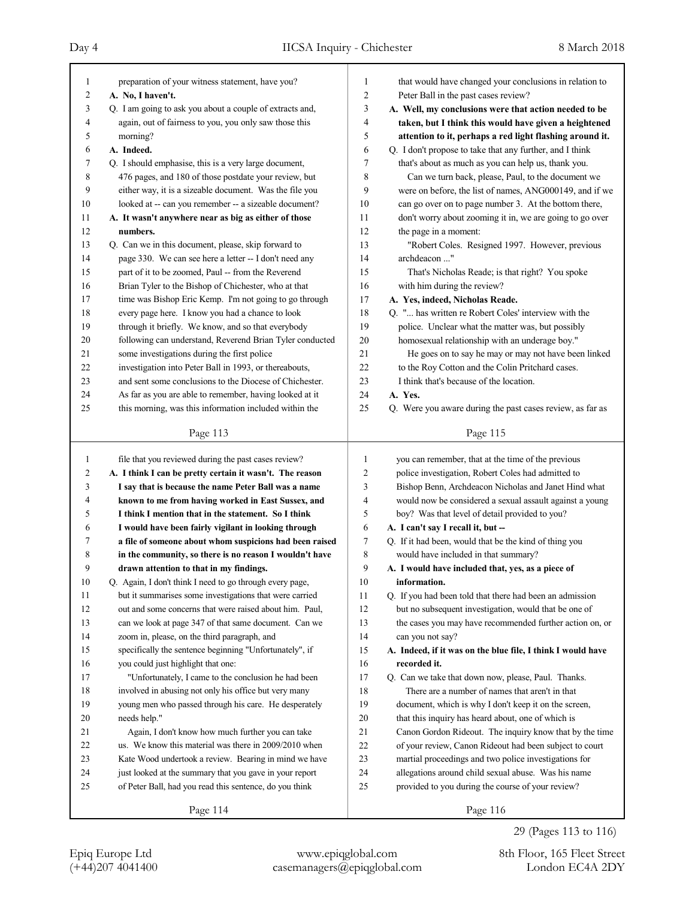| $\mathbf{1}$     | preparation of your witness statement, have you?         | 1                       | that would have changed your conclusions in relation to     |
|------------------|----------------------------------------------------------|-------------------------|-------------------------------------------------------------|
| $\boldsymbol{2}$ | A. No, I haven't.                                        | $\overline{c}$          | Peter Ball in the past cases review?                        |
| 3                | Q. I am going to ask you about a couple of extracts and, | 3                       | A. Well, my conclusions were that action needed to be       |
| 4                | again, out of fairness to you, you only saw those this   | 4                       | taken, but I think this would have given a heightened       |
| 5                | morning?                                                 | 5                       | attention to it, perhaps a red light flashing around it.    |
| 6                | A. Indeed.                                               | 6                       | Q. I don't propose to take that any further, and I think    |
| 7                | Q. I should emphasise, this is a very large document,    | 7                       | that's about as much as you can help us, thank you.         |
| 8                | 476 pages, and 180 of those postdate your review, but    | 8                       | Can we turn back, please, Paul, to the document we          |
| 9                | either way, it is a sizeable document. Was the file you  | 9                       | were on before, the list of names, ANG000149, and if we     |
| $10\,$           | looked at -- can you remember -- a sizeable document?    | 10                      | can go over on to page number 3. At the bottom there,       |
| 11               | A. It wasn't anywhere near as big as either of those     | 11                      | don't worry about zooming it in, we are going to go over    |
| 12               | numbers.                                                 | 12                      | the page in a moment:                                       |
| 13               | Q. Can we in this document, please, skip forward to      | 13                      | "Robert Coles. Resigned 1997. However, previous             |
| 14               | page 330. We can see here a letter -- I don't need any   | 14                      | archdeacon "                                                |
| 15               | part of it to be zoomed, Paul -- from the Reverend       | 15                      | That's Nicholas Reade; is that right? You spoke             |
| 16               | Brian Tyler to the Bishop of Chichester, who at that     | 16                      | with him during the review?                                 |
| 17               | time was Bishop Eric Kemp. I'm not going to go through   | 17                      | A. Yes, indeed, Nicholas Reade.                             |
| 18               | every page here. I know you had a chance to look         | 18                      | Q. " has written re Robert Coles' interview with the        |
| 19               | through it briefly. We know, and so that everybody       | 19                      | police. Unclear what the matter was, but possibly           |
| 20               | following can understand, Reverend Brian Tyler conducted | 20                      | homosexual relationship with an underage boy."              |
| 21               | some investigations during the first police              | 21                      | He goes on to say he may or may not have been linked        |
| 22               | investigation into Peter Ball in 1993, or thereabouts,   | 22                      | to the Roy Cotton and the Colin Pritchard cases.            |
| 23               | and sent some conclusions to the Diocese of Chichester.  | 23                      | I think that's because of the location.                     |
| 24               | As far as you are able to remember, having looked at it  | 24                      | A. Yes.                                                     |
| 25               | this morning, was this information included within the   | 25                      | Q. Were you aware during the past cases review, as far as   |
|                  |                                                          |                         |                                                             |
|                  | Page 113                                                 |                         | Page 115                                                    |
|                  |                                                          |                         |                                                             |
|                  |                                                          |                         |                                                             |
| 1                | file that you reviewed during the past cases review?     | 1                       | you can remember, that at the time of the previous          |
| 2                | A. I think I can be pretty certain it wasn't. The reason | $\overline{\mathbf{c}}$ | police investigation, Robert Coles had admitted to          |
| 3                | I say that is because the name Peter Ball was a name     | 3                       | Bishop Benn, Archdeacon Nicholas and Janet Hind what        |
| 4                | known to me from having worked in East Sussex, and       | 4                       | would now be considered a sexual assault against a young    |
| 5                | I think I mention that in the statement. So I think      | 5                       | boy? Was that level of detail provided to you?              |
| 6                | I would have been fairly vigilant in looking through     | 6                       | A. I can't say I recall it, but --                          |
| 7                | a file of someone about whom suspicions had been raised  | 7                       | Q. If it had been, would that be the kind of thing you      |
| 8                | in the community, so there is no reason I wouldn't have  | 8                       | would have included in that summary?                        |
| 9                | drawn attention to that in my findings.                  | 9                       | A. I would have included that, yes, as a piece of           |
| 10               | Q. Again, I don't think I need to go through every page, | 10                      | information.                                                |
| 11               | but it summarises some investigations that were carried  | 11                      | Q. If you had been told that there had been an admission    |
| 12               | out and some concerns that were raised about him. Paul,  | 12                      | but no subsequent investigation, would that be one of       |
| 13               | can we look at page 347 of that same document. Can we    | 13                      | the cases you may have recommended further action on, or    |
| 14               | zoom in, please, on the third paragraph, and             | 14                      | can you not say?                                            |
| 15               | specifically the sentence beginning "Unfortunately", if  | 15                      | A. Indeed, if it was on the blue file, I think I would have |
| 16               | you could just highlight that one:                       | 16                      | recorded it.                                                |
| 17               | "Unfortunately, I came to the conclusion he had been     | 17                      | Q. Can we take that down now, please, Paul. Thanks.         |
| 18               | involved in abusing not only his office but very many    | 18                      | There are a number of names that aren't in that             |
| 19               | young men who passed through his care. He desperately    | 19                      | document, which is why I don't keep it on the screen,       |
| 20               | needs help."                                             | 20                      | that this inquiry has heard about, one of which is          |
| 21               | Again, I don't know how much further you can take        | 21                      | Canon Gordon Rideout. The inquiry know that by the time     |
| 22               | us. We know this material was there in 2009/2010 when    | $22\,$                  | of your review, Canon Rideout had been subject to court     |
| 23               | Kate Wood undertook a review. Bearing in mind we have    | 23                      | martial proceedings and two police investigations for       |
| 24               | just looked at the summary that you gave in your report  | 24                      | allegations around child sexual abuse. Was his name         |
| 25               | of Peter Ball, had you read this sentence, do you think  | 25                      | provided to you during the course of your review?           |
|                  | Page 114                                                 |                         | Page 116                                                    |

29 (Pages 113 to 116)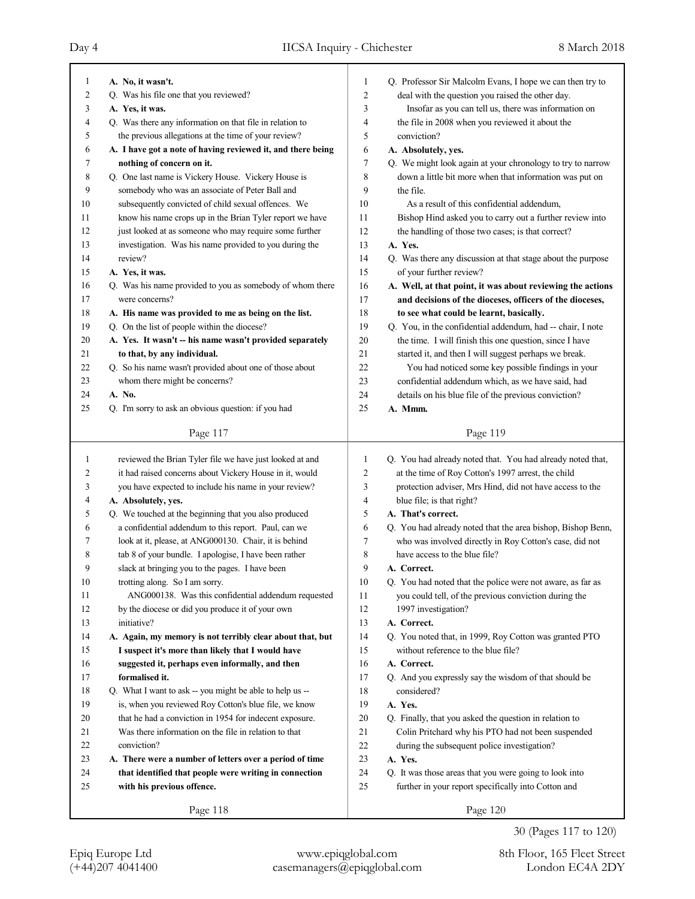| 1  | A. No, it wasn't.                                           | 1      | Q. Professor Sir Malcolm Evans, I hope we can then try to   |
|----|-------------------------------------------------------------|--------|-------------------------------------------------------------|
| 2  | Q. Was his file one that you reviewed?                      | 2      | deal with the question you raised the other day.            |
| 3  | A. Yes, it was.                                             | 3      | Insofar as you can tell us, there was information on        |
| 4  | Q. Was there any information on that file in relation to    | 4      | the file in 2008 when you reviewed it about the             |
| 5  | the previous allegations at the time of your review?        | 5      | conviction?                                                 |
| 6  | A. I have got a note of having reviewed it, and there being | 6      | A. Absolutely, yes.                                         |
| 7  | nothing of concern on it.                                   | 7      | Q. We might look again at your chronology to try to narrow  |
| 8  | Q. One last name is Vickery House. Vickery House is         | 8      | down a little bit more when that information was put on     |
| 9  | somebody who was an associate of Peter Ball and             | 9      | the file.                                                   |
| 10 | subsequently convicted of child sexual offences. We         | 10     | As a result of this confidential addendum,                  |
| 11 | know his name crops up in the Brian Tyler report we have    | 11     | Bishop Hind asked you to carry out a further review into    |
| 12 | just looked at as someone who may require some further      | 12     | the handling of those two cases; is that correct?           |
| 13 | investigation. Was his name provided to you during the      | 13     | A. Yes.                                                     |
| 14 | review?                                                     | 14     | Q. Was there any discussion at that stage about the purpose |
| 15 | A. Yes, it was.                                             | 15     | of your further review?                                     |
| 16 | Q. Was his name provided to you as somebody of whom there   | 16     | A. Well, at that point, it was about reviewing the actions  |
| 17 | were concerns?                                              | 17     | and decisions of the dioceses, officers of the dioceses,    |
| 18 | A. His name was provided to me as being on the list.        | 18     | to see what could be learnt, basically.                     |
| 19 | Q. On the list of people within the diocese?                | 19     | Q. You, in the confidential addendum, had -- chair, I note  |
| 20 | A. Yes. It wasn't -- his name wasn't provided separately    | 20     | the time. I will finish this one question, since I have     |
| 21 | to that, by any individual.                                 | 21     | started it, and then I will suggest perhaps we break.       |
| 22 | Q. So his name wasn't provided about one of those about     | 22     | You had noticed some key possible findings in your          |
| 23 | whom there might be concerns?                               | 23     | confidential addendum which, as we have said, had           |
| 24 | A. No.                                                      | 24     | details on his blue file of the previous conviction?        |
| 25 | Q. I'm sorry to ask an obvious question: if you had         | 25     | A. Mmm.                                                     |
|    |                                                             |        |                                                             |
|    | Page 117                                                    |        | Page 119                                                    |
|    |                                                             |        |                                                             |
|    |                                                             |        |                                                             |
| 1  | reviewed the Brian Tyler file we have just looked at and    | 1      | Q. You had already noted that. You had already noted that,  |
| 2  | it had raised concerns about Vickery House in it, would     | 2      | at the time of Roy Cotton's 1997 arrest, the child          |
| 3  | you have expected to include his name in your review?       | 3      | protection adviser, Mrs Hind, did not have access to the    |
| 4  | A. Absolutely, yes.                                         | 4      | blue file; is that right?                                   |
| 5  | Q. We touched at the beginning that you also produced       | 5      | A. That's correct.                                          |
| 6  | a confidential addendum to this report. Paul, can we        | 6      | Q. You had already noted that the area bishop, Bishop Benn, |
| 7  | look at it, please, at ANG000130. Chair, it is behind       | 7      | who was involved directly in Roy Cotton's case, did not     |
| 8  | tab 8 of your bundle. I apologise, I have been rather       | 8      | have access to the blue file?                               |
| 9  | slack at bringing you to the pages. I have been             | 9      | A. Correct.                                                 |
| 10 | trotting along. So I am sorry.                              | $10$   | Q. You had noted that the police were not aware, as far as  |
| 11 | ANG000138. Was this confidential addendum requested         | 11     | you could tell, of the previous conviction during the       |
| 12 | by the diocese or did you produce it of your own            | 12     | 1997 investigation?                                         |
| 13 | initiative?                                                 | 13     | A. Correct.                                                 |
| 14 | A. Again, my memory is not terribly clear about that, but   | 14     | Q. You noted that, in 1999, Roy Cotton was granted PTO      |
| 15 | I suspect it's more than likely that I would have           | 15     | without reference to the blue file?                         |
| 16 | suggested it, perhaps even informally, and then             | 16     | A. Correct.                                                 |
| 17 | formalised it.                                              | 17     | Q. And you expressly say the wisdom of that should be       |
| 18 | Q. What I want to ask -- you might be able to help us --    | 18     | considered?                                                 |
| 19 | is, when you reviewed Roy Cotton's blue file, we know       | 19     | A. Yes.                                                     |
| 20 | that he had a conviction in 1954 for indecent exposure.     | $20\,$ | Q. Finally, that you asked the question in relation to      |
| 21 | Was there information on the file in relation to that       | 21     | Colin Pritchard why his PTO had not been suspended          |
| 22 | conviction?                                                 | $22\,$ | during the subsequent police investigation?                 |
| 23 | A. There were a number of letters over a period of time     | 23     | A. Yes.                                                     |
| 24 | that identified that people were writing in connection      | 24     | Q. It was those areas that you were going to look into      |
| 25 | with his previous offence.                                  | 25     | further in your report specifically into Cotton and         |
|    | Page 118                                                    |        | Page 120                                                    |

30 (Pages 117 to 120)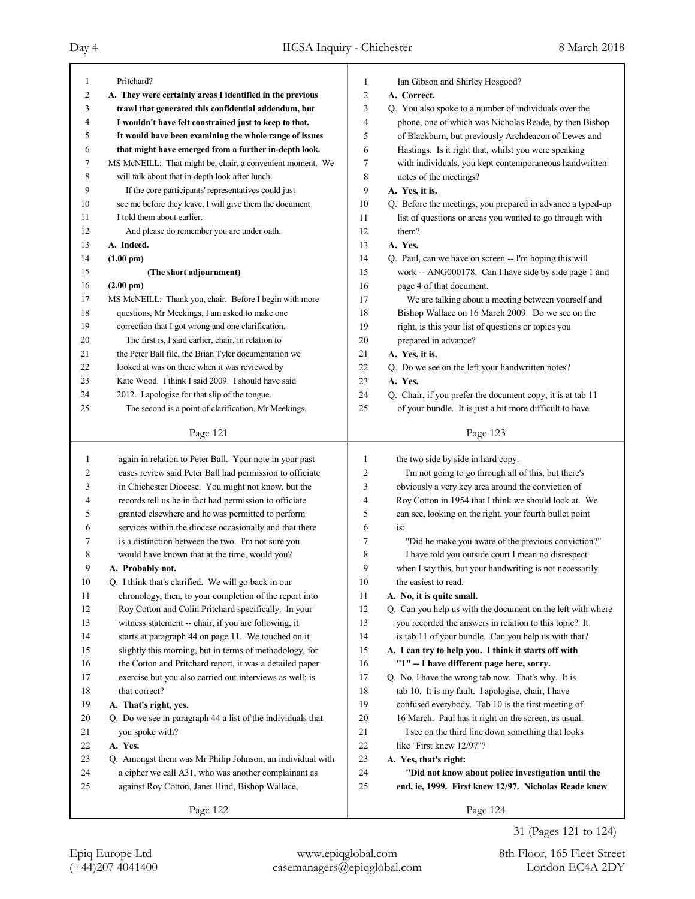٦

| 1  | Pritchard?                                                  | 1              | Ian Gibson and Shirley Hosgood?                                   |
|----|-------------------------------------------------------------|----------------|-------------------------------------------------------------------|
| 2  | A. They were certainly areas I identified in the previous   | $\overline{c}$ | A. Correct.                                                       |
| 3  | trawl that generated this confidential addendum, but        | 3              | Q. You also spoke to a number of individuals over the             |
| 4  | I wouldn't have felt constrained just to keep to that.      | 4              | phone, one of which was Nicholas Reade, by then Bishop            |
| 5  | It would have been examining the whole range of issues      | 5              | of Blackburn, but previously Archdeacon of Lewes and              |
| 6  | that might have emerged from a further in-depth look.       | 6              | Hastings. Is it right that, whilst you were speaking              |
| 7  | MS McNEILL: That might be, chair, a convenient moment. We   | 7              | with individuals, you kept contemporaneous handwritten            |
| 8  | will talk about that in-depth look after lunch.             | 8              | notes of the meetings?                                            |
| 9  | If the core participants' representatives could just        | 9              | A. Yes, it is.                                                    |
| 10 | see me before they leave, I will give them the document     | 10             | Q. Before the meetings, you prepared in advance a typed-up        |
| 11 | I told them about earlier.                                  | 11             |                                                                   |
|    |                                                             |                | list of questions or areas you wanted to go through with<br>them? |
| 12 | And please do remember you are under oath.                  | 12             | A. Yes.                                                           |
| 13 | A. Indeed.                                                  | 13             |                                                                   |
| 14 | $(1.00 \text{ pm})$                                         | 14             | Q. Paul, can we have on screen -- I'm hoping this will            |
| 15 | (The short adjournment)                                     | 15             | work -- ANG000178. Can I have side by side page 1 and             |
| 16 | $(2.00 \text{ pm})$                                         | 16             | page 4 of that document.                                          |
| 17 | MS McNEILL: Thank you, chair. Before I begin with more      | 17             | We are talking about a meeting between yourself and               |
| 18 | questions, Mr Meekings, I am asked to make one              | 18             | Bishop Wallace on 16 March 2009. Do we see on the                 |
| 19 | correction that I got wrong and one clarification.          | 19             | right, is this your list of questions or topics you               |
| 20 | The first is, I said earlier, chair, in relation to         | 20             | prepared in advance?                                              |
| 21 | the Peter Ball file, the Brian Tyler documentation we       | 21             | A. Yes, it is.                                                    |
| 22 | looked at was on there when it was reviewed by              | 22             | Q. Do we see on the left your handwritten notes?                  |
| 23 | Kate Wood. I think I said 2009. I should have said          | 23             | A. Yes.                                                           |
| 24 | 2012. I apologise for that slip of the tongue.              | 24             | Q. Chair, if you prefer the document copy, it is at tab 11        |
| 25 | The second is a point of clarification, Mr Meekings,        | 25             | of your bundle. It is just a bit more difficult to have           |
|    |                                                             |                |                                                                   |
|    | Page 121                                                    |                | Page 123                                                          |
|    |                                                             |                |                                                                   |
|    |                                                             |                |                                                                   |
| 1  | again in relation to Peter Ball. Your note in your past     | 1              | the two side by side in hard copy.                                |
| 2  | cases review said Peter Ball had permission to officiate    | 2              | I'm not going to go through all of this, but there's              |
| 3  | in Chichester Diocese. You might not know, but the          | 3              | obviously a very key area around the conviction of                |
| 4  | records tell us he in fact had permission to officiate      | 4              | Roy Cotton in 1954 that I think we should look at. We             |
| 5  | granted elsewhere and he was permitted to perform           | 5              | can see, looking on the right, your fourth bullet point           |
| 6  | services within the diocese occasionally and that there     | 6              | is:                                                               |
| 7  | is a distinction between the two. I'm not sure you          | 7              | "Did he make you aware of the previous conviction?"               |
| 8  | would have known that at the time, would you?               | 8              | I have told you outside court I mean no disrespect                |
| 9  | A. Probably not.                                            | 9              | when I say this, but your handwriting is not necessarily          |
| 10 | Q. I think that's clarified. We will go back in our         | $10\,$         | the easiest to read.                                              |
| 11 | chronology, then, to your completion of the report into     | 11             | A. No, it is quite small.                                         |
| 12 | Roy Cotton and Colin Pritchard specifically. In your        | 12             | Q. Can you help us with the document on the left with where       |
| 13 | witness statement -- chair, if you are following, it        | 13             | you recorded the answers in relation to this topic? It            |
| 14 | starts at paragraph 44 on page 11. We touched on it         | 14             | is tab 11 of your bundle. Can you help us with that?              |
| 15 | slightly this morning, but in terms of methodology, for     | 15             | A. I can try to help you. I think it starts off with              |
| 16 | the Cotton and Pritchard report, it was a detailed paper    | 16             | "1" -- I have different page here, sorry.                         |
| 17 | exercise but you also carried out interviews as well; is    | 17             | Q. No, I have the wrong tab now. That's why. It is                |
| 18 | that correct?                                               | 18             | tab 10. It is my fault. I apologise, chair, I have                |
| 19 | A. That's right, yes.                                       | 19             | confused everybody. Tab 10 is the first meeting of                |
| 20 | Q. Do we see in paragraph 44 a list of the individuals that | 20             | 16 March. Paul has it right on the screen, as usual.              |
| 21 | you spoke with?                                             | 21             | I see on the third line down something that looks                 |
| 22 | A. Yes.                                                     | $22\,$         | like "First knew 12/97"?                                          |
| 23 | Q. Amongst them was Mr Philip Johnson, an individual with   | 23             | A. Yes, that's right:                                             |
| 24 | a cipher we call A31, who was another complainant as        | 24             | "Did not know about police investigation until the                |
| 25 | against Roy Cotton, Janet Hind, Bishop Wallace,             | 25             | end, ie, 1999. First knew 12/97. Nicholas Reade knew              |
|    | Page 122                                                    |                | Page 124                                                          |

(+44)207 4041400 casemanagers@epiqglobal.com London EC4A 2DY Epiq Europe Ltd www.epiqglobal.com 8th Floor, 165 Fleet Street

31 (Pages 121 to 124)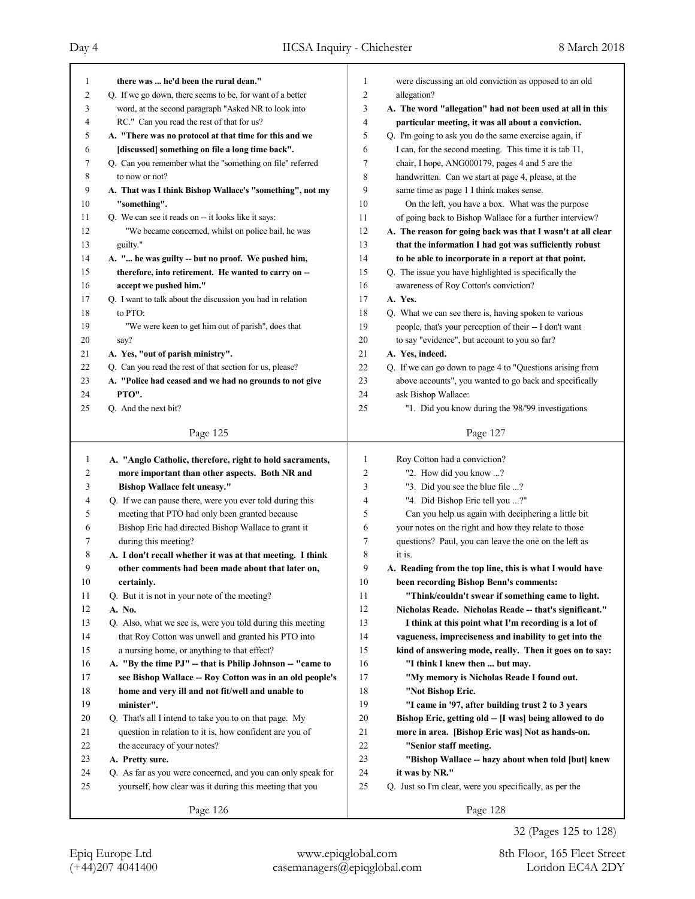Day 4 IICSA Inquiry - Chichester 8 March 2018

Page 125 1 **there was ... he'd been the rural dean."** 2 Q. If we go down, there seems to be, for want of a better 3 word, at the second paragraph "Asked NR to look into 4 RC." Can you read the rest of that for us? 5 **A. "There was no protocol at that time for this and we** 6 **[discussed] something on file a long time back".** 7 Q. Can you remember what the "something on file" referred 8 to now or not? 9 **A. That was I think Bishop Wallace's "something", not my** 10 **"something".** 11 Q. We can see it reads on -- it looks like it says: 12 "We became concerned, whilst on police bail, he was 13 guilty." 14 **A. "... he was guilty -- but no proof. We pushed him,** 15 **therefore, into retirement. He wanted to carry on --** 16 **accept we pushed him."** 17 Q. I want to talk about the discussion you had in relation 18 to PTO: 19 "We were keen to get him out of parish", does that 20 say? 21 **A. Yes, "out of parish ministry".** 22 Q. Can you read the rest of that section for us, please? 23 **A. "Police had ceased and we had no grounds to not give** 24 **PTO".** 25 Q. And the next bit? Page 126 1 **A. "Anglo Catholic, therefore, right to hold sacraments,** 2 **more important than other aspects. Both NR and** 3 **Bishop Wallace felt uneasy."** 4 Q. If we can pause there, were you ever told during this 5 meeting that PTO had only been granted because 6 Bishop Eric had directed Bishop Wallace to grant it 7 during this meeting? 8 **A. I don't recall whether it was at that meeting. I think** 9 **other comments had been made about that later on,** 10 **certainly.** 11 Q. But it is not in your note of the meeting? 12 **A. No.** 13 Q. Also, what we see is, were you told during this meeting 14 that Roy Cotton was unwell and granted his PTO into 15 a nursing home, or anything to that effect? 16 **A. "By the time PJ" -- that is Philip Johnson -- "came to** 17 **see Bishop Wallace -- Roy Cotton was in an old people's** 18 **home and very ill and not fit/well and unable to** 19 **minister".** 20 Q. That's all I intend to take you to on that page. My 21 question in relation to it is, how confident are you of 22 the accuracy of your notes? 23 **A. Pretty sure.** 24 Q. As far as you were concerned, and you can only speak for 25 yourself, how clear was it during this meeting that you Page 127 1 were discussing an old conviction as opposed to an old 2 allegation? 3 **A. The word "allegation" had not been used at all in this** 4 **particular meeting, it was all about a conviction.** 5 Q. I'm going to ask you do the same exercise again, if 6 I can, for the second meeting. This time it is tab 11, 7 chair, I hope, ANG000179, pages 4 and 5 are the 8 handwritten. Can we start at page 4, please, at the 9 same time as page 1 I think makes sense. 10 On the left, you have a box. What was the purpose 11 of going back to Bishop Wallace for a further interview? 12 **A. The reason for going back was that I wasn't at all clear** 13 **that the information I had got was sufficiently robust** 14 **to be able to incorporate in a report at that point.** 15 Q. The issue you have highlighted is specifically the 16 awareness of Roy Cotton's conviction? 17 **A. Yes.** 18 Q. What we can see there is, having spoken to various 19 people, that's your perception of their -- I don't want 20 to say "evidence", but account to you so far? 21 **A. Yes, indeed.** 22 Q. If we can go down to page 4 to "Questions arising from 23 above accounts", you wanted to go back and specifically 24 ask Bishop Wallace: 25 "1. Did you know during the '98/'99 investigations Page 128 1 Roy Cotton had a conviction? 2 "2. How did you know ...? 3 "3. Did you see the blue file ...? 4 "4. Did Bishop Eric tell you ...?" 5 Can you help us again with deciphering a little bit 6 your notes on the right and how they relate to those 7 questions? Paul, you can leave the one on the left as 8 it is. 9 **A. Reading from the top line, this is what I would have** 10 **been recording Bishop Benn's comments:** 11 **"Think/couldn't swear if something came to light.** 12 **Nicholas Reade. Nicholas Reade -- that's significant."** 13 **I think at this point what I'm recording is a lot of** 14 **vagueness, impreciseness and inability to get into the** 15 **kind of answering mode, really. Then it goes on to say:** 16 **"I think I knew then ... but may.** 17 **"My memory is Nicholas Reade I found out.** 18 **"Not Bishop Eric.** 19 **"I came in '97, after building trust 2 to 3 years** 20 **Bishop Eric, getting old -- [I was] being allowed to do** 21 **more in area. [Bishop Eric was] Not as hands-on.** 22 **"Senior staff meeting.** 23 **"Bishop Wallace -- hazy about when told [but] knew** 24 **it was by NR."** 25 Q. Just so I'm clear, were you specifically, as per the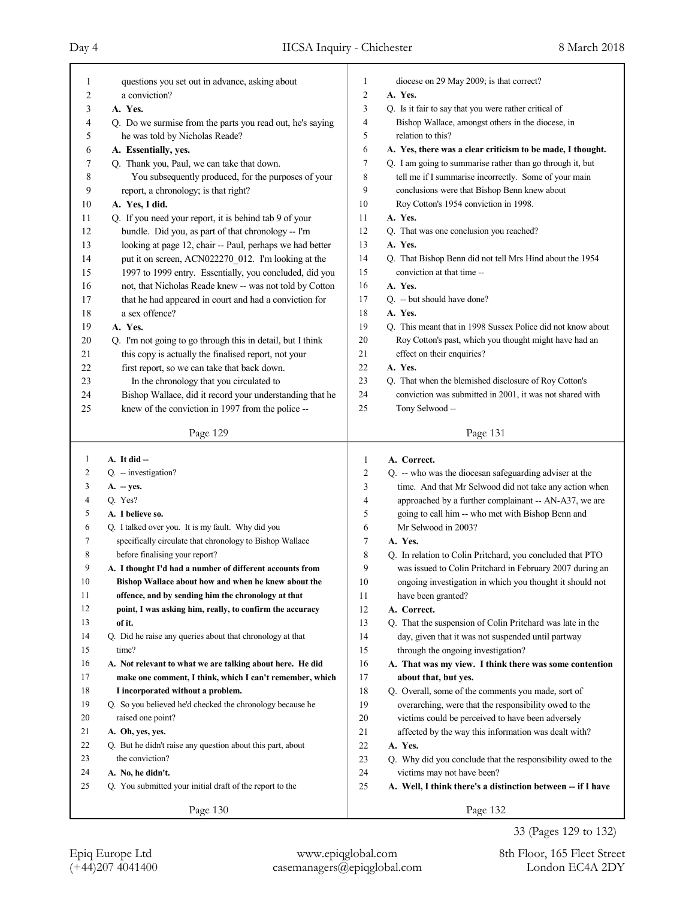| 1              | questions you set out in advance, asking about             | 1              | diocese on 29 May 2009; is that correct?                                 |
|----------------|------------------------------------------------------------|----------------|--------------------------------------------------------------------------|
| $\overline{c}$ | a conviction?                                              | $\overline{c}$ | A. Yes.                                                                  |
| 3              | A. Yes.                                                    | 3              | Q. Is it fair to say that you were rather critical of                    |
| 4              | Q. Do we surmise from the parts you read out, he's saying  | 4              | Bishop Wallace, amongst others in the diocese, in                        |
| 5              | he was told by Nicholas Reade?                             | 5              | relation to this?                                                        |
| 6              | A. Essentially, yes.                                       | 6              | A. Yes, there was a clear criticism to be made, I thought.               |
| 7              | Q. Thank you, Paul, we can take that down.                 | $\tau$         | Q. I am going to summarise rather than go through it, but                |
| 8              | You subsequently produced, for the purposes of your        | 8              | tell me if I summarise incorrectly. Some of your main                    |
| 9              | report, a chronology; is that right?                       | 9              | conclusions were that Bishop Benn knew about                             |
| 10             | A. Yes, I did.                                             | 10             | Roy Cotton's 1954 conviction in 1998.                                    |
| 11             | Q. If you need your report, it is behind tab 9 of your     | 11             | A. Yes.                                                                  |
| 12             | bundle. Did you, as part of that chronology -- I'm         | 12             | Q. That was one conclusion you reached?                                  |
| 13             | looking at page 12, chair -- Paul, perhaps we had better   | 13             | A. Yes.                                                                  |
| 14             | put it on screen, ACN022270 012. I'm looking at the        | 14             | Q. That Bishop Benn did not tell Mrs Hind about the 1954                 |
| 15             | 1997 to 1999 entry. Essentially, you concluded, did you    | 15             | conviction at that time --                                               |
| 16             | not, that Nicholas Reade knew -- was not told by Cotton    | 16             | A. Yes.                                                                  |
| 17             | that he had appeared in court and had a conviction for     | 17             | Q. -- but should have done?                                              |
| 18             | a sex offence?                                             | 18             | A. Yes.                                                                  |
| 19             | A. Yes.                                                    | 19             | Q. This meant that in 1998 Sussex Police did not know about              |
| 20             | Q. I'm not going to go through this in detail, but I think | 20             | Roy Cotton's past, which you thought might have had an                   |
| 21             | this copy is actually the finalised report, not your       | 21             | effect on their enquiries?                                               |
| 22             | first report, so we can take that back down.               | 22             | A. Yes.                                                                  |
| 23             | In the chronology that you circulated to                   | 23             | Q. That when the blemished disclosure of Roy Cotton's                    |
| 24             | Bishop Wallace, did it record your understanding that he   | 24             | conviction was submitted in 2001, it was not shared with                 |
| 25             | knew of the conviction in 1997 from the police --          | 25             | Tony Selwood --                                                          |
|                |                                                            |                |                                                                          |
|                | Page 129                                                   |                | Page 131                                                                 |
|                |                                                            |                |                                                                          |
| 1              | $A. It did -$                                              | 1              | A. Correct.                                                              |
| 2              | Q. - investigation?                                        | 2              |                                                                          |
| 3              | $A. - yes.$                                                | 3              | Q. -- who was the diocesan safeguarding adviser at the                   |
| 4              | Q. Yes?                                                    | 4              | time. And that Mr Selwood did not take any action when                   |
| 5              | A. I believe so.                                           | 5              | approached by a further complainant -- AN-A37, we are                    |
| 6              | Q. I talked over you. It is my fault. Why did you          | 6              | going to call him -- who met with Bishop Benn and<br>Mr Selwood in 2003? |
| 7              | specifically circulate that chronology to Bishop Wallace   | 7              | A. Yes.                                                                  |
| 8              | before finalising your report?                             | 8              | Q. In relation to Colin Pritchard, you concluded that PTO                |
| 9              | A. I thought I'd had a number of different accounts from   | 9              | was issued to Colin Pritchard in February 2007 during an                 |
| 10             | Bishop Wallace about how and when he knew about the        | $10\,$         | ongoing investigation in which you thought it should not                 |
| 11             | offence, and by sending him the chronology at that         | 11             | have been granted?                                                       |
| 12             | point, I was asking him, really, to confirm the accuracy   | 12             | A. Correct.                                                              |
| 13             | of it.                                                     | 13             | Q. That the suspension of Colin Pritchard was late in the                |
| 14             | Q. Did he raise any queries about that chronology at that  | 14             | day, given that it was not suspended until partway                       |
| 15             | time?                                                      | 15             | through the ongoing investigation?                                       |
| 16             | A. Not relevant to what we are talking about here. He did  | 16             | A. That was my view. I think there was some contention                   |
| 17             | make one comment, I think, which I can't remember, which   | 17             | about that, but yes.                                                     |
| 18             | I incorporated without a problem.                          | 18             | Q. Overall, some of the comments you made, sort of                       |
| 19             | Q. So you believed he'd checked the chronology because he  | 19             | overarching, were that the responsibility owed to the                    |
| 20             | raised one point?                                          | 20             | victims could be perceived to have been adversely                        |
| 21             | A. Oh, yes, yes.                                           | 21             | affected by the way this information was dealt with?                     |
| 22             | Q. But he didn't raise any question about this part, about | $22\,$         | A. Yes.                                                                  |
| 23             | the conviction?                                            | 23             | Q. Why did you conclude that the responsibility owed to the              |
| 24             | A. No, he didn't.                                          | 24             | victims may not have been?                                               |
| 25             | Q. You submitted your initial draft of the report to the   | 25             | A. Well, I think there's a distinction between -- if I have              |

33 (Pages 129 to 132)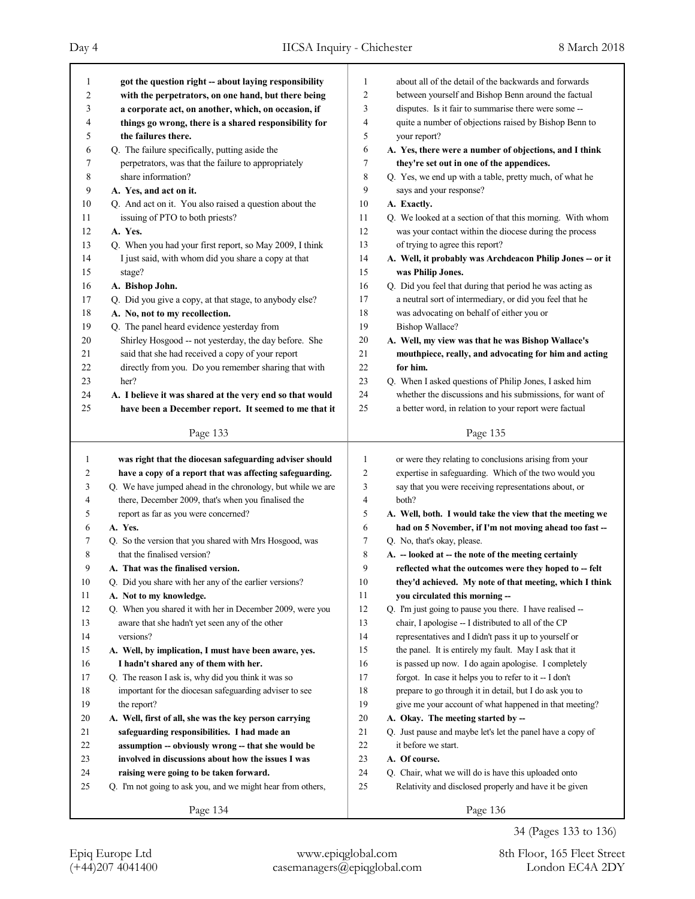| $\mathbf{1}$            | got the question right -- about laying responsibility       | $\mathbf{1}$ | about all of the detail of the backwards and forwards      |
|-------------------------|-------------------------------------------------------------|--------------|------------------------------------------------------------|
| $\overline{\mathbf{c}}$ | with the perpetrators, on one hand, but there being         | 2            | between yourself and Bishop Benn around the factual        |
| 3                       | a corporate act, on another, which, on occasion, if         | 3            | disputes. Is it fair to summarise there were some --       |
| 4                       | things go wrong, there is a shared responsibility for       | 4            | quite a number of objections raised by Bishop Benn to      |
| 5                       | the failures there.                                         | 5            | your report?                                               |
| 6                       | Q. The failure specifically, putting aside the              | 6            | A. Yes, there were a number of objections, and I think     |
| 7                       | perpetrators, was that the failure to appropriately         | 7            | they're set out in one of the appendices.                  |
| 8                       | share information?                                          | 8            | Q. Yes, we end up with a table, pretty much, of what he    |
| 9                       | A. Yes, and act on it.                                      | 9            | says and your response?                                    |
| $10\,$                  | Q. And act on it. You also raised a question about the      | 10           | A. Exactly.                                                |
| 11                      | issuing of PTO to both priests?                             | 11           | Q. We looked at a section of that this morning. With whom  |
| 12                      | A. Yes.                                                     | 12           | was your contact within the diocese during the process     |
| 13                      | Q. When you had your first report, so May 2009, I think     | 13           | of trying to agree this report?                            |
| 14                      | I just said, with whom did you share a copy at that         | 14           | A. Well, it probably was Archdeacon Philip Jones -- or it  |
| 15                      | stage?                                                      | 15           | was Philip Jones.                                          |
| 16                      | A. Bishop John.                                             | 16           | Q. Did you feel that during that period he was acting as   |
| 17                      | Q. Did you give a copy, at that stage, to anybody else?     | 17           | a neutral sort of intermediary, or did you feel that he    |
| $18\,$                  | A. No, not to my recollection.                              | 18           | was advocating on behalf of either you or                  |
| 19                      | Q. The panel heard evidence yesterday from                  | 19           | Bishop Wallace?                                            |
| 20                      | Shirley Hosgood -- not yesterday, the day before. She       | 20           | A. Well, my view was that he was Bishop Wallace's          |
| 21                      | said that she had received a copy of your report            | 21           | mouthpiece, really, and advocating for him and acting      |
| 22                      | directly from you. Do you remember sharing that with        | 22           | for him.                                                   |
| 23                      | her?                                                        | 23           | Q. When I asked questions of Philip Jones, I asked him     |
| 24                      | A. I believe it was shared at the very end so that would    | 24           | whether the discussions and his submissions, for want of   |
| 25                      | have been a December report. It seemed to me that it        | 25           | a better word, in relation to your report were factual     |
|                         |                                                             |              |                                                            |
|                         | Page 133                                                    |              | Page 135                                                   |
|                         |                                                             |              |                                                            |
|                         |                                                             |              |                                                            |
| $\mathbf{1}$            | was right that the diocesan safeguarding adviser should     | $\mathbf{1}$ | or were they relating to conclusions arising from your     |
| 2                       | have a copy of a report that was affecting safeguarding.    | 2            | expertise in safeguarding. Which of the two would you      |
| 3                       | Q. We have jumped ahead in the chronology, but while we are | 3            | say that you were receiving representations about, or      |
| 4                       | there, December 2009, that's when you finalised the         | 4            | both?                                                      |
| 5                       | report as far as you were concerned?                        | 5            | A. Well, both. I would take the view that the meeting we   |
| 6                       | A. Yes.                                                     | 6            | had on 5 November, if I'm not moving ahead too fast --     |
| 7                       | Q. So the version that you shared with Mrs Hosgood, was     | 7            | Q. No, that's okay, please.                                |
| 8                       | that the finalised version?                                 | 8            | A. - looked at -- the note of the meeting certainly        |
| 9                       | A. That was the finalised version.                          | 9            | reflected what the outcomes were they hoped to -- felt     |
| 10                      | Q. Did you share with her any of the earlier versions?      | 10           | they'd achieved. My note of that meeting, which I think    |
| 11                      | A. Not to my knowledge.                                     | 11           | you circulated this morning --                             |
| 12                      | Q. When you shared it with her in December 2009, were you   | 12           | Q. I'm just going to pause you there. I have realised --   |
| 13                      | aware that she hadn't yet seen any of the other             | 13           | chair, I apologise -- I distributed to all of the CP       |
| 14                      | versions?                                                   | 14           | representatives and I didn't pass it up to yourself or     |
| 15                      | A. Well, by implication, I must have been aware, yes.       | 15           | the panel. It is entirely my fault. May I ask that it      |
| 16                      | I hadn't shared any of them with her.                       | 16           | is passed up now. I do again apologise. I completely       |
| 17                      | Q. The reason I ask is, why did you think it was so         | 17           | forgot. In case it helps you to refer to it -- I don't     |
| 18                      | important for the diocesan safeguarding adviser to see      | 18           | prepare to go through it in detail, but I do ask you to    |
| 19                      | the report?                                                 | 19           | give me your account of what happened in that meeting?     |
| 20                      | A. Well, first of all, she was the key person carrying      | 20           | A. Okay. The meeting started by --                         |
| 21                      | safeguarding responsibilities. I had made an                | 21           | Q. Just pause and maybe let's let the panel have a copy of |
| 22                      | assumption -- obviously wrong -- that she would be          | 22           | it before we start.                                        |
| 23                      | involved in discussions about how the issues I was          | 23           | A. Of course.                                              |
| 24                      | raising were going to be taken forward.                     | 24           | Q. Chair, what we will do is have this uploaded onto       |
| 25                      | Q. I'm not going to ask you, and we might hear from others, | 25           | Relativity and disclosed properly and have it be given     |

34 (Pages 133 to 136)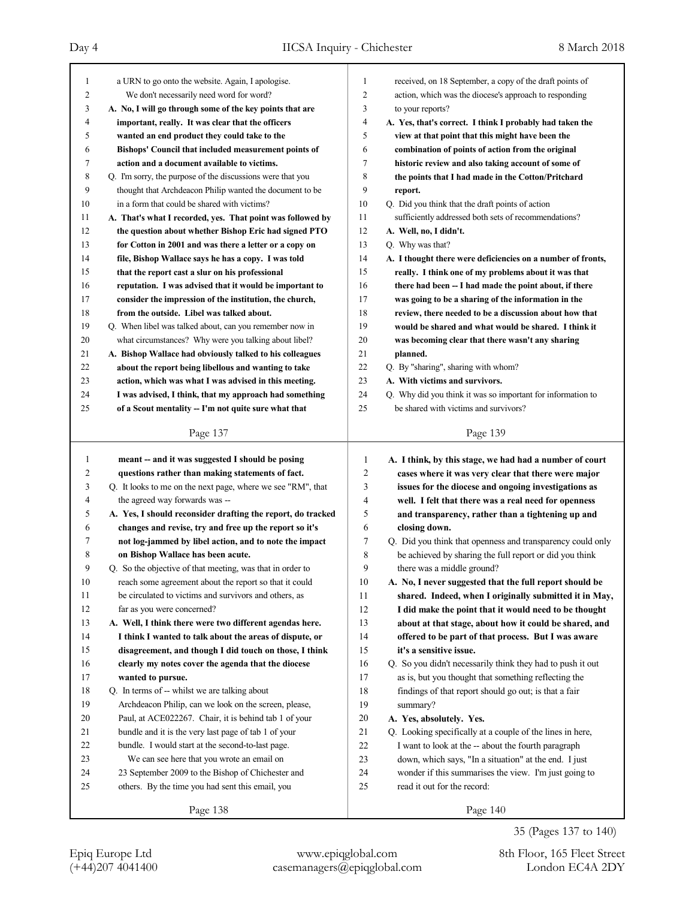| $\mathbf{1}$ | a URN to go onto the website. Again, I apologise.           | 1              | received, on 18 September, a copy of the draft points of    |
|--------------|-------------------------------------------------------------|----------------|-------------------------------------------------------------|
| 2            | We don't necessarily need word for word?                    | $\overline{c}$ | action, which was the diocese's approach to responding      |
| 3            | A. No, I will go through some of the key points that are    | 3              | to your reports?                                            |
| 4            | important, really. It was clear that the officers           | $\overline{4}$ | A. Yes, that's correct. I think I probably had taken the    |
| 5            | wanted an end product they could take to the                | 5              | view at that point that this might have been the            |
| 6            | Bishops' Council that included measurement points of        | 6              | combination of points of action from the original           |
| 7            | action and a document available to victims.                 | 7              | historic review and also taking account of some of          |
| 8            | Q. I'm sorry, the purpose of the discussions were that you  | 8              | the points that I had made in the Cotton/Pritchard          |
| 9            | thought that Archdeacon Philip wanted the document to be    | 9              | report.                                                     |
| 10           | in a form that could be shared with victims?                | 10             | Q. Did you think that the draft points of action            |
| 11           | A. That's what I recorded, yes. That point was followed by  | 11             | sufficiently addressed both sets of recommendations?        |
| 12           | the question about whether Bishop Eric had signed PTO       | 12             | A. Well, no, I didn't.                                      |
| 13           | for Cotton in 2001 and was there a letter or a copy on      | 13             | Q. Why was that?                                            |
| 14           | file, Bishop Wallace says he has a copy. I was told         | 14             | A. I thought there were deficiencies on a number of fronts, |
| 15           | that the report cast a slur on his professional             | 15             | really. I think one of my problems about it was that        |
| 16           | reputation. I was advised that it would be important to     | 16             | there had been -- I had made the point about, if there      |
| 17           | consider the impression of the institution, the church,     | 17             | was going to be a sharing of the information in the         |
| 18           | from the outside. Libel was talked about.                   | 18             | review, there needed to be a discussion about how that      |
| 19           | Q. When libel was talked about, can you remember now in     | 19             | would be shared and what would be shared. I think it        |
| 20           | what circumstances? Why were you talking about libel?       | 20             | was becoming clear that there wasn't any sharing            |
| 21           | A. Bishop Wallace had obviously talked to his colleagues    | 21             | planned.                                                    |
| 22           | about the report being libellous and wanting to take        | 22             | Q. By "sharing", sharing with whom?                         |
| 23           | action, which was what I was advised in this meeting.       | 23             | A. With victims and survivors.                              |
| 24           | I was advised, I think, that my approach had something      | 24             | Q. Why did you think it was so important for information to |
| 25           | of a Scout mentality - I'm not quite sure what that         | 25             | be shared with victims and survivors?                       |
|              |                                                             |                |                                                             |
|              | Page 137                                                    |                | Page 139                                                    |
|              |                                                             |                |                                                             |
|              |                                                             |                |                                                             |
| 1            | meant -- and it was suggested I should be posing            | 1              | A. I think, by this stage, we had had a number of court     |
| 2            | questions rather than making statements of fact.            | $\overline{2}$ | cases where it was very clear that there were major         |
| 3            | Q. It looks to me on the next page, where we see "RM", that | 3              | issues for the diocese and ongoing investigations as        |
| 4            | the agreed way forwards was --                              | 4              | well. I felt that there was a real need for openness        |
| 5            | A. Yes, I should reconsider drafting the report, do tracked | 5              | and transparency, rather than a tightening up and           |
| 6            | changes and revise, try and free up the report so it's      | 6              | closing down.                                               |
| 7            | not log-jammed by libel action, and to note the impact      | 7              | Q. Did you think that openness and transparency could only  |
| 8            | on Bishop Wallace has been acute.                           | 8              | be achieved by sharing the full report or did you think     |
| 9            | Q. So the objective of that meeting, was that in order to   | 9              | there was a middle ground?                                  |
| 10           | reach some agreement about the report so that it could      | $10\,$         | A. No, I never suggested that the full report should be     |
| 11           | be circulated to victims and survivors and others, as       | 11             | shared. Indeed, when I originally submitted it in May,      |
| 12           | far as you were concerned?                                  | 12             | I did make the point that it would need to be thought       |
| 13           | A. Well, I think there were two different agendas here.     | 13             | about at that stage, about how it could be shared, and      |
| 14           | I think I wanted to talk about the areas of dispute, or     | 14             | offered to be part of that process. But I was aware         |
| 15           | disagreement, and though I did touch on those, I think      | 15             | it's a sensitive issue.                                     |
| 16           | clearly my notes cover the agenda that the diocese          | 16             | Q. So you didn't necessarily think they had to push it out  |
| 17           | wanted to pursue.                                           | 17             | as is, but you thought that something reflecting the        |
| 18           | Q. In terms of -- whilst we are talking about               | 18             | findings of that report should go out; is that a fair       |
| 19           | Archdeacon Philip, can we look on the screen, please,       | 19             | summary?                                                    |
| 20           | Paul, at ACE022267. Chair, it is behind tab 1 of your       | $20\,$         | A. Yes, absolutely. Yes.                                    |
| 21           | bundle and it is the very last page of tab 1 of your        | 21             | Q. Looking specifically at a couple of the lines in here,   |
| 22           | bundle. I would start at the second-to-last page.           | 22             | I want to look at the -- about the fourth paragraph         |
| 23           | We can see here that you wrote an email on                  | 23             | down, which says, "In a situation" at the end. I just       |
| 24           | 23 September 2009 to the Bishop of Chichester and           | 24             | wonder if this summarises the view. I'm just going to       |
| 25           | others. By the time you had sent this email, you            | 25             | read it out for the record:                                 |

35 (Pages 137 to 140)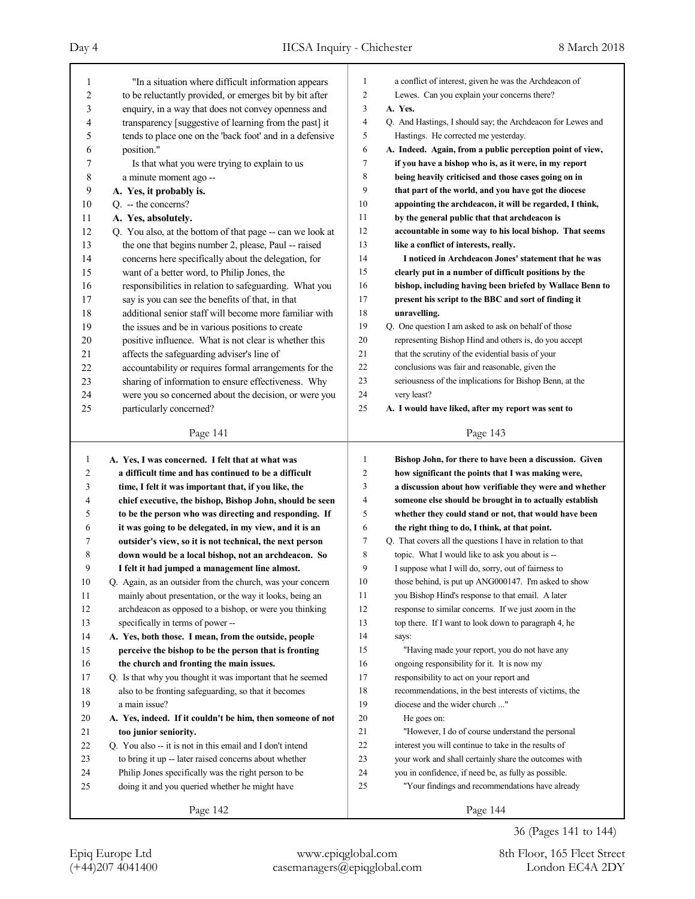| 1            | "In a situation where difficult information appears        | 1      | a conflict of interest, given he was the Archdeacon of      |
|--------------|------------------------------------------------------------|--------|-------------------------------------------------------------|
| 2            | to be reluctantly provided, or emerges bit by bit after    | 2      | Lewes. Can you explain your concerns there?                 |
| 3            | enquiry, in a way that does not convey openness and        | 3      | A. Yes.                                                     |
| 4            | transparency [suggestive of learning from the past] it     | 4      | Q. And Hastings, I should say; the Archdeacon for Lewes and |
| 5            | tends to place one on the 'back foot' and in a defensive   | 5      | Hastings. He corrected me yesterday.                        |
| 6            | position."                                                 | 6      | A. Indeed. Again, from a public perception point of view,   |
| 7            | Is that what you were trying to explain to us              | 7      | if you have a bishop who is, as it were, in my report       |
| 8            | a minute moment ago --                                     | 8      | being heavily criticised and those cases going on in        |
| 9            | A. Yes, it probably is.                                    | 9      | that part of the world, and you have got the diocese        |
| 10           | Q. -- the concerns?                                        | 10     | appointing the archdeacon, it will be regarded, I think,    |
| 11           | A. Yes, absolutely.                                        | 11     | by the general public that that archdeacon is               |
| 12           | Q. You also, at the bottom of that page -- can we look at  | 12     | accountable in some way to his local bishop. That seems     |
| 13           | the one that begins number 2, please, Paul -- raised       | 13     | like a conflict of interests, really.                       |
| 14           | concerns here specifically about the delegation, for       | 14     | I noticed in Archdeacon Jones' statement that he was        |
| 15           | want of a better word, to Philip Jones, the                | 15     | clearly put in a number of difficult positions by the       |
| 16           | responsibilities in relation to safeguarding. What you     | 16     | bishop, including having been briefed by Wallace Benn to    |
| 17           | say is you can see the benefits of that, in that           | 17     | present his script to the BBC and sort of finding it        |
| 18           | additional senior staff will become more familiar with     | 18     | unravelling.                                                |
| 19           | the issues and be in various positions to create           | 19     | Q. One question I am asked to ask on behalf of those        |
| 20           | positive influence. What is not clear is whether this      | 20     | representing Bishop Hind and others is, do you accept       |
| 21           | affects the safeguarding adviser's line of                 | 21     | that the scrutiny of the evidential basis of your           |
| 22           | accountability or requires formal arrangements for the     | 22     | conclusions was fair and reasonable, given the              |
| 23           | sharing of information to ensure effectiveness. Why        | 23     | seriousness of the implications for Bishop Benn, at the     |
| 24           | were you so concerned about the decision, or were you      | 24     | very least?                                                 |
| 25           | particularly concerned?                                    | 25     | A. I would have liked, after my report was sent to          |
|              |                                                            |        |                                                             |
|              | Page 141                                                   |        | Page 143                                                    |
|              |                                                            |        |                                                             |
|              |                                                            |        |                                                             |
| $\mathbf{1}$ | A. Yes, I was concerned. I felt that at what was           | 1      | Bishop John, for there to have been a discussion. Given     |
| 2            | a difficult time and has continued to be a difficult       | 2      | how significant the points that I was making were,          |
| 3            | time, I felt it was important that, if you like, the       | 3      | a discussion about how verifiable they were and whether     |
| 4            | chief executive, the bishop, Bishop John, should be seen   | 4      | someone else should be brought in to actually establish     |
| 5            | to be the person who was directing and responding. If      | 5      | whether they could stand or not, that would have been       |
| 6            | it was going to be delegated, in my view, and it is an     | 6      | the right thing to do, I think, at that point.              |
| 7            | outsider's view, so it is not technical, the next person   | 7      | Q. That covers all the questions I have in relation to that |
| 8            | down would be a local bishop, not an archdeacon. So        | 8      | topic. What I would like to ask you about is --             |
| 9            | I felt it had jumped a management line almost.             | 9      | I suppose what I will do, sorry, out of fairness to         |
| 10           | Q. Again, as an outsider from the church, was your concern | $10\,$ | those behind, is put up ANG000147. I'm asked to show        |
| 11           | mainly about presentation, or the way it looks, being an   | 11     | you Bishop Hind's response to that email. A later           |
| 12           | archdeacon as opposed to a bishop, or were you thinking    | 12     | response to similar concerns. If we just zoom in the        |
| 13           | specifically in terms of power --                          | 13     | top there. If I want to look down to paragraph 4, he        |
| 14           | A. Yes, both those. I mean, from the outside, people       | 14     | says:                                                       |
| 15           | perceive the bishop to be the person that is fronting      | 15     | "Having made your report, you do not have any               |
| 16           | the church and fronting the main issues.                   | 16     | ongoing responsibility for it. It is now my                 |
| 17           | Q. Is that why you thought it was important that he seemed | 17     | responsibility to act on your report and                    |
| $18\,$       | also to be fronting safeguarding, so that it becomes       | 18     | recommendations, in the best interests of victims, the      |
| 19           | a main issue?                                              | 19     | diocese and the wider church "                              |
| 20           | A. Yes, indeed. If it couldn't be him, then someone of not | 20     | He goes on:                                                 |
| 21           | too junior seniority.                                      | 21     | "However, I do of course understand the personal            |
| 22           | Q. You also -- it is not in this email and I don't intend  | 22     | interest you will continue to take in the results of        |
| 23           | to bring it up -- later raised concerns about whether      | 23     | your work and shall certainly share the outcomes with       |
| 24           | Philip Jones specifically was the right person to be       | 24     | you in confidence, if need be, as fully as possible.        |
| 25           | doing it and you queried whether he might have             | 25     | "Your findings and recommendations have already             |

36 (Pages 141 to 144)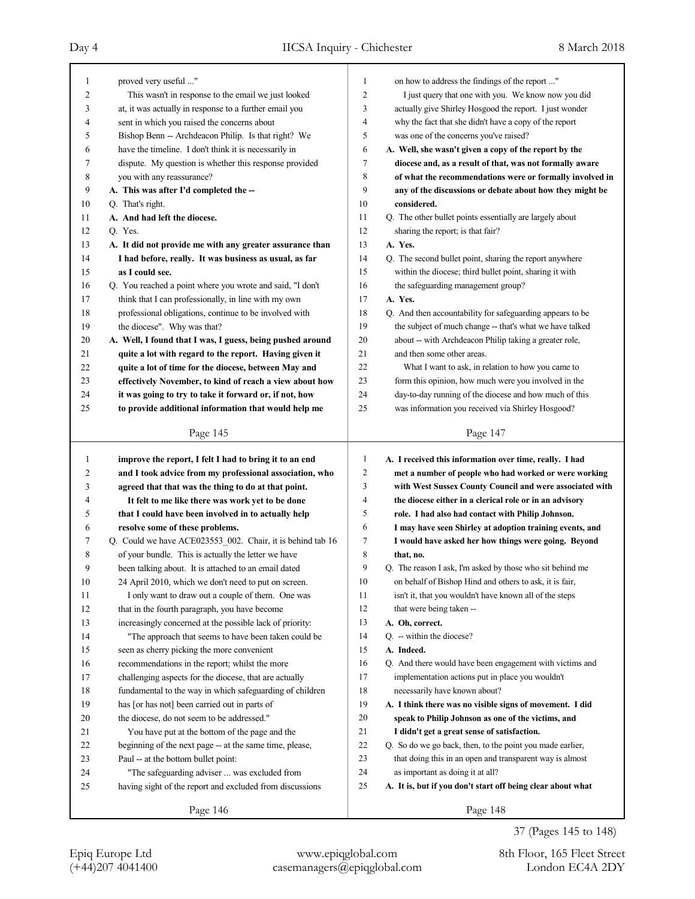| 1  | proved very useful "                                       | 1  | on how to address the findings of the report "              |
|----|------------------------------------------------------------|----|-------------------------------------------------------------|
| 2  | This wasn't in response to the email we just looked        | 2  | I just query that one with you. We know now you did         |
| 3  | at, it was actually in response to a further email you     | 3  | actually give Shirley Hosgood the report. I just wonder     |
| 4  | sent in which you raised the concerns about                | 4  | why the fact that she didn't have a copy of the report      |
| 5  | Bishop Benn -- Archdeacon Philip. Is that right? We        | 5  | was one of the concerns you've raised?                      |
| 6  | have the timeline. I don't think it is necessarily in      | 6  | A. Well, she wasn't given a copy of the report by the       |
| 7  | dispute. My question is whether this response provided     | 7  | diocese and, as a result of that, was not formally aware    |
| 8  | you with any reassurance?                                  | 8  | of what the recommendations were or formally involved in    |
| 9  | A. This was after I'd completed the --                     | 9  | any of the discussions or debate about how they might be    |
| 10 | Q. That's right.                                           | 10 | considered.                                                 |
| 11 | A. And had left the diocese.                               | 11 | Q. The other bullet points essentially are largely about    |
| 12 | Q. Yes.                                                    | 12 | sharing the report; is that fair?                           |
| 13 | A. It did not provide me with any greater assurance than   | 13 | A. Yes.                                                     |
| 14 | I had before, really. It was business as usual, as far     | 14 | Q. The second bullet point, sharing the report anywhere     |
| 15 | as I could see.                                            | 15 | within the diocese; third bullet point, sharing it with     |
| 16 | Q. You reached a point where you wrote and said, "I don't  | 16 | the safeguarding management group?                          |
| 17 | think that I can professionally, in line with my own       | 17 | A. Yes.                                                     |
| 18 | professional obligations, continue to be involved with     | 18 | Q. And then accountability for safeguarding appears to be   |
| 19 | the diocese". Why was that?                                | 19 | the subject of much change -- that's what we have talked    |
| 20 | A. Well, I found that I was, I guess, being pushed around  | 20 | about -- with Archdeacon Philip taking a greater role,      |
| 21 | quite a lot with regard to the report. Having given it     | 21 | and then some other areas.                                  |
| 22 | quite a lot of time for the diocese, between May and       | 22 | What I want to ask, in relation to how you came to          |
| 23 | effectively November, to kind of reach a view about how    | 23 | form this opinion, how much were you involved in the        |
| 24 | it was going to try to take it forward or, if not, how     | 24 | day-to-day running of the diocese and how much of this      |
| 25 | to provide additional information that would help me       | 25 | was information you received via Shirley Hosgood?           |
|    |                                                            |    |                                                             |
|    | Page 145                                                   |    | Page 147                                                    |
|    |                                                            |    |                                                             |
|    |                                                            |    |                                                             |
| 1  | improve the report, I felt I had to bring it to an end     | 1  | A. I received this information over time, really. I had     |
| 2  | and I took advice from my professional association, who    | 2  | met a number of people who had worked or were working       |
| 3  | agreed that that was the thing to do at that point.        | 3  | with West Sussex County Council and were associated with    |
| 4  | It felt to me like there was work yet to be done           | 4  | the diocese either in a clerical role or in an advisory     |
| 5  | that I could have been involved in to actually help        | 5  | role. I had also had contact with Philip Johnson.           |
| 6  | resolve some of these problems.                            | 6  | I may have seen Shirley at adoption training events, and    |
| 7  | Q. Could we have ACE023553_002. Chair, it is behind tab 16 | 7  | I would have asked her how things were going. Beyond        |
| 8  | of your bundle. This is actually the letter we have        | 8  | that, no.                                                   |
| 9  | been talking about. It is attached to an email dated       | 9  | O. The reason I ask, I'm asked by those who sit behind me   |
| 10 | 24 April 2010, which we don't need to put on screen.       | 10 | on behalf of Bishop Hind and others to ask, it is fair,     |
| 11 | I only want to draw out a couple of them. One was          | 11 | isn't it, that you wouldn't have known all of the steps     |
| 12 | that in the fourth paragraph, you have become              | 12 | that were being taken --                                    |
| 13 | increasingly concerned at the possible lack of priority:   | 13 | A. Oh, correct.                                             |
| 14 | "The approach that seems to have been taken could be       | 14 | Q. -- within the diocese?                                   |
| 15 | seen as cherry picking the more convenient                 | 15 | A. Indeed.                                                  |
| 16 | recommendations in the report; whilst the more             | 16 | Q. And there would have been engagement with victims and    |
| 17 | challenging aspects for the diocese, that are actually     | 17 | implementation actions put in place you wouldn't            |
| 18 | fundamental to the way in which safeguarding of children   | 18 | necessarily have known about?                               |
| 19 | has [or has not] been carried out in parts of              | 19 | A. I think there was no visible signs of movement. I did    |
| 20 | the diocese, do not seem to be addressed."                 | 20 | speak to Philip Johnson as one of the victims, and          |
| 21 | You have put at the bottom of the page and the             | 21 | I didn't get a great sense of satisfaction.                 |
| 22 | beginning of the next page -- at the same time, please,    | 22 | Q. So do we go back, then, to the point you made earlier,   |
| 23 | Paul -- at the bottom bullet point:                        | 23 | that doing this in an open and transparent way is almost    |
| 24 | "The safeguarding adviser  was excluded from               | 24 | as important as doing it at all?                            |
| 25 | having sight of the report and excluded from discussions   | 25 | A. It is, but if you don't start off being clear about what |

37 (Pages 145 to 148)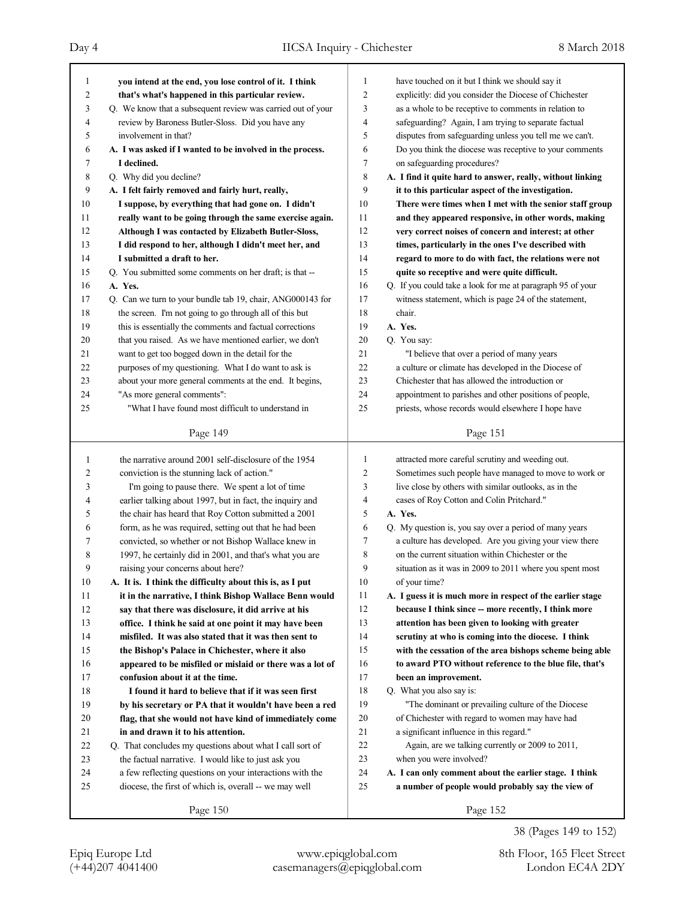| 1  | you intend at the end, you lose control of it. I think      | 1              | have touched on it but I think we should say it            |
|----|-------------------------------------------------------------|----------------|------------------------------------------------------------|
| 2  | that's what's happened in this particular review.           | $\overline{2}$ | explicitly: did you consider the Diocese of Chichester     |
| 3  | Q. We know that a subsequent review was carried out of your | 3              | as a whole to be receptive to comments in relation to      |
| 4  | review by Baroness Butler-Sloss. Did you have any           | 4              | safeguarding? Again, I am trying to separate factual       |
| 5  | involvement in that?                                        | 5              | disputes from safeguarding unless you tell me we can't.    |
| 6  | A. I was asked if I wanted to be involved in the process.   | 6              | Do you think the diocese was receptive to your comments    |
| 7  | I declined.                                                 | 7              | on safeguarding procedures?                                |
| 8  | Q. Why did you decline?                                     | 8              | A. I find it quite hard to answer, really, without linking |
| 9  | A. I felt fairly removed and fairly hurt, really,           | 9              | it to this particular aspect of the investigation.         |
| 10 | I suppose, by everything that had gone on. I didn't         | 10             | There were times when I met with the senior staff group    |
| 11 | really want to be going through the same exercise again.    | 11             | and they appeared responsive, in other words, making       |
| 12 | Although I was contacted by Elizabeth Butler-Sloss,         | 12             | very correct noises of concern and interest; at other      |
| 13 | I did respond to her, although I didn't meet her, and       | 13             | times, particularly in the ones I've described with        |
| 14 | I submitted a draft to her.                                 | 14             | regard to more to do with fact, the relations were not     |
| 15 | Q. You submitted some comments on her draft; is that --     | 15             | quite so receptive and were quite difficult.               |
| 16 | A. Yes.                                                     | 16             | Q. If you could take a look for me at paragraph 95 of your |
| 17 | Q. Can we turn to your bundle tab 19, chair, ANG000143 for  | 17             | witness statement, which is page 24 of the statement,      |
| 18 | the screen. I'm not going to go through all of this but     | 18             | chair.                                                     |
| 19 | this is essentially the comments and factual corrections    | 19             | A. Yes.                                                    |
| 20 | that you raised. As we have mentioned earlier, we don't     | 20             | Q. You say:                                                |
| 21 | want to get too bogged down in the detail for the           | 21             | "I believe that over a period of many years                |
| 22 | purposes of my questioning. What I do want to ask is        | 22             | a culture or climate has developed in the Diocese of       |
| 23 | about your more general comments at the end. It begins,     | 23             | Chichester that has allowed the introduction or            |
| 24 | "As more general comments":                                 | 24             | appointment to parishes and other positions of people,     |
| 25 | "What I have found most difficult to understand in          | 25             | priests, whose records would elsewhere I hope have         |
|    |                                                             |                |                                                            |
|    | Page 149                                                    |                | Page 151                                                   |
|    |                                                             |                |                                                            |
|    |                                                             |                |                                                            |
| 1  | the narrative around 2001 self-disclosure of the 1954       | 1              | attracted more careful scrutiny and weeding out.           |
| 2  | conviction is the stunning lack of action."                 | $\overline{c}$ | Sometimes such people have managed to move to work or      |
| 3  | I'm going to pause there. We spent a lot of time            | 3              | live close by others with similar outlooks, as in the      |
| 4  | earlier talking about 1997, but in fact, the inquiry and    | $\overline{4}$ | cases of Roy Cotton and Colin Pritchard."                  |
| 5  | the chair has heard that Roy Cotton submitted a 2001        | 5              | A. Yes.                                                    |
| 6  | form, as he was required, setting out that he had been      | 6              | Q. My question is, you say over a period of many years     |
| 7  | convicted, so whether or not Bishop Wallace knew in         | 7              | a culture has developed. Are you giving your view there    |
| 8  | 1997, he certainly did in 2001, and that's what you are     | 8              | on the current situation within Chichester or the          |
| 9  | raising your concerns about here?                           | 9              | situation as it was in 2009 to 2011 where you spent most   |
| 10 | A. It is. I think the difficulty about this is, as I put    | 10             | of your time?                                              |
| 11 | it in the narrative, I think Bishop Wallace Benn would      | 11             | A. I guess it is much more in respect of the earlier stage |
| 12 | say that there was disclosure, it did arrive at his         | 12             | because I think since -- more recently, I think more       |
| 13 | office. I think he said at one point it may have been       | 13             | attention has been given to looking with greater           |
| 14 | misfiled. It was also stated that it was then sent to       | 14             | scrutiny at who is coming into the diocese. I think        |
| 15 | the Bishop's Palace in Chichester, where it also            | 15             | with the cessation of the area bishops scheme being able   |
| 16 | appeared to be misfiled or mislaid or there was a lot of    | 16             | to award PTO without reference to the blue file, that's    |
| 17 | confusion about it at the time.                             | 17             | been an improvement.                                       |
| 18 | I found it hard to believe that if it was seen first        | 18             | Q. What you also say is:                                   |
| 19 | by his secretary or PA that it wouldn't have been a red     | 19             | "The dominant or prevailing culture of the Diocese         |
| 20 | flag, that she would not have kind of immediately come      | 20             | of Chichester with regard to women may have had            |
| 21 | in and drawn it to his attention.                           | 21             | a significant influence in this regard."                   |
| 22 | Q. That concludes my questions about what I call sort of    | 22             | Again, are we talking currently or 2009 to 2011,           |
| 23 | the factual narrative. I would like to just ask you         | 23             | when you were involved?                                    |
| 24 | a few reflecting questions on your interactions with the    | 24             | A. I can only comment about the earlier stage. I think     |
| 25 | diocese, the first of which is, overall -- we may well      | 25             | a number of people would probably say the view of          |
|    | Page 150                                                    |                | Page 152                                                   |

38 (Pages 149 to 152)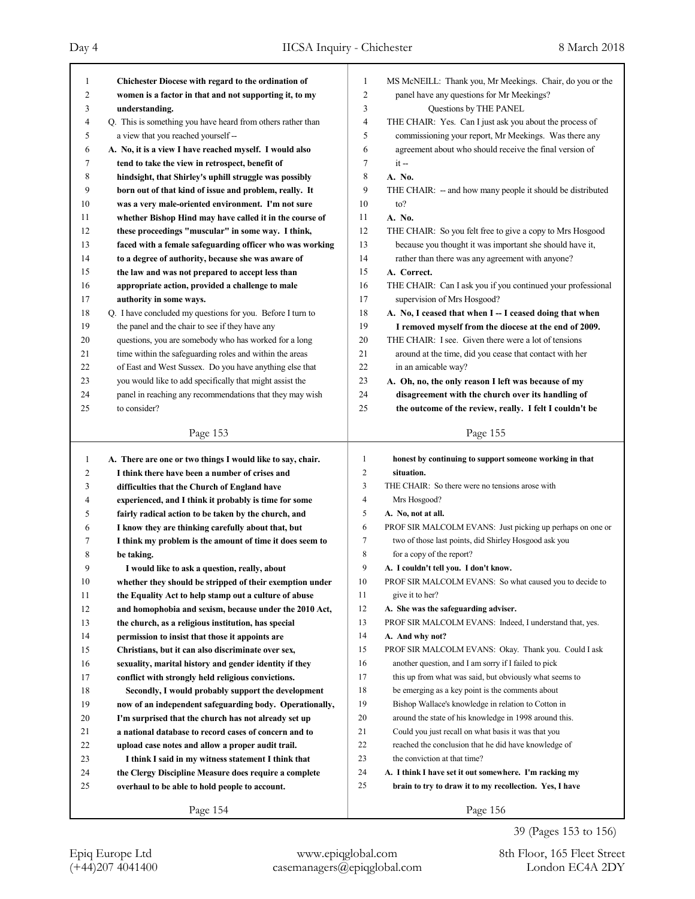| 1            | Chichester Diocese with regard to the ordination of         | 1<br>MS McNEILL: Thank you, Mr Meekings. Chair, do you or the     |
|--------------|-------------------------------------------------------------|-------------------------------------------------------------------|
| 2            | women is a factor in that and not supporting it, to my      | 2<br>panel have any questions for Mr Meekings?                    |
| 3            | understanding.                                              | 3<br>Questions by THE PANEL                                       |
| 4            | Q. This is something you have heard from others rather than | 4<br>THE CHAIR: Yes. Can I just ask you about the process of      |
| 5            | a view that you reached yourself --                         | 5<br>commissioning your report, Mr Meekings. Was there any        |
| 6            | A. No, it is a view I have reached myself. I would also     | 6<br>agreement about who should receive the final version of      |
| 7            | tend to take the view in retrospect, benefit of             | 7<br>$it -$                                                       |
| 8            | hindsight, that Shirley's uphill struggle was possibly      | 8<br>A. No.                                                       |
| 9            | born out of that kind of issue and problem, really. It      | 9<br>THE CHAIR: - and how many people it should be distributed    |
| 10           | was a very male-oriented environment. I'm not sure          | 10<br>to?                                                         |
| 11           | whether Bishop Hind may have called it in the course of     | 11<br>A. No.                                                      |
| 12           | these proceedings "muscular" in some way. I think,          | 12<br>THE CHAIR: So you felt free to give a copy to Mrs Hosgood   |
| 13           | faced with a female safeguarding officer who was working    | 13<br>because you thought it was important she should have it,    |
| 14           | to a degree of authority, because she was aware of          | 14<br>rather than there was any agreement with anyone?            |
| 15           | the law and was not prepared to accept less than            | 15<br>A. Correct.                                                 |
| 16           | appropriate action, provided a challenge to male            | 16<br>THE CHAIR: Can I ask you if you continued your professional |
| 17           | authority in some ways.                                     | 17<br>supervision of Mrs Hosgood?                                 |
| 18           | Q. I have concluded my questions for you. Before I turn to  | 18<br>A. No, I ceased that when I -- I ceased doing that when     |
| 19           | the panel and the chair to see if they have any             | 19<br>I removed myself from the diocese at the end of 2009.       |
| 20           | questions, you are somebody who has worked for a long       | 20<br>THE CHAIR: I see. Given there were a lot of tensions        |
| 21           | time within the safeguarding roles and within the areas     | 21<br>around at the time, did you cease that contact with her     |
| 22           | of East and West Sussex. Do you have anything else that     | 22<br>in an amicable way?                                         |
| 23           | you would like to add specifically that might assist the    | 23<br>A. Oh, no, the only reason I left was because of my         |
| 24           | panel in reaching any recommendations that they may wish    | 24<br>disagreement with the church over its handling of           |
| 25           | to consider?                                                | 25<br>the outcome of the review, really. I felt I couldn't be     |
|              |                                                             |                                                                   |
|              | Page 153                                                    | Page 155                                                          |
|              |                                                             |                                                                   |
|              |                                                             |                                                                   |
| $\mathbf{1}$ | A. There are one or two things I would like to say, chair.  | 1<br>honest by continuing to support someone working in that      |
| 2            | I think there have been a number of crises and              | $\overline{2}$<br>situation.                                      |
| 3            | difficulties that the Church of England have                | 3<br>THE CHAIR: So there were no tensions arose with              |
| 4            | experienced, and I think it probably is time for some       | 4<br>Mrs Hosgood?                                                 |
| 5            | fairly radical action to be taken by the church, and        | 5<br>A. No, not at all.                                           |
| 6            | I know they are thinking carefully about that, but          | 6<br>PROF SIR MALCOLM EVANS: Just picking up perhaps on one or    |
| 7            | I think my problem is the amount of time it does seem to    | 7<br>two of those last points, did Shirley Hosgood ask you        |
| 8            | be taking.                                                  | 8<br>for a copy of the report?                                    |
| 9            | I would like to ask a question, really, about               | 9<br>A. I couldn't tell you. I don't know.                        |
| 10           | whether they should be stripped of their exemption under    | 10<br>PROF SIR MALCOLM EVANS: So what caused you to decide to     |
| 11           | the Equality Act to help stamp out a culture of abuse       | 11<br>give it to her?                                             |
| 12           | and homophobia and sexism, because under the 2010 Act,      | 12<br>A. She was the safeguarding adviser.                        |
| 13           | the church, as a religious institution, has special         | 13<br>PROF SIR MALCOLM EVANS: Indeed, I understand that, yes.     |
| 14           | permission to insist that those it appoints are             | 14<br>A. And why not?                                             |
| 15           | Christians, but it can also discriminate over sex,          | 15<br>PROF SIR MALCOLM EVANS: Okay. Thank you. Could I ask        |
| 16           | sexuality, marital history and gender identity if they      | 16<br>another question, and I am sorry if I failed to pick        |
| 17           | conflict with strongly held religious convictions.          | 17<br>this up from what was said, but obviously what seems to     |
| 18           | Secondly, I would probably support the development          | 18<br>be emerging as a key point is the comments about            |
| 19           | now of an independent safeguarding body. Operationally,     | 19<br>Bishop Wallace's knowledge in relation to Cotton in         |
| 20           | I'm surprised that the church has not already set up        | 20<br>around the state of his knowledge in 1998 around this.      |
| 21           | a national database to record cases of concern and to       | 21<br>Could you just recall on what basis it was that you         |
| 22           | upload case notes and allow a proper audit trail.           | 22<br>reached the conclusion that he did have knowledge of        |
| 23           | I think I said in my witness statement I think that         | 23<br>the conviction at that time?                                |
| 24           | the Clergy Discipline Measure does require a complete       | 24<br>A. I think I have set it out somewhere. I'm racking my      |
| 25           | overhaul to be able to hold people to account.              | 25<br>brain to try to draw it to my recollection. Yes, I have     |
|              | Page 154                                                    | Page 156                                                          |

# 39 (Pages 153 to 156)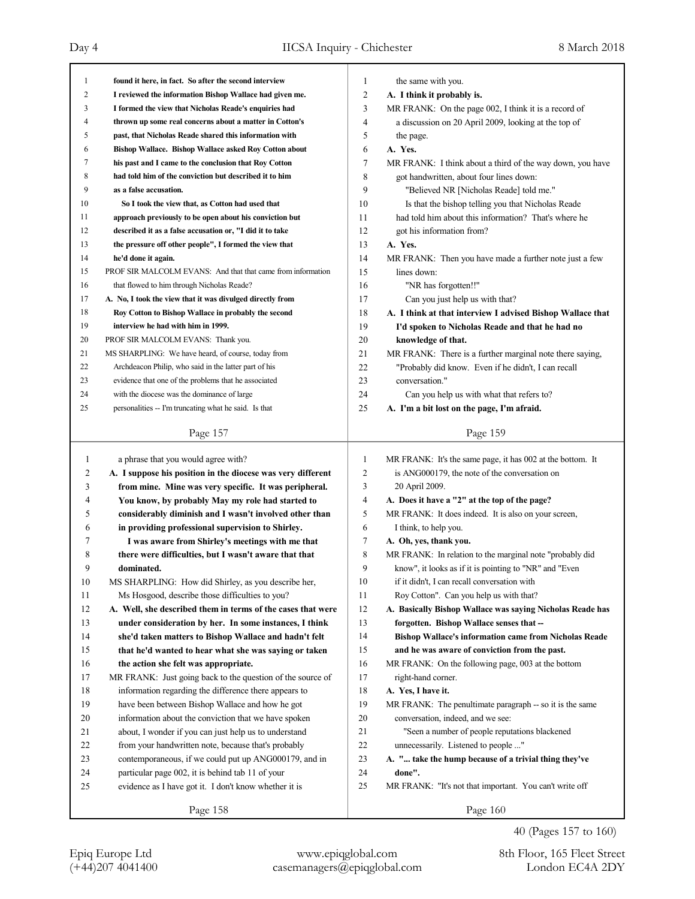Page 157 1 **found it here, in fact. So after the second interview** 2 **I reviewed the information Bishop Wallace had given me.** 3 **I formed the view that Nicholas Reade's enquiries had** 4 **thrown up some real concerns about a matter in Cotton's** 5 **past, that Nicholas Reade shared this information with** 6 **Bishop Wallace. Bishop Wallace asked Roy Cotton about** 7 **his past and I came to the conclusion that Roy Cotton** 8 **had told him of the conviction but described it to him** 9 **as a false accusation.** 10 **So I took the view that, as Cotton had used that** 11 **approach previously to be open about his conviction but** 12 **described it as a false accusation or, "I did it to take** 13 **the pressure off other people", I formed the view that** 14 **he'd done it again.** 15 PROF SIR MALCOLM EVANS: And that that came from information 16 that flowed to him through Nicholas Reade? 17 **A. No, I took the view that it was divulged directly from** 18 **Roy Cotton to Bishop Wallace in probably the second** 19 **interview he had with him in 1999.** 20 PROF SIR MALCOLM EVANS: Thank you. 21 MS SHARPLING: We have heard, of course, today from 22 Archdeacon Philip, who said in the latter part of his 23 evidence that one of the problems that he associated 24 with the diocese was the dominance of large 25 personalities -- I'm truncating what he said. Is that Page 158 1 a phrase that you would agree with? 2 **A. I suppose his position in the diocese was very different** 3 **from mine. Mine was very specific. It was peripheral.** 4 **You know, by probably May my role had started to** 5 **considerably diminish and I wasn't involved other than** 6 **in providing professional supervision to Shirley.** 7 **I was aware from Shirley's meetings with me that** 8 **there were difficulties, but I wasn't aware that that** 9 **dominated.** 10 MS SHARPLING: How did Shirley, as you describe her, 11 Ms Hosgood, describe those difficulties to you? 12 **A. Well, she described them in terms of the cases that were** 13 **under consideration by her. In some instances, I think** 14 **she'd taken matters to Bishop Wallace and hadn't felt** 15 **that he'd wanted to hear what she was saying or taken** 16 **the action she felt was appropriate.** 17 MR FRANK: Just going back to the question of the source of 18 information regarding the difference there appears to 19 have been between Bishop Wallace and how he got 20 information about the conviction that we have spoken 21 about, I wonder if you can just help us to understand 22 from your handwritten note, because that's probably 23 contemporaneous, if we could put up ANG000179, and in 24 particular page 002, it is behind tab 11 of your 25 evidence as I have got it. I don't know whether it is Page 159 1 the same with you. 2 **A. I think it probably is.** 3 MR FRANK: On the page 002, I think it is a record of 4 a discussion on 20 April 2009, looking at the top of 5 the page. 6 **A. Yes.** 7 MR FRANK: I think about a third of the way down, you have 8 got handwritten, about four lines down: 9 "Believed NR [Nicholas Reade] told me." 10 Is that the bishop telling you that Nicholas Reade 11 had told him about this information? That's where he 12 got his information from? 13 **A. Yes.** 14 MR FRANK: Then you have made a further note just a few 15 lines down: 16 "NR has forgotten!!" 17 Can you just help us with that? 18 **A. I think at that interview I advised Bishop Wallace that** 19 **I'd spoken to Nicholas Reade and that he had no** 20 **knowledge of that.** 21 MR FRANK: There is a further marginal note there saying, 22 "Probably did know. Even if he didn't, I can recall 23 conversation." 24 Can you help us with what that refers to? 25 **A. I'm a bit lost on the page, I'm afraid.** Page 160 1 MR FRANK: It's the same page, it has 002 at the bottom. It 2 is ANG000179, the note of the conversation on 3 20 April 2009. 4 **A. Does it have a "2" at the top of the page?** 5 MR FRANK: It does indeed. It is also on your screen, 6 I think, to help you. 7 **A. Oh, yes, thank you.** 8 MR FRANK: In relation to the marginal note "probably did 9 know", it looks as if it is pointing to "NR" and "Even 10 if it didn't, I can recall conversation with 11 Roy Cotton". Can you help us with that? 12 **A. Basically Bishop Wallace was saying Nicholas Reade has** 13 **forgotten. Bishop Wallace senses that --** 14 **Bishop Wallace's information came from Nicholas Reade** 15 **and he was aware of conviction from the past.** 16 MR FRANK: On the following page, 003 at the bottom 17 right-hand corner. 18 **A. Yes, I have it.** 19 MR FRANK: The penultimate paragraph -- so it is the same 20 conversation, indeed, and we see: 21 "Seen a number of people reputations blackened 22 unnecessarily. Listened to people ..." 23 **A. "... take the hump because of a trivial thing they've** 24 **done".** 25 MR FRANK: "It's not that important. You can't write off

40 (Pages 157 to 160)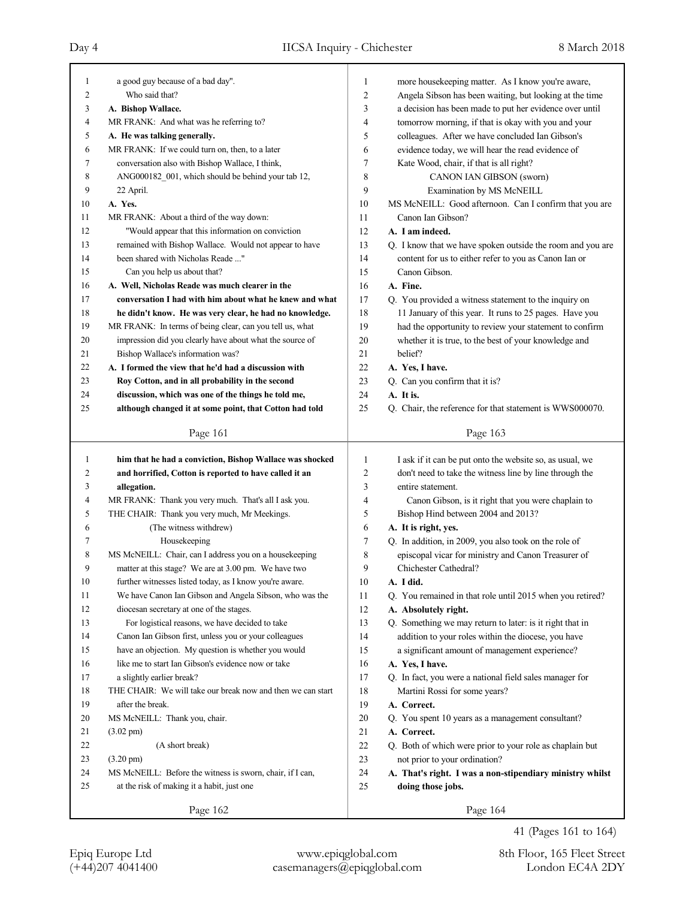| 1      | a good guy because of a bad day".                           | 1              | more housekeeping matter. As I know you're aware,          |
|--------|-------------------------------------------------------------|----------------|------------------------------------------------------------|
| 2      | Who said that?                                              | $\overline{c}$ | Angela Sibson has been waiting, but looking at the time    |
| 3      | A. Bishop Wallace.                                          | 3              | a decision has been made to put her evidence over until    |
| 4      | MR FRANK: And what was he referring to?                     | 4              | tomorrow morning, if that is okay with you and your        |
| 5      | A. He was talking generally.                                | 5              | colleagues. After we have concluded Ian Gibson's           |
| 6      | MR FRANK: If we could turn on, then, to a later             | 6              | evidence today, we will hear the read evidence of          |
| 7      | conversation also with Bishop Wallace, I think,             | 7              | Kate Wood, chair, if that is all right?                    |
| 8      | ANG000182_001, which should be behind your tab 12,          | 8              | CANON IAN GIBSON (sworn)                                   |
| 9      | 22 April.                                                   | 9              | Examination by MS McNEILL                                  |
| 10     | A. Yes.                                                     | 10             | MS McNEILL: Good afternoon. Can I confirm that you are     |
| 11     | MR FRANK: About a third of the way down:                    | 11             | Canon Ian Gibson?                                          |
| 12     | "Would appear that this information on conviction           | 12             | A. I am indeed.                                            |
| 13     | remained with Bishop Wallace. Would not appear to have      | 13             | Q. I know that we have spoken outside the room and you are |
| 14     | been shared with Nicholas Reade "                           | 14             | content for us to either refer to you as Canon Ian or      |
| 15     | Can you help us about that?                                 | 15             | Canon Gibson.                                              |
| 16     | A. Well, Nicholas Reade was much clearer in the             | 16             | A. Fine.                                                   |
| 17     | conversation I had with him about what he knew and what     | 17             | Q. You provided a witness statement to the inquiry on      |
| 18     | he didn't know. He was very clear, he had no knowledge.     | 18             | 11 January of this year. It runs to 25 pages. Have you     |
| 19     | MR FRANK: In terms of being clear, can you tell us, what    | 19             | had the opportunity to review your statement to confirm    |
| 20     | impression did you clearly have about what the source of    | 20             | whether it is true, to the best of your knowledge and      |
| 21     | Bishop Wallace's information was?                           | 21             | belief?                                                    |
| 22     | A. I formed the view that he'd had a discussion with        | 22             | A. Yes, I have.                                            |
| 23     | Roy Cotton, and in all probability in the second            | 23             | Q. Can you confirm that it is?                             |
| 24     | discussion, which was one of the things he told me,         | 24             | A. It is.                                                  |
| 25     | although changed it at some point, that Cotton had told     | 25             | Q. Chair, the reference for that statement is WWS000070.   |
|        |                                                             |                |                                                            |
|        | Page 161                                                    |                | Page 163                                                   |
|        |                                                             |                |                                                            |
|        |                                                             |                |                                                            |
| 1      | him that he had a conviction, Bishop Wallace was shocked    | 1              | I ask if it can be put onto the website so, as usual, we   |
| 2      | and horrified, Cotton is reported to have called it an      | $\overline{c}$ | don't need to take the witness line by line through the    |
| 3      | allegation.                                                 | 3              | entire statement.                                          |
| 4      | MR FRANK: Thank you very much. That's all I ask you.        | 4              | Canon Gibson, is it right that you were chaplain to        |
| 5      | THE CHAIR: Thank you very much, Mr Meekings.                | 5              | Bishop Hind between 2004 and 2013?                         |
| 6      | (The witness withdrew)                                      | 6              | A. It is right, yes.                                       |
| 7      | Housekeeping                                                | 7              | Q. In addition, in 2009, you also took on the role of      |
| 8      | MS McNEILL: Chair, can I address you on a housekeeping      | 8              | episcopal vicar for ministry and Canon Treasurer of        |
| 9      | matter at this stage? We are at 3.00 pm. We have two        | 9              | Chichester Cathedral?                                      |
| $10\,$ | further witnesses listed today, as I know you're aware.     | 10             | A. I did.                                                  |
| 11     | We have Canon Ian Gibson and Angela Sibson, who was the     | 11             | Q. You remained in that role until 2015 when you retired?  |
| 12     | diocesan secretary at one of the stages.                    | 12             | A. Absolutely right.                                       |
| 13     | For logistical reasons, we have decided to take             | 13             | Q. Something we may return to later: is it right that in   |
| 14     | Canon Ian Gibson first, unless you or your colleagues       | 14             | addition to your roles within the diocese, you have        |
| 15     | have an objection. My question is whether you would         | 15             | a significant amount of management experience?             |
| 16     | like me to start Ian Gibson's evidence now or take          | 16             | A. Yes, I have.                                            |
| 17     | a slightly earlier break?                                   | 17             | Q. In fact, you were a national field sales manager for    |
| $18\,$ | THE CHAIR: We will take our break now and then we can start | 18             | Martini Rossi for some years?                              |
| 19     | after the break.                                            | 19             | A. Correct.                                                |
| 20     | MS McNEILL: Thank you, chair.                               | $20\,$         | Q. You spent 10 years as a management consultant?          |
| 21     | $(3.02 \text{ pm})$                                         | 21             | A. Correct.                                                |
| 22     | (A short break)                                             | $22\,$         | Q. Both of which were prior to your role as chaplain but   |
| 23     | $(3.20 \text{ pm})$                                         | 23             | not prior to your ordination?                              |
| 24     | MS McNEILL: Before the witness is sworn, chair, if I can,   | 24             | A. That's right. I was a non-stipendiary ministry whilst   |
| 25     | at the risk of making it a habit, just one                  | 25             | doing those jobs.                                          |
|        | Page 162                                                    |                | Page 164                                                   |

41 (Pages 161 to 164)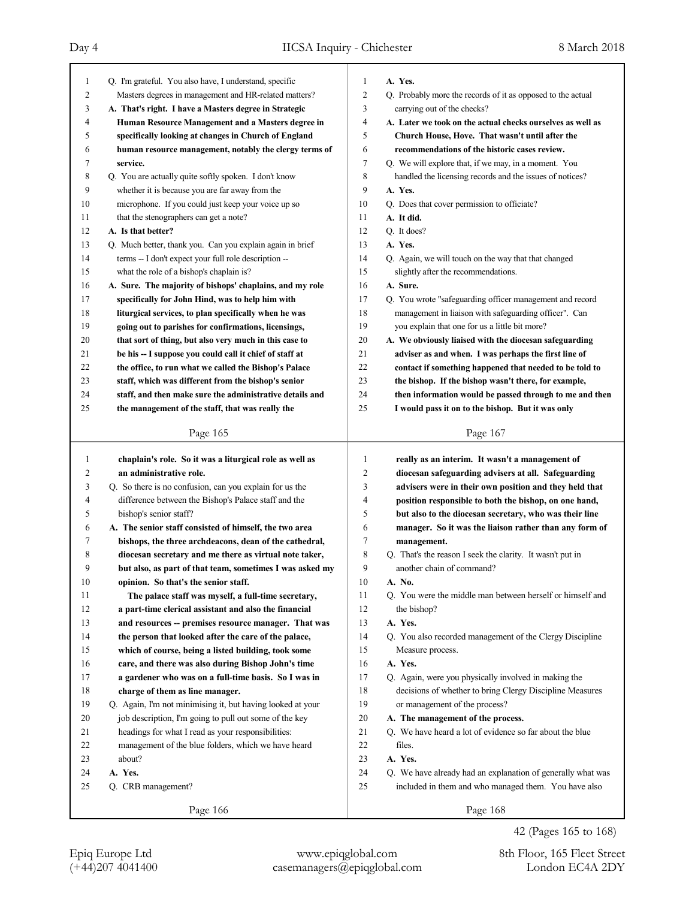| 1  | Q. I'm grateful. You also have, I understand, specific     | 1              | A. Yes.                                                     |
|----|------------------------------------------------------------|----------------|-------------------------------------------------------------|
| 2  | Masters degrees in management and HR-related matters?      | $\overline{c}$ | Q. Probably more the records of it as opposed to the actual |
| 3  | A. That's right. I have a Masters degree in Strategic      | 3              | carrying out of the checks?                                 |
| 4  | Human Resource Management and a Masters degree in          | $\overline{4}$ | A. Later we took on the actual checks ourselves as well as  |
| 5  | specifically looking at changes in Church of England       | 5              | Church House, Hove. That wasn't until after the             |
| 6  | human resource management, notably the clergy terms of     | 6              | recommendations of the historic cases review.               |
| 7  | service.                                                   | 7              | Q. We will explore that, if we may, in a moment. You        |
| 8  | Q. You are actually quite softly spoken. I don't know      | $\,$ 8 $\,$    | handled the licensing records and the issues of notices?    |
| 9  | whether it is because you are far away from the            | 9              | A. Yes.                                                     |
| 10 | microphone. If you could just keep your voice up so        | 10             | Q. Does that cover permission to officiate?                 |
| 11 | that the stenographers can get a note?                     | 11             | A. It did.                                                  |
| 12 | A. Is that better?                                         | 12             | O. It does?                                                 |
| 13 | Q. Much better, thank you. Can you explain again in brief  | 13             | A. Yes.                                                     |
| 14 | terms -- I don't expect your full role description --      | 14             | Q. Again, we will touch on the way that that changed        |
| 15 | what the role of a bishop's chaplain is?                   | 15             | slightly after the recommendations.                         |
| 16 | A. Sure. The majority of bishops' chaplains, and my role   | 16             | A. Sure.                                                    |
| 17 | specifically for John Hind, was to help him with           | 17             | Q. You wrote "safeguarding officer management and record    |
| 18 | liturgical services, to plan specifically when he was      | 18             | management in liaison with safeguarding officer". Can       |
| 19 | going out to parishes for confirmations, licensings,       | 19             | you explain that one for us a little bit more?              |
| 20 | that sort of thing, but also very much in this case to     | 20             | A. We obviously liaised with the diocesan safeguarding      |
| 21 | be his -- I suppose you could call it chief of staff at    | 21             | adviser as and when. I was perhaps the first line of        |
| 22 | the office, to run what we called the Bishop's Palace      | 22             | contact if something happened that needed to be told to     |
| 23 | staff, which was different from the bishop's senior        | 23             | the bishop. If the bishop wasn't there, for example,        |
| 24 | staff, and then make sure the administrative details and   | 24             | then information would be passed through to me and then     |
| 25 | the management of the staff, that was really the           | 25             | I would pass it on to the bishop. But it was only           |
|    |                                                            |                |                                                             |
|    | Page 165                                                   |                | Page 167                                                    |
|    |                                                            |                |                                                             |
|    |                                                            |                |                                                             |
| 1  | chaplain's role. So it was a liturgical role as well as    | 1              | really as an interim. It wasn't a management of             |
| 2  | an administrative role.                                    | $\overline{2}$ | diocesan safeguarding advisers at all. Safeguarding         |
| 3  | Q. So there is no confusion, can you explain for us the    | 3              | advisers were in their own position and they held that      |
| 4  | difference between the Bishop's Palace staff and the       | 4              | position responsible to both the bishop, on one hand,       |
| 5  | bishop's senior staff?                                     | 5              | but also to the diocesan secretary, who was their line      |
| 6  | A. The senior staff consisted of himself, the two area     | 6              | manager. So it was the liaison rather than any form of      |
| 7  | bishops, the three archdeacons, dean of the cathedral,     | 7              | management.                                                 |
| 8  | diocesan secretary and me there as virtual note taker,     | 8              | Q. That's the reason I seek the clarity. It wasn't put in   |
| 9  | but also, as part of that team, sometimes I was asked my   | 9              | another chain of command?                                   |
| 10 | opinion. So that's the senior staff.                       | 10             | A. No.                                                      |
| 11 | The palace staff was myself, a full-time secretary,        | 11             | Q. You were the middle man between herself or himself and   |
| 12 | a part-time clerical assistant and also the financial      | 12             | the bishop?                                                 |
| 13 | and resources -- premises resource manager. That was       | 13             | A. Yes.                                                     |
| 14 | the person that looked after the care of the palace,       | 14             | Q. You also recorded management of the Clergy Discipline    |
| 15 | which of course, being a listed building, took some        | 15             | Measure process.                                            |
| 16 | care, and there was also during Bishop John's time         | 16             | A. Yes.                                                     |
| 17 | a gardener who was on a full-time basis. So I was in       | 17             | Q. Again, were you physically involved in making the        |
| 18 | charge of them as line manager.                            | 18             | decisions of whether to bring Clergy Discipline Measures    |
| 19 | Q. Again, I'm not minimising it, but having looked at your | 19             | or management of the process?                               |
| 20 | job description, I'm going to pull out some of the key     | 20             | A. The management of the process.                           |
| 21 | headings for what I read as your responsibilities:         | 21             | Q. We have heard a lot of evidence so far about the blue    |
| 22 | management of the blue folders, which we have heard        | 22             | files.                                                      |
| 23 | about?                                                     | 23             | A. Yes.                                                     |
| 24 | A. Yes.                                                    | 24             | Q. We have already had an explanation of generally what was |
| 25 | Q. CRB management?                                         | 25             | included in them and who managed them. You have also        |
|    | Page 166                                                   |                | Page 168                                                    |

42 (Pages 165 to 168)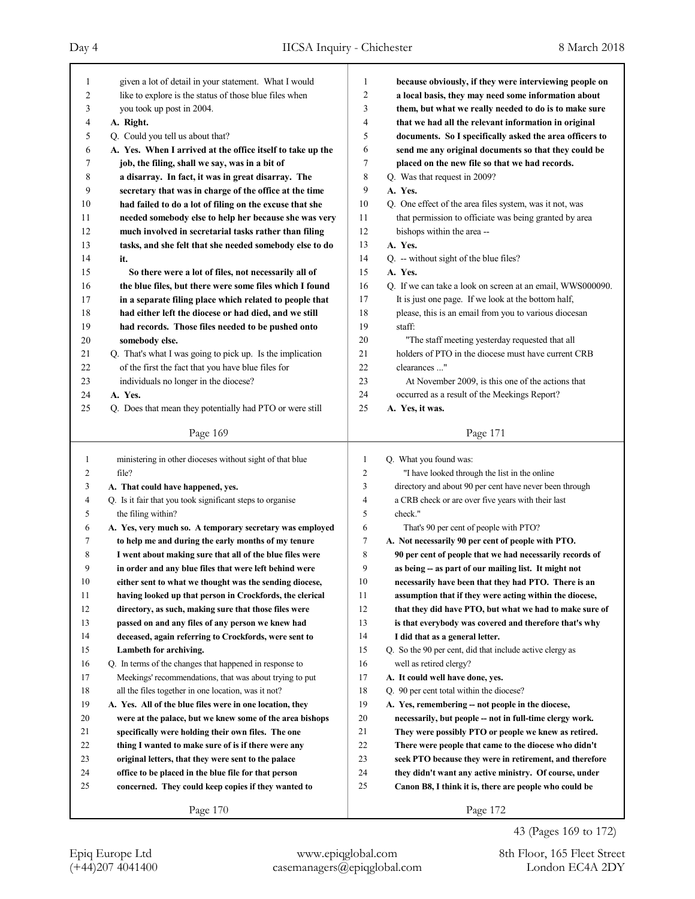٦

| 1      | given a lot of detail in your statement. What I would                                                           | 1              | because obviously, if they were interviewing people on                                       |
|--------|-----------------------------------------------------------------------------------------------------------------|----------------|----------------------------------------------------------------------------------------------|
| 2      | like to explore is the status of those blue files when                                                          | 2              | a local basis, they may need some information about                                          |
| 3      | you took up post in 2004.                                                                                       | 3              | them, but what we really needed to do is to make sure                                        |
| 4      | A. Right.                                                                                                       | 4              | that we had all the relevant information in original                                         |
| 5      | Q. Could you tell us about that?                                                                                | 5              | documents. So I specifically asked the area officers to                                      |
| 6      | A. Yes. When I arrived at the office itself to take up the                                                      | 6              | send me any original documents so that they could be                                         |
| 7      | job, the filing, shall we say, was in a bit of                                                                  | 7              | placed on the new file so that we had records.                                               |
| 8      | a disarray. In fact, it was in great disarray. The                                                              | 8              | Q. Was that request in 2009?                                                                 |
| 9      | secretary that was in charge of the office at the time                                                          | 9              | A. Yes.                                                                                      |
| 10     | had failed to do a lot of filing on the excuse that she                                                         | 10             | Q. One effect of the area files system, was it not, was                                      |
| 11     | needed somebody else to help her because she was very                                                           | 11             | that permission to officiate was being granted by area                                       |
| 12     | much involved in secretarial tasks rather than filing                                                           | 12             | bishops within the area --                                                                   |
| 13     | tasks, and she felt that she needed somebody else to do                                                         | 13             | A. Yes.                                                                                      |
| 14     | it.                                                                                                             | 14             | Q. -- without sight of the blue files?                                                       |
| 15     | So there were a lot of files, not necessarily all of                                                            | 15             | A. Yes.                                                                                      |
| 16     | the blue files, but there were some files which I found                                                         | 16             | Q. If we can take a look on screen at an email, WWS000090.                                   |
| 17     | in a separate filing place which related to people that                                                         | 17             | It is just one page. If we look at the bottom half,                                          |
| 18     | had either left the diocese or had died, and we still                                                           | 18             | please, this is an email from you to various diocesan                                        |
| 19     | had records. Those files needed to be pushed onto                                                               | 19             | staff:                                                                                       |
| 20     | somebody else.                                                                                                  | 20             | "The staff meeting yesterday requested that all                                              |
| 21     | Q. That's what I was going to pick up. Is the implication                                                       | 21             | holders of PTO in the diocese must have current CRB                                          |
| 22     | of the first the fact that you have blue files for                                                              | 22             | clearances "                                                                                 |
| 23     | individuals no longer in the diocese?                                                                           | 23             | At November 2009, is this one of the actions that                                            |
| 24     | A. Yes.                                                                                                         | 24             | occurred as a result of the Meekings Report?                                                 |
| 25     | Q. Does that mean they potentially had PTO or were still                                                        | 25             | A. Yes, it was.                                                                              |
|        | Page 169                                                                                                        |                | Page 171                                                                                     |
|        |                                                                                                                 |                |                                                                                              |
|        |                                                                                                                 |                |                                                                                              |
| 1      | ministering in other dioceses without sight of that blue                                                        | $\mathbf{1}$   | Q. What you found was:                                                                       |
| 2      | file?                                                                                                           | $\overline{c}$ | "I have looked through the list in the online                                                |
| 3<br>4 | A. That could have happened, yes.                                                                               | 3<br>4         | directory and about 90 per cent have never been through                                      |
| 5      | Q. Is it fair that you took significant steps to organise                                                       | 5              | a CRB check or are over five years with their last<br>check."                                |
| 6      | the filing within?                                                                                              | 6              |                                                                                              |
| 7      | A. Yes, very much so. A temporary secretary was employed<br>to help me and during the early months of my tenure | 7              | That's 90 per cent of people with PTO?<br>A. Not necessarily 90 per cent of people with PTO. |
| 8      | I went about making sure that all of the blue files were                                                        | 8              | 90 per cent of people that we had necessarily records of                                     |
| 9      | in order and any blue files that were left behind were                                                          | 9              | as being -- as part of our mailing list. It might not                                        |
| 10     | either sent to what we thought was the sending diocese,                                                         | 10             | necessarily have been that they had PTO. There is an                                         |
| 11     | having looked up that person in Crockfords, the clerical                                                        | 11             | assumption that if they were acting within the diocese,                                      |
| 12     | directory, as such, making sure that those files were                                                           | 12             | that they did have PTO, but what we had to make sure of                                      |
| 13     | passed on and any files of any person we knew had                                                               | 13             | is that everybody was covered and therefore that's why                                       |
| 14     | deceased, again referring to Crockfords, were sent to                                                           | 14             | I did that as a general letter.                                                              |
| 15     | Lambeth for archiving.                                                                                          | 15             | Q. So the 90 per cent, did that include active clergy as                                     |
| 16     | Q. In terms of the changes that happened in response to                                                         | 16             | well as retired clergy?                                                                      |
| 17     | Meekings' recommendations, that was about trying to put                                                         | 17             | A. It could well have done, yes.                                                             |
| 18     | all the files together in one location, was it not?                                                             | 18             | Q. 90 per cent total within the diocese?                                                     |
| 19     | A. Yes. All of the blue files were in one location, they                                                        | 19             | A. Yes, remembering -- not people in the diocese,                                            |
| 20     | were at the palace, but we knew some of the area bishops                                                        | 20             | necessarily, but people -- not in full-time clergy work.                                     |
| 21     | specifically were holding their own files. The one                                                              | 21             | They were possibly PTO or people we knew as retired.                                         |
| 22     | thing I wanted to make sure of is if there were any                                                             | 22             | There were people that came to the diocese who didn't                                        |
| 23     | original letters, that they were sent to the palace                                                             | 23             | seek PTO because they were in retirement, and therefore                                      |
| 24     | office to be placed in the blue file for that person                                                            | 24             | they didn't want any active ministry. Of course, under                                       |
| 25     | concerned. They could keep copies if they wanted to                                                             | 25             | Canon B8, I think it is, there are people who could be                                       |

43 (Pages 169 to 172)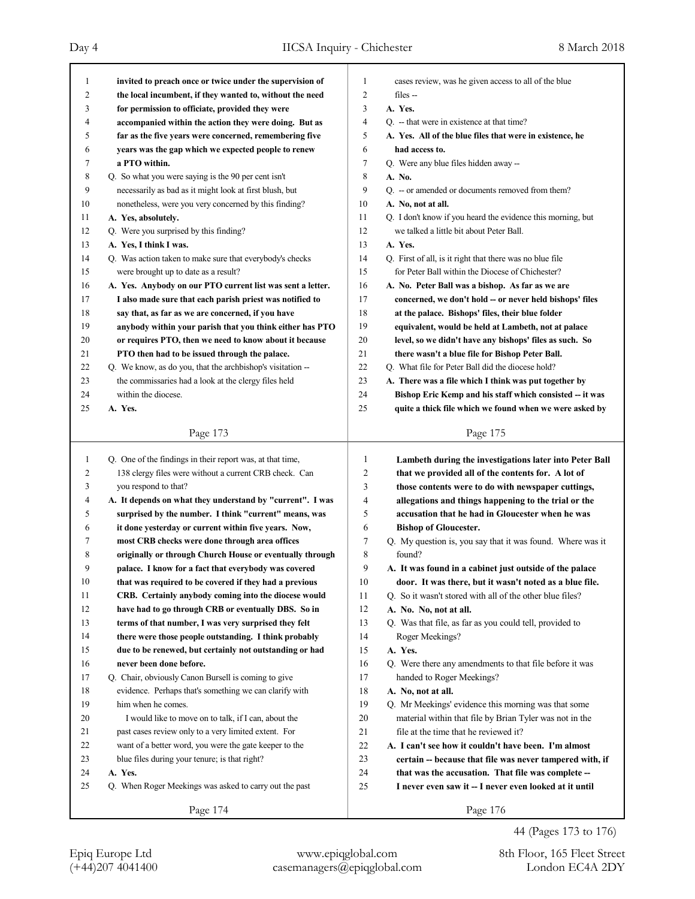| -1           | invited to preach once or twice under the supervision of   | 1              | cases review, was he given access to all of the blue        |
|--------------|------------------------------------------------------------|----------------|-------------------------------------------------------------|
| 2            | the local incumbent, if they wanted to, without the need   | $\overline{c}$ | files --                                                    |
| 3            | for permission to officiate, provided they were            | 3              | A. Yes.                                                     |
| 4            | accompanied within the action they were doing. But as      | $\overline{4}$ | Q. -- that were in existence at that time?                  |
| 5            | far as the five years were concerned, remembering five     | 5              | A. Yes. All of the blue files that were in existence, he    |
| 6            | years was the gap which we expected people to renew        | 6              | had access to.                                              |
| 7            | a PTO within.                                              | $\overline{7}$ | Q. Were any blue files hidden away --                       |
| 8            | Q. So what you were saying is the 90 per cent isn't        | 8              | A. No.                                                      |
| 9            | necessarily as bad as it might look at first blush, but    | 9              | Q. -- or amended or documents removed from them?            |
| 10           | nonetheless, were you very concerned by this finding?      | 10             | A. No, not at all.                                          |
| 11           | A. Yes, absolutely.                                        | 11             | Q. I don't know if you heard the evidence this morning, but |
| 12           | Q. Were you surprised by this finding?                     | 12             | we talked a little bit about Peter Ball.                    |
| 13           | A. Yes, I think I was.                                     | 13             | A. Yes.                                                     |
| 14           | Q. Was action taken to make sure that everybody's checks   | 14             | Q. First of all, is it right that there was no blue file    |
| 15           | were brought up to date as a result?                       | 15             | for Peter Ball within the Diocese of Chichester?            |
| 16           | A. Yes. Anybody on our PTO current list was sent a letter. | 16             | A. No. Peter Ball was a bishop. As far as we are            |
| 17           | I also made sure that each parish priest was notified to   | 17             | concerned, we don't hold -- or never held bishops' files    |
| 18           | say that, as far as we are concerned, if you have          | 18             | at the palace. Bishops' files, their blue folder            |
| 19           | anybody within your parish that you think either has PTO   | 19             | equivalent, would be held at Lambeth, not at palace         |
| 20           | or requires PTO, then we need to know about it because     | 20             | level, so we didn't have any bishops' files as such. So     |
| 21           | PTO then had to be issued through the palace.              | 21             | there wasn't a blue file for Bishop Peter Ball.             |
| 22           | Q. We know, as do you, that the archbishop's visitation -- | 22             | Q. What file for Peter Ball did the diocese hold?           |
| 23           | the commissaries had a look at the clergy files held       | 23             | A. There was a file which I think was put together by       |
| 24           | within the diocese.                                        | 24             | Bishop Eric Kemp and his staff which consisted -- it was    |
| 25           | A. Yes.                                                    | 25             | quite a thick file which we found when we were asked by     |
|              |                                                            |                |                                                             |
|              | Page 173                                                   |                | Page 175                                                    |
|              |                                                            |                |                                                             |
|              |                                                            |                |                                                             |
| $\mathbf{1}$ | Q. One of the findings in their report was, at that time,  | 1              | Lambeth during the investigations later into Peter Ball     |
| 2            | 138 clergy files were without a current CRB check. Can     | $\overline{c}$ | that we provided all of the contents for. A lot of          |
| 3            | you respond to that?                                       | 3              | those contents were to do with newspaper cuttings,          |
| 4            | A. It depends on what they understand by "current". I was  | 4              | allegations and things happening to the trial or the        |
| 5            | surprised by the number. I think "current" means, was      | 5              | accusation that he had in Gloucester when he was            |
| 6            | it done yesterday or current within five years. Now,       | 6              | <b>Bishop of Gloucester.</b>                                |
| 7            | most CRB checks were done through area offices             | 7              | Q. My question is, you say that it was found. Where was it  |
| 8            | originally or through Church House or eventually through   | 8              | found?                                                      |
| 9            | palace. I know for a fact that everybody was covered       | 9              | A. It was found in a cabinet just outside of the palace     |
| 10           | that was required to be covered if they had a previous     | 10             | door. It was there, but it wasn't noted as a blue file.     |
| 11           | CRB. Certainly anybody coming into the diocese would       | 11             | Q. So it wasn't stored with all of the other blue files?    |
| 12           | have had to go through CRB or eventually DBS. So in        | 12             | A. No. No, not at all.                                      |
| 13           | terms of that number, I was very surprised they felt       | 13             | Q. Was that file, as far as you could tell, provided to     |
| 14           | there were those people outstanding. I think probably      | 14             | Roger Meekings?                                             |
| 15           | due to be renewed, but certainly not outstanding or had    | 15             | A. Yes.                                                     |
| 16           | never been done before.                                    | 16             | Q. Were there any amendments to that file before it was     |
| 17           | Q. Chair, obviously Canon Bursell is coming to give        | 17             | handed to Roger Meekings?                                   |
| 18           | evidence. Perhaps that's something we can clarify with     | 18             | A. No, not at all.                                          |
| 19           | him when he comes.                                         | 19             | Q. Mr Meekings' evidence this morning was that some         |
| 20           | I would like to move on to talk, if I can, about the       | 20             | material within that file by Brian Tyler was not in the     |
| 21           | past cases review only to a very limited extent. For       | 21             | file at the time that he reviewed it?                       |
| 22           | want of a better word, you were the gate keeper to the     | 22             | A. I can't see how it couldn't have been. I'm almost        |
| 23           | blue files during your tenure; is that right?              | 23             | certain -- because that file was never tampered with, if    |
| 24           | A. Yes.                                                    | 24             | that was the accusation. That file was complete --          |
| 25           | Q. When Roger Meekings was asked to carry out the past     | 25             | I never even saw it -- I never even looked at it until      |

44 (Pages 173 to 176)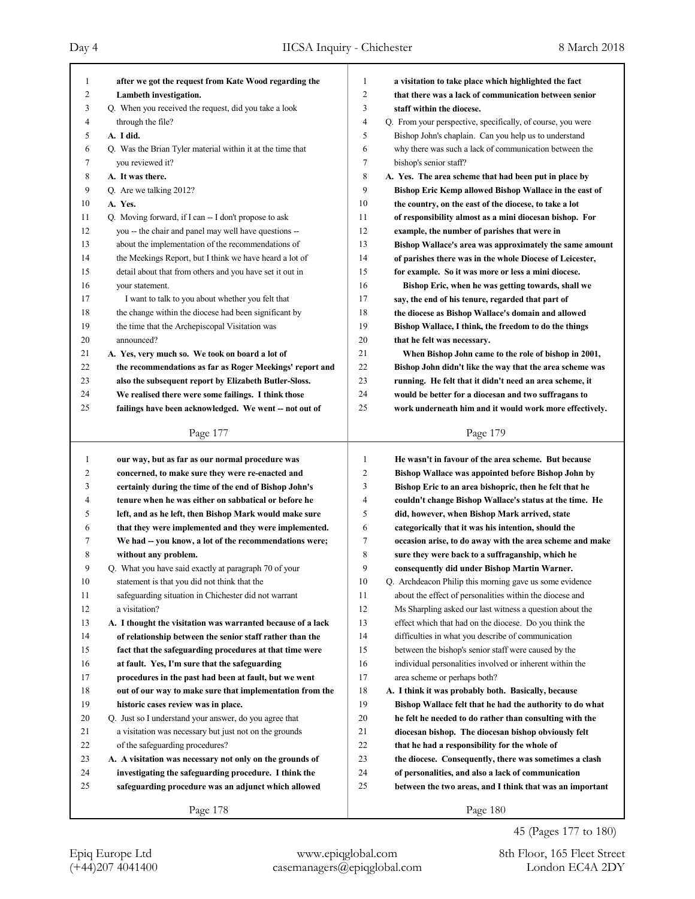| $\mathbf{1}$        | after we got the request from Kate Wood regarding the       | 1                   | a visitation to take place which highlighted the fact       |
|---------------------|-------------------------------------------------------------|---------------------|-------------------------------------------------------------|
| $\overline{2}$      | Lambeth investigation.                                      | $\overline{2}$      | that there was a lack of communication between senior       |
| 3                   | Q. When you received the request, did you take a look       | 3                   | staff within the diocese.                                   |
| $\overline{4}$<br>5 | through the file?                                           | $\overline{4}$<br>5 | Q. From your perspective, specifically, of course, you were |
|                     | A. I did.                                                   |                     | Bishop John's chaplain. Can you help us to understand       |
| 6                   | Q. Was the Brian Tyler material within it at the time that  | 6                   | why there was such a lack of communication between the      |
| 7                   | you reviewed it?                                            | $\tau$              | bishop's senior staff?                                      |
| 8                   | A. It was there.                                            | 8                   | A. Yes. The area scheme that had been put in place by       |
| 9                   | Q. Are we talking 2012?                                     | 9                   | Bishop Eric Kemp allowed Bishop Wallace in the east of      |
| 10                  | A. Yes.                                                     | 10                  | the country, on the east of the diocese, to take a lot      |
| 11                  | Q. Moving forward, if I can -- I don't propose to ask       | 11                  | of responsibility almost as a mini diocesan bishop. For     |
| 12                  | you -- the chair and panel may well have questions --       | 12                  | example, the number of parishes that were in                |
| 13                  | about the implementation of the recommendations of          | 13                  | Bishop Wallace's area was approximately the same amount     |
| 14                  | the Meekings Report, but I think we have heard a lot of     | 14                  | of parishes there was in the whole Diocese of Leicester,    |
| 15                  | detail about that from others and you have set it out in    | 15                  | for example. So it was more or less a mini diocese.         |
| 16                  | your statement.                                             | 16                  | Bishop Eric, when he was getting towards, shall we          |
| 17                  | I want to talk to you about whether you felt that           | 17                  | say, the end of his tenure, regarded that part of           |
| 18                  | the change within the diocese had been significant by       | 18                  | the diocese as Bishop Wallace's domain and allowed          |
| 19                  | the time that the Archepiscopal Visitation was              | 19                  | Bishop Wallace, I think, the freedom to do the things       |
| 20                  | announced?                                                  | 20                  | that he felt was necessary.                                 |
| 21                  | A. Yes, very much so. We took on board a lot of             | 21                  | When Bishop John came to the role of bishop in 2001,        |
| 22                  | the recommendations as far as Roger Meekings' report and    | 22                  | Bishop John didn't like the way that the area scheme was    |
| 23                  | also the subsequent report by Elizabeth Butler-Sloss.       | 23                  | running. He felt that it didn't need an area scheme, it     |
| 24                  | We realised there were some failings. I think those         | 24                  | would be better for a diocesan and two suffragans to        |
| 25                  | failings have been acknowledged. We went -- not out of      | 25                  | work underneath him and it would work more effectively.     |
|                     | Page 177                                                    |                     | Page 179                                                    |
|                     |                                                             |                     |                                                             |
|                     |                                                             |                     |                                                             |
| $\mathbf{1}$        | our way, but as far as our normal procedure was             | 1                   | He wasn't in favour of the area scheme. But because         |
| 2                   | concerned, to make sure they were re-enacted and            | $\overline{2}$      | Bishop Wallace was appointed before Bishop John by          |
| 3                   | certainly during the time of the end of Bishop John's       | 3                   | Bishop Eric to an area bishopric, then he felt that he      |
| 4                   | tenure when he was either on sabbatical or before he        | 4                   | couldn't change Bishop Wallace's status at the time. He     |
| 5                   | left, and as he left, then Bishop Mark would make sure      | 5                   | did, however, when Bishop Mark arrived, state               |
| 6                   | that they were implemented and they were implemented.       | 6                   | categorically that it was his intention, should the         |
| 7                   | We had -- you know, a lot of the recommendations were;      | 7                   | occasion arise, to do away with the area scheme and make    |
| 8                   | without any problem.                                        | 8                   | sure they were back to a suffraganship, which he            |
| 9                   | Q. What you have said exactly at paragraph 70 of your       | 9                   | consequently did under Bishop Martin Warner.                |
| 10                  | statement is that you did not think that the                | 10                  | Q. Archdeacon Philip this morning gave us some evidence     |
| 11                  | safeguarding situation in Chichester did not warrant        | 11                  | about the effect of personalities within the diocese and    |
| 12                  | a visitation?                                               | 12                  | Ms Sharpling asked our last witness a question about the    |
| 13                  | A. I thought the visitation was warranted because of a lack | 13                  | effect which that had on the diocese. Do you think the      |
| 14                  | of relationship between the senior staff rather than the    | 14                  | difficulties in what you describe of communication          |
| 15                  | fact that the safeguarding procedures at that time were     | 15                  | between the bishop's senior staff were caused by the        |
| 16                  | at fault. Yes, I'm sure that the safeguarding               | 16                  | individual personalities involved or inherent within the    |
| 17                  | procedures in the past had been at fault, but we went       | 17                  | area scheme or perhaps both?                                |
| 18                  | out of our way to make sure that implementation from the    | 18                  | A. I think it was probably both. Basically, because         |
| 19                  | historic cases review was in place.                         | 19                  | Bishop Wallace felt that he had the authority to do what    |
| 20                  | Q. Just so I understand your answer, do you agree that      | 20                  | he felt he needed to do rather than consulting with the     |
| 21                  | a visitation was necessary but just not on the grounds      | 21                  | diocesan bishop. The diocesan bishop obviously felt         |
| 22                  | of the safeguarding procedures?                             | 22                  | that he had a responsibility for the whole of               |
| 23                  | A. A visitation was necessary not only on the grounds of    | 23                  | the diocese. Consequently, there was sometimes a clash      |
| 24                  | investigating the safeguarding procedure. I think the       | 24                  | of personalities, and also a lack of communication          |
| 25                  | safeguarding procedure was an adjunct which allowed         | 25                  | between the two areas, and I think that was an important    |

45 (Pages 177 to 180)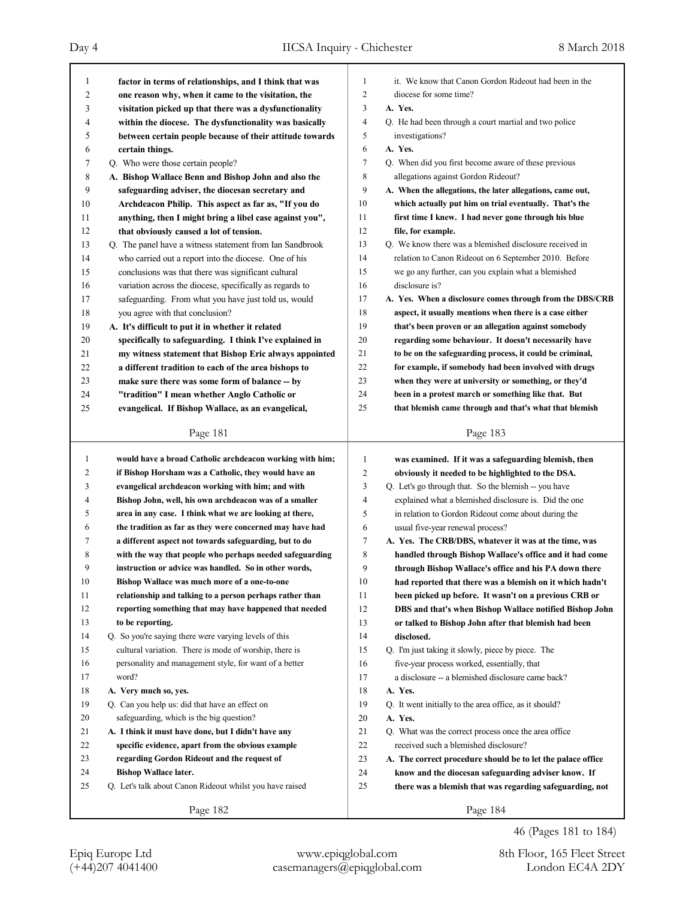| 1  |                                                          |                |                                                             |
|----|----------------------------------------------------------|----------------|-------------------------------------------------------------|
|    | factor in terms of relationships, and I think that was   | 1              | it. We know that Canon Gordon Rideout had been in the       |
| 2  | one reason why, when it came to the visitation, the      | $\overline{c}$ | diocese for some time?                                      |
| 3  | visitation picked up that there was a dysfunctionality   | 3              | A. Yes.                                                     |
| 4  | within the diocese. The dysfunctionality was basically   | $\overline{4}$ | Q. He had been through a court martial and two police       |
| 5  | between certain people because of their attitude towards | 5              | investigations?                                             |
| 6  | certain things.                                          | 6              | A. Yes.                                                     |
| 7  | Q. Who were those certain people?                        | 7              | Q. When did you first become aware of these previous        |
| 8  | A. Bishop Wallace Benn and Bishop John and also the      | 8              | allegations against Gordon Rideout?                         |
| 9  | safeguarding adviser, the diocesan secretary and         | 9              | A. When the allegations, the later allegations, came out,   |
| 10 | Archdeacon Philip. This aspect as far as, "If you do     | 10             | which actually put him on trial eventually. That's the      |
| 11 | anything, then I might bring a libel case against you",  | 11             | first time I knew. I had never gone through his blue        |
| 12 | that obviously caused a lot of tension.                  | 12             | file, for example.                                          |
| 13 | Q. The panel have a witness statement from Ian Sandbrook | 13             | Q. We know there was a blemished disclosure received in     |
| 14 | who carried out a report into the diocese. One of his    | 14             | relation to Canon Rideout on 6 September 2010. Before       |
| 15 | conclusions was that there was significant cultural      | 15             | we go any further, can you explain what a blemished         |
| 16 | variation across the diocese, specifically as regards to | 16             | disclosure is?                                              |
| 17 | safeguarding. From what you have just told us, would     | 17             | A. Yes. When a disclosure comes through from the DBS/CRB    |
| 18 | you agree with that conclusion?                          | 18             | aspect, it usually mentions when there is a case either     |
| 19 | A. It's difficult to put it in whether it related        | 19             | that's been proven or an allegation against somebody        |
| 20 | specifically to safeguarding. I think I've explained in  | 20             | regarding some behaviour. It doesn't necessarily have       |
| 21 | my witness statement that Bishop Eric always appointed   | 21             | to be on the safeguarding process, it could be criminal,    |
| 22 | a different tradition to each of the area bishops to     | 22             | for example, if somebody had been involved with drugs       |
| 23 | make sure there was some form of balance -- by           | 23             | when they were at university or something, or they'd        |
| 24 | "tradition" I mean whether Anglo Catholic or             | 24             | been in a protest march or something like that. But         |
| 25 | evangelical. If Bishop Wallace, as an evangelical,       | 25             | that blemish came through and that's what that blemish      |
|    |                                                          |                |                                                             |
|    | Page 181                                                 |                | Page 183                                                    |
| 1  | would have a broad Catholic archdeacon working with him; | 1              | was examined. If it was a safeguarding blemish, then        |
|    |                                                          |                |                                                             |
|    |                                                          |                |                                                             |
| 2  | if Bishop Horsham was a Catholic, they would have an     | $\overline{c}$ | obviously it needed to be highlighted to the DSA.           |
| 3  | evangelical archdeacon working with him; and with        | 3              | Q. Let's go through that. So the blemish -- you have        |
| 4  | Bishop John, well, his own archdeacon was of a smaller   | $\overline{4}$ | explained what a blemished disclosure is. Did the one       |
| 5  | area in any case. I think what we are looking at there,  | 5              | in relation to Gordon Rideout come about during the         |
| 6  | the tradition as far as they were concerned may have had | 6              | usual five-year renewal process?                            |
| 7  | a different aspect not towards safeguarding, but to do   | 7              | A. Yes. The CRB/DBS, whatever it was at the time, was       |
| 8  | with the way that people who perhaps needed safeguarding | 8              | handled through Bishop Wallace's office and it had come     |
| 9  | instruction or advice was handled. So in other words,    | 9              | through Bishop Wallace's office and his PA down there       |
| 10 | Bishop Wallace was much more of a one-to-one             | $10\,$         | had reported that there was a blemish on it which hadn't    |
| 11 | relationship and talking to a person perhaps rather than | 11             | been picked up before. It wasn't on a previous CRB or       |
| 12 | reporting something that may have happened that needed   | 12             | DBS and that's when Bishop Wallace notified Bishop John     |
| 13 | to be reporting.                                         | 13             | or talked to Bishop John after that blemish had been        |
| 14 | Q. So you're saying there were varying levels of this    | 14             | disclosed.                                                  |
| 15 | cultural variation. There is mode of worship, there is   | 15             | Q. I'm just taking it slowly, piece by piece. The           |
| 16 | personality and management style, for want of a better   | 16             | five-year process worked, essentially, that                 |
| 17 | word?                                                    | 17             | a disclosure -- a blemished disclosure came back?           |
| 18 | A. Very much so, yes.                                    | 18             | A. Yes.                                                     |
| 19 | Q. Can you help us: did that have an effect on           | 19             | Q. It went initially to the area office, as it should?      |
| 20 | safeguarding, which is the big question?                 | 20             | A. Yes.                                                     |
| 21 | A. I think it must have done, but I didn't have any      | 21             | Q. What was the correct process once the area office        |
| 22 | specific evidence, apart from the obvious example        | 22             | received such a blemished disclosure?                       |
| 23 | regarding Gordon Rideout and the request of              | 23             | A. The correct procedure should be to let the palace office |
| 24 | <b>Bishop Wallace later.</b>                             | 24             | know and the diocesan safeguarding adviser know. If         |
| 25 | Q. Let's talk about Canon Rideout whilst you have raised | 25             | there was a blemish that was regarding safeguarding, not    |
|    | Page 182                                                 |                | Page 184                                                    |

46 (Pages 181 to 184)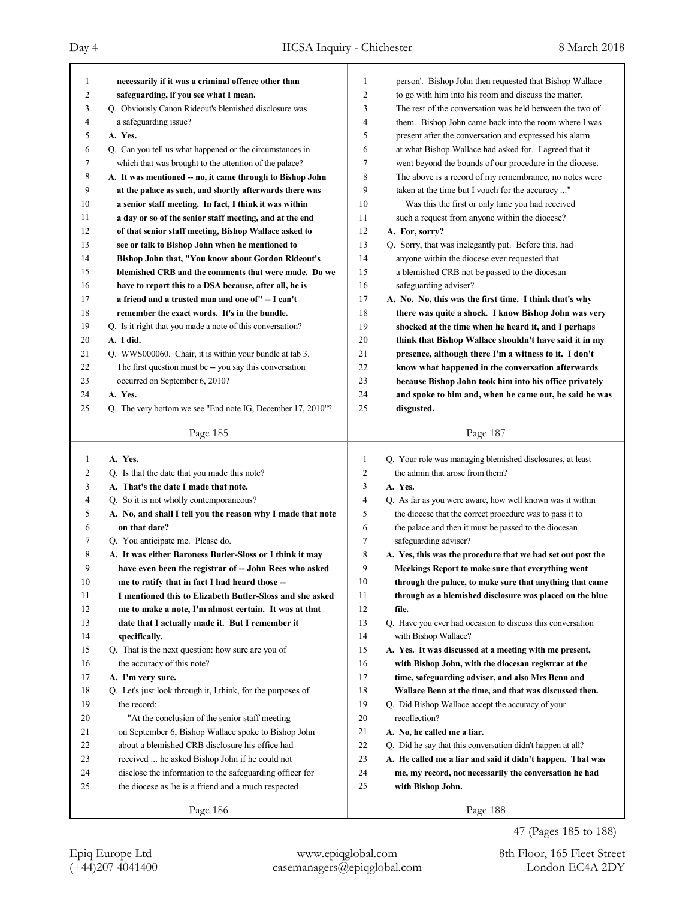| 1              | necessarily if it was a criminal offence other than         | $\mathbf{1}$ | person'. Bishop John then requested that Bishop Wallace     |
|----------------|-------------------------------------------------------------|--------------|-------------------------------------------------------------|
| $\overline{c}$ | safeguarding, if you see what I mean.                       | 2            | to go with him into his room and discuss the matter.        |
| 3              | Q. Obviously Canon Rideout's blemished disclosure was       | 3            | The rest of the conversation was held between the two of    |
| 4              | a safeguarding issue?                                       | 4            | them. Bishop John came back into the room where I was       |
| 5              | A. Yes.                                                     | 5            | present after the conversation and expressed his alarm      |
| 6              | Q. Can you tell us what happened or the circumstances in    | 6            | at what Bishop Wallace had asked for. I agreed that it      |
| 7              | which that was brought to the attention of the palace?      | 7            | went beyond the bounds of our procedure in the diocese.     |
| 8              | A. It was mentioned -- no, it came through to Bishop John   | 8            | The above is a record of my remembrance, no notes were      |
| 9              | at the palace as such, and shortly afterwards there was     | 9            | taken at the time but I vouch for the accuracy "            |
| 10             | a senior staff meeting. In fact, I think it was within      | 10           | Was this the first or only time you had received            |
| 11             | a day or so of the senior staff meeting, and at the end     | 11           | such a request from anyone within the diocese?              |
| 12             | of that senior staff meeting, Bishop Wallace asked to       | 12           | A. For, sorry?                                              |
| 13             | see or talk to Bishop John when he mentioned to             | 13           | Q. Sorry, that was inelegantly put. Before this, had        |
| 14             | Bishop John that, "You know about Gordon Rideout's          | 14           | anyone within the diocese ever requested that               |
| 15             | blemished CRB and the comments that were made. Do we        | 15           | a blemished CRB not be passed to the diocesan               |
| 16             | have to report this to a DSA because, after all, he is      | 16           | safeguarding adviser?                                       |
| 17             | a friend and a trusted man and one of" -- I can't           | 17           | A. No. No, this was the first time. I think that's why      |
| 18             | remember the exact words. It's in the bundle.               | 18           | there was quite a shock. I know Bishop John was very        |
| 19             | Q. Is it right that you made a note of this conversation?   | 19           | shocked at the time when he heard it, and I perhaps         |
| 20             | A. I did.                                                   | 20           | think that Bishop Wallace shouldn't have said it in my      |
| 21             | Q. WWS000060. Chair, it is within your bundle at tab 3.     | 21           | presence, although there I'm a witness to it. I don't       |
| 22             | The first question must be -- you say this conversation     | 22           | know what happened in the conversation afterwards           |
| 23             | occurred on September 6, 2010?                              | 23           | because Bishop John took him into his office privately      |
| 24             | A. Yes.                                                     | 24           | and spoke to him and, when he came out, he said he was      |
| 25             | Q. The very bottom we see "End note IG, December 17, 2010"? | 25           | disgusted.                                                  |
|                |                                                             |              |                                                             |
|                | Page 185                                                    |              | Page 187                                                    |
|                |                                                             |              |                                                             |
|                |                                                             |              |                                                             |
| $\mathbf{1}$   | A. Yes.                                                     | 1            | Q. Your role was managing blemished disclosures, at least   |
| 2              | Q. Is that the date that you made this note?                | 2            | the admin that arose from them?                             |
| 3              | A. That's the date I made that note.                        | 3            | A. Yes.                                                     |
| 4              | Q. So it is not wholly contemporaneous?                     | 4            | Q. As far as you were aware, how well known was it within   |
| 5              | A. No, and shall I tell you the reason why I made that note | 5            | the diocese that the correct procedure was to pass it to    |
| 6              | on that date?                                               | 6            | the palace and then it must be passed to the diocesan       |
| 7              | Q. You anticipate me. Please do.                            | 7            | safeguarding adviser?                                       |
| 8              | A. It was either Baroness Butler-Sloss or I think it may    | 8            | A. Yes, this was the procedure that we had set out post the |
| 9              | have even been the registrar of -- John Rees who asked      | 9            | Meekings Report to make sure that everything went           |
| 10             | me to ratify that in fact I had heard those --              | 10           | through the palace, to make sure that anything that came    |
| 11             | I mentioned this to Elizabeth Butler-Sloss and she asked    | 11           | through as a blemished disclosure was placed on the blue    |
| 12             | me to make a note, I'm almost certain. It was at that       | 12           | file.                                                       |
| 13             | date that I actually made it. But I remember it             | 13           | Q. Have you ever had occasion to discuss this conversation  |
| 14             | specifically.                                               | 14           | with Bishop Wallace?                                        |
| 15             | Q. That is the next question: how sure are you of           | 15           | A. Yes. It was discussed at a meeting with me present,      |
| 16             | the accuracy of this note?                                  | 16           | with Bishop John, with the diocesan registrar at the        |
| 17             | A. I'm very sure.                                           | 17           | time, safeguarding adviser, and also Mrs Benn and           |
| 18             | Q. Let's just look through it, I think, for the purposes of | 18           | Wallace Benn at the time, and that was discussed then.      |
| 19             | the record:                                                 | 19           | Q. Did Bishop Wallace accept the accuracy of your           |
| 20             | "At the conclusion of the senior staff meeting              | 20           | recollection?                                               |
| 21             | on September 6, Bishop Wallace spoke to Bishop John         | 21           | A. No, he called me a liar.                                 |
| 22             | about a blemished CRB disclosure his office had             | 22           | Q. Did he say that this conversation didn't happen at all?  |
| 23             | received  he asked Bishop John if he could not              | 23           | A. He called me a liar and said it didn't happen. That was  |
| 24             | disclose the information to the safeguarding officer for    | 24           | me, my record, not necessarily the conversation he had      |
| 25             | the diocese as 'he is a friend and a much respected         | 25           | with Bishop John.                                           |
|                | Page 186                                                    |              | Page 188                                                    |

47 (Pages 185 to 188)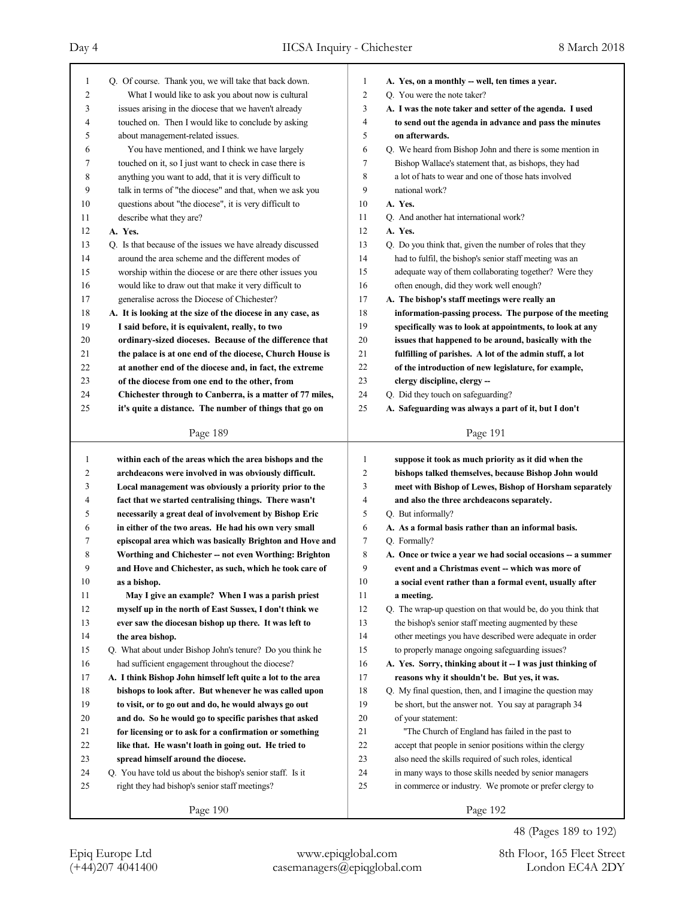| 1      | Q. Of course. Thank you, we will take that back down.       | 1              | A. Yes, on a monthly -- well, ten times a year.             |
|--------|-------------------------------------------------------------|----------------|-------------------------------------------------------------|
| 2      | What I would like to ask you about now is cultural          | $\overline{c}$ | Q. You were the note taker?                                 |
| 3      | issues arising in the diocese that we haven't already       | 3              | A. I was the note taker and setter of the agenda. I used    |
| 4      | touched on. Then I would like to conclude by asking         | 4              | to send out the agenda in advance and pass the minutes      |
| 5      | about management-related issues.                            | 5              | on afterwards.                                              |
| 6      | You have mentioned, and I think we have largely             | 6              | Q. We heard from Bishop John and there is some mention in   |
| 7      | touched on it, so I just want to check in case there is     | 7              | Bishop Wallace's statement that, as bishops, they had       |
| 8      | anything you want to add, that it is very difficult to      | 8              | a lot of hats to wear and one of those hats involved        |
| 9      | talk in terms of "the diocese" and that, when we ask you    | 9              | national work?                                              |
| 10     | questions about "the diocese", it is very difficult to      | 10             | A. Yes.                                                     |
| 11     | describe what they are?                                     | 11             | Q. And another hat international work?                      |
| 12     | A. Yes.                                                     | 12             | A. Yes.                                                     |
| 13     | Q. Is that because of the issues we have already discussed  | 13             | Q. Do you think that, given the number of roles that they   |
| 14     | around the area scheme and the different modes of           | 14             | had to fulfil, the bishop's senior staff meeting was an     |
| 15     | worship within the diocese or are there other issues you    | 15             | adequate way of them collaborating together? Were they      |
| 16     | would like to draw out that make it very difficult to       | 16             | often enough, did they work well enough?                    |
| 17     | generalise across the Diocese of Chichester?                | 17             | A. The bishop's staff meetings were really an               |
| 18     | A. It is looking at the size of the diocese in any case, as | 18             | information-passing process. The purpose of the meeting     |
| 19     | I said before, it is equivalent, really, to two             | 19             | specifically was to look at appointments, to look at any    |
| 20     | ordinary-sized dioceses. Because of the difference that     | 20             | issues that happened to be around, basically with the       |
| 21     | the palace is at one end of the diocese, Church House is    | 21             | fulfilling of parishes. A lot of the admin stuff, a lot     |
| 22     | at another end of the diocese and, in fact, the extreme     | 22             | of the introduction of new legislature, for example,        |
| 23     | of the diocese from one end to the other, from              | 23             | clergy discipline, clergy --                                |
| 24     | Chichester through to Canberra, is a matter of 77 miles,    | 24             | Q. Did they touch on safeguarding?                          |
| 25     | it's quite a distance. The number of things that go on      | 25             | A. Safeguarding was always a part of it, but I don't        |
|        |                                                             |                |                                                             |
|        | Page 189                                                    |                | Page 191                                                    |
|        |                                                             |                |                                                             |
|        |                                                             |                |                                                             |
| 1      | within each of the areas which the area bishops and the     | 1              | suppose it took as much priority as it did when the         |
| 2      | archdeacons were involved in was obviously difficult.       | 2              | bishops talked themselves, because Bishop John would        |
| 3      | Local management was obviously a priority prior to the      | 3              | meet with Bishop of Lewes, Bishop of Horsham separately     |
| 4      | fact that we started centralising things. There wasn't      | 4              | and also the three archdeacons separately.                  |
| 5      | necessarily a great deal of involvement by Bishop Eric      | 5              | Q. But informally?                                          |
| 6      | in either of the two areas. He had his own very small       | 6              | A. As a formal basis rather than an informal basis.         |
| 7      | episcopal area which was basically Brighton and Hove and    | 7              | Q. Formally?                                                |
| 8      | Worthing and Chichester -- not even Worthing: Brighton      | 8              | A. Once or twice a year we had social occasions -- a summer |
| 9      | and Hove and Chichester, as such, which he took care of     | 9              | event and a Christmas event -- which was more of            |
| 10     | as a bishop.                                                | 10             | a social event rather than a formal event, usually after    |
| 11     | May I give an example? When I was a parish priest           | 11             | a meeting.                                                  |
| 12     | myself up in the north of East Sussex, I don't think we     | 12             | Q. The wrap-up question on that would be, do you think that |
| 13     | ever saw the diocesan bishop up there. It was left to       | 13             | the bishop's senior staff meeting augmented by these        |
| 14     | the area bishop.                                            | 14             | other meetings you have described were adequate in order    |
| 15     | Q. What about under Bishop John's tenure? Do you think he   | 15             | to properly manage ongoing safeguarding issues?             |
| 16     | had sufficient engagement throughout the diocese?           | 16             | A. Yes. Sorry, thinking about it -- I was just thinking of  |
| 17     | A. I think Bishop John himself left quite a lot to the area | 17             | reasons why it shouldn't be. But yes, it was.               |
| 18     | bishops to look after. But whenever he was called upon      | 18             | Q. My final question, then, and I imagine the question may  |
| 19     | to visit, or to go out and do, he would always go out       | 19             | be short, but the answer not. You say at paragraph 34       |
| $20\,$ | and do. So he would go to specific parishes that asked      | 20             | of your statement:                                          |
| 21     | for licensing or to ask for a confirmation or something     | 21             | "The Church of England has failed in the past to            |
| 22     | like that. He wasn't loath in going out. He tried to        | 22             | accept that people in senior positions within the clergy    |
| 23     | spread himself around the diocese.                          | 23             | also need the skills required of such roles, identical      |
| 24     | Q. You have told us about the bishop's senior staff. Is it  | $24\,$         | in many ways to those skills needed by senior managers      |
| 25     | right they had bishop's senior staff meetings?              | 25             | in commerce or industry. We promote or prefer clergy to     |
|        | Page 190                                                    |                | Page 192                                                    |

48 (Pages 189 to 192)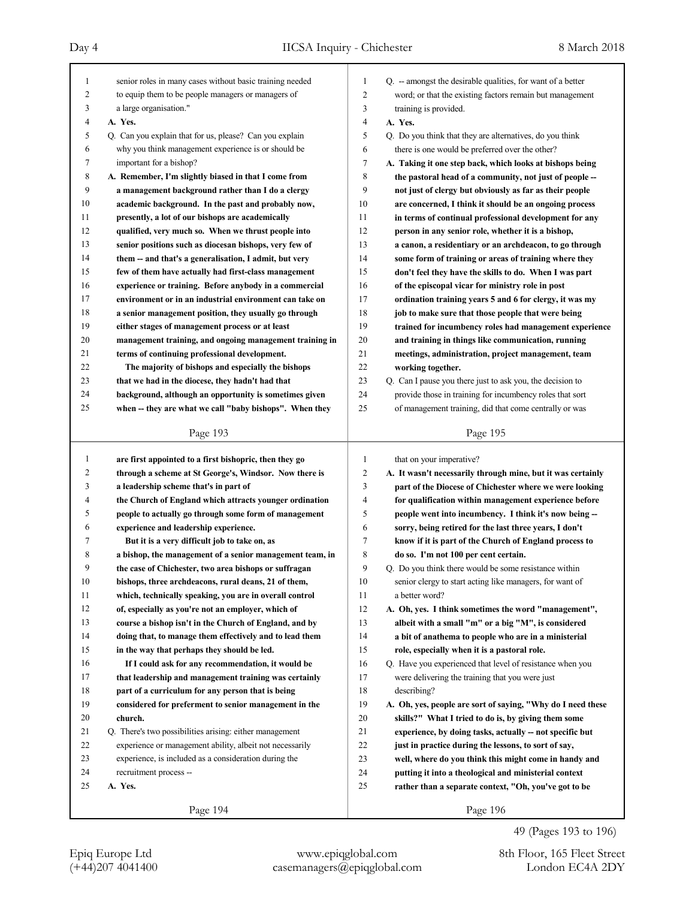| senior roles in many cases without basic training needed<br>1<br>Q. -- amongst the desirable qualities, for want of a better<br>1<br>$\overline{c}$<br>to equip them to be people managers or managers of<br>2<br>word; or that the existing factors remain but management<br>3<br>a large organisation."<br>3<br>training is provided.<br>4<br>4<br>A. Yes.<br>A. Yes.<br>Q. Can you explain that for us, please? Can you explain<br>5<br>5<br>Q. Do you think that they are alternatives, do you think<br>why you think management experience is or should be<br>there is one would be preferred over the other?<br>6<br>6<br>7<br>important for a bishop?<br>7<br>A. Taking it one step back, which looks at bishops being<br>8<br>8<br>A. Remember, I'm slightly biased in that I come from<br>the pastoral head of a community, not just of people --<br>9<br>9<br>a management background rather than I do a clergy<br>not just of clergy but obviously as far as their people<br>10<br>10<br>academic background. In the past and probably now,<br>are concerned, I think it should be an ongoing process<br>11<br>11<br>presently, a lot of our bishops are academically<br>in terms of continual professional development for any<br>12<br>12<br>qualified, very much so. When we thrust people into<br>person in any senior role, whether it is a bishop,<br>13<br>13<br>senior positions such as diocesan bishops, very few of<br>a canon, a residentiary or an archdeacon, to go through<br>14<br>14<br>them -- and that's a generalisation, I admit, but very<br>some form of training or areas of training where they<br>15<br>15<br>few of them have actually had first-class management<br>don't feel they have the skills to do. When I was part<br>16<br>16<br>experience or training. Before anybody in a commercial<br>of the episcopal vicar for ministry role in post<br>17<br>17<br>environment or in an industrial environment can take on<br>ordination training years 5 and 6 for clergy, it was my<br>18<br>18<br>a senior management position, they usually go through<br>job to make sure that those people that were being<br>19<br>19<br>either stages of management process or at least<br>trained for incumbency roles had management experience<br>20<br>20<br>management training, and ongoing management training in<br>and training in things like communication, running<br>21<br>21<br>terms of continuing professional development.<br>meetings, administration, project management, team<br>22<br>22<br>The majority of bishops and especially the bishops<br>working together.<br>23<br>23<br>Q. Can I pause you there just to ask you, the decision to<br>that we had in the diocese, they hadn't had that<br>24<br>24<br>provide those in training for incumbency roles that sort<br>background, although an opportunity is sometimes given<br>25<br>25<br>of management training, did that come centrally or was<br>when -- they are what we call "baby bishops". When they<br>Page 193<br>Page 195<br>1<br>are first appointed to a first bishopric, then they go<br>1<br>that on your imperative?<br>$\overline{\mathbf{c}}$<br>2<br>through a scheme at St George's, Windsor. Now there is<br>3<br>3<br>a leadership scheme that's in part of<br>4<br>4<br>the Church of England which attracts younger ordination<br>for qualification within management experience before<br>5<br>5<br>people to actually go through some form of management<br>people went into incumbency. I think it's now being --<br>6<br>experience and leadership experience.<br>6<br>sorry, being retired for the last three years, I don't<br>7<br>7<br>But it is a very difficult job to take on, as<br>know if it is part of the Church of England process to<br>8<br>8<br>a bishop, the management of a senior management team, in<br>do so. I'm not 100 per cent certain.<br>9<br>9<br>Q. Do you think there would be some resistance within<br>the case of Chichester, two area bishops or suffragan<br>10<br>bishops, three archdeacons, rural deans, 21 of them,<br>10<br>senior clergy to start acting like managers, for want of<br>11<br>which, technically speaking, you are in overall control<br>11<br>a better word? |    |                                                         |    |                                                             |
|---------------------------------------------------------------------------------------------------------------------------------------------------------------------------------------------------------------------------------------------------------------------------------------------------------------------------------------------------------------------------------------------------------------------------------------------------------------------------------------------------------------------------------------------------------------------------------------------------------------------------------------------------------------------------------------------------------------------------------------------------------------------------------------------------------------------------------------------------------------------------------------------------------------------------------------------------------------------------------------------------------------------------------------------------------------------------------------------------------------------------------------------------------------------------------------------------------------------------------------------------------------------------------------------------------------------------------------------------------------------------------------------------------------------------------------------------------------------------------------------------------------------------------------------------------------------------------------------------------------------------------------------------------------------------------------------------------------------------------------------------------------------------------------------------------------------------------------------------------------------------------------------------------------------------------------------------------------------------------------------------------------------------------------------------------------------------------------------------------------------------------------------------------------------------------------------------------------------------------------------------------------------------------------------------------------------------------------------------------------------------------------------------------------------------------------------------------------------------------------------------------------------------------------------------------------------------------------------------------------------------------------------------------------------------------------------------------------------------------------------------------------------------------------------------------------------------------------------------------------------------------------------------------------------------------------------------------------------------------------------------------------------------------------------------------------------------------------------------------------------------------------------------------------------------------------------------------------------------------------------------------------------------------------------------------------------------------------------------------------------------------------------------------------------------------------------------------------------------------------------------------------------------------------------------------------------------------------------------------------------------------------------------------------------------------------------------------------------------------------------------------------------------------------------------------------------------------------------------------------------------------------------------------------------------------------------------------------------------------------------------------------------------------------------------------------------------------------------------------------------------------------------------------------------------------------------------------------------------------------------------------------|----|---------------------------------------------------------|----|-------------------------------------------------------------|
|                                                                                                                                                                                                                                                                                                                                                                                                                                                                                                                                                                                                                                                                                                                                                                                                                                                                                                                                                                                                                                                                                                                                                                                                                                                                                                                                                                                                                                                                                                                                                                                                                                                                                                                                                                                                                                                                                                                                                                                                                                                                                                                                                                                                                                                                                                                                                                                                                                                                                                                                                                                                                                                                                                                                                                                                                                                                                                                                                                                                                                                                                                                                                                                                                                                                                                                                                                                                                                                                                                                                                                                                                                                                                                                                                                                                                                                                                                                                                                                                                                                                                                                                                                                                                                                               |    |                                                         |    |                                                             |
|                                                                                                                                                                                                                                                                                                                                                                                                                                                                                                                                                                                                                                                                                                                                                                                                                                                                                                                                                                                                                                                                                                                                                                                                                                                                                                                                                                                                                                                                                                                                                                                                                                                                                                                                                                                                                                                                                                                                                                                                                                                                                                                                                                                                                                                                                                                                                                                                                                                                                                                                                                                                                                                                                                                                                                                                                                                                                                                                                                                                                                                                                                                                                                                                                                                                                                                                                                                                                                                                                                                                                                                                                                                                                                                                                                                                                                                                                                                                                                                                                                                                                                                                                                                                                                                               |    |                                                         |    |                                                             |
|                                                                                                                                                                                                                                                                                                                                                                                                                                                                                                                                                                                                                                                                                                                                                                                                                                                                                                                                                                                                                                                                                                                                                                                                                                                                                                                                                                                                                                                                                                                                                                                                                                                                                                                                                                                                                                                                                                                                                                                                                                                                                                                                                                                                                                                                                                                                                                                                                                                                                                                                                                                                                                                                                                                                                                                                                                                                                                                                                                                                                                                                                                                                                                                                                                                                                                                                                                                                                                                                                                                                                                                                                                                                                                                                                                                                                                                                                                                                                                                                                                                                                                                                                                                                                                                               |    |                                                         |    |                                                             |
|                                                                                                                                                                                                                                                                                                                                                                                                                                                                                                                                                                                                                                                                                                                                                                                                                                                                                                                                                                                                                                                                                                                                                                                                                                                                                                                                                                                                                                                                                                                                                                                                                                                                                                                                                                                                                                                                                                                                                                                                                                                                                                                                                                                                                                                                                                                                                                                                                                                                                                                                                                                                                                                                                                                                                                                                                                                                                                                                                                                                                                                                                                                                                                                                                                                                                                                                                                                                                                                                                                                                                                                                                                                                                                                                                                                                                                                                                                                                                                                                                                                                                                                                                                                                                                                               |    |                                                         |    |                                                             |
|                                                                                                                                                                                                                                                                                                                                                                                                                                                                                                                                                                                                                                                                                                                                                                                                                                                                                                                                                                                                                                                                                                                                                                                                                                                                                                                                                                                                                                                                                                                                                                                                                                                                                                                                                                                                                                                                                                                                                                                                                                                                                                                                                                                                                                                                                                                                                                                                                                                                                                                                                                                                                                                                                                                                                                                                                                                                                                                                                                                                                                                                                                                                                                                                                                                                                                                                                                                                                                                                                                                                                                                                                                                                                                                                                                                                                                                                                                                                                                                                                                                                                                                                                                                                                                                               |    |                                                         |    |                                                             |
|                                                                                                                                                                                                                                                                                                                                                                                                                                                                                                                                                                                                                                                                                                                                                                                                                                                                                                                                                                                                                                                                                                                                                                                                                                                                                                                                                                                                                                                                                                                                                                                                                                                                                                                                                                                                                                                                                                                                                                                                                                                                                                                                                                                                                                                                                                                                                                                                                                                                                                                                                                                                                                                                                                                                                                                                                                                                                                                                                                                                                                                                                                                                                                                                                                                                                                                                                                                                                                                                                                                                                                                                                                                                                                                                                                                                                                                                                                                                                                                                                                                                                                                                                                                                                                                               |    |                                                         |    |                                                             |
|                                                                                                                                                                                                                                                                                                                                                                                                                                                                                                                                                                                                                                                                                                                                                                                                                                                                                                                                                                                                                                                                                                                                                                                                                                                                                                                                                                                                                                                                                                                                                                                                                                                                                                                                                                                                                                                                                                                                                                                                                                                                                                                                                                                                                                                                                                                                                                                                                                                                                                                                                                                                                                                                                                                                                                                                                                                                                                                                                                                                                                                                                                                                                                                                                                                                                                                                                                                                                                                                                                                                                                                                                                                                                                                                                                                                                                                                                                                                                                                                                                                                                                                                                                                                                                                               |    |                                                         |    |                                                             |
|                                                                                                                                                                                                                                                                                                                                                                                                                                                                                                                                                                                                                                                                                                                                                                                                                                                                                                                                                                                                                                                                                                                                                                                                                                                                                                                                                                                                                                                                                                                                                                                                                                                                                                                                                                                                                                                                                                                                                                                                                                                                                                                                                                                                                                                                                                                                                                                                                                                                                                                                                                                                                                                                                                                                                                                                                                                                                                                                                                                                                                                                                                                                                                                                                                                                                                                                                                                                                                                                                                                                                                                                                                                                                                                                                                                                                                                                                                                                                                                                                                                                                                                                                                                                                                                               |    |                                                         |    |                                                             |
|                                                                                                                                                                                                                                                                                                                                                                                                                                                                                                                                                                                                                                                                                                                                                                                                                                                                                                                                                                                                                                                                                                                                                                                                                                                                                                                                                                                                                                                                                                                                                                                                                                                                                                                                                                                                                                                                                                                                                                                                                                                                                                                                                                                                                                                                                                                                                                                                                                                                                                                                                                                                                                                                                                                                                                                                                                                                                                                                                                                                                                                                                                                                                                                                                                                                                                                                                                                                                                                                                                                                                                                                                                                                                                                                                                                                                                                                                                                                                                                                                                                                                                                                                                                                                                                               |    |                                                         |    |                                                             |
|                                                                                                                                                                                                                                                                                                                                                                                                                                                                                                                                                                                                                                                                                                                                                                                                                                                                                                                                                                                                                                                                                                                                                                                                                                                                                                                                                                                                                                                                                                                                                                                                                                                                                                                                                                                                                                                                                                                                                                                                                                                                                                                                                                                                                                                                                                                                                                                                                                                                                                                                                                                                                                                                                                                                                                                                                                                                                                                                                                                                                                                                                                                                                                                                                                                                                                                                                                                                                                                                                                                                                                                                                                                                                                                                                                                                                                                                                                                                                                                                                                                                                                                                                                                                                                                               |    |                                                         |    |                                                             |
|                                                                                                                                                                                                                                                                                                                                                                                                                                                                                                                                                                                                                                                                                                                                                                                                                                                                                                                                                                                                                                                                                                                                                                                                                                                                                                                                                                                                                                                                                                                                                                                                                                                                                                                                                                                                                                                                                                                                                                                                                                                                                                                                                                                                                                                                                                                                                                                                                                                                                                                                                                                                                                                                                                                                                                                                                                                                                                                                                                                                                                                                                                                                                                                                                                                                                                                                                                                                                                                                                                                                                                                                                                                                                                                                                                                                                                                                                                                                                                                                                                                                                                                                                                                                                                                               |    |                                                         |    |                                                             |
|                                                                                                                                                                                                                                                                                                                                                                                                                                                                                                                                                                                                                                                                                                                                                                                                                                                                                                                                                                                                                                                                                                                                                                                                                                                                                                                                                                                                                                                                                                                                                                                                                                                                                                                                                                                                                                                                                                                                                                                                                                                                                                                                                                                                                                                                                                                                                                                                                                                                                                                                                                                                                                                                                                                                                                                                                                                                                                                                                                                                                                                                                                                                                                                                                                                                                                                                                                                                                                                                                                                                                                                                                                                                                                                                                                                                                                                                                                                                                                                                                                                                                                                                                                                                                                                               |    |                                                         |    |                                                             |
|                                                                                                                                                                                                                                                                                                                                                                                                                                                                                                                                                                                                                                                                                                                                                                                                                                                                                                                                                                                                                                                                                                                                                                                                                                                                                                                                                                                                                                                                                                                                                                                                                                                                                                                                                                                                                                                                                                                                                                                                                                                                                                                                                                                                                                                                                                                                                                                                                                                                                                                                                                                                                                                                                                                                                                                                                                                                                                                                                                                                                                                                                                                                                                                                                                                                                                                                                                                                                                                                                                                                                                                                                                                                                                                                                                                                                                                                                                                                                                                                                                                                                                                                                                                                                                                               |    |                                                         |    |                                                             |
|                                                                                                                                                                                                                                                                                                                                                                                                                                                                                                                                                                                                                                                                                                                                                                                                                                                                                                                                                                                                                                                                                                                                                                                                                                                                                                                                                                                                                                                                                                                                                                                                                                                                                                                                                                                                                                                                                                                                                                                                                                                                                                                                                                                                                                                                                                                                                                                                                                                                                                                                                                                                                                                                                                                                                                                                                                                                                                                                                                                                                                                                                                                                                                                                                                                                                                                                                                                                                                                                                                                                                                                                                                                                                                                                                                                                                                                                                                                                                                                                                                                                                                                                                                                                                                                               |    |                                                         |    |                                                             |
|                                                                                                                                                                                                                                                                                                                                                                                                                                                                                                                                                                                                                                                                                                                                                                                                                                                                                                                                                                                                                                                                                                                                                                                                                                                                                                                                                                                                                                                                                                                                                                                                                                                                                                                                                                                                                                                                                                                                                                                                                                                                                                                                                                                                                                                                                                                                                                                                                                                                                                                                                                                                                                                                                                                                                                                                                                                                                                                                                                                                                                                                                                                                                                                                                                                                                                                                                                                                                                                                                                                                                                                                                                                                                                                                                                                                                                                                                                                                                                                                                                                                                                                                                                                                                                                               |    |                                                         |    |                                                             |
|                                                                                                                                                                                                                                                                                                                                                                                                                                                                                                                                                                                                                                                                                                                                                                                                                                                                                                                                                                                                                                                                                                                                                                                                                                                                                                                                                                                                                                                                                                                                                                                                                                                                                                                                                                                                                                                                                                                                                                                                                                                                                                                                                                                                                                                                                                                                                                                                                                                                                                                                                                                                                                                                                                                                                                                                                                                                                                                                                                                                                                                                                                                                                                                                                                                                                                                                                                                                                                                                                                                                                                                                                                                                                                                                                                                                                                                                                                                                                                                                                                                                                                                                                                                                                                                               |    |                                                         |    |                                                             |
|                                                                                                                                                                                                                                                                                                                                                                                                                                                                                                                                                                                                                                                                                                                                                                                                                                                                                                                                                                                                                                                                                                                                                                                                                                                                                                                                                                                                                                                                                                                                                                                                                                                                                                                                                                                                                                                                                                                                                                                                                                                                                                                                                                                                                                                                                                                                                                                                                                                                                                                                                                                                                                                                                                                                                                                                                                                                                                                                                                                                                                                                                                                                                                                                                                                                                                                                                                                                                                                                                                                                                                                                                                                                                                                                                                                                                                                                                                                                                                                                                                                                                                                                                                                                                                                               |    |                                                         |    |                                                             |
|                                                                                                                                                                                                                                                                                                                                                                                                                                                                                                                                                                                                                                                                                                                                                                                                                                                                                                                                                                                                                                                                                                                                                                                                                                                                                                                                                                                                                                                                                                                                                                                                                                                                                                                                                                                                                                                                                                                                                                                                                                                                                                                                                                                                                                                                                                                                                                                                                                                                                                                                                                                                                                                                                                                                                                                                                                                                                                                                                                                                                                                                                                                                                                                                                                                                                                                                                                                                                                                                                                                                                                                                                                                                                                                                                                                                                                                                                                                                                                                                                                                                                                                                                                                                                                                               |    |                                                         |    |                                                             |
|                                                                                                                                                                                                                                                                                                                                                                                                                                                                                                                                                                                                                                                                                                                                                                                                                                                                                                                                                                                                                                                                                                                                                                                                                                                                                                                                                                                                                                                                                                                                                                                                                                                                                                                                                                                                                                                                                                                                                                                                                                                                                                                                                                                                                                                                                                                                                                                                                                                                                                                                                                                                                                                                                                                                                                                                                                                                                                                                                                                                                                                                                                                                                                                                                                                                                                                                                                                                                                                                                                                                                                                                                                                                                                                                                                                                                                                                                                                                                                                                                                                                                                                                                                                                                                                               |    |                                                         |    |                                                             |
|                                                                                                                                                                                                                                                                                                                                                                                                                                                                                                                                                                                                                                                                                                                                                                                                                                                                                                                                                                                                                                                                                                                                                                                                                                                                                                                                                                                                                                                                                                                                                                                                                                                                                                                                                                                                                                                                                                                                                                                                                                                                                                                                                                                                                                                                                                                                                                                                                                                                                                                                                                                                                                                                                                                                                                                                                                                                                                                                                                                                                                                                                                                                                                                                                                                                                                                                                                                                                                                                                                                                                                                                                                                                                                                                                                                                                                                                                                                                                                                                                                                                                                                                                                                                                                                               |    |                                                         |    |                                                             |
|                                                                                                                                                                                                                                                                                                                                                                                                                                                                                                                                                                                                                                                                                                                                                                                                                                                                                                                                                                                                                                                                                                                                                                                                                                                                                                                                                                                                                                                                                                                                                                                                                                                                                                                                                                                                                                                                                                                                                                                                                                                                                                                                                                                                                                                                                                                                                                                                                                                                                                                                                                                                                                                                                                                                                                                                                                                                                                                                                                                                                                                                                                                                                                                                                                                                                                                                                                                                                                                                                                                                                                                                                                                                                                                                                                                                                                                                                                                                                                                                                                                                                                                                                                                                                                                               |    |                                                         |    |                                                             |
|                                                                                                                                                                                                                                                                                                                                                                                                                                                                                                                                                                                                                                                                                                                                                                                                                                                                                                                                                                                                                                                                                                                                                                                                                                                                                                                                                                                                                                                                                                                                                                                                                                                                                                                                                                                                                                                                                                                                                                                                                                                                                                                                                                                                                                                                                                                                                                                                                                                                                                                                                                                                                                                                                                                                                                                                                                                                                                                                                                                                                                                                                                                                                                                                                                                                                                                                                                                                                                                                                                                                                                                                                                                                                                                                                                                                                                                                                                                                                                                                                                                                                                                                                                                                                                                               |    |                                                         |    |                                                             |
|                                                                                                                                                                                                                                                                                                                                                                                                                                                                                                                                                                                                                                                                                                                                                                                                                                                                                                                                                                                                                                                                                                                                                                                                                                                                                                                                                                                                                                                                                                                                                                                                                                                                                                                                                                                                                                                                                                                                                                                                                                                                                                                                                                                                                                                                                                                                                                                                                                                                                                                                                                                                                                                                                                                                                                                                                                                                                                                                                                                                                                                                                                                                                                                                                                                                                                                                                                                                                                                                                                                                                                                                                                                                                                                                                                                                                                                                                                                                                                                                                                                                                                                                                                                                                                                               |    |                                                         |    |                                                             |
|                                                                                                                                                                                                                                                                                                                                                                                                                                                                                                                                                                                                                                                                                                                                                                                                                                                                                                                                                                                                                                                                                                                                                                                                                                                                                                                                                                                                                                                                                                                                                                                                                                                                                                                                                                                                                                                                                                                                                                                                                                                                                                                                                                                                                                                                                                                                                                                                                                                                                                                                                                                                                                                                                                                                                                                                                                                                                                                                                                                                                                                                                                                                                                                                                                                                                                                                                                                                                                                                                                                                                                                                                                                                                                                                                                                                                                                                                                                                                                                                                                                                                                                                                                                                                                                               |    |                                                         |    |                                                             |
|                                                                                                                                                                                                                                                                                                                                                                                                                                                                                                                                                                                                                                                                                                                                                                                                                                                                                                                                                                                                                                                                                                                                                                                                                                                                                                                                                                                                                                                                                                                                                                                                                                                                                                                                                                                                                                                                                                                                                                                                                                                                                                                                                                                                                                                                                                                                                                                                                                                                                                                                                                                                                                                                                                                                                                                                                                                                                                                                                                                                                                                                                                                                                                                                                                                                                                                                                                                                                                                                                                                                                                                                                                                                                                                                                                                                                                                                                                                                                                                                                                                                                                                                                                                                                                                               |    |                                                         |    |                                                             |
|                                                                                                                                                                                                                                                                                                                                                                                                                                                                                                                                                                                                                                                                                                                                                                                                                                                                                                                                                                                                                                                                                                                                                                                                                                                                                                                                                                                                                                                                                                                                                                                                                                                                                                                                                                                                                                                                                                                                                                                                                                                                                                                                                                                                                                                                                                                                                                                                                                                                                                                                                                                                                                                                                                                                                                                                                                                                                                                                                                                                                                                                                                                                                                                                                                                                                                                                                                                                                                                                                                                                                                                                                                                                                                                                                                                                                                                                                                                                                                                                                                                                                                                                                                                                                                                               |    |                                                         |    |                                                             |
|                                                                                                                                                                                                                                                                                                                                                                                                                                                                                                                                                                                                                                                                                                                                                                                                                                                                                                                                                                                                                                                                                                                                                                                                                                                                                                                                                                                                                                                                                                                                                                                                                                                                                                                                                                                                                                                                                                                                                                                                                                                                                                                                                                                                                                                                                                                                                                                                                                                                                                                                                                                                                                                                                                                                                                                                                                                                                                                                                                                                                                                                                                                                                                                                                                                                                                                                                                                                                                                                                                                                                                                                                                                                                                                                                                                                                                                                                                                                                                                                                                                                                                                                                                                                                                                               |    |                                                         |    |                                                             |
|                                                                                                                                                                                                                                                                                                                                                                                                                                                                                                                                                                                                                                                                                                                                                                                                                                                                                                                                                                                                                                                                                                                                                                                                                                                                                                                                                                                                                                                                                                                                                                                                                                                                                                                                                                                                                                                                                                                                                                                                                                                                                                                                                                                                                                                                                                                                                                                                                                                                                                                                                                                                                                                                                                                                                                                                                                                                                                                                                                                                                                                                                                                                                                                                                                                                                                                                                                                                                                                                                                                                                                                                                                                                                                                                                                                                                                                                                                                                                                                                                                                                                                                                                                                                                                                               |    |                                                         |    |                                                             |
|                                                                                                                                                                                                                                                                                                                                                                                                                                                                                                                                                                                                                                                                                                                                                                                                                                                                                                                                                                                                                                                                                                                                                                                                                                                                                                                                                                                                                                                                                                                                                                                                                                                                                                                                                                                                                                                                                                                                                                                                                                                                                                                                                                                                                                                                                                                                                                                                                                                                                                                                                                                                                                                                                                                                                                                                                                                                                                                                                                                                                                                                                                                                                                                                                                                                                                                                                                                                                                                                                                                                                                                                                                                                                                                                                                                                                                                                                                                                                                                                                                                                                                                                                                                                                                                               |    |                                                         |    |                                                             |
|                                                                                                                                                                                                                                                                                                                                                                                                                                                                                                                                                                                                                                                                                                                                                                                                                                                                                                                                                                                                                                                                                                                                                                                                                                                                                                                                                                                                                                                                                                                                                                                                                                                                                                                                                                                                                                                                                                                                                                                                                                                                                                                                                                                                                                                                                                                                                                                                                                                                                                                                                                                                                                                                                                                                                                                                                                                                                                                                                                                                                                                                                                                                                                                                                                                                                                                                                                                                                                                                                                                                                                                                                                                                                                                                                                                                                                                                                                                                                                                                                                                                                                                                                                                                                                                               |    |                                                         |    |                                                             |
|                                                                                                                                                                                                                                                                                                                                                                                                                                                                                                                                                                                                                                                                                                                                                                                                                                                                                                                                                                                                                                                                                                                                                                                                                                                                                                                                                                                                                                                                                                                                                                                                                                                                                                                                                                                                                                                                                                                                                                                                                                                                                                                                                                                                                                                                                                                                                                                                                                                                                                                                                                                                                                                                                                                                                                                                                                                                                                                                                                                                                                                                                                                                                                                                                                                                                                                                                                                                                                                                                                                                                                                                                                                                                                                                                                                                                                                                                                                                                                                                                                                                                                                                                                                                                                                               |    |                                                         |    | A. It wasn't necessarily through mine, but it was certainly |
|                                                                                                                                                                                                                                                                                                                                                                                                                                                                                                                                                                                                                                                                                                                                                                                                                                                                                                                                                                                                                                                                                                                                                                                                                                                                                                                                                                                                                                                                                                                                                                                                                                                                                                                                                                                                                                                                                                                                                                                                                                                                                                                                                                                                                                                                                                                                                                                                                                                                                                                                                                                                                                                                                                                                                                                                                                                                                                                                                                                                                                                                                                                                                                                                                                                                                                                                                                                                                                                                                                                                                                                                                                                                                                                                                                                                                                                                                                                                                                                                                                                                                                                                                                                                                                                               |    |                                                         |    | part of the Diocese of Chichester where we were looking     |
|                                                                                                                                                                                                                                                                                                                                                                                                                                                                                                                                                                                                                                                                                                                                                                                                                                                                                                                                                                                                                                                                                                                                                                                                                                                                                                                                                                                                                                                                                                                                                                                                                                                                                                                                                                                                                                                                                                                                                                                                                                                                                                                                                                                                                                                                                                                                                                                                                                                                                                                                                                                                                                                                                                                                                                                                                                                                                                                                                                                                                                                                                                                                                                                                                                                                                                                                                                                                                                                                                                                                                                                                                                                                                                                                                                                                                                                                                                                                                                                                                                                                                                                                                                                                                                                               |    |                                                         |    |                                                             |
|                                                                                                                                                                                                                                                                                                                                                                                                                                                                                                                                                                                                                                                                                                                                                                                                                                                                                                                                                                                                                                                                                                                                                                                                                                                                                                                                                                                                                                                                                                                                                                                                                                                                                                                                                                                                                                                                                                                                                                                                                                                                                                                                                                                                                                                                                                                                                                                                                                                                                                                                                                                                                                                                                                                                                                                                                                                                                                                                                                                                                                                                                                                                                                                                                                                                                                                                                                                                                                                                                                                                                                                                                                                                                                                                                                                                                                                                                                                                                                                                                                                                                                                                                                                                                                                               |    |                                                         |    |                                                             |
|                                                                                                                                                                                                                                                                                                                                                                                                                                                                                                                                                                                                                                                                                                                                                                                                                                                                                                                                                                                                                                                                                                                                                                                                                                                                                                                                                                                                                                                                                                                                                                                                                                                                                                                                                                                                                                                                                                                                                                                                                                                                                                                                                                                                                                                                                                                                                                                                                                                                                                                                                                                                                                                                                                                                                                                                                                                                                                                                                                                                                                                                                                                                                                                                                                                                                                                                                                                                                                                                                                                                                                                                                                                                                                                                                                                                                                                                                                                                                                                                                                                                                                                                                                                                                                                               |    |                                                         |    |                                                             |
|                                                                                                                                                                                                                                                                                                                                                                                                                                                                                                                                                                                                                                                                                                                                                                                                                                                                                                                                                                                                                                                                                                                                                                                                                                                                                                                                                                                                                                                                                                                                                                                                                                                                                                                                                                                                                                                                                                                                                                                                                                                                                                                                                                                                                                                                                                                                                                                                                                                                                                                                                                                                                                                                                                                                                                                                                                                                                                                                                                                                                                                                                                                                                                                                                                                                                                                                                                                                                                                                                                                                                                                                                                                                                                                                                                                                                                                                                                                                                                                                                                                                                                                                                                                                                                                               |    |                                                         |    |                                                             |
|                                                                                                                                                                                                                                                                                                                                                                                                                                                                                                                                                                                                                                                                                                                                                                                                                                                                                                                                                                                                                                                                                                                                                                                                                                                                                                                                                                                                                                                                                                                                                                                                                                                                                                                                                                                                                                                                                                                                                                                                                                                                                                                                                                                                                                                                                                                                                                                                                                                                                                                                                                                                                                                                                                                                                                                                                                                                                                                                                                                                                                                                                                                                                                                                                                                                                                                                                                                                                                                                                                                                                                                                                                                                                                                                                                                                                                                                                                                                                                                                                                                                                                                                                                                                                                                               |    |                                                         |    |                                                             |
|                                                                                                                                                                                                                                                                                                                                                                                                                                                                                                                                                                                                                                                                                                                                                                                                                                                                                                                                                                                                                                                                                                                                                                                                                                                                                                                                                                                                                                                                                                                                                                                                                                                                                                                                                                                                                                                                                                                                                                                                                                                                                                                                                                                                                                                                                                                                                                                                                                                                                                                                                                                                                                                                                                                                                                                                                                                                                                                                                                                                                                                                                                                                                                                                                                                                                                                                                                                                                                                                                                                                                                                                                                                                                                                                                                                                                                                                                                                                                                                                                                                                                                                                                                                                                                                               |    |                                                         |    |                                                             |
|                                                                                                                                                                                                                                                                                                                                                                                                                                                                                                                                                                                                                                                                                                                                                                                                                                                                                                                                                                                                                                                                                                                                                                                                                                                                                                                                                                                                                                                                                                                                                                                                                                                                                                                                                                                                                                                                                                                                                                                                                                                                                                                                                                                                                                                                                                                                                                                                                                                                                                                                                                                                                                                                                                                                                                                                                                                                                                                                                                                                                                                                                                                                                                                                                                                                                                                                                                                                                                                                                                                                                                                                                                                                                                                                                                                                                                                                                                                                                                                                                                                                                                                                                                                                                                                               |    |                                                         |    |                                                             |
|                                                                                                                                                                                                                                                                                                                                                                                                                                                                                                                                                                                                                                                                                                                                                                                                                                                                                                                                                                                                                                                                                                                                                                                                                                                                                                                                                                                                                                                                                                                                                                                                                                                                                                                                                                                                                                                                                                                                                                                                                                                                                                                                                                                                                                                                                                                                                                                                                                                                                                                                                                                                                                                                                                                                                                                                                                                                                                                                                                                                                                                                                                                                                                                                                                                                                                                                                                                                                                                                                                                                                                                                                                                                                                                                                                                                                                                                                                                                                                                                                                                                                                                                                                                                                                                               |    |                                                         |    |                                                             |
|                                                                                                                                                                                                                                                                                                                                                                                                                                                                                                                                                                                                                                                                                                                                                                                                                                                                                                                                                                                                                                                                                                                                                                                                                                                                                                                                                                                                                                                                                                                                                                                                                                                                                                                                                                                                                                                                                                                                                                                                                                                                                                                                                                                                                                                                                                                                                                                                                                                                                                                                                                                                                                                                                                                                                                                                                                                                                                                                                                                                                                                                                                                                                                                                                                                                                                                                                                                                                                                                                                                                                                                                                                                                                                                                                                                                                                                                                                                                                                                                                                                                                                                                                                                                                                                               | 12 | of, especially as you're not an employer, which of      | 12 | A. Oh, yes. I think sometimes the word "management",        |
|                                                                                                                                                                                                                                                                                                                                                                                                                                                                                                                                                                                                                                                                                                                                                                                                                                                                                                                                                                                                                                                                                                                                                                                                                                                                                                                                                                                                                                                                                                                                                                                                                                                                                                                                                                                                                                                                                                                                                                                                                                                                                                                                                                                                                                                                                                                                                                                                                                                                                                                                                                                                                                                                                                                                                                                                                                                                                                                                                                                                                                                                                                                                                                                                                                                                                                                                                                                                                                                                                                                                                                                                                                                                                                                                                                                                                                                                                                                                                                                                                                                                                                                                                                                                                                                               | 13 | course a bishop isn't in the Church of England, and by  | 13 | albeit with a small "m" or a big "M", is considered         |
|                                                                                                                                                                                                                                                                                                                                                                                                                                                                                                                                                                                                                                                                                                                                                                                                                                                                                                                                                                                                                                                                                                                                                                                                                                                                                                                                                                                                                                                                                                                                                                                                                                                                                                                                                                                                                                                                                                                                                                                                                                                                                                                                                                                                                                                                                                                                                                                                                                                                                                                                                                                                                                                                                                                                                                                                                                                                                                                                                                                                                                                                                                                                                                                                                                                                                                                                                                                                                                                                                                                                                                                                                                                                                                                                                                                                                                                                                                                                                                                                                                                                                                                                                                                                                                                               | 14 | doing that, to manage them effectively and to lead them | 14 | a bit of anathema to people who are in a ministerial        |
|                                                                                                                                                                                                                                                                                                                                                                                                                                                                                                                                                                                                                                                                                                                                                                                                                                                                                                                                                                                                                                                                                                                                                                                                                                                                                                                                                                                                                                                                                                                                                                                                                                                                                                                                                                                                                                                                                                                                                                                                                                                                                                                                                                                                                                                                                                                                                                                                                                                                                                                                                                                                                                                                                                                                                                                                                                                                                                                                                                                                                                                                                                                                                                                                                                                                                                                                                                                                                                                                                                                                                                                                                                                                                                                                                                                                                                                                                                                                                                                                                                                                                                                                                                                                                                                               | 15 | in the way that perhaps they should be led.             | 15 | role, especially when it is a pastoral role.                |
|                                                                                                                                                                                                                                                                                                                                                                                                                                                                                                                                                                                                                                                                                                                                                                                                                                                                                                                                                                                                                                                                                                                                                                                                                                                                                                                                                                                                                                                                                                                                                                                                                                                                                                                                                                                                                                                                                                                                                                                                                                                                                                                                                                                                                                                                                                                                                                                                                                                                                                                                                                                                                                                                                                                                                                                                                                                                                                                                                                                                                                                                                                                                                                                                                                                                                                                                                                                                                                                                                                                                                                                                                                                                                                                                                                                                                                                                                                                                                                                                                                                                                                                                                                                                                                                               | 16 | If I could ask for any recommendation, it would be      | 16 | Q. Have you experienced that level of resistance when you   |
|                                                                                                                                                                                                                                                                                                                                                                                                                                                                                                                                                                                                                                                                                                                                                                                                                                                                                                                                                                                                                                                                                                                                                                                                                                                                                                                                                                                                                                                                                                                                                                                                                                                                                                                                                                                                                                                                                                                                                                                                                                                                                                                                                                                                                                                                                                                                                                                                                                                                                                                                                                                                                                                                                                                                                                                                                                                                                                                                                                                                                                                                                                                                                                                                                                                                                                                                                                                                                                                                                                                                                                                                                                                                                                                                                                                                                                                                                                                                                                                                                                                                                                                                                                                                                                                               | 17 | that leadership and management training was certainly   | 17 | were delivering the training that you were just             |
| 18<br>18<br>describing?<br>part of a curriculum for any person that is being                                                                                                                                                                                                                                                                                                                                                                                                                                                                                                                                                                                                                                                                                                                                                                                                                                                                                                                                                                                                                                                                                                                                                                                                                                                                                                                                                                                                                                                                                                                                                                                                                                                                                                                                                                                                                                                                                                                                                                                                                                                                                                                                                                                                                                                                                                                                                                                                                                                                                                                                                                                                                                                                                                                                                                                                                                                                                                                                                                                                                                                                                                                                                                                                                                                                                                                                                                                                                                                                                                                                                                                                                                                                                                                                                                                                                                                                                                                                                                                                                                                                                                                                                                                  |    |                                                         |    |                                                             |
| 19<br>19<br>considered for preferment to senior management in the                                                                                                                                                                                                                                                                                                                                                                                                                                                                                                                                                                                                                                                                                                                                                                                                                                                                                                                                                                                                                                                                                                                                                                                                                                                                                                                                                                                                                                                                                                                                                                                                                                                                                                                                                                                                                                                                                                                                                                                                                                                                                                                                                                                                                                                                                                                                                                                                                                                                                                                                                                                                                                                                                                                                                                                                                                                                                                                                                                                                                                                                                                                                                                                                                                                                                                                                                                                                                                                                                                                                                                                                                                                                                                                                                                                                                                                                                                                                                                                                                                                                                                                                                                                             |    |                                                         |    | A. Oh, yes, people are sort of saying, "Why do I need these |
| 20<br>20<br>skills?" What I tried to do is, by giving them some<br>church.                                                                                                                                                                                                                                                                                                                                                                                                                                                                                                                                                                                                                                                                                                                                                                                                                                                                                                                                                                                                                                                                                                                                                                                                                                                                                                                                                                                                                                                                                                                                                                                                                                                                                                                                                                                                                                                                                                                                                                                                                                                                                                                                                                                                                                                                                                                                                                                                                                                                                                                                                                                                                                                                                                                                                                                                                                                                                                                                                                                                                                                                                                                                                                                                                                                                                                                                                                                                                                                                                                                                                                                                                                                                                                                                                                                                                                                                                                                                                                                                                                                                                                                                                                                    |    |                                                         |    |                                                             |
| 21<br>21<br>Q. There's two possibilities arising: either management<br>experience, by doing tasks, actually -- not specific but                                                                                                                                                                                                                                                                                                                                                                                                                                                                                                                                                                                                                                                                                                                                                                                                                                                                                                                                                                                                                                                                                                                                                                                                                                                                                                                                                                                                                                                                                                                                                                                                                                                                                                                                                                                                                                                                                                                                                                                                                                                                                                                                                                                                                                                                                                                                                                                                                                                                                                                                                                                                                                                                                                                                                                                                                                                                                                                                                                                                                                                                                                                                                                                                                                                                                                                                                                                                                                                                                                                                                                                                                                                                                                                                                                                                                                                                                                                                                                                                                                                                                                                               |    |                                                         |    |                                                             |
| 22<br>22<br>experience or management ability, albeit not necessarily<br>just in practice during the lessons, to sort of say,                                                                                                                                                                                                                                                                                                                                                                                                                                                                                                                                                                                                                                                                                                                                                                                                                                                                                                                                                                                                                                                                                                                                                                                                                                                                                                                                                                                                                                                                                                                                                                                                                                                                                                                                                                                                                                                                                                                                                                                                                                                                                                                                                                                                                                                                                                                                                                                                                                                                                                                                                                                                                                                                                                                                                                                                                                                                                                                                                                                                                                                                                                                                                                                                                                                                                                                                                                                                                                                                                                                                                                                                                                                                                                                                                                                                                                                                                                                                                                                                                                                                                                                                  |    |                                                         |    |                                                             |
| 23<br>23<br>experience, is included as a consideration during the<br>well, where do you think this might come in handy and                                                                                                                                                                                                                                                                                                                                                                                                                                                                                                                                                                                                                                                                                                                                                                                                                                                                                                                                                                                                                                                                                                                                                                                                                                                                                                                                                                                                                                                                                                                                                                                                                                                                                                                                                                                                                                                                                                                                                                                                                                                                                                                                                                                                                                                                                                                                                                                                                                                                                                                                                                                                                                                                                                                                                                                                                                                                                                                                                                                                                                                                                                                                                                                                                                                                                                                                                                                                                                                                                                                                                                                                                                                                                                                                                                                                                                                                                                                                                                                                                                                                                                                                    |    |                                                         |    |                                                             |
| 24<br>24<br>recruitment process --<br>putting it into a theological and ministerial context                                                                                                                                                                                                                                                                                                                                                                                                                                                                                                                                                                                                                                                                                                                                                                                                                                                                                                                                                                                                                                                                                                                                                                                                                                                                                                                                                                                                                                                                                                                                                                                                                                                                                                                                                                                                                                                                                                                                                                                                                                                                                                                                                                                                                                                                                                                                                                                                                                                                                                                                                                                                                                                                                                                                                                                                                                                                                                                                                                                                                                                                                                                                                                                                                                                                                                                                                                                                                                                                                                                                                                                                                                                                                                                                                                                                                                                                                                                                                                                                                                                                                                                                                                   |    |                                                         |    |                                                             |
| 25<br>25<br>rather than a separate context, "Oh, you've got to be<br>A. Yes.                                                                                                                                                                                                                                                                                                                                                                                                                                                                                                                                                                                                                                                                                                                                                                                                                                                                                                                                                                                                                                                                                                                                                                                                                                                                                                                                                                                                                                                                                                                                                                                                                                                                                                                                                                                                                                                                                                                                                                                                                                                                                                                                                                                                                                                                                                                                                                                                                                                                                                                                                                                                                                                                                                                                                                                                                                                                                                                                                                                                                                                                                                                                                                                                                                                                                                                                                                                                                                                                                                                                                                                                                                                                                                                                                                                                                                                                                                                                                                                                                                                                                                                                                                                  |    |                                                         |    |                                                             |
|                                                                                                                                                                                                                                                                                                                                                                                                                                                                                                                                                                                                                                                                                                                                                                                                                                                                                                                                                                                                                                                                                                                                                                                                                                                                                                                                                                                                                                                                                                                                                                                                                                                                                                                                                                                                                                                                                                                                                                                                                                                                                                                                                                                                                                                                                                                                                                                                                                                                                                                                                                                                                                                                                                                                                                                                                                                                                                                                                                                                                                                                                                                                                                                                                                                                                                                                                                                                                                                                                                                                                                                                                                                                                                                                                                                                                                                                                                                                                                                                                                                                                                                                                                                                                                                               |    |                                                         |    |                                                             |
|                                                                                                                                                                                                                                                                                                                                                                                                                                                                                                                                                                                                                                                                                                                                                                                                                                                                                                                                                                                                                                                                                                                                                                                                                                                                                                                                                                                                                                                                                                                                                                                                                                                                                                                                                                                                                                                                                                                                                                                                                                                                                                                                                                                                                                                                                                                                                                                                                                                                                                                                                                                                                                                                                                                                                                                                                                                                                                                                                                                                                                                                                                                                                                                                                                                                                                                                                                                                                                                                                                                                                                                                                                                                                                                                                                                                                                                                                                                                                                                                                                                                                                                                                                                                                                                               |    |                                                         |    |                                                             |
|                                                                                                                                                                                                                                                                                                                                                                                                                                                                                                                                                                                                                                                                                                                                                                                                                                                                                                                                                                                                                                                                                                                                                                                                                                                                                                                                                                                                                                                                                                                                                                                                                                                                                                                                                                                                                                                                                                                                                                                                                                                                                                                                                                                                                                                                                                                                                                                                                                                                                                                                                                                                                                                                                                                                                                                                                                                                                                                                                                                                                                                                                                                                                                                                                                                                                                                                                                                                                                                                                                                                                                                                                                                                                                                                                                                                                                                                                                                                                                                                                                                                                                                                                                                                                                                               |    |                                                         |    |                                                             |
|                                                                                                                                                                                                                                                                                                                                                                                                                                                                                                                                                                                                                                                                                                                                                                                                                                                                                                                                                                                                                                                                                                                                                                                                                                                                                                                                                                                                                                                                                                                                                                                                                                                                                                                                                                                                                                                                                                                                                                                                                                                                                                                                                                                                                                                                                                                                                                                                                                                                                                                                                                                                                                                                                                                                                                                                                                                                                                                                                                                                                                                                                                                                                                                                                                                                                                                                                                                                                                                                                                                                                                                                                                                                                                                                                                                                                                                                                                                                                                                                                                                                                                                                                                                                                                                               |    |                                                         |    |                                                             |
|                                                                                                                                                                                                                                                                                                                                                                                                                                                                                                                                                                                                                                                                                                                                                                                                                                                                                                                                                                                                                                                                                                                                                                                                                                                                                                                                                                                                                                                                                                                                                                                                                                                                                                                                                                                                                                                                                                                                                                                                                                                                                                                                                                                                                                                                                                                                                                                                                                                                                                                                                                                                                                                                                                                                                                                                                                                                                                                                                                                                                                                                                                                                                                                                                                                                                                                                                                                                                                                                                                                                                                                                                                                                                                                                                                                                                                                                                                                                                                                                                                                                                                                                                                                                                                                               |    |                                                         |    |                                                             |
|                                                                                                                                                                                                                                                                                                                                                                                                                                                                                                                                                                                                                                                                                                                                                                                                                                                                                                                                                                                                                                                                                                                                                                                                                                                                                                                                                                                                                                                                                                                                                                                                                                                                                                                                                                                                                                                                                                                                                                                                                                                                                                                                                                                                                                                                                                                                                                                                                                                                                                                                                                                                                                                                                                                                                                                                                                                                                                                                                                                                                                                                                                                                                                                                                                                                                                                                                                                                                                                                                                                                                                                                                                                                                                                                                                                                                                                                                                                                                                                                                                                                                                                                                                                                                                                               |    |                                                         |    |                                                             |
|                                                                                                                                                                                                                                                                                                                                                                                                                                                                                                                                                                                                                                                                                                                                                                                                                                                                                                                                                                                                                                                                                                                                                                                                                                                                                                                                                                                                                                                                                                                                                                                                                                                                                                                                                                                                                                                                                                                                                                                                                                                                                                                                                                                                                                                                                                                                                                                                                                                                                                                                                                                                                                                                                                                                                                                                                                                                                                                                                                                                                                                                                                                                                                                                                                                                                                                                                                                                                                                                                                                                                                                                                                                                                                                                                                                                                                                                                                                                                                                                                                                                                                                                                                                                                                                               |    |                                                         |    |                                                             |
|                                                                                                                                                                                                                                                                                                                                                                                                                                                                                                                                                                                                                                                                                                                                                                                                                                                                                                                                                                                                                                                                                                                                                                                                                                                                                                                                                                                                                                                                                                                                                                                                                                                                                                                                                                                                                                                                                                                                                                                                                                                                                                                                                                                                                                                                                                                                                                                                                                                                                                                                                                                                                                                                                                                                                                                                                                                                                                                                                                                                                                                                                                                                                                                                                                                                                                                                                                                                                                                                                                                                                                                                                                                                                                                                                                                                                                                                                                                                                                                                                                                                                                                                                                                                                                                               |    |                                                         |    |                                                             |
|                                                                                                                                                                                                                                                                                                                                                                                                                                                                                                                                                                                                                                                                                                                                                                                                                                                                                                                                                                                                                                                                                                                                                                                                                                                                                                                                                                                                                                                                                                                                                                                                                                                                                                                                                                                                                                                                                                                                                                                                                                                                                                                                                                                                                                                                                                                                                                                                                                                                                                                                                                                                                                                                                                                                                                                                                                                                                                                                                                                                                                                                                                                                                                                                                                                                                                                                                                                                                                                                                                                                                                                                                                                                                                                                                                                                                                                                                                                                                                                                                                                                                                                                                                                                                                                               |    |                                                         |    |                                                             |
|                                                                                                                                                                                                                                                                                                                                                                                                                                                                                                                                                                                                                                                                                                                                                                                                                                                                                                                                                                                                                                                                                                                                                                                                                                                                                                                                                                                                                                                                                                                                                                                                                                                                                                                                                                                                                                                                                                                                                                                                                                                                                                                                                                                                                                                                                                                                                                                                                                                                                                                                                                                                                                                                                                                                                                                                                                                                                                                                                                                                                                                                                                                                                                                                                                                                                                                                                                                                                                                                                                                                                                                                                                                                                                                                                                                                                                                                                                                                                                                                                                                                                                                                                                                                                                                               |    |                                                         |    |                                                             |
|                                                                                                                                                                                                                                                                                                                                                                                                                                                                                                                                                                                                                                                                                                                                                                                                                                                                                                                                                                                                                                                                                                                                                                                                                                                                                                                                                                                                                                                                                                                                                                                                                                                                                                                                                                                                                                                                                                                                                                                                                                                                                                                                                                                                                                                                                                                                                                                                                                                                                                                                                                                                                                                                                                                                                                                                                                                                                                                                                                                                                                                                                                                                                                                                                                                                                                                                                                                                                                                                                                                                                                                                                                                                                                                                                                                                                                                                                                                                                                                                                                                                                                                                                                                                                                                               |    |                                                         |    |                                                             |
|                                                                                                                                                                                                                                                                                                                                                                                                                                                                                                                                                                                                                                                                                                                                                                                                                                                                                                                                                                                                                                                                                                                                                                                                                                                                                                                                                                                                                                                                                                                                                                                                                                                                                                                                                                                                                                                                                                                                                                                                                                                                                                                                                                                                                                                                                                                                                                                                                                                                                                                                                                                                                                                                                                                                                                                                                                                                                                                                                                                                                                                                                                                                                                                                                                                                                                                                                                                                                                                                                                                                                                                                                                                                                                                                                                                                                                                                                                                                                                                                                                                                                                                                                                                                                                                               |    |                                                         |    |                                                             |
|                                                                                                                                                                                                                                                                                                                                                                                                                                                                                                                                                                                                                                                                                                                                                                                                                                                                                                                                                                                                                                                                                                                                                                                                                                                                                                                                                                                                                                                                                                                                                                                                                                                                                                                                                                                                                                                                                                                                                                                                                                                                                                                                                                                                                                                                                                                                                                                                                                                                                                                                                                                                                                                                                                                                                                                                                                                                                                                                                                                                                                                                                                                                                                                                                                                                                                                                                                                                                                                                                                                                                                                                                                                                                                                                                                                                                                                                                                                                                                                                                                                                                                                                                                                                                                                               |    |                                                         |    |                                                             |
|                                                                                                                                                                                                                                                                                                                                                                                                                                                                                                                                                                                                                                                                                                                                                                                                                                                                                                                                                                                                                                                                                                                                                                                                                                                                                                                                                                                                                                                                                                                                                                                                                                                                                                                                                                                                                                                                                                                                                                                                                                                                                                                                                                                                                                                                                                                                                                                                                                                                                                                                                                                                                                                                                                                                                                                                                                                                                                                                                                                                                                                                                                                                                                                                                                                                                                                                                                                                                                                                                                                                                                                                                                                                                                                                                                                                                                                                                                                                                                                                                                                                                                                                                                                                                                                               |    |                                                         |    |                                                             |
|                                                                                                                                                                                                                                                                                                                                                                                                                                                                                                                                                                                                                                                                                                                                                                                                                                                                                                                                                                                                                                                                                                                                                                                                                                                                                                                                                                                                                                                                                                                                                                                                                                                                                                                                                                                                                                                                                                                                                                                                                                                                                                                                                                                                                                                                                                                                                                                                                                                                                                                                                                                                                                                                                                                                                                                                                                                                                                                                                                                                                                                                                                                                                                                                                                                                                                                                                                                                                                                                                                                                                                                                                                                                                                                                                                                                                                                                                                                                                                                                                                                                                                                                                                                                                                                               |    |                                                         |    |                                                             |

49 (Pages 193 to 196)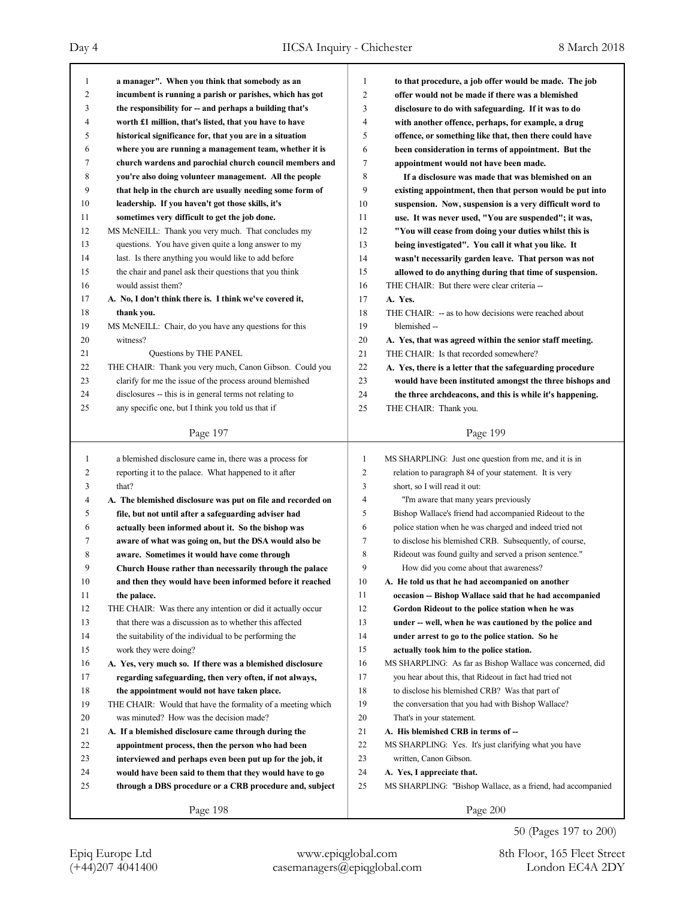| 1                       | a manager". When you think that somebody as an              | $\mathbf{1}$   | to that procedure, a job offer would be made. The job       |
|-------------------------|-------------------------------------------------------------|----------------|-------------------------------------------------------------|
| 2                       | incumbent is running a parish or parishes, which has got    | $\overline{c}$ | offer would not be made if there was a blemished            |
| 3                       | the responsibility for -- and perhaps a building that's     | 3              | disclosure to do with safeguarding. If it was to do         |
| 4                       | worth £1 million, that's listed, that you have to have      | 4              | with another offence, perhaps, for example, a drug          |
| 5                       | historical significance for, that you are in a situation    | 5              | offence, or something like that, then there could have      |
| 6                       | where you are running a management team, whether it is      | 6              | been consideration in terms of appointment. But the         |
| 7                       | church wardens and parochial church council members and     | 7              | appointment would not have been made.                       |
| 8                       | you're also doing volunteer management. All the people      | 8              | If a disclosure was made that was blemished on an           |
| 9                       | that help in the church are usually needing some form of    | 9              | existing appointment, then that person would be put into    |
| 10                      | leadership. If you haven't got those skills, it's           | 10             | suspension. Now, suspension is a very difficult word to     |
| 11                      | sometimes very difficult to get the job done.               | 11             | use. It was never used, "You are suspended"; it was,        |
| 12                      | MS McNEILL: Thank you very much. That concludes my          | 12             | "You will cease from doing your duties whilst this is       |
| 13                      | questions. You have given quite a long answer to my         | 13             | being investigated". You call it what you like. It          |
| 14                      | last. Is there anything you would like to add before        | 14             | wasn't necessarily garden leave. That person was not        |
| 15                      | the chair and panel ask their questions that you think      | 15             | allowed to do anything during that time of suspension.      |
| 16                      | would assist them?                                          | 16             | THE CHAIR: But there were clear criteria --                 |
| 17                      | A. No, I don't think there is. I think we've covered it,    | 17             | A. Yes.                                                     |
| 18                      | thank you.                                                  | 18             | THE CHAIR: - as to how decisions were reached about         |
| 19                      | MS McNEILL: Chair, do you have any questions for this       | 19             | blemished --                                                |
| 20                      | witness?                                                    | 20             | A. Yes, that was agreed within the senior staff meeting.    |
| 21                      | Questions by THE PANEL                                      | 21             | THE CHAIR: Is that recorded somewhere?                      |
| 22                      | THE CHAIR: Thank you very much, Canon Gibson. Could you     | 22             | A. Yes, there is a letter that the safeguarding procedure   |
| 23                      | clarify for me the issue of the process around blemished    | 23             | would have been instituted amongst the three bishops and    |
| 24                      | disclosures -- this is in general terms not relating to     | 24             | the three archdeacons, and this is while it's happening.    |
| 25                      | any specific one, but I think you told us that if           | 25             | THE CHAIR: Thank you.                                       |
|                         | Page 197                                                    |                | Page 199                                                    |
|                         |                                                             |                |                                                             |
|                         |                                                             |                |                                                             |
| $\mathbf{1}$            | a blemished disclosure came in, there was a process for     | $\mathbf{1}$   | MS SHARPLING: Just one question from me, and it is in       |
| $\overline{\mathbf{c}}$ | reporting it to the palace. What happened to it after       | 2              | relation to paragraph 84 of your statement. It is very      |
| 3                       | that?                                                       | 3              | short, so I will read it out:                               |
| 4                       | A. The blemished disclosure was put on file and recorded on | 4              | "I'm aware that many years previously                       |
| 5                       | file, but not until after a safeguarding adviser had        | 5              | Bishop Wallace's friend had accompanied Rideout to the      |
| 6                       | actually been informed about it. So the bishop was          | 6              | police station when he was charged and indeed tried not     |
| 7                       | aware of what was going on, but the DSA would also be       | 7              | to disclose his blemished CRB. Subsequently, of course,     |
| 8                       | aware. Sometimes it would have come through                 | 8              | Rideout was found guilty and served a prison sentence."     |
| 9                       | Church House rather than necessarily through the palace     | 9              | How did you come about that awareness?                      |
| $10\,$                  | and then they would have been informed before it reached    | $10\,$         | A. He told us that he had accompanied on another            |
| 11                      | the palace.                                                 | 11             | occasion -- Bishop Wallace said that he had accompanied     |
| 12                      | THE CHAIR: Was there any intention or did it actually occur | 12             | Gordon Rideout to the police station when he was            |
| 13                      | that there was a discussion as to whether this affected     | 13             | under -- well, when he was cautioned by the police and      |
| 14                      | the suitability of the individual to be performing the      | 14             | under arrest to go to the police station. So he             |
| 15                      | work they were doing?                                       | 15             | actually took him to the police station.                    |
| 16                      | A. Yes, very much so. If there was a blemished disclosure   | 16             | MS SHARPLING: As far as Bishop Wallace was concerned, did   |
| 17                      | regarding safeguarding, then very often, if not always,     | 17             | you hear about this, that Rideout in fact had tried not     |
| 18                      | the appointment would not have taken place.                 | 18             | to disclose his blemished CRB? Was that part of             |
| 19                      | THE CHAIR: Would that have the formality of a meeting which | 19             | the conversation that you had with Bishop Wallace?          |
| 20                      | was minuted? How was the decision made?                     | 20             | That's in your statement.                                   |
| 21                      | A. If a blemished disclosure came through during the        | 21             | A. His blemished CRB in terms of --                         |
| 22                      | appointment process, then the person who had been           | 22             | MS SHARPLING: Yes. It's just clarifying what you have       |
| 23                      | interviewed and perhaps even been put up for the job, it    | 23             | written, Canon Gibson.                                      |
| 24                      | would have been said to them that they would have to go     | 24             | A. Yes, I appreciate that.                                  |
| 25                      | through a DBS procedure or a CRB procedure and, subject     | 25             | MS SHARPLING: "Bishop Wallace, as a friend, had accompanied |

50 (Pages 197 to 200)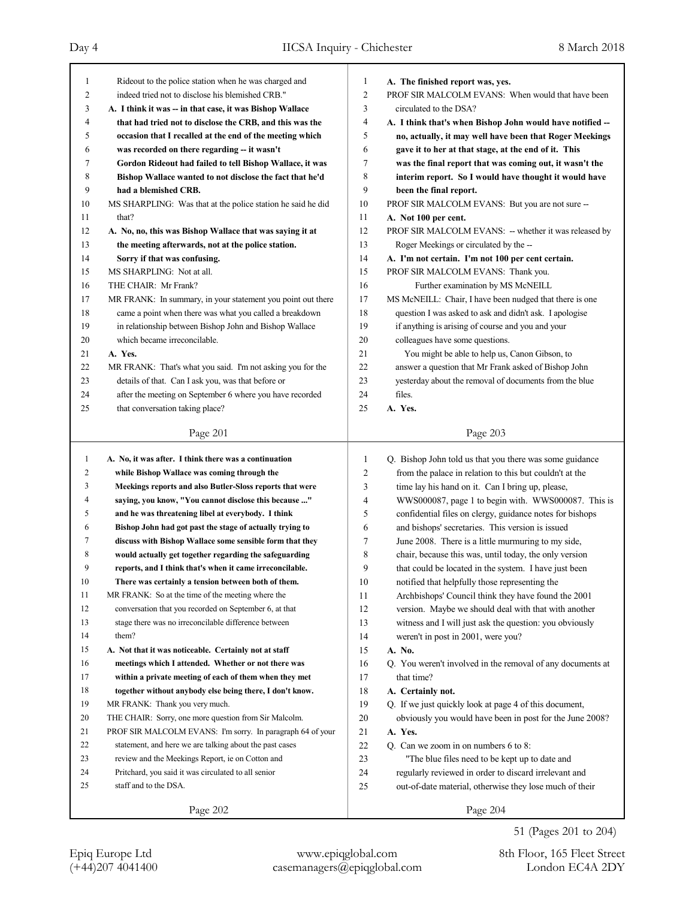| 1      | Rideout to the police station when he was charged and       | 1              | A. The finished report was, yes.                           |
|--------|-------------------------------------------------------------|----------------|------------------------------------------------------------|
| 2      | indeed tried not to disclose his blemished CRB."            | $\mathfrak{2}$ | PROF SIR MALCOLM EVANS: When would that have been          |
| 3      | A. I think it was -- in that case, it was Bishop Wallace    | 3              | circulated to the DSA?                                     |
| 4      | that had tried not to disclose the CRB, and this was the    | 4              | A. I think that's when Bishop John would have notified --  |
| 5      | occasion that I recalled at the end of the meeting which    | 5              | no, actually, it may well have been that Roger Meekings    |
| 6      | was recorded on there regarding -- it wasn't                | 6              | gave it to her at that stage, at the end of it. This       |
| 7      | Gordon Rideout had failed to tell Bishop Wallace, it was    | 7              | was the final report that was coming out, it wasn't the    |
| 8      | Bishop Wallace wanted to not disclose the fact that he'd    | 8              | interim report. So I would have thought it would have      |
| 9      | had a blemished CRB.                                        | 9              | been the final report.                                     |
| 10     | MS SHARPLING: Was that at the police station he said he did | 10             | PROF SIR MALCOLM EVANS: But you are not sure --            |
| 11     | that?                                                       | 11             | A. Not 100 per cent.                                       |
| 12     | A. No, no, this was Bishop Wallace that was saying it at    | 12             | PROF SIR MALCOLM EVANS: - whether it was released by       |
| 13     | the meeting afterwards, not at the police station.          | 13             | Roger Meekings or circulated by the --                     |
| 14     | Sorry if that was confusing.                                | 14             | A. I'm not certain. I'm not 100 per cent certain.          |
| 15     | MS SHARPLING: Not at all.                                   | 15             | PROF SIR MALCOLM EVANS: Thank you.                         |
| 16     | THE CHAIR: Mr Frank?                                        | 16             | Further examination by MS McNEILL                          |
| 17     | MR FRANK: In summary, in your statement you point out there | 17             | MS McNEILL: Chair, I have been nudged that there is one    |
| 18     | came a point when there was what you called a breakdown     | 18             | question I was asked to ask and didn't ask. I apologise    |
| 19     | in relationship between Bishop John and Bishop Wallace      | 19             | if anything is arising of course and you and your          |
| 20     | which became irreconcilable.                                | 20             | colleagues have some questions.                            |
| 21     | A. Yes.                                                     | 21             | You might be able to help us, Canon Gibson, to             |
| 22     | MR FRANK: That's what you said. I'm not asking you for the  | 22             | answer a question that Mr Frank asked of Bishop John       |
| 23     | details of that. Can I ask you, was that before or          | 23             | yesterday about the removal of documents from the blue     |
| 24     | after the meeting on September 6 where you have recorded    | 24             | files.                                                     |
| 25     | that conversation taking place?                             | 25             | A. Yes.                                                    |
|        |                                                             |                |                                                            |
|        | Page 201                                                    |                | Page 203                                                   |
|        |                                                             |                |                                                            |
|        |                                                             |                |                                                            |
| 1      | A. No, it was after. I think there was a continuation       | 1              | Q. Bishop John told us that you there was some guidance    |
| 2      | while Bishop Wallace was coming through the                 | 2              | from the palace in relation to this but couldn't at the    |
| 3      | Meekings reports and also Butler-Sloss reports that were    | 3              | time lay his hand on it. Can I bring up, please,           |
| 4      | saying, you know, "You cannot disclose this because "       | 4              | WWS000087, page 1 to begin with. WWS000087. This is        |
| 5      | and he was threatening libel at everybody. I think          | 5              | confidential files on clergy, guidance notes for bishops   |
| 6      | Bishop John had got past the stage of actually trying to    | 6              | and bishops' secretaries. This version is issued           |
| 7      | discuss with Bishop Wallace some sensible form that they    | 7              | June 2008. There is a little murmuring to my side,         |
| 8      | would actually get together regarding the safeguarding      | 8              | chair, because this was, until today, the only version     |
| 9      | reports, and I think that's when it came irreconcilable.    | 9              | that could be located in the system. I have just been      |
| $10\,$ | There was certainly a tension between both of them.         | 10             | notified that helpfully those representing the             |
| 11     | MR FRANK: So at the time of the meeting where the           | 11             | Archbishops' Council think they have found the 2001        |
| 12     | conversation that you recorded on September 6, at that      | 12             | version. Maybe we should deal with that with another       |
| 13     | stage there was no irreconcilable difference between        | 13             | witness and I will just ask the question: you obviously    |
| 14     | them?                                                       | 14             | weren't in post in 2001, were you?                         |
| 15     | A. Not that it was noticeable. Certainly not at staff       | 15             | A. No.                                                     |
| 16     | meetings which I attended. Whether or not there was         | 16             | Q. You weren't involved in the removal of any documents at |
| 17     | within a private meeting of each of them when they met      | 17             | that time?                                                 |
| 18     | together without anybody else being there, I don't know.    | 18             | A. Certainly not.                                          |
| 19     | MR FRANK: Thank you very much.                              | 19             | Q. If we just quickly look at page 4 of this document,     |
| 20     | THE CHAIR: Sorry, one more question from Sir Malcolm.       | 20             | obviously you would have been in post for the June 2008?   |
| 21     | PROF SIR MALCOLM EVANS: I'm sorry. In paragraph 64 of your  | 21             | A. Yes.                                                    |
| 22     | statement, and here we are talking about the past cases     | 22             | Q. Can we zoom in on numbers 6 to 8:                       |
| 23     | review and the Meekings Report, ie on Cotton and            | 23             | "The blue files need to be kept up to date and             |
| 24     | Pritchard, you said it was circulated to all senior         | 24             | regularly reviewed in order to discard irrelevant and      |
| 25     | staff and to the DSA.                                       | 25             | out-of-date material, otherwise they lose much of their    |

51 (Pages 201 to 204)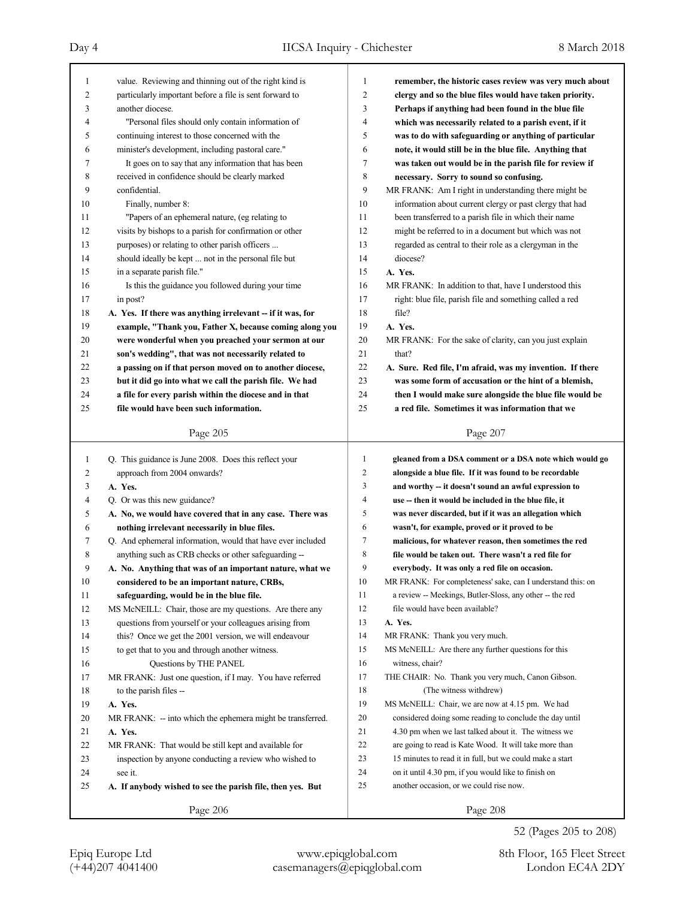|    | value. Reviewing and thinning out of the right kind is      |                |                                                             |
|----|-------------------------------------------------------------|----------------|-------------------------------------------------------------|
| 1  |                                                             | 1<br>2         | remember, the historic cases review was very much about     |
| 2  | particularly important before a file is sent forward to     |                | clergy and so the blue files would have taken priority.     |
| 3  | another diocese.                                            | 3              | Perhaps if anything had been found in the blue file         |
| 4  | "Personal files should only contain information of          | 4              | which was necessarily related to a parish event, if it      |
| 5  | continuing interest to those concerned with the             | 5              | was to do with safeguarding or anything of particular       |
| 6  | minister's development, including pastoral care."           | 6              | note, it would still be in the blue file. Anything that     |
| 7  | It goes on to say that any information that has been        | 7              | was taken out would be in the parish file for review if     |
| 8  | received in confidence should be clearly marked             | 8              | necessary. Sorry to sound so confusing.                     |
| 9  | confidential.                                               | 9              | MR FRANK: Am I right in understanding there might be        |
| 10 | Finally, number 8:                                          | 10             | information about current clergy or past clergy that had    |
| 11 | "Papers of an ephemeral nature, (eg relating to             | 11             | been transferred to a parish file in which their name       |
| 12 | visits by bishops to a parish for confirmation or other     | 12             | might be referred to in a document but which was not        |
| 13 | purposes) or relating to other parish officers              | 13             | regarded as central to their role as a clergyman in the     |
| 14 | should ideally be kept  not in the personal file but        | 14             | diocese?                                                    |
| 15 | in a separate parish file."                                 | 15             | A. Yes.                                                     |
| 16 | Is this the guidance you followed during your time          | 16             | MR FRANK: In addition to that, have I understood this       |
| 17 | in post?                                                    | 17             | right: blue file, parish file and something called a red    |
| 18 | A. Yes. If there was anything irrelevant - if it was, for   | 18             | file?                                                       |
| 19 | example, "Thank you, Father X, because coming along you     | 19             | A. Yes.                                                     |
| 20 | were wonderful when you preached your sermon at our         | 20             | MR FRANK: For the sake of clarity, can you just explain     |
| 21 | son's wedding", that was not necessarily related to         | 21             | that?                                                       |
| 22 | a passing on if that person moved on to another diocese,    | 22             | A. Sure. Red file, I'm afraid, was my invention. If there   |
| 23 | but it did go into what we call the parish file. We had     | 23             | was some form of accusation or the hint of a blemish,       |
| 24 | a file for every parish within the diocese and in that      | 24             | then I would make sure alongside the blue file would be     |
| 25 | file would have been such information.                      | 25             | a red file. Sometimes it was information that we            |
|    |                                                             |                |                                                             |
|    | Page 205                                                    |                | Page 207                                                    |
|    |                                                             |                |                                                             |
|    |                                                             | 1              |                                                             |
| 1  | Q. This guidance is June 2008. Does this reflect your       |                | gleaned from a DSA comment or a DSA note which would go     |
| 2  | approach from 2004 onwards?                                 | 2              | alongside a blue file. If it was found to be recordable     |
| 3  | A. Yes.                                                     | 3              | and worthy -- it doesn't sound an awful expression to       |
| 4  | Q. Or was this new guidance?                                | $\overline{4}$ | use -- then it would be included in the blue file, it       |
| 5  | A. No, we would have covered that in any case. There was    | 5              | was never discarded, but if it was an allegation which      |
| 6  | nothing irrelevant necessarily in blue files.               | 6              | wasn't, for example, proved or it proved to be              |
| 7  | Q. And ephemeral information, would that have ever included | 7              | malicious, for whatever reason, then sometimes the red      |
| 8  | anything such as CRB checks or other safeguarding --        | 8              | file would be taken out. There wasn't a red file for        |
| 9  | A. No. Anything that was of an important nature, what we    | 9              | everybody. It was only a red file on occasion.              |
| 10 | considered to be an important nature, CRBs,                 | 10             | MR FRANK: For completeness' sake, can I understand this: on |
| 11 | safeguarding, would be in the blue file.                    | 11             | a review -- Meekings, Butler-Sloss, any other -- the red    |
| 12 | MS McNEILL: Chair, those are my questions. Are there any    | 12             | file would have been available?                             |
| 13 | questions from yourself or your colleagues arising from     | 13             | A. Yes.                                                     |
| 14 | this? Once we get the 2001 version, we will endeavour       | 14             | MR FRANK: Thank you very much.                              |
| 15 | to get that to you and through another witness.             | 15             | MS McNEILL: Are there any further questions for this        |
| 16 | Questions by THE PANEL                                      | 16             | witness, chair?                                             |
| 17 | MR FRANK: Just one question, if I may. You have referred    | 17             | THE CHAIR: No. Thank you very much, Canon Gibson.           |
| 18 | to the parish files --                                      | 18             | (The witness withdrew)                                      |
| 19 | A. Yes.                                                     | 19             | MS McNEILL: Chair, we are now at 4.15 pm. We had            |
| 20 | MR FRANK: -- into which the ephemera might be transferred.  | 20             | considered doing some reading to conclude the day until     |
| 21 | A. Yes.                                                     | 21             | 4.30 pm when we last talked about it. The witness we        |
| 22 | MR FRANK: That would be still kept and available for        | 22             | are going to read is Kate Wood. It will take more than      |
| 23 | inspection by anyone conducting a review who wished to      | 23             | 15 minutes to read it in full, but we could make a start    |
| 24 | see it.                                                     | 24             | on it until 4.30 pm, if you would like to finish on         |
| 25 | A. If anybody wished to see the parish file, then yes. But  | 25             | another occasion, or we could rise now.                     |
|    | Page 206                                                    |                | Page 208                                                    |

52 (Pages 205 to 208)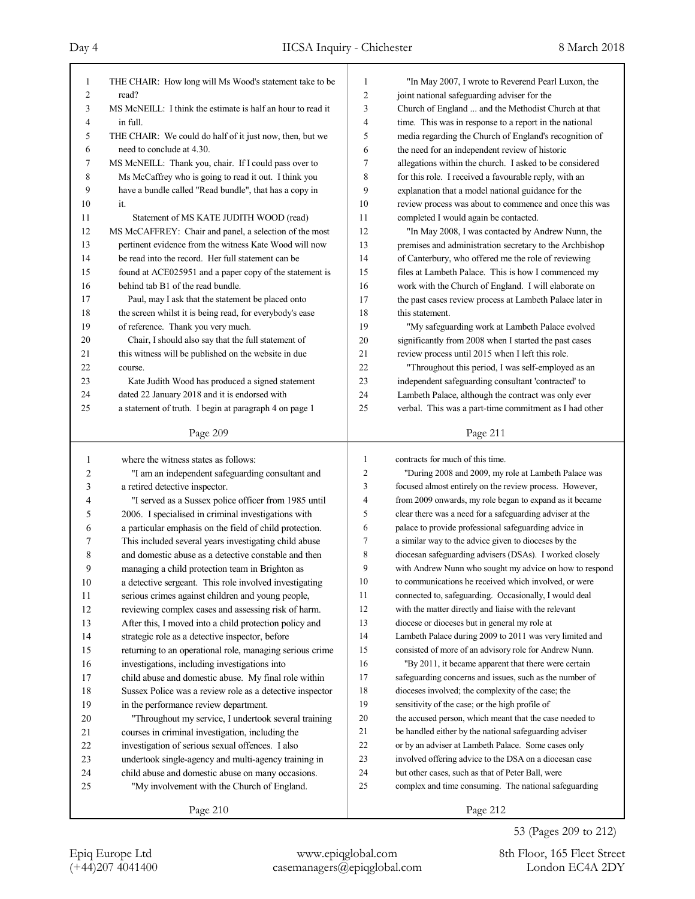| 1                   | THE CHAIR: How long will Ms Wood's statement take to be     | 1              | "In May 2007, I wrote to Reverend Pearl Luxon, the       |
|---------------------|-------------------------------------------------------------|----------------|----------------------------------------------------------|
| 2                   | read?                                                       | $\overline{c}$ | joint national safeguarding adviser for the              |
| 3                   | MS McNEILL: I think the estimate is half an hour to read it | 3              | Church of England  and the Methodist Church at that      |
| 4                   | in full.                                                    | 4              | time. This was in response to a report in the national   |
| 5                   | THE CHAIR: We could do half of it just now, then, but we    | 5              | media regarding the Church of England's recognition of   |
| 6                   | need to conclude at 4.30.                                   | 6              | the need for an independent review of historic           |
| 7                   | MS McNEILL: Thank you, chair. If I could pass over to       | 7              | allegations within the church. I asked to be considered  |
| 8                   | Ms McCaffrey who is going to read it out. I think you       | 8              | for this role. I received a favourable reply, with an    |
| 9                   | have a bundle called "Read bundle", that has a copy in      | 9              | explanation that a model national guidance for the       |
| 10                  | it.                                                         | 10             | review process was about to commence and once this was   |
| 11                  | Statement of MS KATE JUDITH WOOD (read)                     | 11             | completed I would again be contacted.                    |
| 12                  | MS McCAFFREY: Chair and panel, a selection of the most      | 12             | "In May 2008, I was contacted by Andrew Nunn, the        |
| 13                  | pertinent evidence from the witness Kate Wood will now      | 13             | premises and administration secretary to the Archbishop  |
| 14                  | be read into the record. Her full statement can be          | 14             | of Canterbury, who offered me the role of reviewing      |
| 15                  | found at ACE025951 and a paper copy of the statement is     | 15             | files at Lambeth Palace. This is how I commenced my      |
| 16                  | behind tab B1 of the read bundle.                           | 16             | work with the Church of England. I will elaborate on     |
| 17                  | Paul, may I ask that the statement be placed onto           | 17             | the past cases review process at Lambeth Palace later in |
| 18                  | the screen whilst it is being read, for everybody's ease    | 18             | this statement.                                          |
| 19                  | of reference. Thank you very much.                          | 19             | "My safeguarding work at Lambeth Palace evolved          |
| 20                  | Chair, I should also say that the full statement of         | 20             | significantly from 2008 when I started the past cases    |
| 21                  | this witness will be published on the website in due        | 21             | review process until 2015 when I left this role.         |
| 22                  | course.                                                     | 22             | "Throughout this period, I was self-employed as an       |
| 23                  | Kate Judith Wood has produced a signed statement            | 23             | independent safeguarding consultant 'contracted' to      |
| 24                  | dated 22 January 2018 and it is endorsed with               | 24             | Lambeth Palace, although the contract was only ever      |
| 25                  | a statement of truth. I begin at paragraph 4 on page 1      | 25             | verbal. This was a part-time commitment as I had other   |
|                     |                                                             |                |                                                          |
|                     | Page 209                                                    |                | Page 211                                                 |
|                     |                                                             |                |                                                          |
| $\mathbf{1}$        | where the witness states as follows:                        | 1              | contracts for much of this time.                         |
|                     |                                                             | 2              | "During 2008 and 2009, my role at Lambeth Palace was     |
| $\overline{c}$<br>3 | "I am an independent safeguarding consultant and            | 3              |                                                          |
| 4                   | a retired detective inspector.                              | $\overline{4}$ | focused almost entirely on the review process. However,  |
| 5                   | "I served as a Sussex police officer from 1985 until        | 5              | from 2009 onwards, my role began to expand as it became  |
|                     | 2006. I specialised in criminal investigations with         | 6              | clear there was a need for a safeguarding adviser at the |
| 6                   | a particular emphasis on the field of child protection.     | 7              | palace to provide professional safeguarding advice in    |
| 7                   | This included several years investigating child abuse       |                | a similar way to the advice given to dioceses by the     |
| 8                   | and domestic abuse as a detective constable and then        | 8<br>9         | diocesan safeguarding advisers (DSAs). I worked closely  |
| 9                   | managing a child protection team in Brighton as             |                | with Andrew Nunn who sought my advice on how to respond  |
| $10\,$              | a detective sergeant. This role involved investigating      | $10\,$         | to communications he received which involved, or were    |
| 11                  | serious crimes against children and young people,           | 11             | connected to, safeguarding. Occasionally, I would deal   |
| $12\,$              | reviewing complex cases and assessing risk of harm.         | 12             | with the matter directly and liaise with the relevant    |
| 13                  | After this, I moved into a child protection policy and      | 13             | diocese or dioceses but in general my role at            |
| 14                  | strategic role as a detective inspector, before             | 14             | Lambeth Palace during 2009 to 2011 was very limited and  |
| 15                  | returning to an operational role, managing serious crime    | 15             | consisted of more of an advisory role for Andrew Nunn.   |
| 16                  | investigations, including investigations into               | 16             | "By 2011, it became apparent that there were certain     |
| 17                  | child abuse and domestic abuse. My final role within        | 17             | safeguarding concerns and issues, such as the number of  |
| $18\,$              | Sussex Police was a review role as a detective inspector    | 18             | dioceses involved; the complexity of the case; the       |
| 19                  | in the performance review department.                       | 19             | sensitivity of the case; or the high profile of          |
| 20                  | "Throughout my service, I undertook several training        | $20\,$         | the accused person, which meant that the case needed to  |
| 21                  | courses in criminal investigation, including the            | 21             | be handled either by the national safeguarding adviser   |
| 22                  | investigation of serious sexual offences. I also            | $22\,$         | or by an adviser at Lambeth Palace. Some cases only      |
| 23                  | undertook single-agency and multi-agency training in        | 23             | involved offering advice to the DSA on a diocesan case   |
| 24                  | child abuse and domestic abuse on many occasions.           | 24             | but other cases, such as that of Peter Ball, were        |
| 25                  | "My involvement with the Church of England.                 | $25\,$         | complex and time consuming. The national safeguarding    |

53 (Pages 209 to 212)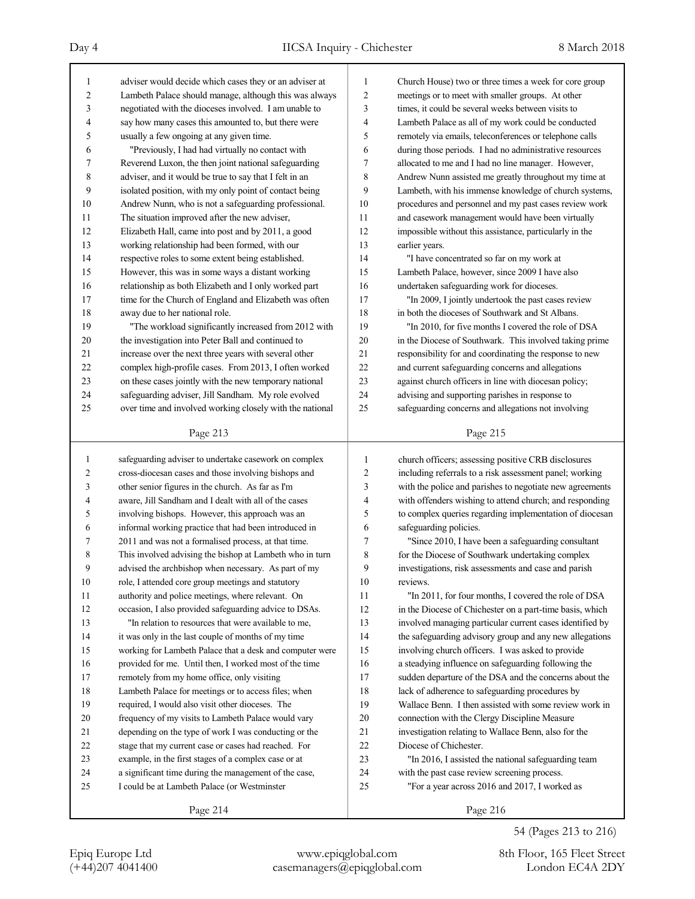| 1            | adviser would decide which cases they or an adviser at   | 1              | Church House) two or three times a week for core group   |
|--------------|----------------------------------------------------------|----------------|----------------------------------------------------------|
| 2            | Lambeth Palace should manage, although this was always   | 2              | meetings or to meet with smaller groups. At other        |
| 3            | negotiated with the dioceses involved. I am unable to    | 3              | times, it could be several weeks between visits to       |
| 4            | say how many cases this amounted to, but there were      | 4              | Lambeth Palace as all of my work could be conducted      |
| 5            | usually a few ongoing at any given time.                 | 5              | remotely via emails, teleconferences or telephone calls  |
| 6            | "Previously, I had had virtually no contact with         | 6              | during those periods. I had no administrative resources  |
| 7            | Reverend Luxon, the then joint national safeguarding     | 7              | allocated to me and I had no line manager. However,      |
| 8            | adviser, and it would be true to say that I felt in an   | 8              | Andrew Nunn assisted me greatly throughout my time at    |
| 9            | isolated position, with my only point of contact being   | 9              | Lambeth, with his immense knowledge of church systems,   |
| 10           | Andrew Nunn, who is not a safeguarding professional.     | 10             | procedures and personnel and my past cases review work   |
| 11           | The situation improved after the new adviser,            | 11             | and casework management would have been virtually        |
| 12           | Elizabeth Hall, came into post and by 2011, a good       | 12             | impossible without this assistance, particularly in the  |
| 13           | working relationship had been formed, with our           | 13             | earlier years.                                           |
| 14           | respective roles to some extent being established.       | 14             | "I have concentrated so far on my work at                |
| 15           | However, this was in some ways a distant working         | 15             | Lambeth Palace, however, since 2009 I have also          |
| 16           | relationship as both Elizabeth and I only worked part    | 16             | undertaken safeguarding work for dioceses.               |
| 17           | time for the Church of England and Elizabeth was often   | 17             | "In 2009, I jointly undertook the past cases review      |
| 18           | away due to her national role.                           | 18             | in both the dioceses of Southwark and St Albans.         |
| 19           | "The workload significantly increased from 2012 with     | 19             | "In 2010, for five months I covered the role of DSA      |
| 20           | the investigation into Peter Ball and continued to       | 20             | in the Diocese of Southwark. This involved taking prime  |
| 21           | increase over the next three years with several other    | 21             | responsibility for and coordinating the response to new  |
| 22           | complex high-profile cases. From 2013, I often worked    | 22             | and current safeguarding concerns and allegations        |
| 23           | on these cases jointly with the new temporary national   | 23             | against church officers in line with diocesan policy;    |
| 24           | safeguarding adviser, Jill Sandham. My role evolved      | 24             | advising and supporting parishes in response to          |
| 25           | over time and involved working closely with the national | 25             | safeguarding concerns and allegations not involving      |
|              | Page 213                                                 |                | Page 215                                                 |
|              |                                                          |                |                                                          |
|              |                                                          |                |                                                          |
| $\mathbf{1}$ | safeguarding adviser to undertake casework on complex    | 1              | church officers; assessing positive CRB disclosures      |
| 2            | cross-diocesan cases and those involving bishops and     | $\overline{c}$ | including referrals to a risk assessment panel; working  |
| 3            | other senior figures in the church. As far as I'm        | 3              | with the police and parishes to negotiate new agreements |
| 4            | aware, Jill Sandham and I dealt with all of the cases    | 4              | with offenders wishing to attend church; and responding  |
| 5            | involving bishops. However, this approach was an         | 5              | to complex queries regarding implementation of diocesan  |
| 6            | informal working practice that had been introduced in    | 6              | safeguarding policies.                                   |
| 7            | 2011 and was not a formalised process, at that time.     | 7              | "Since 2010, I have been a safeguarding consultant       |
| 8            | This involved advising the bishop at Lambeth who in turn | 8              | for the Diocese of Southwark undertaking complex         |
| 9            | advised the archbishop when necessary. As part of my     | 9              | investigations, risk assessments and case and parish     |
| 10           | role, I attended core group meetings and statutory       | 10             | reviews.                                                 |
| 11           | authority and police meetings, where relevant. On        | 11             | "In 2011, for four months, I covered the role of DSA     |
| 12           | occasion, I also provided safeguarding advice to DSAs.   | 12             | in the Diocese of Chichester on a part-time basis, which |
| 13           | "In relation to resources that were available to me,     | 13             | involved managing particular current cases identified by |
| 14           | it was only in the last couple of months of my time      | 14             | the safeguarding advisory group and any new allegations  |
| 15           | working for Lambeth Palace that a desk and computer were | 15             | involving church officers. I was asked to provide        |
| 16           | provided for me. Until then, I worked most of the time   | 16             | a steadying influence on safeguarding following the      |
| 17           | remotely from my home office, only visiting              | 17             | sudden departure of the DSA and the concerns about the   |
| 18           | Lambeth Palace for meetings or to access files; when     | 18             | lack of adherence to safeguarding procedures by          |
| 19           | required, I would also visit other dioceses. The         | 19             | Wallace Benn. I then assisted with some review work in   |
| 20           | frequency of my visits to Lambeth Palace would vary      | 20             | connection with the Clergy Discipline Measure            |
| 21           | depending on the type of work I was conducting or the    | 21             | investigation relating to Wallace Benn, also for the     |
| $22\,$       | stage that my current case or cases had reached. For     | 22             | Diocese of Chichester.                                   |
| 23           | example, in the first stages of a complex case or at     | 23             | "In 2016, I assisted the national safeguarding team      |
| 24           | a significant time during the management of the case,    | 24             | with the past case review screening process.             |
| 25           | I could be at Lambeth Palace (or Westminster             | 25             | "For a year across 2016 and 2017, I worked as            |
|              | Page 214                                                 |                | Page 216                                                 |

54 (Pages 213 to 216)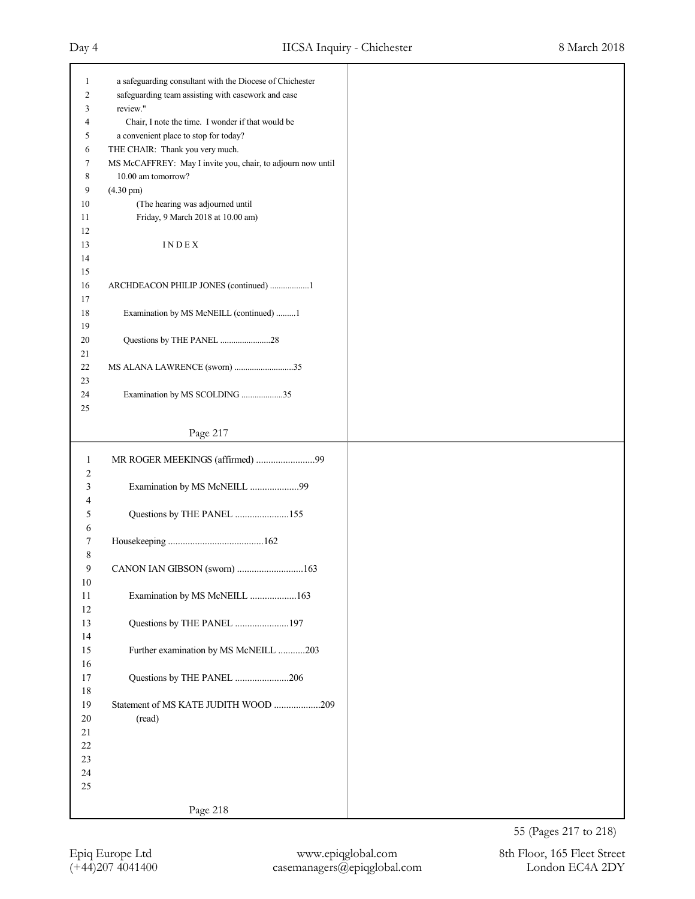| 1      |                                                             |
|--------|-------------------------------------------------------------|
|        | a safeguarding consultant with the Diocese of Chichester    |
| 2      | safeguarding team assisting with casework and case          |
| 3      | review."                                                    |
| 4      | Chair, I note the time. I wonder if that would be           |
|        |                                                             |
| 5      | a convenient place to stop for today?                       |
| 6      | THE CHAIR: Thank you very much.                             |
| 7      | MS McCAFFREY: May I invite you, chair, to adjourn now until |
| 8      | 10.00 am tomorrow?                                          |
| 9      | $(4.30 \text{ pm})$                                         |
| 10     | (The hearing was adjourned until                            |
| 11     | Friday, 9 March 2018 at 10.00 am)                           |
| 12     |                                                             |
|        |                                                             |
| 13     | INDEX                                                       |
| 14     |                                                             |
| 15     |                                                             |
| 16     | ARCHDEACON PHILIP JONES (continued) 1                       |
| 17     |                                                             |
| 18     | Examination by MS McNEILL (continued) 1                     |
| 19     |                                                             |
| 20     |                                                             |
|        | Questions by THE PANEL 28                                   |
| 21     |                                                             |
| 22     | MS ALANA LAWRENCE (sworn) 35                                |
| 23     |                                                             |
| 24     | Examination by MS SCOLDING 35                               |
| 25     |                                                             |
|        |                                                             |
|        | Page 217                                                    |
|        |                                                             |
| 1      | MR ROGER MEEKINGS (affirmed) 99                             |
| 2      |                                                             |
| 3      | Examination by MS McNEILL 99                                |
| 4      |                                                             |
| 5      |                                                             |
|        |                                                             |
|        | Questions by THE PANEL 155                                  |
| 6      |                                                             |
| 7      |                                                             |
| 8      |                                                             |
| 9      | CANON IAN GIBSON (sworn) 163                                |
| $10\,$ |                                                             |
| $11\,$ | Examination by MS McNEILL 163                               |
|        |                                                             |
| $12\,$ |                                                             |
| 13     | Questions by THE PANEL 197                                  |
| 14     |                                                             |
| 15     | Further examination by MS McNEILL 203                       |
| 16     |                                                             |
| $17\,$ | Questions by THE PANEL 206                                  |
| $18\,$ |                                                             |
|        |                                                             |
| 19     | Statement of MS KATE JUDITH WOOD 209                        |
| $20\,$ | (read)                                                      |
| 21     |                                                             |
| $22\,$ |                                                             |
| 23     |                                                             |
| $24\,$ |                                                             |
| 25     |                                                             |
|        | Page 218                                                    |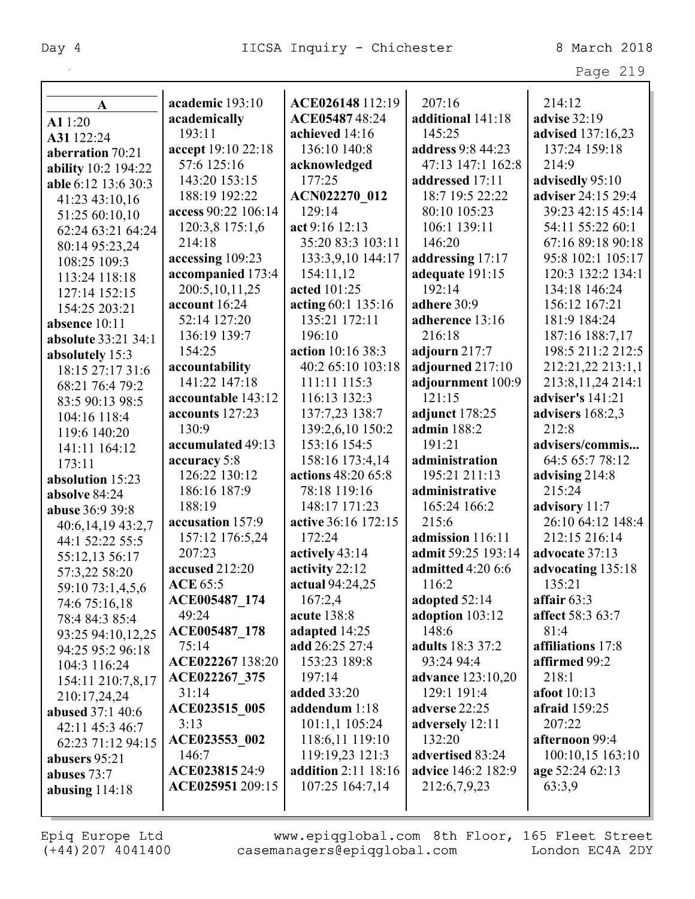|                         |                     |                            |                          | Page 219             |
|-------------------------|---------------------|----------------------------|--------------------------|----------------------|
|                         |                     |                            |                          |                      |
| A                       | academic 193:10     | ACE026148 112:19           | 207:16                   | 214:12               |
| A1 1:20                 | academically        | ACE0548748:24              | additional 141:18        | <b>advise</b> 32:19  |
| A31 122:24              | 193:11              | achieved 14:16             | 145:25                   | advised 137:16,23    |
| aberration 70:21        | accept 19:10 22:18  | 136:10 140:8               | address 9:8 44:23        | 137:24 159:18        |
| ability 10:2 194:22     | 57:6 125:16         | acknowledged               | 47:13 147:1 162:8        | 214:9                |
| able 6:12 13:6 30:3     | 143:20 153:15       | 177:25                     | addressed 17:11          | advisedly 95:10      |
| 41:23 43:10,16          | 188:19 192:22       | ACN022270 012              | 18:7 19:5 22:22          | adviser 24:15 29:4   |
| 51:25 60:10,10          | access 90:22 106:14 | 129:14                     | 80:10 105:23             | 39:23 42:15 45:14    |
| 62:24 63:21 64:24       | 120:3,8 175:1,6     | act 9:16 12:13             | 106:1 139:11             | 54:11 55:22 60:1     |
| 80:14 95:23,24          | 214:18              | 35:20 83:3 103:11          | 146:20                   | 67:16 89:18 90:18    |
| 108:25 109:3            | accessing 109:23    | 133:3,9,10 144:17          | addressing 17:17         | 95:8 102:1 105:17    |
| 113:24 118:18           | accompanied 173:4   | 154:11,12                  | adequate 191:15          | 120:3 132:2 134:1    |
| 127:14 152:15           | 200:5, 10, 11, 25   | acted 101:25               | 192:14                   | 134:18 146:24        |
| 154:25 203:21           | account 16:24       | acting 60:1 135:16         | adhere 30:9              | 156:12 167:21        |
| absence 10:11           | 52:14 127:20        | 135:21 172:11              | adherence 13:16          | 181:9 184:24         |
| absolute 33:21 34:1     | 136:19 139:7        | 196:10                     | 216:18                   | 187:16 188:7,17      |
| absolutely 15:3         | 154:25              | action 10:16 38:3          | adjourn 217:7            | 198:5 211:2 212:5    |
| 18:15 27:17 31:6        | accountability      | 40:2 65:10 103:18          | adjourned 217:10         | 212:21,22 213:1,1    |
| 68:21 76:4 79:2         | 141:22 147:18       | 111:11 115:3               | adjournment 100:9        | 213:8, 11, 24 214:1  |
| 83:5 90:13 98:5         | accountable 143:12  | 116:13 132:3               | 121:15                   | adviser's 141:21     |
| 104:16 118:4            | accounts 127:23     | 137:7,23 138:7             | adjunct 178:25           | advisers $168:2,3$   |
| 119:6 140:20            | 130:9               | 139:2,6,10 150:2           | admin 188:2              | 212:8                |
| 141:11 164:12           | accumulated 49:13   | 153:16 154:5               | 191:21                   | advisers/commis      |
| 173:11                  | accuracy 5:8        | 158:16 173:4,14            | administration           | 64:5 65:7 78:12      |
| absolution 15:23        | 126:22 130:12       | actions 48:20 65:8         | 195:21 211:13            | advising 214:8       |
| absolve 84:24           | 186:16 187:9        | 78:18 119:16               | administrative           | 215:24               |
| abuse 36:9 39:8         | 188:19              | 148:17 171:23              | 165:24 166:2             | advisory 11:7        |
| 40:6,14,19 43:2,7       | accusation 157:9    | active 36:16 172:15        | 215:6                    | 26:10 64:12 148:4    |
| 44:1 52:22 55:5         | 157:12 176:5,24     | 172:24                     | admission 116:11         | 212:15 216:14        |
| 55:12,13 56:17          | 207:23              | actively 43:14             | admit 59:25 193:14       | advocate 37:13       |
| 57:3,22 58:20           | accused 212:20      | activity 22:12             | <b>admitted</b> 4:20 6:6 | advocating 135:18    |
| 59:10 73:1,4,5,6        | <b>ACE 65:5</b>     | actual 94:24,25            | 116:2                    | 135:21               |
| 74:6 75:16,18           | ACE005487 174       | 167:2,4                    | adopted 52:14            | affair $63:3$        |
| 78:4 84:3 85:4          | 49:24               | acute 138:8                | adoption 103:12          | affect 58:3 63:7     |
| 93:25 94:10,12,25       | ACE005487_178       | adapted 14:25              | 148:6                    | 81:4                 |
| 94:25 95:2 96:18        | 75:14               | add 26:25 27:4             | adults 18:3 37:2         | affiliations 17:8    |
| 104:3 116:24            | ACE022267 138:20    | 153:23 189:8               | 93:24 94:4               | affirmed 99:2        |
| 154:11 210:7,8,17       | ACE022267 375       | 197:14                     | <b>advance</b> 123:10,20 | 218:1                |
| 210:17,24,24            | 31:14               | <b>added</b> 33:20         | 129:1 191:4              | <b>afoot</b> 10:13   |
| <b>abused</b> 37:1 40:6 | ACE023515 005       | addendum 1:18              | adverse 22:25            | <b>afraid</b> 159:25 |
| 42:11 45:3 46:7         | 3:13                | 101:1,1 105:24             | adversely 12:11          | 207:22               |
| 62:23 71:12 94:15       | ACE023553 002       | 118:6,11 119:10            | 132:20                   | afternoon 99:4       |
| abusers 95:21           | 146:7               | 119:19,23 121:3            | advertised 83:24         | 100:10,15 163:10     |
| abuses 73:7             | ACE023815 24:9      | <b>addition</b> 2:11 18:16 | advice 146:2 182:9       | age 52:24 62:13      |
| abusing $114:18$        | ACE025951 209:15    | 107:25 164:7,14            | 212:6,7,9,23             | 63:3,9               |
|                         |                     |                            |                          |                      |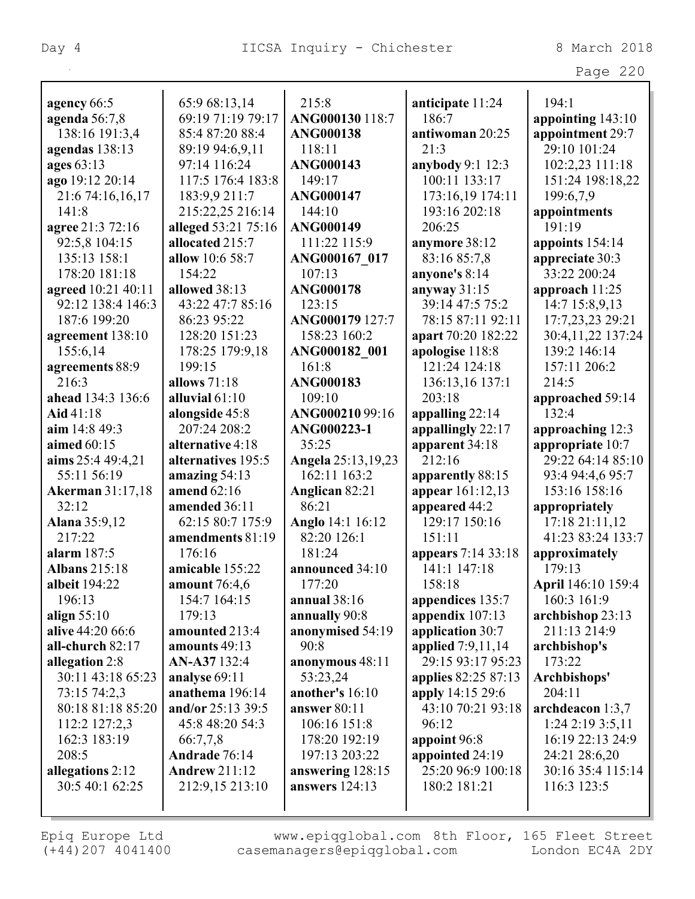| Aσ<br>. . |  |
|-----------|--|
|-----------|--|

| agency 66:5             | 65:9 68:13,14        | 215:8              | anticipate 11:24    | 194:1              |
|-------------------------|----------------------|--------------------|---------------------|--------------------|
| agenda 56:7,8           | 69:19 71:19 79:17    | ANG000130 118:7    | 186:7               | appointing 143:10  |
| 138:16 191:3,4          | 85:4 87:20 88:4      | <b>ANG000138</b>   | antiwoman 20:25     | appointment 29:7   |
| agendas 138:13          | 89:19 94:6,9,11      | 118:11             | 21:3                | 29:10 101:24       |
| ages 63:13              | 97:14 116:24         | <b>ANG000143</b>   | anybody 9:1 12:3    | 102:2,23 111:18    |
| ago 19:12 20:14         | 117:5 176:4 183:8    | 149:17             | 100:11 133:17       | 151:24 198:18,22   |
| 21:6 74:16,16,17        | 183:9,9 211:7        | <b>ANG000147</b>   | 173:16,19 174:11    | 199:6,7,9          |
| 141:8                   | 215:22,25 216:14     | 144:10             | 193:16 202:18       | appointments       |
| agree 21:3 72:16        | alleged 53:21 75:16  | <b>ANG000149</b>   | 206:25              | 191:19             |
| 92:5,8 104:15           | allocated 215:7      | 111:22 115:9       | anymore 38:12       | appoints 154:14    |
| 135:13 158:1            | allow 10:6 58:7      | ANG000167 017      | 83:16 85:7,8        | appreciate 30:3    |
| 178:20 181:18           | 154:22               | 107:13             | anyone's 8:14       | 33:22 200:24       |
| agreed 10:21 40:11      | allowed 38:13        | <b>ANG000178</b>   | anyway $31:15$      | approach 11:25     |
| 92:12 138:4 146:3       | 43:22 47:7 85:16     | 123:15             | 39:14 47:5 75:2     |                    |
|                         |                      |                    |                     | 14:7 15:8,9,13     |
| 187:6 199:20            | 86:23 95:22          | ANG000179 127:7    | 78:15 87:11 92:11   | 17:7,23,23 29:21   |
| agreement 138:10        | 128:20 151:23        | 158:23 160:2       | apart 70:20 182:22  | 30:4,11,22 137:24  |
| 155:6,14                | 178:25 179:9,18      | ANG000182 001      | apologise 118:8     | 139:2 146:14       |
| agreements 88:9         | 199:15               | 161:8              | 121:24 124:18       | 157:11 206:2       |
| 216:3                   | allows $71:18$       | <b>ANG000183</b>   | 136:13,16 137:1     | 214:5              |
| ahead 134:3 136:6       | alluvial 61:10       | 109:10             | 203:18              | approached 59:14   |
| Aid 41:18               | alongside 45:8       | ANG00021099:16     | appalling 22:14     | 132:4              |
| aim 14:8 49:3           | 207:24 208:2         | ANG000223-1        | appallingly 22:17   | approaching 12:3   |
| aimed 60:15             | alternative 4:18     | 35:25              | apparent 34:18      | appropriate 10:7   |
| aims 25:4 49:4,21       | alternatives 195:5   | Angela 25:13,19,23 | 212:16              | 29:22 64:14 85:10  |
| 55:11 56:19             | amazing $54:13$      | 162:11 163:2       | apparently 88:15    | 93:4 94:4,6 95:7   |
| <b>Akerman</b> 31:17,18 | amend 62:16          | Anglican 82:21     | appear 161:12,13    | 153:16 158:16      |
| 32:12                   | amended 36:11        | 86:21              | appeared 44:2       | appropriately      |
| Alana 35:9,12           | 62:15 80:7 175:9     | Anglo 14:1 16:12   | 129:17 150:16       | 17:18 21:11,12     |
| 217:22                  | amendments 81:19     | 82:20 126:1        | 151:11              | 41:23 83:24 133:7  |
| alarm 187:5             | 176:16               | 181:24             | appears 7:14 33:18  | approximately      |
| <b>Albans 215:18</b>    | amicable 155:22      | announced 34:10    | 141:1 147:18        | 179:13             |
| albeit 194:22           | <b>amount</b> 76:4,6 | 177:20             | 158:18              | April 146:10 159:4 |
| 196:13                  | 154:7 164:15         | annual $38:16$     | appendices 135:7    | 160:3 161:9        |
| align $55:10$           | 179:13               | annually 90:8      | appendix $107:13$   | archbishop 23:13   |
| alive 44:20 66:6        | amounted 213:4       | anonymised 54:19   | application 30:7    | 211:13 214:9       |
| all-church 82:17        | amounts 49:13        | 90:8               | applied 7:9,11,14   | archbishop's       |
| allegation 2:8          | AN-A37 132:4         | anonymous 48:11    | 29:15 93:17 95:23   | 173:22             |
| 30:11 43:18 65:23       | analyse 69:11        | 53:23,24           | applies 82:25 87:13 | Archbishops'       |
| 73:15 74:2,3            | anathema 196:14      | another's 16:10    | apply 14:15 29:6    | 204:11             |
| 80:18 81:18 85:20       | and/or 25:13 39:5    | answer 80:11       | 43:10 70:21 93:18   | archdeacon 1:3,7   |
| 112:2 127:2,3           | 45:8 48:20 54:3      | 106:16 151:8       | 96:12               | $1:24$ 2:19 3:5,11 |
| 162:3 183:19            | 66:7,7,8             | 178:20 192:19      | appoint 96:8        | 16:19 22:13 24:9   |
| 208:5                   | Andrade 76:14        | 197:13 203:22      | appointed 24:19     | 24:21 28:6,20      |
| allegations 2:12        | <b>Andrew 211:12</b> | answering 128:15   | 25:20 96:9 100:18   | 30:16 35:4 115:14  |
| 30:5 40:1 62:25         | 212:9,15 213:10      | answers 124:13     | 180:2 181:21        | 116:3 123:5        |
|                         |                      |                    |                     |                    |
|                         |                      |                    |                     |                    |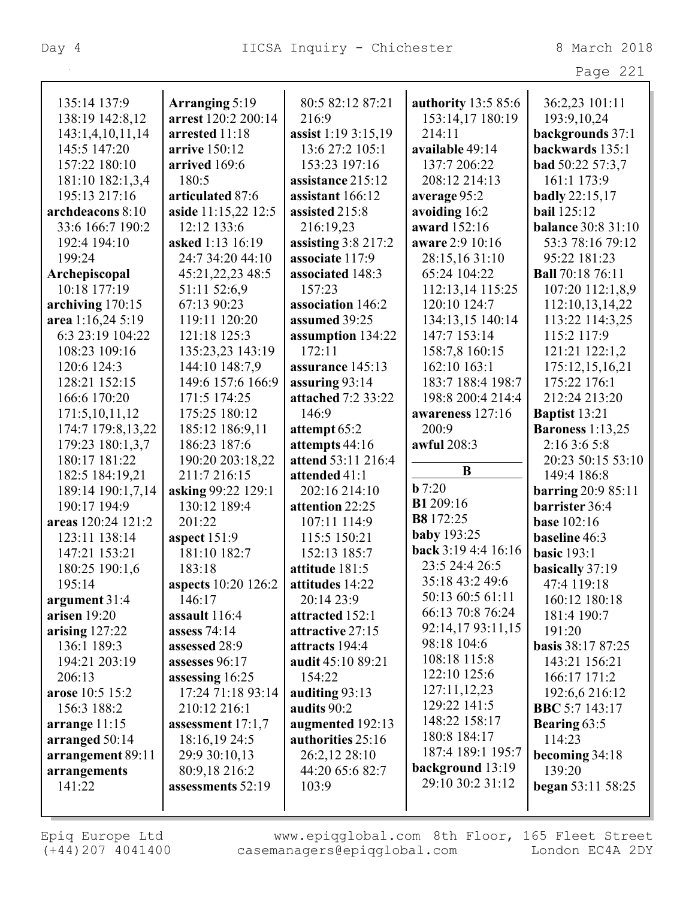|                                      |                                      |                                       |                     | Page 221                                    |
|--------------------------------------|--------------------------------------|---------------------------------------|---------------------|---------------------------------------------|
| 135:14 137:9                         | Arranging 5:19                       | 80:5 82:12 87:21                      | authority 13:5 85:6 | 36:2,23 101:11                              |
| 138:19 142:8,12                      | arrest 120:2 200:14                  | 216:9                                 | 153:14,17 180:19    | 193:9, 10, 24                               |
| 143:1,4,10,11,14                     | arrested 11:18                       | assist 1:19 3:15,19                   | 214:11              | backgrounds 37:1                            |
| 145:5 147:20                         | arrive 150:12                        | 13:6 27:2 105:1                       | available 49:14     | backwards 135:1                             |
| 157:22 180:10                        | arrived 169:6                        | 153:23 197:16                         | 137:7 206:22        | <b>bad</b> 50:22 57:3,7                     |
| 181:10 182:1,3,4                     | 180:5                                | assistance 215:12                     | 208:12 214:13       | 161:1 173:9                                 |
| 195:13 217:16                        | articulated 87:6                     | assistant 166:12                      | average 95:2        | <b>badly</b> 22:15,17                       |
| archdeacons 8:10                     | aside 11:15,22 12:5                  | assisted 215:8                        | avoiding 16:2       | <b>bail</b> 125:12                          |
| 33:6 166:7 190:2                     | 12:12 133:6                          | 216:19,23                             | award 152:16        | <b>balance 30:8 31:10</b>                   |
| 192:4 194:10                         | asked 1:13 16:19                     | assisting $3:8$ 217:2                 | aware 2:9 10:16     | 53:3 78:16 79:12                            |
| 199:24                               | 24:7 34:20 44:10                     | associate 117:9                       | 28:15,16 31:10      | 95:22 181:23                                |
| Archepiscopal                        | 45:21, 22, 23 48:5                   | associated 148:3                      | 65:24 104:22        | <b>Ball</b> 70:18 76:11                     |
| 10:18 177:19                         | 51:11 52:6,9                         | 157:23                                | 112:13,14 115:25    | 107:20 112:1,8,9                            |
| archiving 170:15                     | 67:13 90:23                          | association 146:2                     | 120:10 124:7        | 112:10,13,14,22                             |
| area 1:16,24 5:19                    | 119:11 120:20                        | assumed 39:25                         | 134:13,15 140:14    | 113:22 114:3,25                             |
| 6:3 23:19 104:22                     | 121:18 125:3                         | assumption 134:22                     | 147:7 153:14        | 115:2 117:9                                 |
| 108:23 109:16                        | 135:23,23 143:19                     | 172:11                                | 158:7,8 160:15      | 121:21 122:1,2                              |
| 120:6 124:3                          | 144:10 148:7,9                       | assurance 145:13                      | 162:10 163:1        | 175:12,15,16,21                             |
| 128:21 152:15                        | 149:6 157:6 166:9                    | assuring 93:14                        | 183:7 188:4 198:7   | 175:22 176:1                                |
| 166:6 170:20                         | 171:5 174:25                         | attached 7:2 33:22                    | 198:8 200:4 214:4   | 212:24 213:20                               |
|                                      | 175:25 180:12                        | 146:9                                 | awareness 127:16    |                                             |
| 171:5,10,11,12<br>174:7 179:8,13,22  | 185:12 186:9,11                      |                                       | 200:9               | Baptist 13:21<br><b>Baroness</b> 1:13,25    |
|                                      | 186:23 187:6                         | attempt 65:2                          | awful 208:3         | 2:16 3:6 5:8                                |
| 179:23 180:1,3,7<br>180:17 181:22    | 190:20 203:18,22                     | attempts 44:16<br>attend 53:11 216:4  |                     | 20:23 50:15 53:10                           |
|                                      | 211:7 216:15                         | attended 41:1                         | B                   | 149:4 186:8                                 |
| 182:5 184:19,21<br>189:14 190:1,7,14 | asking 99:22 129:1                   | 202:16 214:10                         | $b$ 7:20            |                                             |
| 190:17 194:9                         | 130:12 189:4                         | attention 22:25                       | <b>B1</b> 209:16    | <b>barring 20:9 85:11</b><br>barrister 36:4 |
| areas 120:24 121:2                   | 201:22                               | 107:11 114:9                          | B8 172:25           | <b>base</b> 102:16                          |
| 123:11 138:14                        |                                      | 115:5 150:21                          | <b>baby</b> 193:25  | baseline 46:3                               |
| 147:21 153:21                        | aspect $151:9$<br>181:10 182:7       | 152:13 185:7                          | back 3:19 4:4 16:16 | <b>basic</b> 193:1                          |
|                                      |                                      |                                       | 23:5 24:4 26:5      |                                             |
| 180:25 190:1,6                       | 183:18                               | attitude 181:5<br>attitudes 14:22     | 35:18 43:2 49:6     | basically 37:19                             |
| 195:14                               | <b>aspects</b> 10:20 126:2           |                                       | 50:13 60:5 61:11    | 47:4 119:18                                 |
| argument $31:4$<br>arisen $19:20$    | 146:17<br>assault 116:4              | 20:14 23:9                            | 66:13 70:8 76:24    | 160:12 180:18<br>181:4 190:7                |
|                                      |                                      | attracted 152:1<br>attractive 27:15   | 92:14,17 93:11,15   | 191:20                                      |
| arising $127:22$<br>136:1 189:3      | assess $74:14$                       | attracts 194:4                        | 98:18 104:6         |                                             |
| 194:21 203:19                        | assessed 28:9<br>assesses 96:17      |                                       | 108:18 115:8        | <b>basis</b> 38:17 87:25                    |
|                                      |                                      | audit 45:10 89:21                     | 122:10 125:6        | 143:21 156:21                               |
| 206:13<br>arose 10:5 15:2            | assessing 16:25<br>17:24 71:18 93:14 | 154:22                                | 127:11,12,23        | 166:17 171:2                                |
| 156:3 188:2                          | 210:12 216:1                         | auditing 93:13<br>audits 90:2         | 129:22 141:5        | 192:6,6 216:12<br><b>BBC</b> 5:7 143:17     |
|                                      |                                      |                                       | 148:22 158:17       |                                             |
| arrange $11:15$                      | assessment $17:1,7$                  | augmented 192:13<br>authorities 25:16 | 180:8 184:17        | <b>Bearing 63:5</b><br>114:23               |
| arranged 50:14<br>arrangement 89:11  | 18:16,19 24:5<br>29:9 30:10,13       | 26:2,12 28:10                         | 187:4 189:1 195:7   | becoming 34:18                              |
| arrangements                         | 80:9,18 216:2                        | 44:20 65:6 82:7                       | background 13:19    | 139:20                                      |
| 141:22                               | assessments 52:19                    | 103:9                                 | 29:10 30:2 31:12    | <b>began</b> 53:11 58:25                    |
|                                      |                                      |                                       |                     |                                             |
|                                      |                                      |                                       |                     |                                             |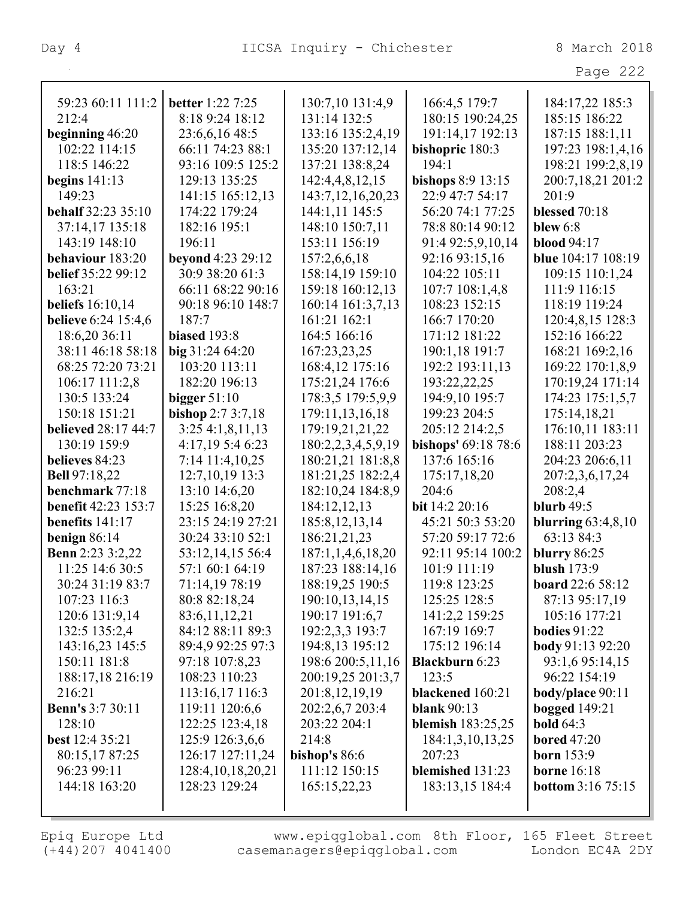Page 222

| 59:23 60:11 111:2          | <b>better</b> 1:22 7:25 | 130:7,10 131:4,9      | 166:4,5 179:7            | 184:17,22 185:3          |
|----------------------------|-------------------------|-----------------------|--------------------------|--------------------------|
| 212:4                      | 8:18 9:24 18:12         | 131:14 132:5          | 180:15 190:24,25         | 185:15 186:22            |
| beginning 46:20            | 23:6,6,16 48:5          | 133:16 135:2,4,19     | 191:14,17 192:13         | 187:15 188:1,11          |
| 102:22 114:15              | 66:11 74:23 88:1        | 135:20 137:12,14      | bishopric 180:3          | 197:23 198:1,4,16        |
| 118:5 146:22               | 93:16 109:5 125:2       | 137:21 138:8,24       | 194:1                    | 198:21 199:2,8,19        |
| begins $141:13$            | 129:13 135:25           | 142:4,4,8,12,15       | bishops 8:9 13:15        | 200:7,18,21 201:2        |
| 149:23                     | 141:15 165:12,13        | 143:7, 12, 16, 20, 23 | 22:9 47:7 54:17          | 201:9                    |
| <b>behalf</b> 32:23 35:10  | 174:22 179:24           | 144:1,11 145:5        | 56:20 74:1 77:25         | blessed 70:18            |
| 37:14,17 135:18            | 182:16 195:1            | 148:10 150:7,11       | 78:8 80:14 90:12         | blew 6:8                 |
| 143:19 148:10              | 196:11                  | 153:11 156:19         | 91:4 92:5,9,10,14        | <b>blood</b> 94:17       |
| behaviour 183:20           | beyond 4:23 29:12       | 157:2,6,6,18          | 92:16 93:15,16           | blue 104:17 108:19       |
| belief 35:22 99:12         | 30:9 38:20 61:3         | 158:14,19 159:10      | 104:22 105:11            | 109:15 110:1,24          |
| 163:21                     | 66:11 68:22 90:16       | 159:18 160:12,13      | 107:7 108:1,4,8          | 111:9 116:15             |
| <b>beliefs</b> 16:10,14    | 90:18 96:10 148:7       | 160:14 161:3,7,13     | 108:23 152:15            | 118:19 119:24            |
| <b>believe</b> 6:24 15:4,6 | 187:7                   | 161:21 162:1          | 166:7 170:20             | 120:4,8,15 128:3         |
| 18:6,20 36:11              | biased 193:8            | 164:5 166:16          | 171:12 181:22            | 152:16 166:22            |
| 38:11 46:18 58:18          | big 31:24 64:20         | 167:23,23,25          | 190:1,18 191:7           | 168:21 169:2,16          |
| 68:25 72:20 73:21          | 103:20 113:11           | 168:4,12 175:16       | 192:2 193:11,13          | 169:22 170:1,8,9         |
| 106:17 111:2,8             | 182:20 196:13           | 175:21,24 176:6       | 193:22,22,25             | 170:19,24 171:14         |
| 130:5 133:24               | bigger $51:10$          | 178:3,5 179:5,9,9     | 194:9,10 195:7           | 174:23 175:1,5,7         |
| 150:18 151:21              | bishop 2:7 3:7,18       | 179:11,13,16,18       | 199:23 204:5             | 175:14,18,21             |
| <b>believed</b> 28:17 44:7 | 3:254:1,8,11,13         | 179:19,21,21,22       | 205:12 214:2,5           | 176:10,11 183:11         |
| 130:19 159:9               | 4:17,19 5:4 6:23        | 180:2,2,3,4,5,9,19    | bishops' 69:18 78:6      | 188:11 203:23            |
| believes 84:23             | 7:14 11:4,10,25         | 180:21,21 181:8,8     | 137:6 165:16             | 204:23 206:6,11          |
| <b>Bell</b> 97:18,22       | 12:7, 10, 19 13:3       | 181:21,25 182:2,4     | 175:17,18,20             | 207:2,3,6,17,24          |
| benchmark 77:18            | 13:10 14:6,20           | 182:10,24 184:8,9     | 204:6                    | 208:2,4                  |
| <b>benefit 42:23 153:7</b> | 15:25 16:8,20           | 184:12,12,13          | bit 14:2 20:16           | <b>blurb</b> 49:5        |
| benefits $141:17$          | 23:15 24:19 27:21       | 185:8, 12, 13, 14     | 45:21 50:3 53:20         | blurring $63:4,8,10$     |
| benign $86:14$             | 30:24 33:10 52:1        | 186:21,21,23          | 57:20 59:17 72:6         | 63:13 84:3               |
| <b>Benn</b> 2:23 3:2,22    | 53:12,14,15 56:4        | 187:1,1,4,6,18,20     | 92:11 95:14 100:2        | <b>blurry</b> 86:25      |
| 11:25 14:6 30:5            | 57:1 60:1 64:19         | 187:23 188:14,16      | 101:9 111:19             | <b>blush</b> 173:9       |
| 30:24 31:19 83:7           | 71:14,19 78:19          | 188:19,25 190:5       | 119:8 123:25             | board 22:6 58:12         |
| 107:23 116:3               | 80:8 82:18,24           | 190:10,13,14,15       | 125:25 128:5             | 87:13 95:17,19           |
| 120:6 131:9,14             | 83:6, 11, 12, 21        | 190:17 191:6,7        | 141:2,2 159:25           | 105:16 177:21            |
| 132:5 135:2,4              | 84:12 88:11 89:3        | 192:2,3,3 193:7       | 167:19 169:7             | <b>bodies</b> 91:22      |
| 143:16,23 145:5            | 89:4,9 92:25 97:3       | 194:8,13 195:12       | 175:12 196:14            | <b>body</b> 91:13 92:20  |
| 150:11 181:8               | 97:18 107:8,23          | 198:6 200:5,11,16     | <b>Blackburn 6:23</b>    | 93:1,6 95:14,15          |
| 188:17,18 216:19           | 108:23 110:23           | 200:19,25 201:3,7     | 123:5                    | 96:22 154:19             |
| 216:21                     | 113:16,17 116:3         | 201:8,12,19,19        | blackened 160:21         | <b>body/place</b> 90:11  |
| <b>Benn's 3:7 30:11</b>    | 119:11 120:6,6          | 202:2,6,7 203:4       | <b>blank</b> 90:13       | bogged $149:21$          |
| 128:10                     | 122:25 123:4,18         | 203:22 204:1          | <b>blemish</b> 183:25,25 | <b>bold</b> $64:3$       |
| <b>best</b> 12:4 35:21     | 125:9 126:3,6,6         | 214:8                 | 184:1,3,10,13,25         | <b>bored</b> 47:20       |
| 80:15,17 87:25             | 126:17 127:11,24        | bishop's $86:6$       | 207:23                   | born $153:9$             |
| 96:23 99:11                | 128:4, 10, 18, 20, 21   | 111:12 150:15         | blemished 131:23         | <b>borne</b> 16:18       |
| 144:18 163:20              | 128:23 129:24           | 165:15,22,23          | 183:13,15 184:4          | <b>bottom 3:16 75:15</b> |
|                            |                         |                       |                          |                          |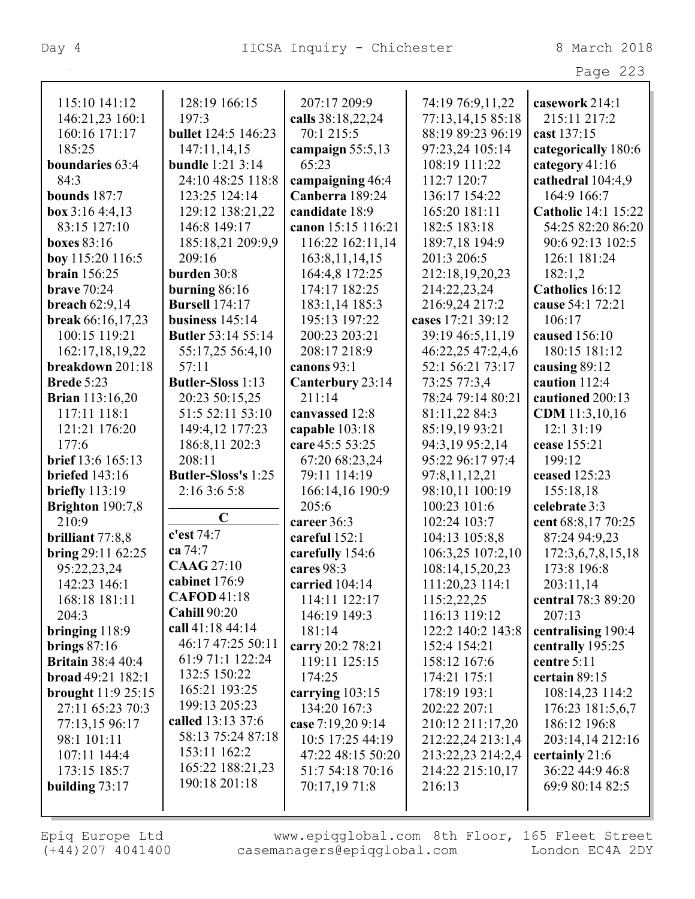|                                   |                                         |                                 |                                        | Page 223                            |
|-----------------------------------|-----------------------------------------|---------------------------------|----------------------------------------|-------------------------------------|
|                                   |                                         |                                 |                                        |                                     |
| 115:10 141:12                     | 128:19 166:15                           | 207:17 209:9                    | 74:19 76:9,11,22                       | casework 214:1                      |
| 146:21,23 160:1<br>160:16 171:17  | 197:3<br><b>bullet</b> 124:5 146:23     | calls 38:18,22,24<br>70:1 215:5 | 77:13,14,15 85:18<br>88:19 89:23 96:19 | 215:11 217:2<br>cast 137:15         |
| 185:25                            |                                         |                                 |                                        |                                     |
| <b>boundaries</b> 63:4            | 147:11,14,15<br><b>bundle</b> 1:21 3:14 | campaign $55:5,13$<br>65:23     | 97:23,24 105:14<br>108:19 111:22       | categorically 180:6                 |
| 84:3                              | 24:10 48:25 118:8                       | campaigning 46:4                | 112:7 120:7                            | category 41:16<br>cathedral 104:4,9 |
| <b>bounds</b> 187:7               | 123:25 124:14                           | Canberra 189:24                 | 136:17 154:22                          | 164:9 166:7                         |
|                                   |                                         | candidate 18:9                  | 165:20 181:11                          | <b>Catholic</b> 14:1 15:22          |
| box $3:164::4,13$<br>83:15 127:10 | 129:12 138:21,22<br>146:8 149:17        | canon 15:15 116:21              | 182:5 183:18                           | 54:25 82:20 86:20                   |
|                                   |                                         |                                 |                                        | 90:6 92:13 102:5                    |
| boxes $83:16$                     | 185:18,21 209:9,9<br>209:16             | 116:22 162:11,14                | 189:7,18 194:9                         |                                     |
| boy 115:20 116:5                  |                                         | 163:8, 11, 14, 15               | 201:3 206:5                            | 126:1 181:24                        |
| <b>brain</b> 156:25               | burden 30:8                             | 164:4,8 172:25                  | 212:18,19,20,23                        | 182:1,2                             |
| brave $70:24$                     | burning $86:16$                         | 174:17 182:25                   | 214:22,23,24                           | Catholics 16:12                     |
| breach 62:9,14                    | <b>Bursell</b> 174:17                   | 183:1,14 185:3                  | 216:9,24 217:2                         | cause 54:1 72:21                    |
| <b>break</b> 66:16,17,23          | business $145:14$                       | 195:13 197:22                   | cases 17:21 39:12                      | 106:17                              |
| 100:15 119:21                     | <b>Butler</b> 53:14 55:14               | 200:23 203:21                   | 39:19 46:5,11,19                       | caused 156:10                       |
| 162:17,18,19,22                   | 55:17,25 56:4,10                        | 208:17 218:9                    | 46:22,25 47:2,4,6                      | 180:15 181:12                       |
| breakdown 201:18                  | 57:11                                   | canons 93:1                     | 52:1 56:21 73:17                       | causing 89:12                       |
| <b>Brede 5:23</b>                 | <b>Butler-Sloss</b> 1:13                | Canterbury 23:14                | 73:25 77:3,4                           | caution 112:4                       |
| <b>Brian</b> 113:16,20            | 20:23 50:15,25                          | 211:14                          | 78:24 79:14 80:21                      | cautioned 200:13                    |
| 117:11 118:1                      | 51:5 52:11 53:10                        | canvassed 12:8                  | 81:11,22 84:3                          | CDM 11:3,10,16                      |
| 121:21 176:20                     | 149:4,12 177:23                         | capable 103:18                  | 85:19,19 93:21                         | 12:1 31:19                          |
| 177:6                             | 186:8,11 202:3                          | care 45:5 53:25                 | 94:3,19 95:2,14                        | cease 155:21                        |
| brief 13:6 165:13                 | 208:11                                  | 67:20 68:23,24                  | 95:22 96:17 97:4                       | 199:12                              |
| <b>briefed</b> 143:16             | <b>Butler-Sloss's 1:25</b>              | 79:11 114:19                    | 97:8,11,12,21                          | ceased 125:23                       |
| briefly $113:19$                  | 2:16 3:6 5:8                            | 166:14,16 190:9                 | 98:10,11 100:19                        | 155:18,18                           |
| Brighton 190:7,8                  |                                         | 205:6                           | 100:23 101:6                           | celebrate 3:3                       |
| 210:9                             | $\mathbf C$                             | career 36:3                     | 102:24 103:7                           | cent 68:8,17 70:25                  |
| brilliant 77:8,8                  | c'est 74:7                              | careful 152:1                   | 104:13 105:8,8                         | 87:24 94:9,23                       |
| bring $29:11\,62:25$              | ca 74:7                                 | carefully 154:6                 | 106:3,25 107:2,10                      | 172:3,6,7,8,15,18                   |
| 95:22,23,24                       | <b>CAAG 27:10</b>                       | cares 98:3                      | 108:14,15,20,23                        | 173:8 196:8                         |
| 142:23 146:1                      | cabinet 176:9                           | carried $104:14$                | 111:20,23 114:1                        | 203:11,14                           |
| 168:18 181:11                     | <b>CAFOD</b> 41:18                      | 114:11 122:17                   | 115:2,22,25                            | central 78:3 89:20                  |
| 204:3                             | <b>Cahill 90:20</b>                     | 146:19 149:3                    | 116:13 119:12                          | 207:13                              |
| bringing $118:9$                  | call 41:18 44:14                        | 181:14                          | 122:2 140:2 143:8                      | centralising 190:4                  |
| brings $87:16$                    | 46:17 47:25 50:11                       | carry 20:2 78:21                | 152:4 154:21                           | centrally 195:25                    |
| <b>Britain</b> 38:4 40:4          | 61:9 71:1 122:24                        | 119:11 125:15                   | 158:12 167:6                           | centre $5:11$                       |
| broad 49:21 182:1                 | 132:5 150:22                            | 174:25                          | 174:21 175:1                           | certain 89:15                       |
| brought 11:9 25:15                | 165:21 193:25                           | carrying 103:15                 | 178:19 193:1                           | 108:14,23 114:2                     |
| 27:11 65:23 70:3                  | 199:13 205:23                           | 134:20 167:3                    | 202:22 207:1                           | 176:23 181:5,6,7                    |
| 77:13,15 96:17                    | called 13:13 37:6                       | case 7:19,20 9:14               | 210:12 211:17,20                       | 186:12 196:8                        |
| 98:1 101:11                       | 58:13 75:24 87:18                       | 10:5 17:25 44:19                | 212:22,24 213:1,4                      | 203:14,14 212:16                    |
| 107:11 144:4                      | 153:11 162:2                            | 47:22 48:15 50:20               | 213:22,23 214:2,4                      | certainly 21:6                      |
| 173:15 185:7                      | 165:22 188:21,23                        | 51:7 54:18 70:16                | 214:22 215:10,17                       | 36:22 44:9 46:8                     |
| building $73:17$                  | 190:18 201:18                           | 70:17,19 71:8                   | 216:13                                 | 69:9 80:14 82:5                     |
|                                   |                                         |                                 |                                        |                                     |
|                                   |                                         |                                 |                                        |                                     |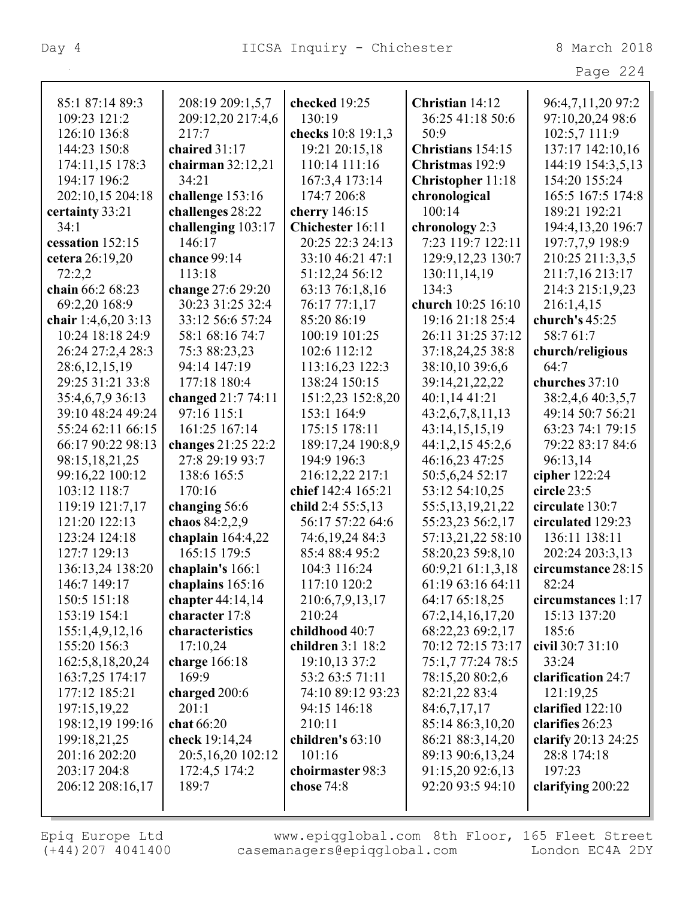| 85:1 87:14 89:3              | 208:19 209:1,5,7                     | checked 19:25             | Christian 14:12                      | 96:4,7,11,20 97:2           |
|------------------------------|--------------------------------------|---------------------------|--------------------------------------|-----------------------------|
| 109:23 121:2                 | 209:12,20 217:4,6                    | 130:19                    | 36:25 41:18 50:6                     | 97:10,20,24 98:6            |
| 126:10 136:8                 | 217:7                                | checks 10:8 19:1,3        | 50:9                                 | 102:5,7 111:9               |
| 144:23 150:8                 | chaired 31:17                        | 19:21 20:15,18            | Christians 154:15                    | 137:17 142:10,16            |
| 174:11,15 178:3              | chairman $32:12,21$                  | 110:14 111:16             | Christmas 192:9                      | 144:19 154:3,5,13           |
| 194:17 196:2                 | 34:21                                | 167:3,4 173:14            | <b>Christopher 11:18</b>             | 154:20 155:24               |
| 202:10,15 204:18             | challenge 153:16                     | 174:7 206:8               | chronological                        | 165:5 167:5 174:8           |
| certainty 33:21              | challenges 28:22                     | cherry 146:15             | 100:14                               | 189:21 192:21               |
| 34:1                         | challenging 103:17                   | Chichester 16:11          | chronology 2:3                       | 194:4,13,20 196:7           |
| cessation 152:15             | 146:17                               | 20:25 22:3 24:13          | 7:23 119:7 122:11                    | 197:7,7,9 198:9             |
| cetera 26:19,20              | chance 99:14                         | 33:10 46:21 47:1          | 129:9, 12, 23 130:7                  | 210:25 211:3,3,5            |
| 72:2,2                       | 113:18                               | 51:12,24 56:12            | 130:11,14,19                         | 211:7,16 213:17             |
| chain 66:2 68:23             | change 27:6 29:20                    | 63:13 76:1,8,16           | 134:3                                | 214:3 215:1,9,23            |
| 69:2,20 168:9                | 30:23 31:25 32:4                     | 76:17 77:1,17             | church 10:25 16:10                   | 216:1,4,15                  |
| chair 1:4,6,20 3:13          | 33:12 56:6 57:24                     | 85:20 86:19               | 19:16 21:18 25:4                     | church's 45:25              |
| 10:24 18:18 24:9             | 58:1 68:16 74:7                      | 100:19 101:25             | 26:11 31:25 37:12                    | 58:7 61:7                   |
| 26:24 27:2,4 28:3            | 75:3 88:23,23                        | 102:6 112:12              | 37:18,24,25 38:8                     | church/religious            |
| 28:6, 12, 15, 19             | 94:14 147:19                         | 113:16,23 122:3           | 38:10,10 39:6,6                      | 64:7                        |
| 29:25 31:21 33:8             | 177:18 180:4                         | 138:24 150:15             | 39:14,21,22,22                       | churches 37:10              |
| 35:4,6,7,9 36:13             | changed 21:7 74:11                   | 151:2,23 152:8,20         | 40:1,14 41:21                        | 38:2,4,6 40:3,5,7           |
| 39:10 48:24 49:24            | 97:16 115:1                          | 153:1 164:9               | 43:2,6,7,8,11,13                     | 49:14 50:7 56:21            |
| 55:24 62:11 66:15            | 161:25 167:14                        | 175:15 178:11             | 43:14,15,15,19                       | 63:23 74:1 79:15            |
| 66:17 90:22 98:13            | changes 21:25 22:2                   | 189:17,24 190:8,9         | 44:1,2,15 45:2,6                     | 79:22 83:17 84:6            |
| 98:15,18,21,25               | 27:8 29:19 93:7                      | 194:9 196:3               | 46:16,23 47:25                       | 96:13,14                    |
| 99:16,22 100:12              | 138:6 165:5                          | 216:12,22 217:1           | 50:5,6,24 52:17                      | cipher 122:24               |
| 103:12 118:7                 | 170:16                               | chief 142:4 165:21        | 53:12 54:10,25                       | circle 23:5                 |
| 119:19 121:7,17              | changing 56:6                        | child 2:4 55:5,13         | 55:5, 13, 19, 21, 22                 | circulate 130:7             |
| 121:20 122:13                | chaos 84:2,2,9                       | 56:17 57:22 64:6          | 55:23,23 56:2,17                     | circulated 129:23           |
| 123:24 124:18                | chaplain $164:4,22$                  | 74:6,19,24 84:3           | 57:13,21,22 58:10                    | 136:11 138:11               |
| 127:7 129:13                 | 165:15 179:5                         | 85:4 88:4 95:2            | 58:20,23 59:8,10                     | 202:24 203:3,13             |
| 136:13,24 138:20             | chaplain's 166:1                     | 104:3 116:24              | 60:9,21 61:1,3,18                    | circumstance 28:15          |
| 146:7 149:17                 | chaplains 165:16                     | 117:10 120:2              | 61:19 63:16 64:11                    | 82:24<br>circumstances 1:17 |
| 150:5 151:18<br>153:19 154:1 | chapter $44:14,14$<br>character 17:8 | 210:6,7,9,13,17<br>210:24 | 64:17 65:18,25                       | 15:13 137:20                |
| 155:1,4,9,12,16              | characteristics                      | childhood 40:7            | 67:2,14,16,17,20<br>68:22,23 69:2,17 | 185:6                       |
| 155:20 156:3                 | 17:10,24                             | children 3:1 18:2         | 70:12 72:15 73:17                    | civil 30:7 31:10            |
| 162:5,8,18,20,24             | charge 166:18                        | 19:10,13 37:2             | 75:1,7 77:24 78:5                    | 33:24                       |
| 163:7,25 174:17              | 169:9                                | 53:2 63:5 71:11           | 78:15,20 80:2,6                      | clarification 24:7          |
| 177:12 185:21                | charged 200:6                        | 74:10 89:12 93:23         | 82:21,22 83:4                        | 121:19,25                   |
| 197:15,19,22                 | 201:1                                | 94:15 146:18              | 84:6,7,17,17                         | clarified $122:10$          |
| 198:12,19 199:16             | chat 66:20                           | 210:11                    | 85:14 86:3,10,20                     | clarifies 26:23             |
| 199:18,21,25                 | check 19:14,24                       | children's 63:10          | 86:21 88:3,14,20                     | clarify 20:13 24:25         |
| 201:16 202:20                | 20:5,16,20 102:12                    | 101:16                    | 89:13 90:6,13,24                     | 28:8 174:18                 |
| 203:17 204:8                 | 172:4,5 174:2                        | choirmaster 98:3          | 91:15,20 92:6,13                     | 197:23                      |
| 206:12 208:16,17             | 189:7                                | chose $74:8$              | 92:20 93:5 94:10                     | clarifying 200:22           |
|                              |                                      |                           |                                      |                             |
|                              |                                      |                           |                                      |                             |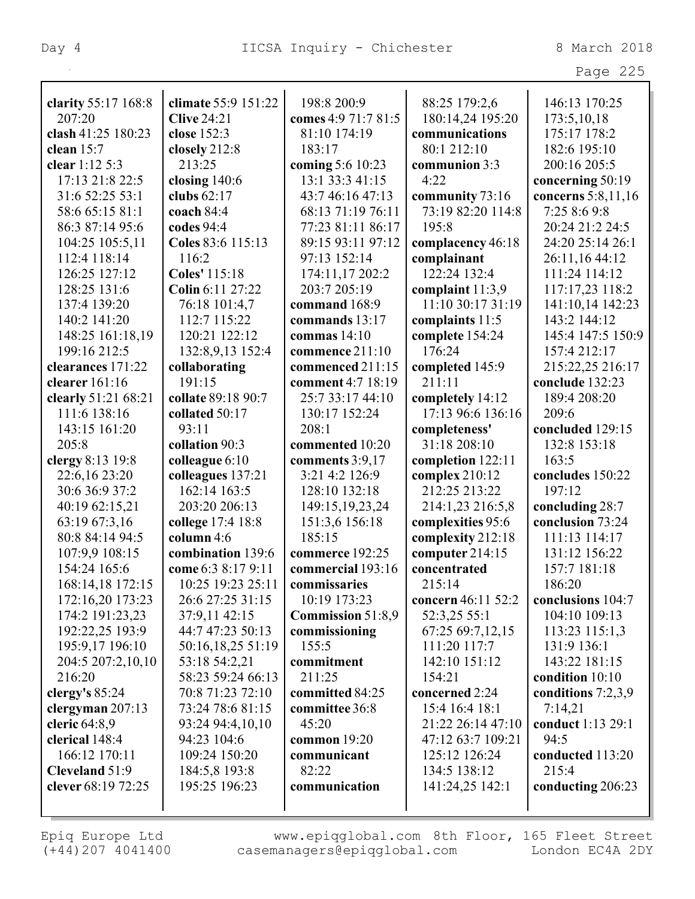|                     |                     |                          |                    | Page 225             |
|---------------------|---------------------|--------------------------|--------------------|----------------------|
|                     |                     |                          |                    |                      |
| clarity 55:17 168:8 | climate 55:9 151:22 | 198:8 200:9              | 88:25 179:2,6      | 146:13 170:25        |
| 207:20              | <b>Clive 24:21</b>  | comes 4:9 71:7 81:5      | 180:14,24 195:20   | 173:5, 10, 18        |
| clash 41:25 180:23  | close 152:3         | 81:10 174:19             | communications     | 175:17 178:2         |
| clean $15:7$        | closely 212:8       | 183:17                   | 80:1 212:10        | 182:6 195:10         |
| clear 1:12 5:3      | 213:25              | coming 5:6 10:23         | communion 3:3      | 200:16 205:5         |
| 17:13 21:8 22:5     | closing $140:6$     | 13:1 33:3 41:15          | 4:22               | concerning 50:19     |
| 31:6 52:25 53:1     | clubs 62:17         | 43:7 46:16 47:13         | community 73:16    | concerns 5:8,11,16   |
| 58:6 65:15 81:1     | coach $84:4$        | 68:13 71:19 76:11        | 73:19 82:20 114:8  | 7:25 8:6 9:8         |
| 86:3 87:14 95:6     | codes 94:4          | 77:23 81:11 86:17        | 195:8              | 20:24 21:2 24:5      |
| 104:25 105:5,11     | Coles 83:6 115:13   | 89:15 93:11 97:12        | complacency 46:18  | 24:20 25:14 26:1     |
| 112:4 118:14        | 116:2               | 97:13 152:14             | complainant        | 26:11,16 44:12       |
| 126:25 127:12       | Coles' 115:18       | 174:11,17 202:2          | 122:24 132:4       | 111:24 114:12        |
| 128:25 131:6        | Colin 6:11 27:22    | 203:7 205:19             | complaint $11:3,9$ | 117:17,23 118:2      |
| 137:4 139:20        | 76:18 101:4,7       | command 168:9            | 11:10 30:17 31:19  | 141:10,14 142:23     |
| 140:2 141:20        | 112:7 115:22        | commands 13:17           | complaints 11:5    | 143:2 144:12         |
| 148:25 161:18,19    | 120:21 122:12       | commas $14:10$           | complete 154:24    | 145:4 147:5 150:9    |
| 199:16 212:5        | 132:8,9,13 152:4    | commence 211:10          | 176:24             | 157:4 212:17         |
| clearances 171:22   | collaborating       | commenced 211:15         | completed 145:9    | 215:22,25 216:17     |
| clearer 161:16      | 191:15              | comment 4:7 18:19        | 211:11             | conclude 132:23      |
| clearly 51:21 68:21 | collate 89:18 90:7  | 25:7 33:17 44:10         | completely 14:12   | 189:4 208:20         |
| 111:6 138:16        | collated 50:17      | 130:17 152:24            | 17:13 96:6 136:16  | 209:6                |
| 143:15 161:20       | 93:11               | 208:1                    | completeness'      | concluded 129:15     |
| 205:8               | collation 90:3      | commented 10:20          | 31:18 208:10       | 132:8 153:18         |
| clergy 8:13 19:8    | colleague 6:10      | comments $3:9,17$        | completion 122:11  | 163:5                |
| 22:6,16 23:20       | colleagues 137:21   | 3:21 4:2 126:9           | complex 210:12     | concludes 150:22     |
| 30:6 36:9 37:2      | 162:14 163:5        | 128:10 132:18            | 212:25 213:22      | 197:12               |
| 40:19 62:15,21      | 203:20 206:13       | 149:15, 19, 23, 24       | 214:1,23 216:5,8   | concluding 28:7      |
| 63:19 67:3,16       | college 17:4 18:8   | 151:3,6 156:18           | complexities 95:6  | conclusion 73:24     |
| 80:8 84:14 94:5     | column 4:6          | 185:15                   | complexity 212:18  | 111:13 114:17        |
| 107:9,9 108:15      | combination 139:6   | commerce 192:25          | computer $214:15$  | 131:12 156:22        |
| 154:24 165:6        | come 6:3 8:17 9:11  | commercial 193:16        | concentrated       | 157:7 181:18         |
| 168:14,18 172:15    | 10:25 19:23 25:11   | commissaries             | 215:14             | 186:20               |
| 172:16,20 173:23    | 26:6 27:25 31:15    | 10:19 173:23             | concern 46:11 52:2 | conclusions 104:7    |
| 174:2 191:23,23     | 37:9,11 42:15       | <b>Commission 51:8,9</b> | 52:3,25 55:1       | 104:10 109:13        |
| 192:22,25 193:9     | 44:7 47:23 50:13    | commissioning            | 67:25 69:7,12,15   | 113:23 115:1,3       |
| 195:9,17 196:10     | 50:16,18,25 51:19   | 155:5                    | 111:20 117:7       | 131:9 136:1          |
| 204:5 207:2,10,10   | 53:18 54:2,21       | commitment               | 142:10 151:12      | 143:22 181:15        |
| 216:20              | 58:23 59:24 66:13   | 211:25                   | 154:21             | condition 10:10      |
| clergy's $85:24$    | 70:8 71:23 72:10    | committed 84:25          | concerned 2:24     | conditions $7:2,3,9$ |
| clergyman 207:13    | 73:24 78:6 81:15    | committee 36:8           | 15:4 16:4 18:1     | 7:14,21              |
| cleric 64:8,9       | 93:24 94:4,10,10    | 45:20                    | 21:22 26:14 47:10  | conduct 1:13 29:1    |
| clerical 148:4      | 94:23 104:6         | common 19:20             | 47:12 63:7 109:21  | 94:5                 |
| 166:12 170:11       | 109:24 150:20       | communicant              | 125:12 126:24      | conducted 113:20     |
| Cleveland 51:9      | 184:5,8 193:8       | 82:22                    | 134:5 138:12       | 215:4                |
| clever 68:19 72:25  | 195:25 196:23       | communication            | 141:24,25 142:1    | conducting 206:23    |
|                     |                     |                          |                    |                      |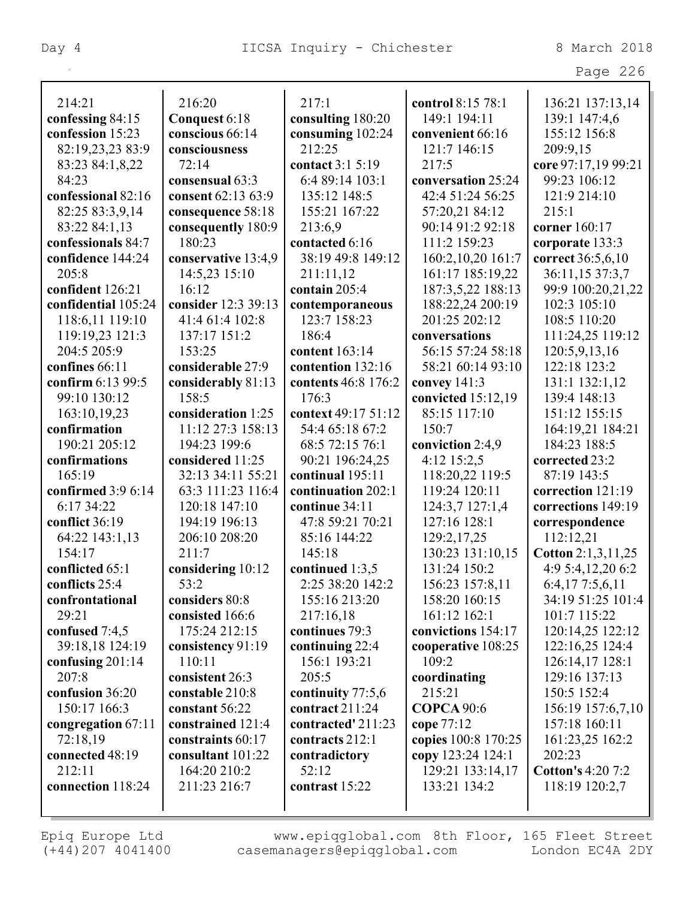|                          |                                       |                     |                     | Page 226                 |
|--------------------------|---------------------------------------|---------------------|---------------------|--------------------------|
| 214:21                   | 216:20                                | 217:1               | control 8:15 78:1   | 136:21 137:13,14         |
| confessing 84:15         | Conquest 6:18                         | consulting 180:20   | 149:1 194:11        | 139:1 147:4,6            |
| confession 15:23         | conscious 66:14                       | consuming 102:24    | convenient 66:16    | 155:12 156:8             |
| 82:19,23,23 83:9         | consciousness                         | 212:25              | 121:7 146:15        | 209:9,15                 |
|                          | 72:14                                 | contact 3:1 5:19    | 217:5               | core 97:17,19 99:21      |
| 83:23 84:1,8,22<br>84:23 |                                       | 6:4 89:14 103:1     | conversation 25:24  | 99:23 106:12             |
| confessional 82:16       | consensual 63:3<br>consent 62:13 63:9 | 135:12 148:5        | 42:4 51:24 56:25    | 121:9 214:10             |
|                          |                                       |                     |                     | 215:1                    |
| 82:25 83:3,9,14          | consequence 58:18                     | 155:21 167:22       | 57:20,21 84:12      |                          |
| 83:22 84:1,13            | consequently 180:9<br>180:23          | 213:6,9             | 90:14 91:2 92:18    | corner 160:17            |
| confessionals 84:7       |                                       | contacted 6:16      | 111:2 159:23        | corporate 133:3          |
| confidence 144:24        | conservative 13:4,9                   | 38:19 49:8 149:12   | 160:2,10,20 161:7   | correct 36:5,6,10        |
| 205:8                    | 14:5,23 15:10                         | 211:11,12           | 161:17 185:19,22    | 36:11,15 37:3,7          |
| confident 126:21         | 16:12                                 | contain 205:4       | 187:3,5,22 188:13   | 99:9 100:20,21,22        |
| confidential 105:24      | consider 12:3 39:13                   | contemporaneous     | 188:22,24 200:19    | 102:3 105:10             |
| 118:6,11 119:10          | 41:4 61:4 102:8                       | 123:7 158:23        | 201:25 202:12       | 108:5 110:20             |
| 119:19,23 121:3          | 137:17 151:2                          | 186:4               | conversations       | 111:24,25 119:12         |
| 204:5 205:9              | 153:25                                | content 163:14      | 56:15 57:24 58:18   | 120:5,9,13,16            |
| confines 66:11           | considerable 27:9                     | contention 132:16   | 58:21 60:14 93:10   | 122:18 123:2             |
| confirm 6:13 99:5        | considerably 81:13                    | contents 46:8 176:2 | convey $141:3$      | 131:1 132:1,12           |
| 99:10 130:12             | 158:5                                 | 176:3               | convicted 15:12,19  | 139:4 148:13             |
| 163:10,19,23             | consideration 1:25                    | context 49:17 51:12 | 85:15 117:10        | 151:12 155:15            |
| confirmation             | 11:12 27:3 158:13                     | 54:4 65:18 67:2     | 150:7               | 164:19,21 184:21         |
| 190:21 205:12            | 194:23 199:6                          | 68:5 72:15 76:1     | conviction 2:4,9    | 184:23 188:5             |
| confirmations            | considered 11:25                      | 90:21 196:24,25     | 4:12 15:2,5         | corrected 23:2           |
| 165:19                   | 32:13 34:11 55:21                     | continual 195:11    | 118:20,22 119:5     | 87:19 143:5              |
| confirmed 3:9 6:14       | 63:3 111:23 116:4                     | continuation 202:1  | 119:24 120:11       | correction 121:19        |
| 6:17 34:22               | 120:18 147:10                         | continue 34:11      | 124:3,7 127:1,4     | corrections 149:19       |
| conflict 36:19           | 194:19 196:13                         | 47:8 59:21 70:21    | 127:16 128:1        | correspondence           |
| 64:22 143:1,13           | 206:10 208:20                         | 85:16 144:22        | 129:2,17,25         | 112:12,21                |
| 154:17                   | 211:7                                 | 145:18              | 130:23 131:10,15    | Cotton $2:1,3,11,25$     |
| conflicted $65:1$        | considering 10:12                     | continued $1:3,5$   | 131:24 150:2        | 4:9 5:4,12,20 6:2        |
| conflicts 25:4           | 53:2                                  | 2:25 38:20 142:2    | 156:23 157:8,11     | 6:4,177:5,6,11           |
| confrontational          | considers 80:8                        | 155:16 213:20       | 158:20 160:15       | 34:19 51:25 101:4        |
| 29:21                    | consisted 166:6                       | 217:16,18           | 161:12 162:1        | 101:7 115:22             |
| confused 7:4,5           | 175:24 212:15                         | continues 79:3      | convictions 154:17  | 120:14,25 122:12         |
| 39:18,18 124:19          | consistency 91:19                     | continuing $22:4$   | cooperative 108:25  | 122:16,25 124:4          |
| confusing $201:14$       | 110:11                                | 156:1 193:21        | 109:2               | 126:14,17 128:1          |
| 207:8                    | consistent 26:3                       | 205:5               | coordinating        | 129:16 137:13            |
| confusion 36:20          | constable 210:8                       | continuity 77:5,6   | 215:21              | 150:5 152:4              |
| 150:17 166:3             | constant 56:22                        | contract $211:24$   | <b>COPCA</b> 90:6   | 156:19 157:6,7,10        |
| congregation 67:11       | constrained 121:4                     | contracted' 211:23  | cope 77:12          | 157:18 160:11            |
| 72:18,19                 | constraints 60:17                     | contracts 212:1     | copies 100:8 170:25 | 161:23,25 162:2          |
| connected 48:19          | consultant 101:22                     | contradictory       | copy 123:24 124:1   | 202:23                   |
| 212:11                   | 164:20 210:2                          | 52:12               | 129:21 133:14,17    | <b>Cotton's 4:20 7:2</b> |
| connection 118:24        | 211:23 216:7                          | contrast 15:22      | 133:21 134:2        | 118:19 120:2,7           |
|                          |                                       |                     |                     |                          |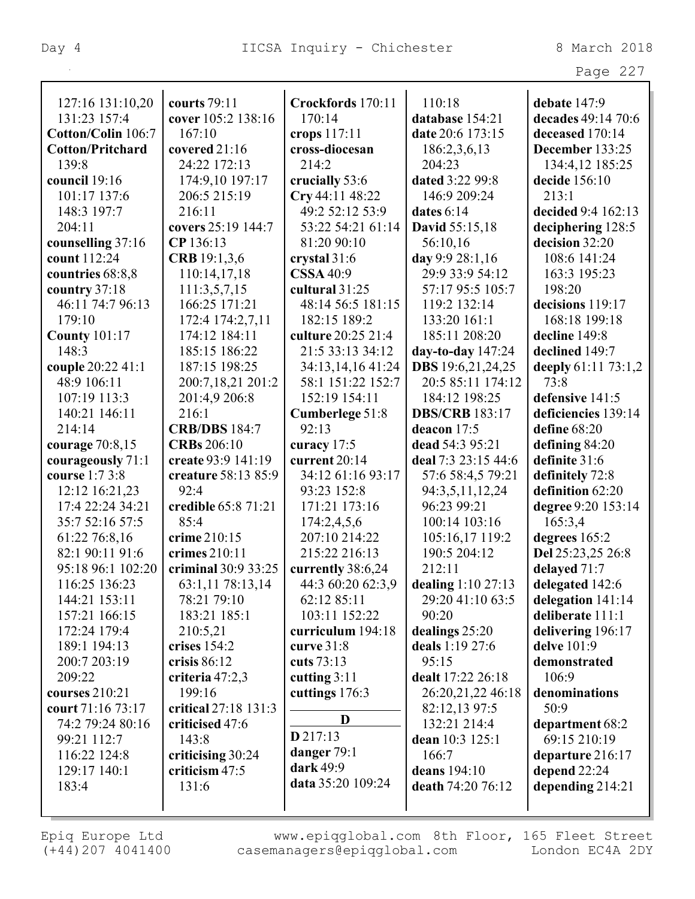| ٠ |  |  |
|---|--|--|
|---|--|--|

| 127:16 131:10,20        | courts 79:11         | Crockfords 170:11  | 110:18                | debate 147:9        |
|-------------------------|----------------------|--------------------|-----------------------|---------------------|
| 131:23 157:4            | cover 105:2 138:16   | 170:14             | database 154:21       | decades 49:14 70:6  |
| Cotton/Colin 106:7      | 167:10               | crops 117:11       | date 20:6 173:15      | deceased 170:14     |
| <b>Cotton/Pritchard</b> | covered 21:16        | cross-diocesan     | 186:2,3,6,13          | December 133:25     |
| 139:8                   | 24:22 172:13         | 214:2              | 204:23                | 134:4,12 185:25     |
| council 19:16           | 174:9,10 197:17      | crucially 53:6     | dated 3:22 99:8       | decide 156:10       |
| 101:17 137:6            | 206:5 215:19         | Cry 44:11 48:22    | 146:9 209:24          | 213:1               |
| 148:3 197:7             | 216:11               | 49:2 52:12 53:9    | dates $6:14$          | decided 9:4 162:13  |
| 204:11                  | covers 25:19 144:7   | 53:22 54:21 61:14  | David 55:15,18        | deciphering 128:5   |
| counselling 37:16       | CP 136:13            | 81:20 90:10        | 56:10,16              | decision 32:20      |
| count 112:24            | CRB 19:1,3,6         | crystal $31:6$     | day 9:9 28:1,16       | 108:6 141:24        |
| countries 68:8,8        | 110:14,17,18         | <b>CSSA</b> 40:9   | 29:9 33:9 54:12       | 163:3 195:23        |
| country 37:18           | 111:3,5,7,15         | cultural 31:25     | 57:17 95:5 105:7      | 198:20              |
| 46:11 74:7 96:13        | 166:25 171:21        | 48:14 56:5 181:15  | 119:2 132:14          | decisions 119:17    |
| 179:10                  | 172:4 174:2,7,11     | 182:15 189:2       | 133:20 161:1          | 168:18 199:18       |
| <b>County 101:17</b>    | 174:12 184:11        | culture 20:25 21:4 | 185:11 208:20         | decline 149:8       |
| 148:3                   | 185:15 186:22        | 21:5 33:13 34:12   | day-to-day $147:24$   | declined 149:7      |
| couple 20:22 41:1       | 187:15 198:25        | 34:13,14,16 41:24  | DBS 19:6,21,24,25     | deeply 61:11 73:1,2 |
| 48:9 106:11             | 200:7,18,21 201:2    | 58:1 151:22 152:7  | 20:5 85:11 174:12     | 73:8                |
| 107:19 113:3            | 201:4,9 206:8        | 152:19 154:11      | 184:12 198:25         | defensive 141:5     |
| 140:21 146:11           | 216:1                | Cumberlege 51:8    | <b>DBS/CRB</b> 183:17 | deficiencies 139:14 |
| 214:14                  | <b>CRB/DBS</b> 184:7 | 92:13              | deacon 17:5           | define 68:20        |
| courage $70:8,15$       | <b>CRBs</b> 206:10   | curacy $17:5$      | dead 54:3 95:21       | defining $84:20$    |
| courageously 71:1       | create 93:9 141:19   | current 20:14      | deal 7:3 23:15 44:6   | definite 31:6       |
| course 1:7 3:8          | creature 58:13 85:9  | 34:12 61:16 93:17  | 57:6 58:4,5 79:21     | definitely 72:8     |
| 12:12 16:21,23          | 92:4                 | 93:23 152:8        | 94:3,5,11,12,24       | definition 62:20    |
| 17:4 22:24 34:21        | credible 65:8 71:21  | 171:21 173:16      | 96:23 99:21           | degree 9:20 153:14  |
| 35:7 52:16 57:5         | 85:4                 | 174:2,4,5,6        | 100:14 103:16         | 165:3,4             |
| 61:22 76:8,16           | crime 210:15         | 207:10 214:22      | 105:16,17 119:2       | degrees 165:2       |
| 82:1 90:11 91:6         | crimes 210:11        | 215:22 216:13      | 190:5 204:12          | Del 25:23,25 26:8   |
| 95:18 96:1 102:20       | criminal 30:9 33:25  | currently 38:6,24  | 212:11                | delayed 71:7        |
| 116:25 136:23           | 63:1,11 78:13,14     | 44:3 60:20 62:3,9  | dealing $1:10\,27:13$ | delegated 142:6     |
| 144:21 153:11           | 78:21 79:10          | 62:12 85:11        | 29:20 41:10 63:5      | delegation 141:14   |
| 157:21 166:15           | 183:21 185:1         | 103:11 152:22      | 90:20                 | deliberate 111:1    |
| 172:24 179:4            | 210:5,21             | curriculum 194:18  | dealings 25:20        | delivering 196:17   |
| 189:1 194:13            | crises 154:2         | curve $31:8$       | deals 1:19 27:6       | delve 101:9         |
| 200:7 203:19            | crisis $86:12$       | cuts 73:13         | 95:15                 | demonstrated        |
| 209:22                  | criteria $47:2,3$    | cutting $3:11$     | dealt 17:22 26:18     | 106:9               |
| courses $210:21$        | 199:16               | cuttings 176:3     | 26:20,21,22 46:18     | denominations       |
| court 71:16 73:17       | critical 27:18 131:3 |                    | 82:12,13 97:5         | 50:9                |
| 74:2 79:24 80:16        | criticised 47:6      | D                  | 132:21 214:4          | department 68:2     |
| 99:21 112:7             | 143:8                | $D$ 217:13         | dean 10:3 125:1       | 69:15 210:19        |
| 116:22 124:8            | criticising 30:24    | danger 79:1        | 166:7                 | departure 216:17    |
| 129:17 140:1            | criticism 47:5       | dark 49:9          | deans 194:10          | depend 22:24        |
| 183:4                   | 131:6                | data 35:20 109:24  | death 74:20 76:12     | depending 214:21    |
|                         |                      |                    |                       |                     |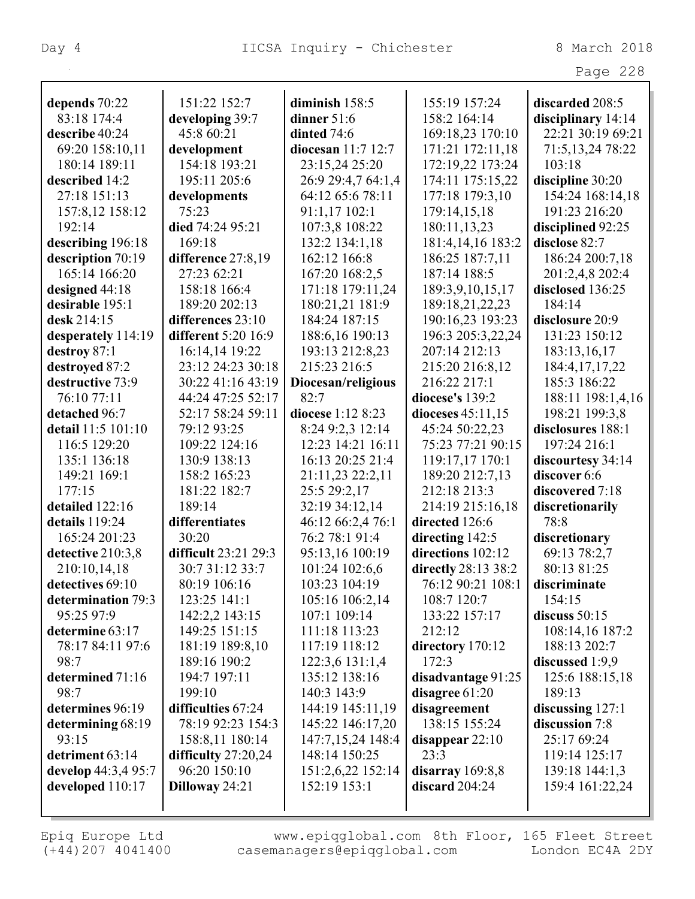| $\sim$ $\sim$<br>ao |  |
|---------------------|--|
|---------------------|--|

| depends 70:22       | 151:22 152:7          | diminish $158:5$       | 155:19 157:24       | discarded 208:5     |
|---------------------|-----------------------|------------------------|---------------------|---------------------|
| 83:18 174:4         | developing 39:7       | dinner $51:6$          | 158:2 164:14        | disciplinary 14:14  |
| describe 40:24      | 45:8 60:21            | dinted 74:6            | 169:18,23 170:10    | 22:21 30:19 69:21   |
| 69:20 158:10,11     | development           | diocesan $11:7$ $12:7$ | 171:21 172:11,18    | 71:5, 13, 24 78: 22 |
| 180:14 189:11       | 154:18 193:21         | 23:15,24 25:20         | 172:19,22 173:24    | 103:18              |
| described 14:2      | 195:11 205:6          | 26:9 29:4,7 64:1,4     | 174:11 175:15,22    | discipline 30:20    |
| 27:18 151:13        | developments          | 64:12 65:6 78:11       | 177:18 179:3,10     | 154:24 168:14,18    |
| 157:8,12 158:12     | 75:23                 | 91:1,17 102:1          | 179:14,15,18        | 191:23 216:20       |
| 192:14              | died 74:24 95:21      | 107:3,8 108:22         | 180:11,13,23        | disciplined 92:25   |
| describing 196:18   | 169:18                | 132:2 134:1,18         | 181:4,14,16 183:2   | disclose 82:7       |
| description 70:19   | difference 27:8,19    | 162:12 166:8           | 186:25 187:7,11     | 186:24 200:7,18     |
| 165:14 166:20       | 27:23 62:21           | 167:20 168:2,5         | 187:14 188:5        | 201:2,4,8 202:4     |
| designed 44:18      | 158:18 166:4          | 171:18 179:11,24       | 189:3,9,10,15,17    | disclosed 136:25    |
| desirable 195:1     | 189:20 202:13         | 180:21,21 181:9        | 189:18,21,22,23     | 184:14              |
| desk 214:15         | differences 23:10     | 184:24 187:15          | 190:16,23 193:23    | disclosure 20:9     |
| desperately 114:19  | different 5:20 16:9   | 188:6,16 190:13        | 196:3 205:3,22,24   | 131:23 150:12       |
| destroy 87:1        | 16:14,14 19:22        | 193:13 212:8,23        | 207:14 212:13       | 183:13,16,17        |
| destroyed 87:2      | 23:12 24:23 30:18     | 215:23 216:5           | 215:20 216:8,12     | 184:4, 17, 17, 22   |
| destructive 73:9    | 30:22 41:16 43:19     | Diocesan/religious     | 216:22 217:1        | 185:3 186:22        |
| 76:10 77:11         | 44:24 47:25 52:17     | 82:7                   | diocese's 139:2     | 188:11 198:1,4,16   |
| detached 96:7       | 52:17 58:24 59:11     | diocese 1:12 8:23      | dioceses 45:11,15   | 198:21 199:3,8      |
| detail 11:5 101:10  | 79:12 93:25           | 8:24 9:2,3 12:14       | 45:24 50:22,23      | disclosures 188:1   |
| 116:5 129:20        | 109:22 124:16         | 12:23 14:21 16:11      | 75:23 77:21 90:15   | 197:24 216:1        |
| 135:1 136:18        | 130:9 138:13          | 16:13 20:25 21:4       | 119:17,17 170:1     | discourtesy 34:14   |
| 149:21 169:1        | 158:2 165:23          | 21:11,23 22:2,11       | 189:20 212:7,13     | discover 6:6        |
| 177:15              | 181:22 182:7          | 25:5 29:2,17           | 212:18 213:3        | discovered 7:18     |
| detailed 122:16     | 189:14                | 32:19 34:12,14         | 214:19 215:16,18    | discretionarily     |
| details 119:24      | differentiates        | 46:12 66:2,4 76:1      | directed 126:6      | 78:8                |
| 165:24 201:23       | 30:20                 | 76:2 78:1 91:4         | directing $142:5$   | discretionary       |
| detective 210:3,8   | difficult 23:21 29:3  | 95:13,16 100:19        | directions 102:12   | 69:13 78:2,7        |
| 210:10,14,18        | 30:7 31:12 33:7       | 101:24 102:6,6         | directly 28:13 38:2 | 80:13 81:25         |
| detectives 69:10    | 80:19 106:16          | 103:23 104:19          | 76:12 90:21 108:1   | discriminate        |
| determination 79:3  | 123:25 141:1          | 105:16 106:2,14        | 108:7 120:7         | 154:15              |
| 95:25 97:9          | 142:2,2 143:15        | 107:1 109:14           | 133:22 157:17       | discuss $50:15$     |
| determine 63:17     | 149:25 151:15         | 111:18 113:23          | 212:12              | 108:14,16 187:2     |
| 78:17 84:11 97:6    | 181:19 189:8,10       | 117:19 118:12          | directory 170:12    | 188:13 202:7        |
| 98:7                | 189:16 190:2          | 122:3,6 131:1,4        | 172:3               | discussed 1:9,9     |
| determined 71:16    | 194:7 197:11          | 135:12 138:16          | disadvantage 91:25  | 125:6 188:15,18     |
| 98:7                | 199:10                | 140:3 143:9            | disagree 61:20      | 189:13              |
| determines 96:19    | difficulties 67:24    | 144:19 145:11,19       | disagreement        | discussing 127:1    |
| determining 68:19   | 78:19 92:23 154:3     | 145:22 146:17,20       | 138:15 155:24       | discussion 7:8      |
| 93:15               | 158:8,11 180:14       | 147:7,15,24 148:4      | disappear $22:10$   | 25:17 69:24         |
| detriment 63:14     | difficulty $27:20,24$ | 148:14 150:25          | 23:3                | 119:14 125:17       |
| develop 44:3,4 95:7 | 96:20 150:10          | 151:2,6,22 152:14      | disarray $169:8,8$  | 139:18 144:1,3      |
| developed 110:17    | Dilloway 24:21        | 152:19 153:1           | discard $204:24$    | 159:4 161:22,24     |
|                     |                       |                        |                     |                     |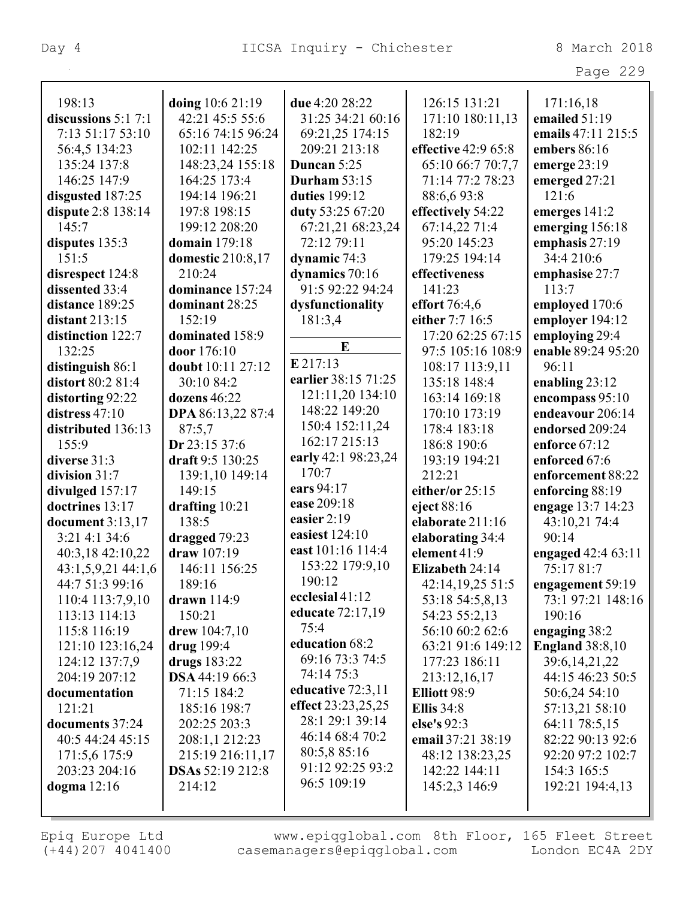|                                |                                      |                           |                                   | Page 229                             |
|--------------------------------|--------------------------------------|---------------------------|-----------------------------------|--------------------------------------|
| 198:13                         | doing 10:6 21:19                     | due 4:20 28:22            | 126:15 131:21                     | 171:16,18                            |
| discussions $5:1$ 7:1          | 42:21 45:5 55:6                      | 31:25 34:21 60:16         | 171:10 180:11,13                  | emailed 51:19                        |
| 7:13 51:17 53:10               | 65:16 74:15 96:24                    | 69:21,25 174:15           | 182:19                            | emails 47:11 215:5                   |
| 56:4,5 134:23                  | 102:11 142:25                        | 209:21 213:18             | effective 42:9 65:8               | embers 86:16                         |
| 135:24 137:8                   | 148:23,24 155:18                     | Duncan 5:25               | 65:10 66:7 70:7,7                 | emerge $23:19$                       |
| 146:25 147:9                   | 164:25 173:4                         | <b>Durham 53:15</b>       | 71:14 77:2 78:23                  | emerged 27:21                        |
| disgusted 187:25               | 194:14 196:21                        | duties 199:12             | 88:6,693:8                        | 121:6                                |
| dispute 2:8 138:14             | 197:8 198:15                         | duty 53:25 67:20          | effectively 54:22                 | emerges 141:2                        |
| 145:7                          | 199:12 208:20                        | 67:21,21 68:23,24         | 67:14,22 71:4                     | emerging 156:18                      |
| disputes 135:3                 | <b>domain</b> 179:18                 | 72:12 79:11               | 95:20 145:23                      | emphasis 27:19                       |
| 151:5                          | <b>domestic</b> 210:8,17             | dynamic 74:3              | 179:25 194:14                     | 34:4 210:6                           |
| disrespect 124:8               | 210:24                               | dynamics 70:16            | effectiveness                     | emphasise 27:7                       |
| dissented 33:4                 | dominance 157:24                     | 91:5 92:22 94:24          | 141:23                            | 113:7                                |
| distance 189:25                | dominant 28:25                       | dysfunctionality          | effort $76:4,6$                   | employed 170:6                       |
| distant $213:15$               | 152:19                               | 181:3,4                   | either 7:7 16:5                   | employer 194:12                      |
| distinction 122:7              | dominated 158:9                      |                           | 17:20 62:25 67:15                 | employing 29:4                       |
| 132:25                         | door 176:10                          | E                         | 97:5 105:16 108:9                 | enable 89:24 95:20                   |
| distinguish 86:1               | doubt 10:11 27:12                    | E 217:13                  | 108:17 113:9,11                   | 96:11                                |
| distort 80:2 81:4              | 30:10 84:2                           | earlier 38:15 71:25       | 135:18 148:4                      | enabling $23:12$                     |
| distorting 92:22               | dozens 46:22                         | 121:11,20 134:10          | 163:14 169:18                     | encompass 95:10                      |
| distress $47:10$               | <b>DPA</b> 86:13,22 87:4             | 148:22 149:20             | 170:10 173:19                     | endeavour 206:14                     |
| distributed 136:13             | 87:5,7                               | 150:4 152:11,24           | 178:4 183:18                      | endorsed 209:24                      |
| 155:9                          | Dr 23:15 37:6                        | 162:17 215:13             | 186:8 190:6                       | enforce 67:12                        |
| diverse 31:3                   | draft 9:5 130:25                     | early 42:1 98:23,24       | 193:19 194:21                     | enforced 67:6                        |
| division $31:7$                | 139:1,10 149:14                      | 170:7                     | 212:21                            | enforcement 88:22                    |
| divulged 157:17                | 149:15                               | ears 94:17                | either/or 25:15                   | enforcing 88:19                      |
| doctrines 13:17                | drafting $10:21$                     | ease 209:18               | eject 88:16                       | engage 13:7 14:23                    |
| document $3:13,17$             | 138:5                                | easier $2:19$             | elaborate 211:16                  | 43:10,21 74:4                        |
| 3:21 4:1 34:6                  | dragged 79:23                        | easiest 124:10            | elaborating 34:4                  | 90:14                                |
| 40:3,18 42:10,22               | draw 107:19                          | east 101:16 114:4         | element 41:9                      | engaged 42:4 63:11                   |
| $43:1,5,9,21$ $44:1,6$         | 146:11 156:25                        | 153:22 179:9,10<br>190:12 | Elizabeth 24:14                   | 75:17 81:7                           |
| 44:7 51:3 99:16                | 189:16                               | ecclesial 41:12           | 42:14,19,25 51:5                  | engagement 59:19                     |
| 110:4 113:7,9,10               | drawn $114:9$                        | educate 72:17,19          | 53:18 54:5,8,13                   | 73:1 97:21 148:16                    |
| 113:13 114:13                  | 150:21                               | 75:4                      | 54:23 55:2,13                     | 190:16                               |
| 115:8 116:19                   | drew $104:7,10$                      | education 68:2            | 56:10 60:2 62:6                   | engaging 38:2                        |
| 121:10 123:16,24               | drug 199:4                           | 69:16 73:3 74:5           | 63:21 91:6 149:12                 | <b>England</b> 38:8,10               |
| 124:12 137:7,9                 | drugs $183:22$                       | 74:14 75:3                | 177:23 186:11                     | 39:6, 14, 21, 22<br>44:15 46:23 50:5 |
| 204:19 207:12<br>documentation | <b>DSA</b> 44:19 66:3<br>71:15 184:2 | educative 72:3,11         | 213:12,16,17                      |                                      |
| 121:21                         |                                      | effect 23:23,25,25        | Elliott 98:9<br><b>Ellis</b> 34:8 | 50:6,24 54:10                        |
| documents 37:24                | 185:16 198:7<br>202:25 203:3         | 28:1 29:1 39:14           | else's 92:3                       | 57:13,21 58:10<br>64:11 78:5,15      |
| 40:5 44:24 45:15               | 208:1,1 212:23                       | 46:14 68:4 70:2           | email 37:21 38:19                 | 82:22 90:13 92:6                     |
| 171:5,6 175:9                  | 215:19 216:11,17                     | 80:5,8 85:16              | 48:12 138:23,25                   | 92:20 97:2 102:7                     |
| 203:23 204:16                  | DSAs 52:19 212:8                     | 91:12 92:25 93:2          | 142:22 144:11                     | 154:3 165:5                          |
| dogma $12:16$                  | 214:12                               | 96:5 109:19               | 145:2,3 146:9                     | 192:21 194:4,13                      |
|                                |                                      |                           |                                   |                                      |
|                                |                                      |                           |                                   |                                      |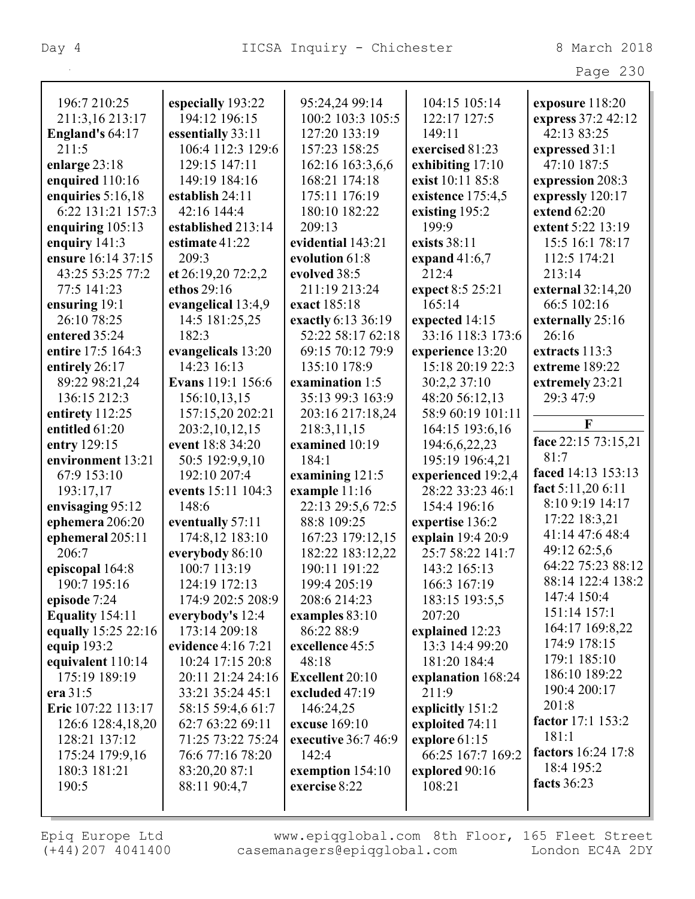|                     |                          |                     |                    | Page 230                        |
|---------------------|--------------------------|---------------------|--------------------|---------------------------------|
| 196:7 210:25        | especially 193:22        | 95:24,24 99:14      | 104:15 105:14      | exposure 118:20                 |
| 211:3,16 213:17     | 194:12 196:15            | 100:2 103:3 105:5   | 122:17 127:5       | express 37:2 42:12              |
| England's 64:17     | essentially 33:11        | 127:20 133:19       | 149:11             | 42:13 83:25                     |
| 211:5               | 106:4 112:3 129:6        | 157:23 158:25       | exercised 81:23    | expressed 31:1                  |
| enlarge $23:18$     | 129:15 147:11            | 162:16 163:3,6,6    | exhibiting $17:10$ | 47:10 187:5                     |
| enquired 110:16     | 149:19 184:16            | 168:21 174:18       | exist 10:11 85:8   | expression 208:3                |
| enquiries $5:16,18$ | establish 24:11          | 175:11 176:19       | existence 175:4,5  | expressly 120:17                |
| 6:22 131:21 157:3   | 42:16 144:4              | 180:10 182:22       | existing 195:2     | extend 62:20                    |
| enquiring $105:13$  | established 213:14       | 209:13              | 199:9              | extent 5:22 13:19               |
| enquiry $141:3$     | estimate 41:22           | evidential 143:21   | exists 38:11       | 15:5 16:1 78:17                 |
| ensure 16:14 37:15  | 209:3                    | evolution 61:8      | expand $41:6,7$    | 112:5 174:21                    |
| 43:25 53:25 77:2    | et 26:19,20 72:2,2       | evolved 38:5        | 212:4              | 213:14                          |
| 77:5 141:23         | ethos 29:16              | 211:19 213:24       | expect 8:5 25:21   | external $32:14,20$             |
| ensuring 19:1       | evangelical 13:4,9       | exact 185:18        | 165:14             | 66:5 102:16                     |
| 26:10 78:25         | 14:5 181:25,25           | exactly 6:13 36:19  | expected 14:15     | externally 25:16                |
| entered 35:24       | 182:3                    | 52:22 58:17 62:18   | 33:16 118:3 173:6  | 26:16                           |
| entire 17:5 164:3   | evangelicals 13:20       | 69:15 70:12 79:9    | experience 13:20   | extracts 113:3                  |
| entirely 26:17      | 14:23 16:13              | 135:10 178:9        | 15:18 20:19 22:3   | extreme 189:22                  |
| 89:22 98:21,24      | <b>Evans</b> 119:1 156:6 | examination 1:5     | 30:2,2 37:10       | extremely 23:21                 |
| 136:15 212:3        | 156:10,13,15             | 35:13 99:3 163:9    | 48:20 56:12,13     | 29:3 47:9                       |
| entirety 112:25     | 157:15,20 202:21         | 203:16 217:18,24    | 58:9 60:19 101:11  |                                 |
| entitled 61:20      | 203:2,10,12,15           | 218:3,11,15         | 164:15 193:6,16    | $\mathbf{F}$                    |
| entry 129:15        | event 18:8 34:20         | examined 10:19      | 194:6,6,22,23      | face 22:15 73:15,21             |
| environment 13:21   | 50:5 192:9,9,10          | 184:1               | 195:19 196:4,21    | 81:7                            |
| 67:9 153:10         | 192:10 207:4             | examining 121:5     | experienced 19:2,4 | faced 14:13 153:13              |
| 193:17,17           | events 15:11 104:3       | example 11:16       | 28:22 33:23 46:1   | fact 5:11,20 6:11               |
| envisaging 95:12    | 148:6                    | 22:13 29:5,6 72:5   | 154:4 196:16       | 8:10 9:19 14:17                 |
| ephemera 206:20     | eventually 57:11         | 88:8 109:25         | expertise 136:2    | 17:22 18:3,21                   |
| ephemeral 205:11    | 174:8,12 183:10          | 167:23 179:12,15    | explain 19:4 20:9  | 41:14 47:6 48:4                 |
| 206:7               | everybody 86:10          | 182:22 183:12,22    | 25:7 58:22 141:7   | 49:12 62:5,6                    |
| episcopal 164:8     | 100:7 113:19             | 190:11 191:22       | 143:2 165:13       | 64:22 75:23 88:12               |
| 190:7 195:16        | 124:19 172:13            | 199:4 205:19        | 166:3 167:19       | 88:14 122:4 138:2               |
| episode 7:24        | 174:9 202:5 208:9        | 208:6 214:23        | 183:15 193:5,5     | 147:4 150:4                     |
| Equality 154:11     | everybody's 12:4         | examples 83:10      | 207:20             | 151:14 157:1                    |
| equally 15:25 22:16 | 173:14 209:18            | 86:22 88:9          | explained 12:23    | 164:17 169:8,22<br>174:9 178:15 |
| equip $193:2$       | evidence 4:16 7:21       | excellence 45:5     | 13:3 14:4 99:20    | 179:1 185:10                    |
| equivalent 110:14   | 10:24 17:15 20:8         | 48:18               | 181:20 184:4       | 186:10 189:22                   |
| 175:19 189:19       | 20:11 21:24 24:16        | Excellent 20:10     | explanation 168:24 | 190:4 200:17                    |
| era $31:5$          | 33:21 35:24 45:1         | excluded 47:19      | 211:9              | 201:8                           |
| Eric 107:22 113:17  | 58:15 59:4,6 61:7        | 146:24,25           | explicitly 151:2   | factor 17:1 153:2               |
| 126:6 128:4,18,20   | 62:7 63:22 69:11         | excuse 169:10       | exploited 74:11    | 181:1                           |
| 128:21 137:12       | 71:25 73:22 75:24        | executive 36:7 46:9 | explore 61:15      | factors 16:24 17:8              |
| 175:24 179:9,16     | 76:6 77:16 78:20         | 142:4               | 66:25 167:7 169:2  | 18:4 195:2                      |
| 180:3 181:21        | 83:20,20 87:1            | exemption 154:10    | explored 90:16     | facts 36:23                     |
| 190:5               | 88:11 90:4,7             | exercise 8:22       | 108:21             |                                 |
|                     |                          |                     |                    |                                 |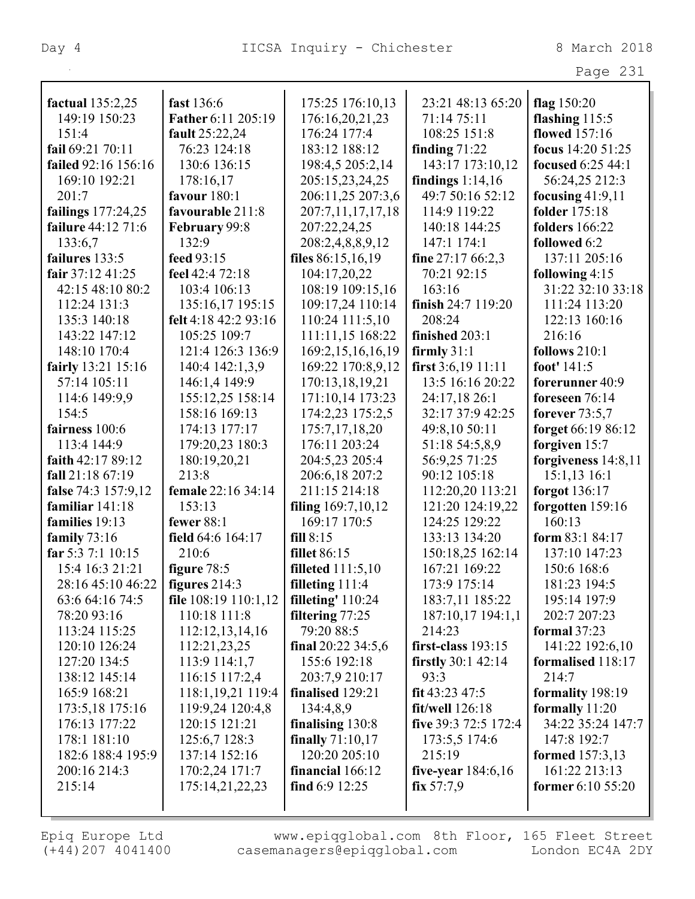|                     |                           |                       |                      | Page 231              |
|---------------------|---------------------------|-----------------------|----------------------|-----------------------|
| factual 135:2,25    | fast 136:6                | 175:25 176:10,13      | 23:21 48:13 65:20    | flag $150:20$         |
| 149:19 150:23       | Father 6:11 205:19        | 176:16,20,21,23       | 71:14 75:11          | flashing $115:5$      |
| 151:4               | fault 25:22,24            | 176:24 177:4          | 108:25 151:8         | flowed 157:16         |
| fail 69:21 70:11    | 76:23 124:18              | 183:12 188:12         | finding $71:22$      | focus 14:20 51:25     |
| failed 92:16 156:16 | 130:6 136:15              | 198:4,5 205:2,14      | 143:17 173:10,12     | focused 6:25 44:1     |
| 169:10 192:21       | 178:16,17                 | 205:15,23,24,25       | findings $1:14,16$   | 56:24,25 212:3        |
| 201:7               | favour 180:1              | 206:11,25 207:3,6     | 49:7 50:16 52:12     | focusing $41:9,11$    |
| failings 177:24,25  | favourable 211:8          | 207:7,11,17,17,18     | 114:9 119:22         | <b>folder</b> 175:18  |
| failure 44:12 71:6  | February 99:8             | 207:22,24,25          | 140:18 144:25        | <b>folders</b> 166:22 |
| 133:6,7             | 132:9                     | 208:2,4,8,8,9,12      | 147:1 174:1          | <b>followed</b> 6:2   |
| failures 133:5      | feed 93:15                | files $86:15,16,19$   | fine $27:1766:2,3$   | 137:11 205:16         |
| fair 37:12 41:25    | feel 42:4 72:18           | 104:17,20,22          | 70:21 92:15          | following $4:15$      |
| 42:15 48:10 80:2    | 103:4 106:13              | 108:19 109:15,16      | 163:16               | 31:22 32:10 33:18     |
| 112:24 131:3        | 135:16,17 195:15          | 109:17,24 110:14      | finish $24:7$ 119:20 | 111:24 113:20         |
| 135:3 140:18        | felt 4:18 42:2 93:16      | 110:24 111:5,10       | 208:24               | 122:13 160:16         |
| 143:22 147:12       | 105:25 109:7              | 111:11,15 168:22      | finished 203:1       | 216:16                |
| 148:10 170:4        | 121:4 126:3 136:9         | 169:2, 15, 16, 16, 19 | firmly $31:1$        | follows 210:1         |
| fairly 13:21 15:16  | 140:4 142:1,3,9           | 169:22 170:8,9,12     | first $3:6,19$ 11:11 | foot' 141:5           |
| 57:14 105:11        | 146:1,4 149:9             | 170:13,18,19,21       | 13:5 16:16 20:22     | forerunner 40:9       |
| 114:6 149:9,9       | 155:12,25 158:14          | 171:10,14 173:23      | 24:17,18 26:1        | foreseen $76:14$      |
| 154:5               | 158:16 169:13             | 174:2,23 175:2,5      | 32:17 37:9 42:25     | forever $73:5,7$      |
| fairness 100:6      | 174:13 177:17             | 175:7,17,18,20        | 49:8,10 50:11        | forget 66:19 86:12    |
| 113:4 144:9         | 179:20,23 180:3           | 176:11 203:24         | 51:18 54:5,8,9       | forgiven 15:7         |
| faith $42:1789:12$  | 180:19,20,21              | 204:5,23 205:4        | 56:9,25 71:25        | forgiveness $14:8,11$ |
| fall 21:18 67:19    | 213:8                     | 206:6,18 207:2        | 90:12 105:18         | $15:1,13$ 16:1        |
| false 74:3 157:9,12 | <b>female</b> 22:16 34:14 | 211:15 214:18         | 112:20,20 113:21     | forgot $136:17$       |
| familiar 141:18     | 153:13                    | filing 169:7,10,12    | 121:20 124:19,22     | forgotten 159:16      |
| families 19:13      | fewer 88:1                | 169:17 170:5          | 124:25 129:22        | 160:13                |
| family $73:16$      | field 64:6 164:17         | fill 8:15             | 133:13 134:20        | form 83:1 84:17       |
| far 5:3 7:1 10:15   | 210:6                     | <b>fillet</b> 86:15   | 150:18,25 162:14     | 137:10 147:23         |
| 15:4 16:3 21:21     | figure 78:5               | filleted $111:5,10$   | 167:21 169:22        | 150:6 168:6           |
| 28:16 45:10 46:22   | figures $214:3$           | filleting $111:4$     | 173:9 175:14         | 181:23 194:5          |
| 63:6 64:16 74:5     | file $108:19$ $110:1,12$  | filleting' $110:24$   | 183:7,11 185:22      | 195:14 197:9          |
| 78:20 93:16         | 110:18 111:8              | filtering 77:25       | 187:10,17 194:1,1    | 202:7 207:23          |
| 113:24 115:25       | 112:12,13,14,16           | 79:20 88:5            | 214:23               | formal $37:23$        |
| 120:10 126:24       | 112:21,23,25              | final $20:22$ 34:5,6  | first-class 193:15   | 141:22 192:6,10       |
| 127:20 134:5        | 113:9 114:1,7             | 155:6 192:18          | firstly $30:1$ 42:14 | formalised 118:17     |
| 138:12 145:14       | 116:15 117:2,4            | 203:7,9 210:17        | 93:3                 | 214:7                 |
| 165:9 168:21        | 118:1, 19, 21 119: 4      | finalised 129:21      | fit $43:23\,47:5$    | formality 198:19      |
| 173:5,18 175:16     | 119:9,24 120:4,8          | 134:4,8,9             | $fit/well$ 126:18    | formally 11:20        |
| 176:13 177:22       | 120:15 121:21             | finalising $130:8$    | five $39:372:5172:4$ | 34:22 35:24 147:7     |
| 178:1 181:10        | 125:6,7 128:3             | finally $71:10,17$    | 173:5,5 174:6        | 147:8 192:7           |
| 182:6 188:4 195:9   | 137:14 152:16             | 120:20 205:10         | 215:19               | formed $157:3,13$     |
| 200:16 214:3        | 170:2,24 171:7            | financial 166:12      | five-year $184:6,16$ | 161:22 213:13         |
| 215:14              | 175:14,21,22,23           | find $6:9$ 12:25      | fix 57:7,9           | former $6:10\,55:20$  |
|                     |                           |                       |                      |                       |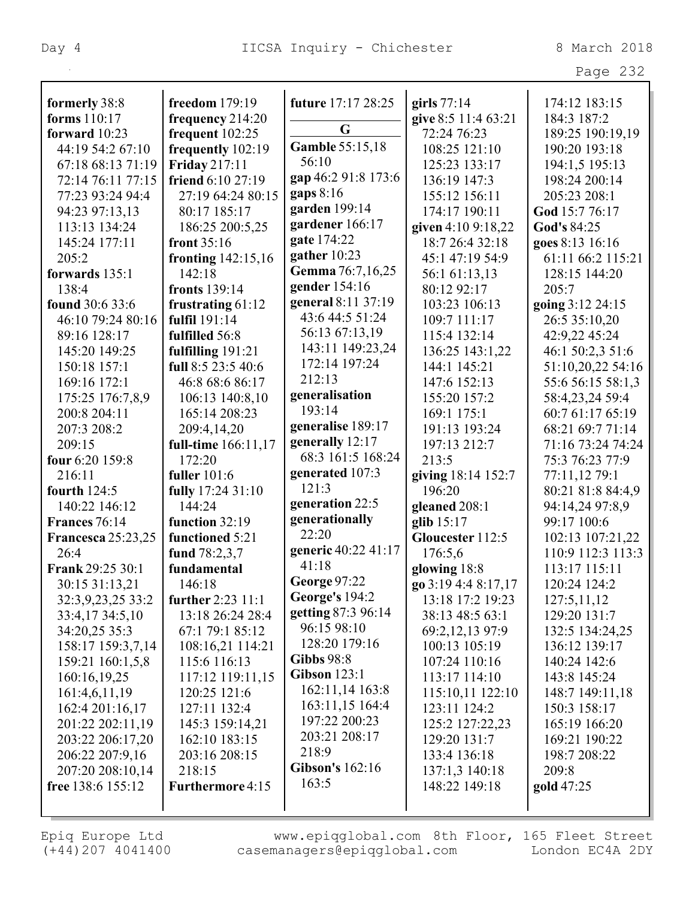Page 232

| formerly 38:8             | freedom 179:19       | future 17:17 28:25    | girls $77:14$       | 174:12 183:15     |
|---------------------------|----------------------|-----------------------|---------------------|-------------------|
| forms 110:17              | frequency 214:20     | G                     | give 8:5 11:4 63:21 | 184:3 187:2       |
| forward 10:23             | frequent $102:25$    | Gamble 55:15,18       | 72:24 76:23         | 189:25 190:19,19  |
| 44:19 54:2 67:10          | frequently 102:19    | 56:10                 | 108:25 121:10       | 190:20 193:18     |
| 67:18 68:13 71:19         | Friday 217:11        |                       | 125:23 133:17       | 194:1,5 195:13    |
| 72:14 76:11 77:15         | friend 6:10 27:19    | gap 46:2 91:8 173:6   | 136:19 147:3        | 198:24 200:14     |
| 77:23 93:24 94:4          | 27:19 64:24 80:15    | gaps $8:16$           | 155:12 156:11       | 205:23 208:1      |
| 94:23 97:13,13            | 80:17 185:17         | garden 199:14         | 174:17 190:11       | God 15:7 76:17    |
| 113:13 134:24             | 186:25 200:5,25      | gardener 166:17       | given 4:10 9:18,22  | God's 84:25       |
| 145:24 177:11             | front $35:16$        | gate 174:22           | 18:7 26:4 32:18     | goes 8:13 16:16   |
| 205:2                     | fronting $142:15,16$ | gather 10:23          | 45:1 47:19 54:9     | 61:11 66:2 115:21 |
| forwards 135:1            | 142:18               | Gemma 76:7,16,25      | 56:1 61:13,13       | 128:15 144:20     |
| 138:4                     | fronts 139:14        | gender 154:16         | 80:12 92:17         | 205:7             |
| found 30:6 33:6           | frustrating $61:12$  | general 8:11 37:19    | 103:23 106:13       | going 3:12 24:15  |
| 46:10 79:24 80:16         | fulfil 191:14        | 43:6 44:5 51:24       | 109:7 111:17        | 26:5 35:10,20     |
| 89:16 128:17              | fulfilled 56:8       | 56:13 67:13,19        | 115:4 132:14        | 42:9,22 45:24     |
| 145:20 149:25             | fulfilling 191:21    | 143:11 149:23,24      | 136:25 143:1,22     | 46:1 50:2,3 51:6  |
| 150:18 157:1              | full 8:5 23:5 40:6   | 172:14 197:24         | 144:1 145:21        | 51:10,20,22 54:16 |
| 169:16 172:1              | 46:8 68:6 86:17      | 212:13                | 147:6 152:13        | 55:6 56:15 58:1,3 |
| 175:25 176:7,8,9          | 106:13 140:8,10      | generalisation        | 155:20 157:2        | 58:4,23,24 59:4   |
| 200:8 204:11              | 165:14 208:23        | 193:14                | 169:1 175:1         | 60:7 61:17 65:19  |
| 207:3 208:2               | 209:4,14,20          | generalise 189:17     | 191:13 193:24       | 68:21 69:7 71:14  |
| 209:15                    | full-time 166:11,17  | generally 12:17       | 197:13 212:7        | 71:16 73:24 74:24 |
| four 6:20 159:8           | 172:20               | 68:3 161:5 168:24     | 213:5               | 75:3 76:23 77:9   |
| 216:11                    | <b>fuller</b> 101:6  | generated 107:3       | giving 18:14 152:7  | 77:11,12 79:1     |
| <b>fourth</b> 124:5       | fully 17:24 31:10    | 121:3                 | 196:20              | 80:21 81:8 84:4,9 |
| 140:22 146:12             | 144:24               | generation 22:5       | gleaned 208:1       | 94:14,24 97:8,9   |
| Frances 76:14             | function 32:19       | generationally        | glib $15:17$        | 99:17 100:6       |
| <b>Francesca</b> 25:23,25 | functioned 5:21      | 22:20                 | Gloucester 112:5    | 102:13 107:21,22  |
| 26:4                      | fund 78:2,3,7        | generic 40:22 41:17   | 176:5,6             | 110:9 112:3 113:3 |
| <b>Frank 29:25 30:1</b>   | fundamental          | 41:18                 | glowing 18:8        | 113:17 115:11     |
| 30:15 31:13,21            | 146:18               | George 97:22          | go 3:19 4:4 8:17,17 | 120:24 124:2      |
| 32:3,9,23,25 33:2         | further 2:23 11:1    | <b>George's 194:2</b> | 13:18 17:2 19:23    | 127:5,11,12       |
| 33:4,17 34:5,10           | 13:18 26:24 28:4     | getting 87:3 96:14    | 38:13 48:5 63:1     | 129:20 131:7      |
| 34:20,25 35:3             | 67:1 79:1 85:12      | 96:15 98:10           | 69:2, 12, 13 97:9   | 132:5 134:24,25   |
| 158:17 159:3,7,14         | 108:16,21 114:21     | 128:20 179:16         | 100:13 105:19       | 136:12 139:17     |
| 159:21 160:1,5,8          | 115:6 116:13         | <b>Gibbs 98:8</b>     | 107:24 110:16       | 140:24 142:6      |
| 160:16,19,25              | 117:12 119:11,15     | <b>Gibson</b> 123:1   | 113:17 114:10       | 143:8 145:24      |
| 161:4,6,11,19             | 120:25 121:6         | 162:11,14 163:8       | 115:10,11 122:10    | 148:7 149:11,18   |
| 162:4 201:16,17           | 127:11 132:4         | 163:11,15 164:4       | 123:11 124:2        | 150:3 158:17      |
| 201:22 202:11,19          | 145:3 159:14,21      | 197:22 200:23         | 125:2 127:22,23     | 165:19 166:20     |
| 203:22 206:17,20          | 162:10 183:15        | 203:21 208:17         | 129:20 131:7        | 169:21 190:22     |
| 206:22 207:9,16           | 203:16 208:15        | 218:9                 | 133:4 136:18        | 198:7 208:22      |
| 207:20 208:10,14          | 218:15               | Gibson's 162:16       | 137:1,3 140:18      | 209:8             |
| free 138:6 155:12         | Furthermore 4:15     | 163:5                 | 148:22 149:18       | gold 47:25        |
|                           |                      |                       |                     |                   |
|                           |                      |                       |                     |                   |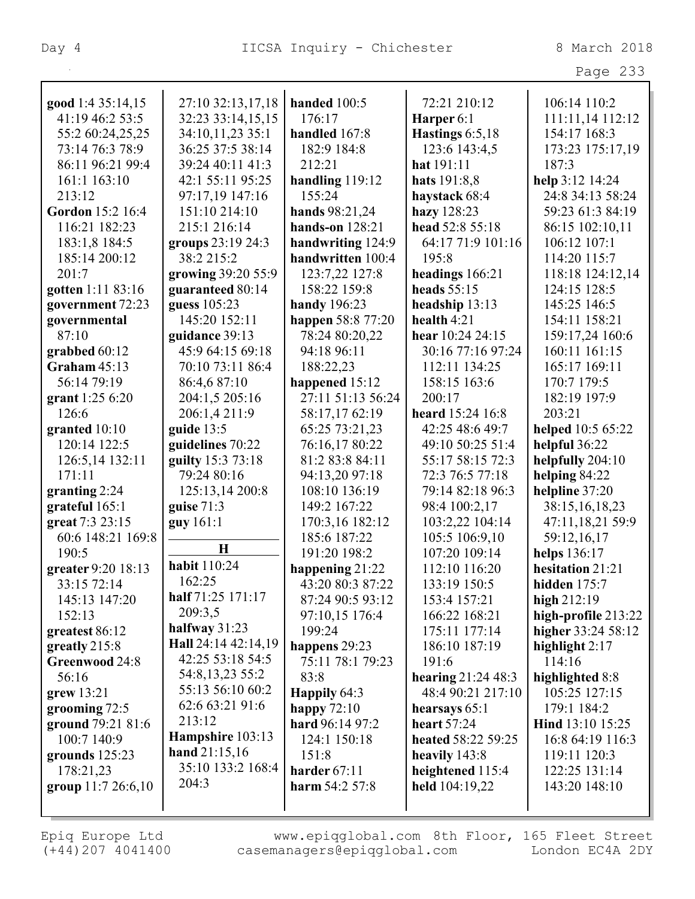|                    |                                     |                     |                     | Page 233            |
|--------------------|-------------------------------------|---------------------|---------------------|---------------------|
| good 1:4 35:14,15  | 27:10 32:13,17,18                   | handed 100:5        | 72:21 210:12        | 106:14 110:2        |
| 41:19 46:2 53:5    | 32:23 33:14,15,15                   | 176:17              | Harper 6:1          | 111:11,14 112:12    |
| 55:2 60:24,25,25   | 34:10,11,23 35:1                    | handled 167:8       | Hastings $6:5,18$   | 154:17 168:3        |
| 73:14 76:3 78:9    | 36:25 37:5 38:14                    | 182:9 184:8         | 123:6 143:4,5       | 173:23 175:17,19    |
| 86:11 96:21 99:4   | 39:24 40:11 41:3                    | 212:21              | hat 191:11          | 187:3               |
| 161:1 163:10       | 42:1 55:11 95:25                    | handling $119:12$   | hats 191:8,8        | help 3:12 14:24     |
| 213:12             | 97:17,19 147:16                     | 155:24              | haystack 68:4       | 24:8 34:13 58:24    |
| Gordon 15:2 16:4   | 151:10 214:10                       | hands 98:21,24      | hazy 128:23         | 59:23 61:3 84:19    |
| 116:21 182:23      | 215:1 216:14                        | hands-on $128:21$   | head 52:8 55:18     | 86:15 102:10,11     |
| 183:1,8 184:5      | groups 23:19 24:3                   | handwriting 124:9   | 64:17 71:9 101:16   | 106:12 107:1        |
| 185:14 200:12      | 38:2 215:2                          | handwritten 100:4   | 195:8               | 114:20 115:7        |
| 201:7              | growing 39:20 55:9                  | 123:7,22 127:8      | headings 166:21     | 118:18 124:12,14    |
| gotten 1:11 83:16  | guaranteed 80:14                    | 158:22 159:8        | heads $55:15$       | 124:15 128:5        |
| government 72:23   | guess 105:23                        | <b>handy</b> 196:23 | headship 13:13      | 145:25 146:5        |
| governmental       | 145:20 152:11                       | happen 58:8 77:20   | health $4:21$       | 154:11 158:21       |
| 87:10              | guidance 39:13                      | 78:24 80:20,22      | hear 10:24 24:15    | 159:17,24 160:6     |
| grabbed 60:12      | 45:9 64:15 69:18                    | 94:18 96:11         | 30:16 77:16 97:24   | 160:11 161:15       |
| Graham $45:13$     | 70:10 73:11 86:4                    | 188:22,23           | 112:11 134:25       | 165:17 169:11       |
| 56:14 79:19        | 86:4,6 87:10                        | happened 15:12      | 158:15 163:6        | 170:7 179:5         |
| grant 1:25 6:20    | 204:1,5 205:16                      | 27:11 51:13 56:24   | 200:17              | 182:19 197:9        |
| 126:6              | 206:1,4 211:9                       | 58:17,17 62:19      | heard 15:24 16:8    | 203:21              |
| granted $10:10$    | guide $13:5$                        | 65:25 73:21,23      | 42:25 48:6 49:7     | helped 10:5 65:22   |
| 120:14 122:5       | guidelines 70:22                    | 76:16,17 80:22      | 49:10 50:25 51:4    | helpful 36:22       |
| 126:5,14 132:11    | guilty 15:3 73:18                   | 81:2 83:8 84:11     | 55:17 58:15 72:3    | helpfully 204:10    |
| 171:11             | 79:24 80:16                         | 94:13,20 97:18      | 72:3 76:5 77:18     | helping 84:22       |
| granting $2:24$    | 125:13,14 200:8                     | 108:10 136:19       | 79:14 82:18 96:3    | helpline 37:20      |
| grateful 165:1     | guise $71:3$                        | 149:2 167:22        | 98:4 100:2,17       | 38:15,16,18,23      |
| great 7:3 23:15    | guy 161:1                           | 170:3,16 182:12     | 103:2,22 104:14     | 47:11,18,21 59:9    |
| 60:6 148:21 169:8  |                                     | 185:6 187:22        | 105:5 106:9,10      | 59:12,16,17         |
| 190:5              | $\bf H$                             | 191:20 198:2        | 107:20 109:14       | helps 136:17        |
| greater 9:20 18:13 | <b>habit</b> 110:24                 | happening 21:22     | 112:10 116:20       | hesitation 21:21    |
| 33:15 72:14        | 162:25                              | 43:20 80:3 87:22    | 133:19 150:5        | hidden $175:7$      |
| 145:13 147:20      | half 71:25 171:17                   | 87:24 90:5 93:12    | 153:4 157:21        | high 212:19         |
| 152:13             | 209:3,5                             | 97:10,15 176:4      | 166:22 168:21       | high-profile 213:22 |
| greatest 86:12     | halfway $31:23$                     | 199:24              | 175:11 177:14       | higher 33:24 58:12  |
| greatly 215:8      | Hall 24:14 42:14,19                 | happens 29:23       | 186:10 187:19       | highlight $2:17$    |
| Greenwood 24:8     | 42:25 53:18 54:5                    | 75:11 78:1 79:23    | 191:6               | 114:16              |
| 56:16              | 54:8, 13, 23 55:2                   | 83:8                | hearing $21:2448:3$ | highlighted 8:8     |
| $green$ 13:21      | 55:13 56:10 60:2                    | Happily 64:3        | 48:4 90:21 217:10   | 105:25 127:15       |
| grooming $72:5$    | 62:6 63:21 91:6                     | happy $72:10$       | hearsays 65:1       | 179:1 184:2         |
| ground 79:21 81:6  | 213:12                              | hard 96:14 97:2     | heart $57:24$       | Hind 13:10 15:25    |
| 100:7 140:9        | Hampshire 103:13<br>hand $21:15,16$ | 124:1 150:18        | heated 58:22 59:25  | 16:8 64:19 116:3    |
| grounds 125:23     | 35:10 133:2 168:4                   | 151:8               | heavily 143:8       | 119:11 120:3        |
| 178:21,23          | 204:3                               | harder $67:11$      | heightened 115:4    | 122:25 131:14       |
| group 11:7 26:6,10 |                                     | harm 54:2 57:8      | held 104:19,22      | 143:20 148:10       |
|                    |                                     |                     |                     |                     |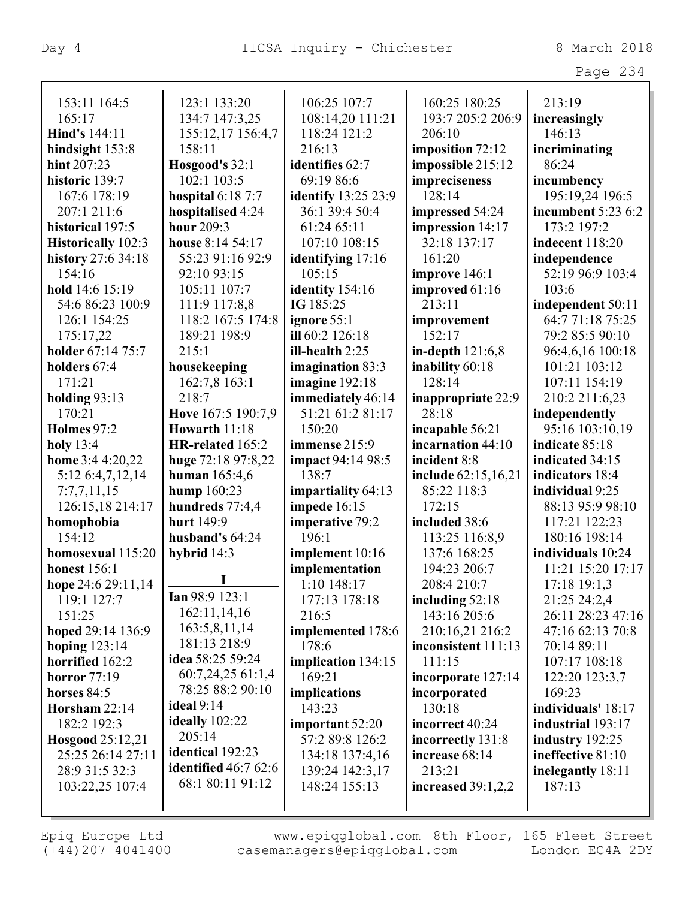| 153:11 164:5        | 123:1 133:20             | 106:25 107:7               | 160:25 180:25        | 213:19             |
|---------------------|--------------------------|----------------------------|----------------------|--------------------|
| 165:17              | 134:7 147:3,25           | 108:14,20 111:21           | 193:7 205:2 206:9    | increasingly       |
| Hind's 144:11       | 155:12,17 156:4,7        | 118:24 121:2               | 206:10               | 146:13             |
| hindsight 153:8     | 158:11                   | 216:13                     | imposition 72:12     | incriminating      |
| hint 207:23         | Hosgood's 32:1           | identifies 62:7            | impossible 215:12    | 86:24              |
| historic 139:7      | 102:1 103:5              | 69:19 86:6                 | impreciseness        | incumbency         |
| 167:6 178:19        | <b>hospital</b> 6:18 7:7 | <b>identify</b> 13:25 23:9 | 128:14               | 195:19,24 196:5    |
| 207:1 211:6         | hospitalised 4:24        | 36:1 39:4 50:4             | impressed 54:24      | incumbent 5:23 6:2 |
| historical 197:5    | hour 209:3               | 61:24 65:11                | impression 14:17     | 173:2 197:2        |
| Historically 102:3  | house 8:14 54:17         | 107:10 108:15              | 32:18 137:17         | indecent 118:20    |
| history 27:6 34:18  | 55:23 91:16 92:9         | identifying 17:16          | 161:20               | independence       |
| 154:16              | 92:10 93:15              | 105:15                     | improve 146:1        | 52:19 96:9 103:4   |
| hold 14:6 15:19     | 105:11 107:7             | identity 154:16            | improved 61:16       | 103:6              |
| 54:6 86:23 100:9    | 111:9 117:8,8            | IG 185:25                  | 213:11               | independent 50:11  |
| 126:1 154:25        | 118:2 167:5 174:8        | ignore 55:1                | improvement          | 64:7 71:18 75:25   |
| 175:17,22           | 189:21 198:9             | ill 60:2 126:18            | 152:17               | 79:2 85:5 90:10    |
| holder 67:14 75:7   | 215:1                    | ill-health $2:25$          | in-depth $121:6,8$   | 96:4,6,16 100:18   |
| holders 67:4        | housekeeping             | imagination 83:3           | inability 60:18      | 101:21 103:12      |
| 171:21              | 162:7,8 163:1            | imagine 192:18             | 128:14               | 107:11 154:19      |
| holding $93:13$     | 218:7                    | immediately 46:14          | inappropriate 22:9   | 210:2 211:6,23     |
| 170:21              | Hove 167:5 190:7,9       | 51:21 61:2 81:17           | 28:18                | independently      |
| Holmes 97:2         | Howarth 11:18            | 150:20                     | incapable 56:21      | 95:16 103:10,19    |
| holy $13:4$         | HR-related 165:2         | immense 215:9              | incarnation 44:10    | indicate 85:18     |
| home 3:4 4:20,22    | huge 72:18 97:8,22       | <b>impact</b> 94:14 98:5   | incident 8:8         | indicated 34:15    |
| 5:12 6:4,7,12,14    | human $165:4,6$          | 138:7                      | include 62:15,16,21  | indicators 18:4    |
| 7:7,7,11,15         | hump 160:23              | impartiality 64:13         | 85:22 118:3          | individual 9:25    |
| 126:15,18 214:17    | hundreds 77:4,4          | impede 16:15               | 172:15               | 88:13 95:9 98:10   |
| homophobia          | hurt 149:9               | imperative 79:2            | included 38:6        | 117:21 122:23      |
| 154:12              | husband's 64:24          | 196:1                      | 113:25 116:8,9       | 180:16 198:14      |
| homosexual 115:20   | hybrid $14:3$            | implement 10:16            | 137:6 168:25         | individuals 10:24  |
| <b>honest</b> 156:1 |                          | implementation             | 194:23 206:7         | 11:21 15:20 17:17  |
| hope 24:6 29:11,14  |                          | 1:10 148:17                | 208:4 210:7          | 17:18 19:1,3       |
| 119:1 127:7         | $\text{Ian } 98:9 123:1$ | 177:13 178:18              | including $52:18$    | 21:25 24:2,4       |
| 151:25              | 162:11,14,16             | 216:5                      | 143:16 205:6         | 26:11 28:23 47:16  |
| hoped 29:14 136:9   | 163:5,8,11,14            | implemented 178:6          | 210:16,21 216:2      | 47:16 62:13 70:8   |
| hoping $123:14$     | 181:13 218:9             | 178:6                      | inconsistent 111:13  | 70:14 89:11        |
| horrified 162:2     | idea 58:25 59:24         | implication 134:15         | 111:15               | 107:17 108:18      |
| <b>horror</b> 77:19 | 60:7,24,2561:1,4         | 169:21                     | incorporate 127:14   | 122:20 123:3,7     |
| horses 84:5         | 78:25 88:2 90:10         | implications               | incorporated         | 169:23             |
| Horsham $22:14$     | ideal $9:14$             | 143:23                     | 130:18               | individuals' 18:17 |
| 182:2 192:3         | ideally 102:22           | important 52:20            | incorrect 40:24      | industrial 193:17  |
| Hosgood 25:12,21    | 205:14                   | 57:2 89:8 126:2            | incorrectly 131:8    | industry $192:25$  |
| 25:25 26:14 27:11   | identical 192:23         | 134:18 137:4,16            | increase 68:14       | ineffective 81:10  |
| 28:9 31:5 32:3      | identified $46:762:6$    | 139:24 142:3,17            | 213:21               | inelegantly 18:11  |
| 103:22,25 107:4     | 68:1 80:11 91:12         | 148:24 155:13              | increased $39:1,2,2$ | 187:13             |
|                     |                          |                            |                      |                    |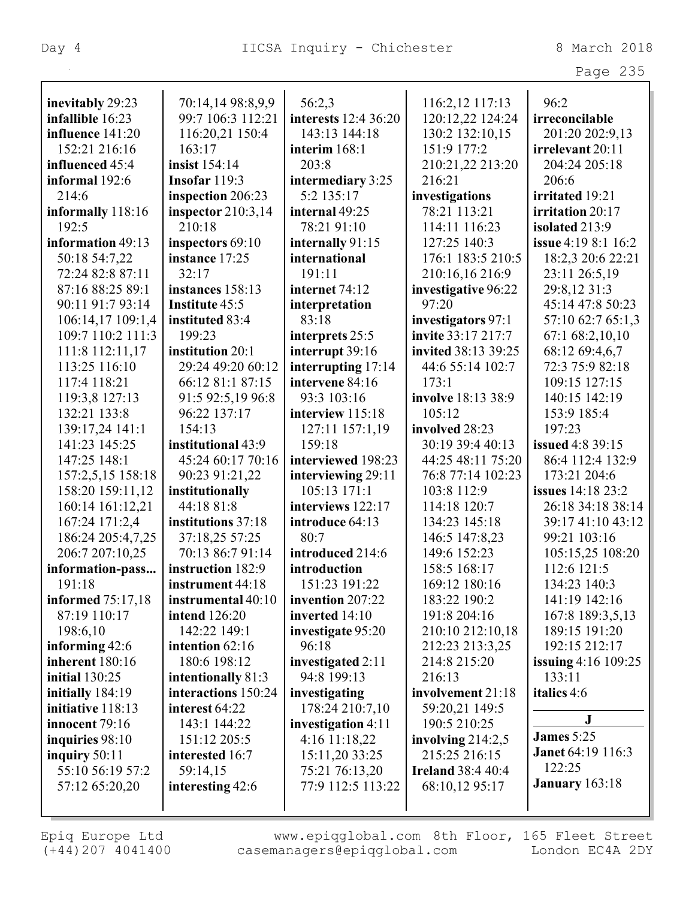Page 235

| inevitably 29:23         | 70:14,14 98:8,9,9    | 56:2,3               | 116:2,12 117:13          | 96:2                       |
|--------------------------|----------------------|----------------------|--------------------------|----------------------------|
| infallible 16:23         | 99:7 106:3 112:21    | interests 12:4 36:20 | 120:12,22 124:24         | irreconcilable             |
| influence 141:20         | 116:20,21 150:4      | 143:13 144:18        | 130:2 132:10,15          | 201:20 202:9,13            |
| 152:21 216:16            | 163:17               | interim 168:1        | 151:9 177:2              | irrelevant 20:11           |
| influenced 45:4          | insist 154:14        | 203:8                | 210:21,22 213:20         | 204:24 205:18              |
| informal 192:6           | Insofar 119:3        | intermediary 3:25    | 216:21                   | 206:6                      |
| 214:6                    | inspection 206:23    | 5:2 135:17           | investigations           | irritated 19:21            |
| informally 118:16        | inspector $210:3,14$ | internal 49:25       | 78:21 113:21             | irritation 20:17           |
| 192:5                    | 210:18               | 78:21 91:10          | 114:11 116:23            | isolated 213:9             |
| information 49:13        | inspectors 69:10     | internally 91:15     | 127:25 140:3             | <b>issue</b> 4:19 8:1 16:2 |
| 50:18 54:7,22            | instance 17:25       | international        | 176:1 183:5 210:5        | 18:2,3 20:6 22:21          |
| 72:24 82:8 87:11         | 32:17                | 191:11               | 210:16,16 216:9          | 23:11 26:5,19              |
| 87:16 88:25 89:1         | instances 158:13     | internet 74:12       | investigative 96:22      | 29:8,12 31:3               |
| 90:11 91:7 93:14         | Institute 45:5       | interpretation       | 97:20                    | 45:14 47:8 50:23           |
| 106:14,17 109:1,4        | instituted 83:4      | 83:18                | investigators 97:1       | 57:10 62:7 65:1,3          |
| 109:7 110:2 111:3        | 199:23               | interprets 25:5      | invite 33:17 217:7       | 67:1 68:2,10,10            |
| 111:8 112:11,17          | institution 20:1     | interrupt 39:16      | invited 38:13 39:25      | 68:12 69:4,6,7             |
| 113:25 116:10            | 29:24 49:20 60:12    | interrupting 17:14   | 44:6 55:14 102:7         | 72:3 75:9 82:18            |
| 117:4 118:21             | 66:12 81:1 87:15     | intervene 84:16      | 173:1                    | 109:15 127:15              |
| 119:3,8 127:13           | 91:5 92:5,19 96:8    | 93:3 103:16          | involve 18:13 38:9       | 140:15 142:19              |
| 132:21 133:8             | 96:22 137:17         | interview 115:18     | 105:12                   | 153:9 185:4                |
| 139:17,24 141:1          | 154:13               | 127:11 157:1,19      | involved 28:23           | 197:23                     |
| 141:23 145:25            | institutional 43:9   | 159:18               | 30:19 39:4 40:13         | <b>issued</b> 4:8 39:15    |
| 147:25 148:1             | 45:24 60:17 70:16    | interviewed 198:23   | 44:25 48:11 75:20        | 86:4 112:4 132:9           |
| 157:2,5,15 158:18        | 90:23 91:21,22       | interviewing 29:11   | 76:8 77:14 102:23        | 173:21 204:6               |
| 158:20 159:11,12         | institutionally      | 105:13 171:1         | 103:8 112:9              | <b>issues</b> 14:18 23:2   |
| 160:14 161:12,21         | 44:18 81:8           | interviews 122:17    | 114:18 120:7             | 26:18 34:18 38:14          |
| 167:24 171:2,4           | institutions 37:18   | introduce 64:13      | 134:23 145:18            | 39:17 41:10 43:12          |
| 186:24 205:4,7,25        | 37:18,25 57:25       | 80:7                 | 146:5 147:8,23           | 99:21 103:16               |
| 206:7 207:10,25          | 70:13 86:7 91:14     | introduced 214:6     | 149:6 152:23             | 105:15,25 108:20           |
| information-pass         | instruction 182:9    | introduction         | 158:5 168:17             | 112:6 121:5                |
| 191:18                   | instrument 44:18     | 151:23 191:22        | 169:12 180:16            | 134:23 140:3               |
| <b>informed</b> 75:17,18 | instrumental 40:10   | invention 207:22     | 183:22 190:2             | 141:19 142:16              |
| 87:19 110:17             | <b>intend</b> 126:20 | inverted 14:10       | 191:8 204:16             | 167:8 189:3,5,13           |
| 198:6,10                 | 142:22 149:1         | investigate 95:20    | 210:10 212:10,18         | 189:15 191:20              |
| informing 42:6           | intention 62:16      | 96:18                | 212:23 213:3,25          | 192:15 212:17              |
| inherent 180:16          | 180:6 198:12         | investigated 2:11    | 214:8 215:20             | <b>issuing</b> 4:16 109:25 |
| <b>initial</b> 130:25    | intentionally 81:3   | 94:8 199:13          | 216:13                   | 133:11                     |
| initially 184:19         | interactions 150:24  | investigating        | involvement 21:18        | italics 4:6                |
| initiative 118:13        | interest 64:22       | 178:24 210:7,10      | 59:20,21 149:5           |                            |
| innocent 79:16           | 143:1 144:22         | investigation 4:11   | 190:5 210:25             | ${\bf J}$                  |
| inquiries 98:10          | 151:12 205:5         | 4:16 11:18,22        | involving $214:2,5$      | <b>James</b> 5:25          |
| inquiry 50:11            | interested 16:7      | 15:11,20 33:25       | 215:25 216:15            | <b>Janet 64:19 116:3</b>   |
| 55:10 56:19 57:2         | 59:14,15             | 75:21 76:13,20       | <b>Ireland 38:4 40:4</b> | 122:25                     |
| 57:12 65:20,20           | interesting 42:6     | 77:9 112:5 113:22    | 68:10,12 95:17           | <b>January</b> 163:18      |
|                          |                      |                      |                          |                            |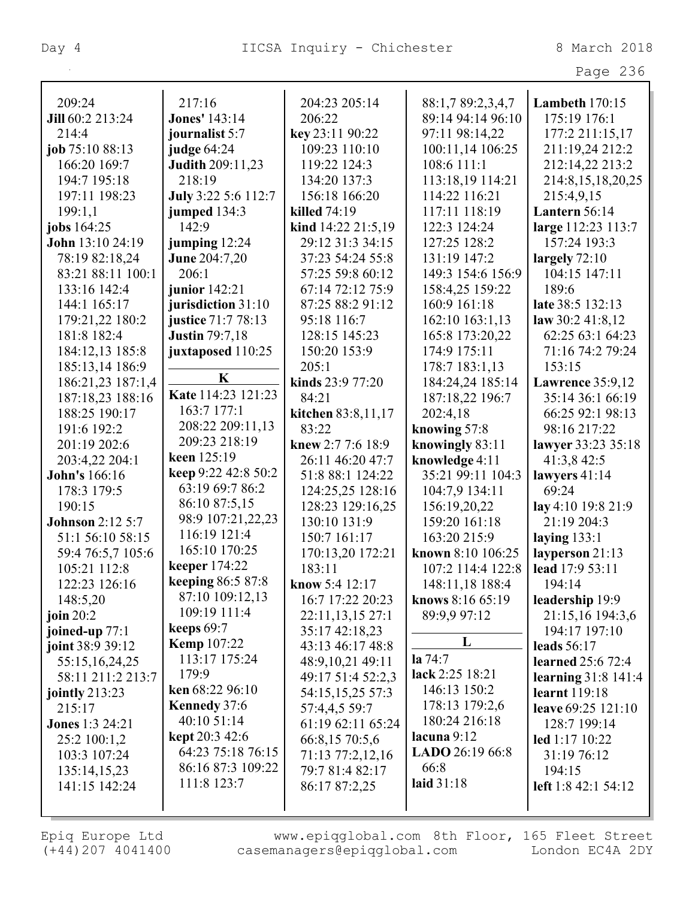| ane | ח ר |
|-----|-----|
|-----|-----|

| 209:24                  | 217:16                             | 204:23 205:14         | 88:1,7 89:2,3,4,7              | <b>Lambeth</b> 170:15    |
|-------------------------|------------------------------------|-----------------------|--------------------------------|--------------------------|
| Jill 60:2 213:24        | <b>Jones' 143:14</b>               | 206:22                | 89:14 94:14 96:10              | 175:19 176:1             |
| 214:4                   | journalist 5:7                     | key 23:11 90:22       | 97:11 98:14,22                 | 177:2 211:15,17          |
| job 75:10 88:13         | judge 64:24                        | 109:23 110:10         | 100:11,14 106:25               | 211:19,24 212:2          |
| 166:20 169:7            | <b>Judith 209:11,23</b>            | 119:22 124:3          | 108:6 111:1                    | 212:14,22 213:2          |
| 194:7 195:18            | 218:19                             | 134:20 137:3          | 113:18,19 114:21               | 214:8,15,18,20,25        |
| 197:11 198:23           | July 3:22 5:6 112:7                | 156:18 166:20         | 114:22 116:21                  | 215:4,9,15               |
| 199:1,1                 | jumped $134:3$                     | killed 74:19          | 117:11 118:19                  | Lantern 56:14            |
| jobs 164:25             | 142:9                              | kind 14:22 21:5,19    | 122:3 124:24                   | large 112:23 113:7       |
| John 13:10 24:19        | jumping $12:24$                    | 29:12 31:3 34:15      | 127:25 128:2                   | 157:24 193:3             |
| 78:19 82:18,24          | <b>June 204:7,20</b>               | 37:23 54:24 55:8      | 131:19 147:2                   | largely $72:10$          |
| 83:21 88:11 100:1       | 206:1                              | 57:25 59:8 60:12      | 149:3 154:6 156:9              | 104:15 147:11            |
| 133:16 142:4            | junior 142:21                      | 67:14 72:12 75:9      | 158:4,25 159:22                | 189:6                    |
| 144:1 165:17            | jurisdiction 31:10                 | 87:25 88:2 91:12      | 160:9 161:18                   | late 38:5 132:13         |
| 179:21,22 180:2         | justice 71:7 78:13                 | 95:18 116:7           | 162:10 163:1,13                | law $30:2$ 41:8,12       |
| 181:8 182:4             | <b>Justin 79:7,18</b>              | 128:15 145:23         | 165:8 173:20,22                | 62:25 63:1 64:23         |
| 184:12,13 185:8         | juxtaposed 110:25                  | 150:20 153:9          | 174:9 175:11                   | 71:16 74:2 79:24         |
| 185:13,14 186:9         |                                    | 205:1                 | 178:7 183:1,13                 | 153:15                   |
| 186:21,23 187:1,4       | K                                  | kinds 23:9 77:20      | 184:24,24 185:14               | Lawrence $35:9,12$       |
| 187:18,23 188:16        | Kate 114:23 121:23                 | 84:21                 | 187:18,22 196:7                | 35:14 36:1 66:19         |
| 188:25 190:17           | 163:7 177:1                        | kitchen 83:8,11,17    | 202:4,18                       | 66:25 92:1 98:13         |
| 191:6 192:2             | 208:22 209:11,13                   | 83:22                 | knowing 57:8                   | 98:16 217:22             |
| 201:19 202:6            | 209:23 218:19                      | knew $2:77:618:9$     | knowingly 83:11                | lawyer 33:23 35:18       |
| 203:4,22 204:1          | keen 125:19                        | 26:11 46:20 47:7      | knowledge 4:11                 | 41:3,8 42:5              |
| John's 166:16           | keep 9:22 42:8 50:2                | 51:8 88:1 124:22      | 35:21 99:11 104:3              | lawyers $41:14$          |
| 178:3 179:5             | 63:19 69:7 86:2                    | 124:25,25 128:16      | 104:7,9 134:11                 | 69:24                    |
| 190:15                  | 86:10 87:5,15                      | 128:23 129:16,25      | 156:19,20,22                   | lay 4:10 19:8 21:9       |
| <b>Johnson 2:12 5:7</b> | 98:9 107:21,22,23                  | 130:10 131:9          | 159:20 161:18                  | 21:19 204:3              |
| 51:1 56:10 58:15        | 116:19 121:4                       | 150:7 161:17          | 163:20 215:9                   | laying $133:1$           |
| 59:4 76:5,7 105:6       | 165:10 170:25                      | 170:13,20 172:21      | known 8:10 106:25              | layperson 21:13          |
| 105:21 112:8            | keeper 174:22                      | 183:11                | 107:2 114:4 122:8              | lead 17:9 53:11          |
| 122:23 126:16           | keeping 86:5 87:8                  | <b>know</b> 5:4 12:17 | 148:11,18 188:4                | 194:14                   |
| 148:5,20                | 87:10 109:12,13                    | 16:7 17:22 20:23      | knows 8:16 65:19               | leadership 19:9          |
| join $20:2$             | 109:19 111:4                       | 22:11,13,15 27:1      | 89:9,9 97:12                   | 21:15,16 194:3,6         |
| joined-up $77:1$        | keeps $69:7$                       | 35:17 42:18,23        |                                | 194:17 197:10            |
| joint 38:9 39:12        | <b>Kemp</b> 107:22                 | 43:13 46:17 48:8      | L                              | leads 56:17              |
| 55:15,16,24,25          | 113:17 175:24                      | 48:9,10,21 49:11      | $a\,74:7$                      | <b>learned</b> 25:6 72:4 |
| 58:11 211:2 213:7       | 179:9                              | 49:17 51:4 52:2,3     | lack 2:25 18:21                | learning $31:8$ 141:4    |
| jointly $213:23$        | ken 68:22 96:10                    | 54:15,15,25 57:3      | 146:13 150:2                   | learnt 119:18            |
| 215:17                  | <b>Kennedy</b> 37:6<br>40:10 51:14 | 57:4,4,5 59:7         | 178:13 179:2,6                 | leave 69:25 121:10       |
| <b>Jones</b> 1:3 24:21  | kept 20:3 42:6                     | 61:19 62:11 65:24     | 180:24 216:18<br>lacuna $9:12$ | 128:7 199:14             |
| 25:2 100:1,2            | 64:23 75:18 76:15                  | 66:8,15 70:5,6        | LADO 26:19 66:8                | led 1:17 10:22           |
| 103:3 107:24            | 86:16 87:3 109:22                  | 71:13 77:2,12,16      | 66:8                           | 31:19 76:12              |
| 135:14,15,23            | 111:8 123:7                        | 79:7 81:4 82:17       | laid 31:18                     | 194:15                   |
| 141:15 142:24           |                                    | 86:17 87:2,25         |                                | left 1:8 42:1 54:12      |
|                         |                                    |                       |                                |                          |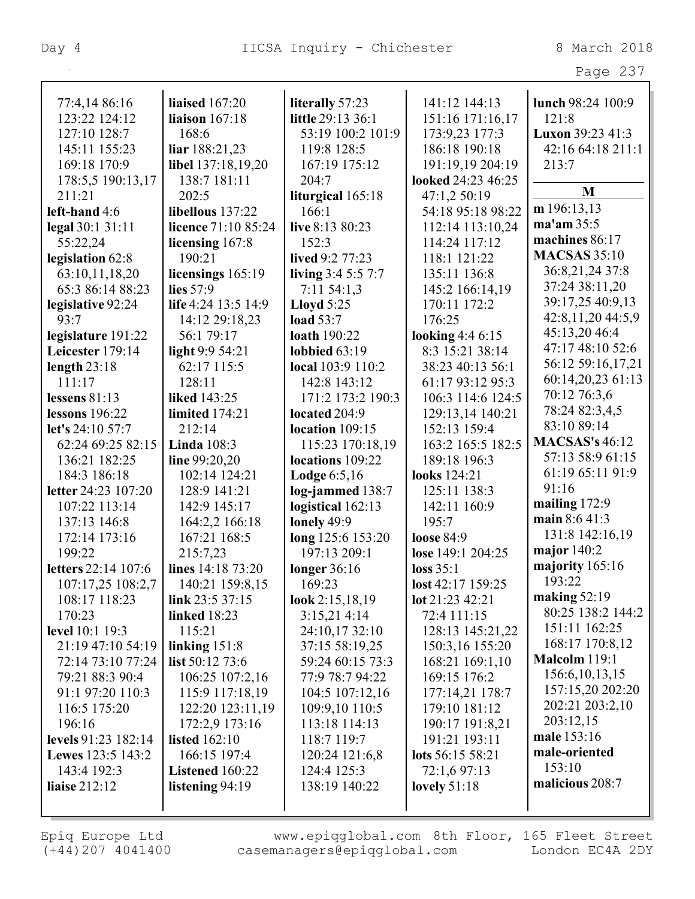| د،<br>٦<br>21 C |  |
|-----------------|--|
|-----------------|--|

| 77:4,14 86:16         | <b>liaised</b> 167:20 | literally 57:23     | 141:12 144:13      | lunch 98:24 100:9     |
|-----------------------|-----------------------|---------------------|--------------------|-----------------------|
| 123:22 124:12         | liaison 167:18        | little 29:13 36:1   | 151:16 171:16,17   | 121:8                 |
| 127:10 128:7          | 168:6                 | 53:19 100:2 101:9   | 173:9,23 177:3     | Luxon 39:23 41:3      |
| 145:11 155:23         | liar 188:21,23        | 119:8 128:5         | 186:18 190:18      | 42:16 64:18 211:1     |
| 169:18 170:9          | libel 137:18,19,20    | 167:19 175:12       | 191:19,19 204:19   | 213:7                 |
| 178:5,5 190:13,17     | 138:7 181:11          | 204:7               | looked 24:23 46:25 |                       |
| 211:21                | 202:5                 | liturgical 165:18   | 47:1,2 50:19       | M                     |
| left-hand 4:6         | libellous 137:22      | 166:1               | 54:18 95:18 98:22  | m 196:13,13           |
| legal 30:1 31:11      | licence 71:10 85:24   | live 8:13 80:23     | 112:14 113:10,24   | ma'am 35:5            |
| 55:22,24              | licensing 167:8       | 152:3               | 114:24 117:12      | machines 86:17        |
| legislation 62:8      | 190:21                | lived 9:2 77:23     | 118:1 121:22       | <b>MACSAS 35:10</b>   |
| 63:10,11,18,20        | licensings 165:19     | living $3:45:57:7$  | 135:11 136:8       | 36:8,21,24 37:8       |
| 65:3 86:14 88:23      | lies 57:9             | $7:11\,54:1,3$      | 145:2 166:14,19    | 37:24 38:11,20        |
| legislative 92:24     | life 4:24 13:5 14:9   | Lloyd $5:25$        | 170:11 172:2       | 39:17,25 40:9,13      |
| 93:7                  | 14:12 29:18,23        | <b>load</b> 53:7    | 176:25             | 42:8,11,20 44:5,9     |
| legislature 191:22    | 56:1 79:17            | <b>loath</b> 190:22 | looking $4:46:15$  | 45:13,20 46:4         |
| Leicester 179:14      | light $9:954:21$      | lobbied $63:19$     | 8:3 15:21 38:14    | 47:17 48:10 52:6      |
| length $23:18$        | 62:17 115:5           | local 103:9 110:2   | 38:23 40:13 56:1   | 56:12 59:16,17,21     |
| 111:17                | 128:11                | 142:8 143:12        | 61:17 93:12 95:3   | 60:14,20,23 61:13     |
| lessens $81:13$       | liked 143:25          | 171:2 173:2 190:3   | 106:3 114:6 124:5  | 70:12 76:3,6          |
| <b>lessons</b> 196:22 | <b>limited</b> 174:21 | located 204:9       | 129:13,14 140:21   | 78:24 82:3,4,5        |
| let's 24:10 57:7      | 212:14                | location 109:15     | 152:13 159:4       | 83:10 89:14           |
| 62:24 69:25 82:15     | <b>Linda</b> 108:3    | 115:23 170:18,19    | 163:2 165:5 182:5  | <b>MACSAS's 46:12</b> |
| 136:21 182:25         | line $99:20,20$       | locations 109:22    | 189:18 196:3       | 57:13 58:9 61:15      |
| 184:3 186:18          | 102:14 124:21         | <b>Lodge</b> 6:5,16 | looks 124:21       | 61:19 65:11 91:9      |
| letter 24:23 107:20   | 128:9 141:21          | log-jammed 138:7    | 125:11 138:3       | 91:16                 |
| 107:22 113:14         | 142:9 145:17          | logistical $162:13$ | 142:11 160:9       | mailing $172:9$       |
| 137:13 146:8          | 164:2,2 166:18        | lonely 49:9         | 195:7              | main 8:6 41:3         |
| 172:14 173:16         | 167:21 168:5          | long 125:6 153:20   | <b>loose 84:9</b>  | 131:8 142:16,19       |
| 199:22                | 215:7,23              | 197:13 209:1        | lose 149:1 204:25  | major 140:2           |
| letters 22:14 107:6   | lines 14:18 73:20     | longer $36:16$      | loss 35:1          | majority 165:16       |
| 107:17,25 108:2,7     | 140:21 159:8,15       | 169:23              | lost 42:17 159:25  | 193:22                |
| 108:17 118:23         | link 23:5 37:15       | look $2:15,18,19$   | lot 21:23 42:21    | making 52:19          |
| 170:23                | <b>linked</b> 18:23   | 3:15,214:14         | 72:4 111:15        | 80:25 138:2 144:2     |
| level 10:1 19:3       | 115:21                | 24:10,17 32:10      | 128:13 145:21,22   | 151:11 162:25         |
| 21:19 47:10 54:19     | linking $151:8$       | 37:15 58:19,25      | 150:3,16 155:20    | 168:17 170:8,12       |
| 72:14 73:10 77:24     | list 50:12 73:6       | 59:24 60:15 73:3    | 168:21 169:1,10    | Malcolm 119:1         |
| 79:21 88:3 90:4       | 106:25 107:2,16       | 77:9 78:7 94:22     | 169:15 176:2       | 156:6, 10, 13, 15     |
| 91:1 97:20 110:3      | 115:9 117:18,19       | 104:5 107:12,16     | 177:14,21 178:7    | 157:15,20 202:20      |
| 116:5 175:20          | 122:20 123:11,19      | 109:9,10 110:5      | 179:10 181:12      | 202:21 203:2,10       |
| 196:16                | 172:2,9 173:16        | 113:18 114:13       | 190:17 191:8,21    | 203:12,15             |
| levels 91:23 182:14   | <b>listed</b> 162:10  | 118:7 119:7         | 191:21 193:11      | male 153:16           |
| Lewes 123:5 143:2     | 166:15 197:4          | 120:24 121:6,8      | lots 56:15 58:21   | male-oriented         |
| 143:4 192:3           | Listened 160:22       | 124:4 125:3         | 72:1,6 97:13       | 153:10                |
| liaise $212:12$       | listening 94:19       | 138:19 140:22       | lovely $51:18$     | malicious 208:7       |
|                       |                       |                     |                    |                       |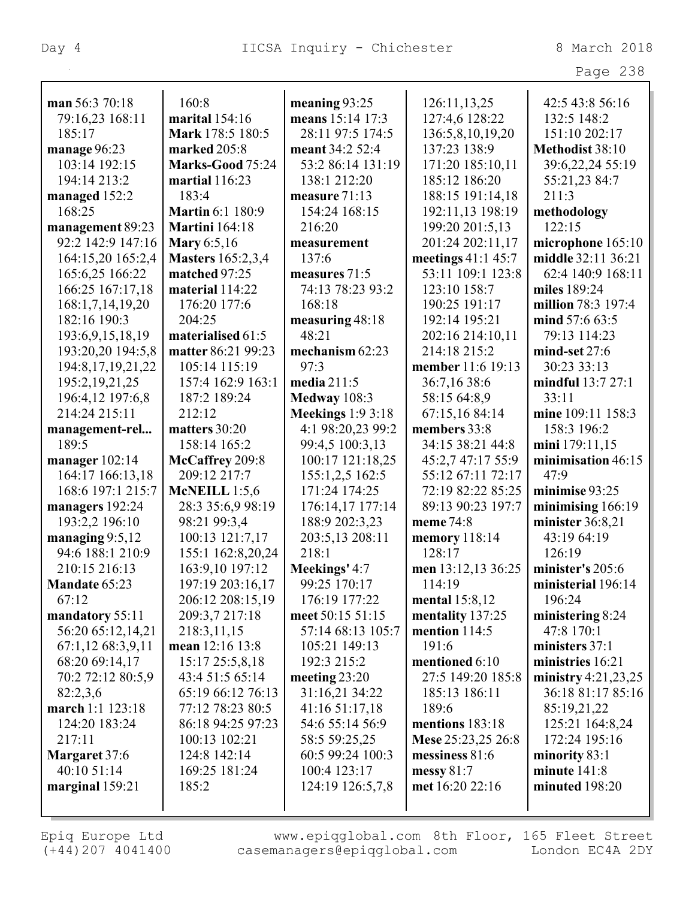| ≏<br>aa | 8 |
|---------|---|
|---------|---|

| man 56:3 70:18        | 160:8                    | meaning 93:25            | 126:11,13,25       | 42:5 43:8 56:16       |
|-----------------------|--------------------------|--------------------------|--------------------|-----------------------|
| 79:16,23 168:11       | marital 154:16           | means 15:14 17:3         | 127:4,6 128:22     | 132:5 148:2           |
| 185:17                | Mark 178:5 180:5         | 28:11 97:5 174:5         | 136:5,8,10,19,20   | 151:10 202:17         |
| manage 96:23          | marked 205:8             | meant 34:2 52:4          | 137:23 138:9       | Methodist 38:10       |
| 103:14 192:15         | Marks-Good 75:24         | 53:2 86:14 131:19        | 171:20 185:10,11   | 39:6,22,24 55:19      |
| 194:14 213:2          | martial 116:23           | 138:1 212:20             | 185:12 186:20      | 55:21,23 84:7         |
| managed 152:2         | 183:4                    | measure 71:13            | 188:15 191:14,18   | 211:3                 |
| 168:25                | <b>Martin 6:1 180:9</b>  | 154:24 168:15            | 192:11,13 198:19   | methodology           |
| management 89:23      | <b>Martini</b> 164:18    | 216:20                   | 199:20 201:5,13    | 122:15                |
| 92:2 142:9 147:16     | <b>Mary</b> 6:5,16       | measurement              | 201:24 202:11,17   | microphone 165:10     |
| 164:15,20 165:2,4     | <b>Masters</b> 165:2,3,4 | 137:6                    | meetings 41:1 45:7 | middle 32:11 36:21    |
| 165:6,25 166:22       | matched 97:25            | measures 71:5            | 53:11 109:1 123:8  | 62:4 140:9 168:11     |
| 166:25 167:17,18      | material 114:22          | 74:13 78:23 93:2         | 123:10 158:7       | miles 189:24          |
| 168:1,7,14,19,20      | 176:20 177:6             | 168:18                   | 190:25 191:17      | million 78:3 197:4    |
| 182:16 190:3          | 204:25                   | measuring 48:18          | 192:14 195:21      | mind 57:6 63:5        |
| 193:6,9,15,18,19      | materialised 61:5        | 48:21                    | 202:16 214:10,11   | 79:13 114:23          |
| 193:20,20 194:5,8     | matter 86:21 99:23       | mechanism 62:23          | 214:18 215:2       | $mind-set$ 27:6       |
| 194:8, 17, 19, 21, 22 | 105:14 115:19            | 97:3                     | member 11:6 19:13  | 30:23 33:13           |
| 195:2, 19, 21, 25     | 157:4 162:9 163:1        | media 211:5              | 36:7,16 38:6       | mindful 13:7 27:1     |
| 196:4,12 197:6,8      | 187:2 189:24             | Medway 108:3             | 58:15 64:8,9       | 33:11                 |
| 214:24 215:11         | 212:12                   | <b>Meekings</b> 1:9 3:18 | 67:15,16 84:14     | mine 109:11 158:3     |
| management-rel        | matters 30:20            | 4:1 98:20,23 99:2        | members 33:8       | 158:3 196:2           |
| 189:5                 | 158:14 165:2             | 99:4,5 100:3,13          | 34:15 38:21 44:8   | mini 179:11,15        |
| manager $102:14$      | McCaffrey 209:8          | 100:17 121:18,25         | 45:2,7 47:17 55:9  | minimisation 46:15    |
| 164:17 166:13,18      | 209:12 217:7             | 155:1,2,5 162:5          | 55:12 67:11 72:17  | 47:9                  |
| 168:6 197:1 215:7     | McNEILL $1:5,6$          | 171:24 174:25            | 72:19 82:22 85:25  | minimise 93:25        |
| managers 192:24       | 28:3 35:6,9 98:19        | 176:14,17 177:14         | 89:13 90:23 197:7  | minimising $166:19$   |
| 193:2,2 196:10        | 98:21 99:3,4             | 188:9 202:3,23           | meme 74:8          | minister 36:8,21      |
| managing $9:5,12$     | 100:13 121:7,17          | 203:5,13 208:11          | memory 118:14      | 43:19 64:19           |
| 94:6 188:1 210:9      | 155:1 162:8,20,24        | 218:1                    | 128:17             | 126:19                |
| 210:15 216:13         | 163:9,10 197:12          | Meekings' 4:7            | men 13:12,13 36:25 | minister's 205:6      |
| <b>Mandate 65:23</b>  | 197:19 203:16.17         | 99:25 170:17             | 114:19             | ministerial 196:14    |
| 67:12                 | 206:12 208:15,19         | 176:19 177:22            | mental $15:8,12$   | 196:24                |
| mandatory 55:11       | 209:3,7 217:18           | meet 50:15 51:15         | mentality 137:25   | ministering 8:24      |
| 56:20 65:12,14,21     | 218:3,11,15              | 57:14 68:13 105:7        | mention 114:5      | 47:8 170:1            |
| 67:1,12 68:3,9,11     | mean 12:16 13:8          | 105:21 149:13            | 191:6              | ministers 37:1        |
| 68:20 69:14,17        | 15:17 25:5,8,18          | 192:3 215:2              | mentioned 6:10     | ministries 16:21      |
| 70:2 72:12 80:5,9     | 43:4 51:5 65:14          | meeting $23:20$          | 27:5 149:20 185:8  | ministry $4:21,23,25$ |
| 82:2,3,6              | 65:19 66:12 76:13        | 31:16,21 34:22           | 185:13 186:11      | 36:18 81:17 85:16     |
| march 1:1 123:18      | 77:12 78:23 80:5         | 41:16 51:17,18           | 189:6              | 85:19,21,22           |
| 124:20 183:24         | 86:18 94:25 97:23        | 54:6 55:14 56:9          | mentions 183:18    | 125:21 164:8,24       |
| 217:11                | 100:13 102:21            | 58:5 59:25,25            | Mese 25:23,25 26:8 | 172:24 195:16         |
| Margaret 37:6         | 124:8 142:14             | 60:5 99:24 100:3         | messiness $81:6$   | minority $83:1$       |
| 40:10 51:14           | 169:25 181:24            | 100:4 123:17             | messy $81:7$       | minute $141:8$        |
| marginal 159:21       | 185:2                    | 124:19 126:5,7,8         | met 16:20 22:16    | minuted 198:20        |
|                       |                          |                          |                    |                       |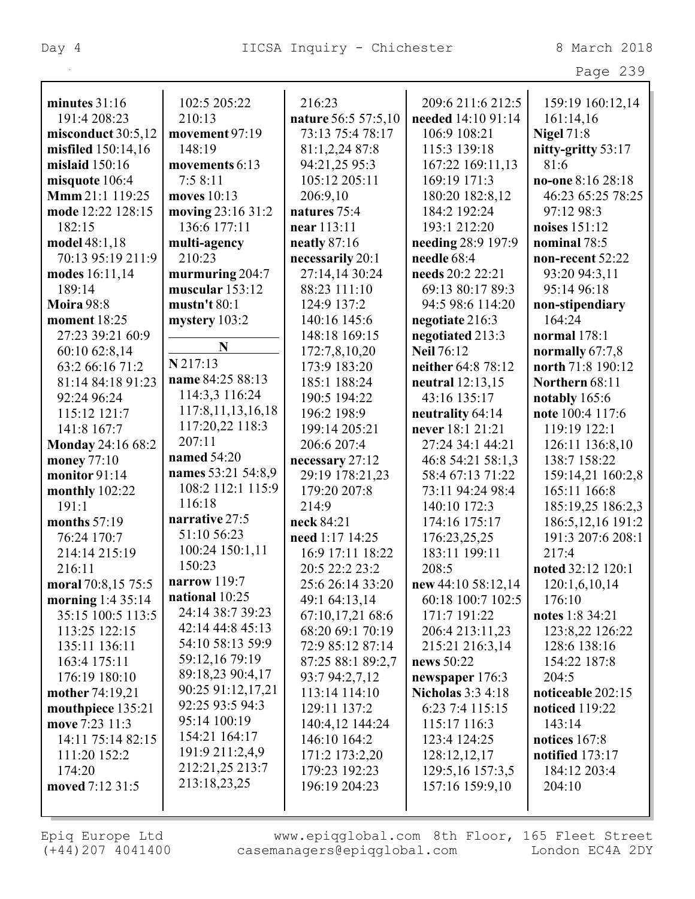| minutes $31:16$     | 102:5 205:22          | 216:23              | 209:6 211:6 212:5        | 159:19 160:12,14      |
|---------------------|-----------------------|---------------------|--------------------------|-----------------------|
| 191:4 208:23        | 210:13                | nature 56:5 57:5,10 | needed 14:10 91:14       | 161:14,16             |
| misconduct 30:5,12  | movement 97:19        | 73:13 75:4 78:17    | 106:9 108:21             | <b>Nigel 71:8</b>     |
| misfiled 150:14,16  | 148:19                | 81:1,2,24 87:8      | 115:3 139:18             | nitty-gritty 53:17    |
| mislaid 150:16      | movements 6:13        | 94:21,25 95:3       | 167:22 169:11,13         | 81:6                  |
| misquote 106:4      | 7:58:11               | 105:12 205:11       | 169:19 171:3             | no-one 8:16 28:18     |
| Mmm 21:1 119:25     | moves 10:13           | 206:9,10            | 180:20 182:8,12          | 46:23 65:25 78:25     |
| mode 12:22 128:15   | moving 23:16 31:2     | natures 75:4        | 184:2 192:24             | 97:12 98:3            |
| 182:15              | 136:6 177:11          | near 113:11         | 193:1 212:20             | noises 151:12         |
| model 48:1,18       | multi-agency          | neatly $87:16$      | needing 28:9 197:9       | nominal 78:5          |
| 70:13 95:19 211:9   | 210:23                | necessarily 20:1    | needle 68:4              | non-recent 52:22      |
| modes 16:11,14      | murmuring 204:7       | 27:14,14 30:24      | needs 20:2 22:21         | 93:20 94:3,11         |
| 189:14              | muscular 153:12       | 88:23 111:10        | 69:13 80:17 89:3         | 95:14 96:18           |
| <b>Moira 98:8</b>   | mustn't 80:1          | 124:9 137:2         | 94:5 98:6 114:20         | non-stipendiary       |
| <b>moment</b> 18:25 | mystery 103:2         | 140:16 145:6        | negotiate 216:3          | 164:24                |
| 27:23 39:21 60:9    |                       | 148:18 169:15       | negotiated 213:3         | normal 178:1          |
| 60:10 62:8,14       | N                     | 172:7,8,10,20       | <b>Neil 76:12</b>        | normally $67:7,8$     |
| 63:2 66:16 71:2     | N 217:13              | 173:9 183:20        | neither 64:8 78:12       | north 71:8 190:12     |
| 81:14 84:18 91:23   | name 84:25 88:13      | 185:1 188:24        | neutral $12:13,15$       | Northern 68:11        |
| 92:24 96:24         | 114:3,3 116:24        | 190:5 194:22        | 43:16 135:17             | notably 165:6         |
| 115:12 121:7        | 117:8, 11, 13, 16, 18 | 196:2 198:9         | neutrality 64:14         | note 100:4 117:6      |
| 141:8 167:7         | 117:20,22 118:3       | 199:14 205:21       | never 18:1 21:21         | 119:19 122:1          |
| Monday 24:16 68:2   | 207:11                | 206:6 207:4         | 27:24 34:1 44:21         | 126:11 136:8,10       |
| money 77:10         | named 54:20           | necessary 27:12     | 46:8 54:21 58:1,3        | 138:7 158:22          |
| monitor 91:14       | names 53:21 54:8,9    | 29:19 178:21,23     | 58:4 67:13 71:22         | 159:14,21 160:2,8     |
| monthly $102:22$    | 108:2 112:1 115:9     | 179:20 207:8        | 73:11 94:24 98:4         | 165:11 166:8          |
| 191:1               | 116:18                | 214:9               | 140:10 172:3             | 185:19,25 186:2,3     |
| months 57:19        | narrative 27:5        | neck 84:21          | 174:16 175:17            | 186:5, 12, 16 191:2   |
| 76:24 170:7         | 51:10 56:23           | need 1:17 14:25     | 176:23,25,25             | 191:3 207:6 208:1     |
| 214:14 215:19       | 100:24 150:1,11       | 16:9 17:11 18:22    | 183:11 199:11            | 217:4                 |
| 216:11              | 150:23                | 20:5 22:2 23:2      | 208:5                    | noted 32:12 120:1     |
| moral 70:8,15 75:5  | narrow 119:7          | 25:6 26:14 33:20    | new $44:10\,58:12.14$    | 120:1,6,10,14         |
| morning $1:435:14$  | national 10:25        | 49:1 64:13,14       | 60:18 100:7 102:5        | 176:10                |
| 35:15 100:5 113:5   | 24:14 38:7 39:23      | 67:10,17,21 68:6    | 171:7 191:22             | notes 1:8 34:21       |
| 113:25 122:15       | 42:14 44:8 45:13      | 68:20 69:1 70:19    | 206:4 213:11,23          | 123:8,22 126:22       |
| 135:11 136:11       | 54:10 58:13 59:9      | 72:9 85:12 87:14    | 215:21 216:3,14          | 128:6 138:16          |
| 163:4 175:11        | 59:12,16 79:19        | 87:25 88:1 89:2,7   | news 50:22               | 154:22 187:8          |
| 176:19 180:10       | 89:18,23 90:4,17      | 93:7 94:2,7,12      | newspaper 176:3          | 204:5                 |
| mother 74:19,21     | 90:25 91:12,17,21     | 113:14 114:10       | <b>Nicholas 3:3 4:18</b> | noticeable 202:15     |
| mouthpiece 135:21   | 92:25 93:5 94:3       | 129:11 137:2        | 6:23 7:4 115:15          | <b>noticed</b> 119:22 |
| move 7:23 11:3      | 95:14 100:19          | 140:4,12 144:24     | 115:17 116:3             | 143:14                |
| 14:11 75:14 82:15   | 154:21 164:17         | 146:10 164:2        | 123:4 124:25             | notices $167:8$       |
| 111:20 152:2        | 191:9 211:2,4,9       | 171:2 173:2,20      | 128:12,12,17             | notified $173:17$     |
| 174:20              | 212:21,25 213:7       | 179:23 192:23       | 129:5, 16 157:3, 5       | 184:12 203:4          |
| moved 7:12 31:5     | 213:18,23,25          | 196:19 204:23       | 157:16 159:9,10          | 204:10                |
|                     |                       |                     |                          |                       |
|                     |                       |                     |                          |                       |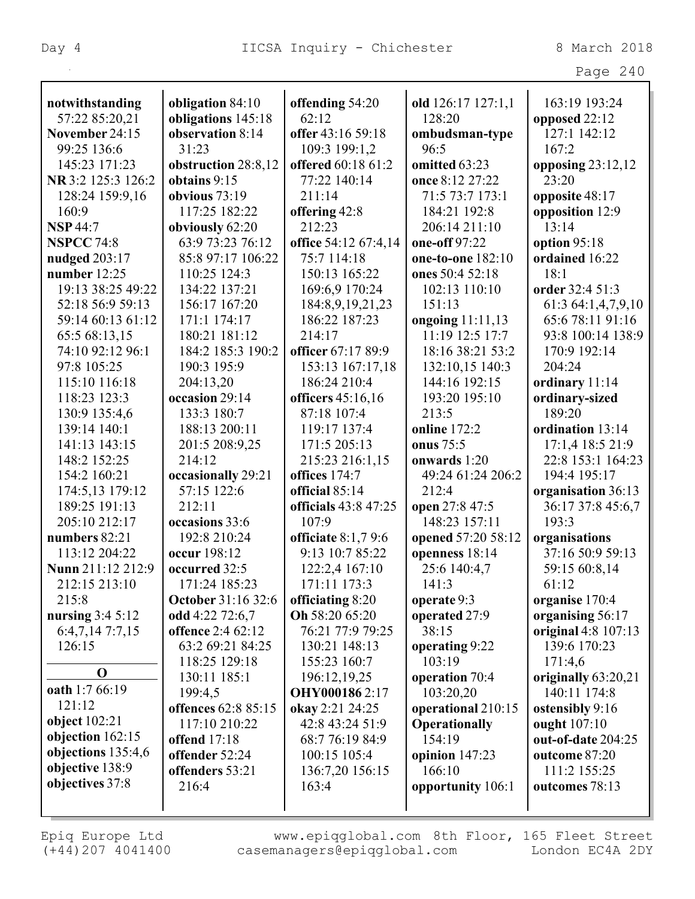Γ

|                                      |                                              |                                      |                                            | Page 240                              |
|--------------------------------------|----------------------------------------------|--------------------------------------|--------------------------------------------|---------------------------------------|
| notwithstanding                      | obligation 84:10                             | offending 54:20                      | old 126:17 127:1,1                         | 163:19 193:24                         |
| 57:22 85:20,21                       | obligations 145:18                           | 62:12                                | 128:20                                     | opposed 22:12                         |
| November 24:15                       | observation 8:14                             | offer 43:16 59:18                    | ombudsman-type                             | 127:1 142:12                          |
| 99:25 136:6                          | 31:23                                        | 109:3 199:1,2                        | 96:5                                       | 167:2                                 |
| 145:23 171:23                        | obstruction 28:8,12                          | offered 60:18 61:2                   | omitted 63:23                              | opposing $23:12,12$                   |
| NR 3:2 125:3 126:2                   | obtains 9:15                                 | 77:22 140:14                         | once 8:12 27:22                            | 23:20                                 |
| 128:24 159:9,16                      | obvious $73:19$                              | 211:14                               | 71:5 73:7 173:1                            | opposite 48:17                        |
| 160:9                                | 117:25 182:22                                | offering 42:8                        | 184:21 192:8                               | opposition 12:9                       |
| <b>NSP 44:7</b>                      | obviously 62:20                              | 212:23                               | 206:14 211:10                              | 13:14                                 |
| <b>NSPCC 74:8</b>                    | 63:9 73:23 76:12                             | office 54:12 67:4,14                 | one-off 97:22                              | option 95:18                          |
| nudged 203:17                        | 85:8 97:17 106:22                            | 75:7 114:18                          | one-to-one 182:10                          | ordained 16:22                        |
| number $12:25$                       | 110:25 124:3                                 | 150:13 165:22                        | ones 50:4 52:18                            | 18:1                                  |
| 19:13 38:25 49:22                    | 134:22 137:21                                | 169:6,9 170:24                       | 102:13 110:10                              | order 32:4 51:3                       |
| 52:18 56:9 59:13                     | 156:17 167:20                                | 184:8,9,19,21,23                     | 151:13                                     | 61:3 64:1,4,7,9,10                    |
| 59:14 60:13 61:12                    | 171:1 174:17                                 | 186:22 187:23                        | ongoing 11:11,13                           | 65:6 78:11 91:16                      |
| 65:5 68:13,15                        | 180:21 181:12                                | 214:17                               | 11:19 12:5 17:7                            | 93:8 100:14 138:9                     |
| 74:10 92:12 96:1                     | 184:2 185:3 190:2                            | officer 67:17 89:9                   | 18:16 38:21 53:2                           | 170:9 192:14                          |
| 97:8 105:25                          | 190:3 195:9                                  | 153:13 167:17,18                     | 132:10,15 140:3                            | 204:24                                |
| 115:10 116:18                        | 204:13,20                                    | 186:24 210:4                         | 144:16 192:15                              | ordinary 11:14                        |
| 118:23 123:3                         | occasion 29:14                               | officers 45:16,16                    | 193:20 195:10                              | ordinary-sized                        |
| 130:9 135:4,6                        | 133:3 180:7                                  | 87:18 107:4                          | 213:5                                      | 189:20                                |
| 139:14 140:1                         | 188:13 200:11                                | 119:17 137:4                         | <b>online</b> 172:2                        | ordination 13:14                      |
| 141:13 143:15                        |                                              |                                      | onus 75:5                                  |                                       |
| 148:2 152:25                         | 201:5 208:9,25<br>214:12                     | 171:5 205:13                         | onwards 1:20                               | 17:1,4 18:5 21:9<br>22:8 153:1 164:23 |
| 154:2 160:21                         |                                              | 215:23 216:1,15<br>offices 174:7     | 49:24 61:24 206:2                          | 194:4 195:17                          |
| 174:5,13 179:12                      | occasionally 29:21<br>57:15 122:6            | official 85:14                       | 212:4                                      |                                       |
| 189:25 191:13                        | 212:11                                       | <b>officials</b> 43:8 47:25          |                                            | organisation 36:13                    |
| 205:10 212:17                        | occasions 33:6                               | 107:9                                | open 27:8 47:5<br>148:23 157:11            | 36:17 37:8 45:6,7<br>193:3            |
|                                      | 192:8 210:24                                 |                                      |                                            |                                       |
| numbers 82:21<br>113:12 204:22       | occur 198:12                                 | officiate $8:1,79:6$                 | opened 57:20 58:12                         | organisations<br>37:16 50:9 59:13     |
| Nunn 211:12 212:9                    |                                              | 9:13 10:7 85:22                      | openness 18:14                             |                                       |
| 212:15 213:10                        | occurred 32:5                                | 122:2,4 167:10                       | 25:6 140:4,7                               | 59:15 60:8,14<br>61:12                |
|                                      | 171:24 185:23                                | 171:11 173:3                         | 141:3                                      |                                       |
| 215:8                                | <b>October 31:16 32:6</b><br>odd 4:22 72:6,7 | officiating 8:20<br>Oh 58:20 65:20   | operate 9:3                                | organise 170:4<br>organising 56:17    |
| nursing $3:45:12$<br>6:4,7,14 7:7,15 | offence 2:4 62:12                            | 76:21 77:9 79:25                     | operated 27:9<br>38:15                     | original 4:8 107:13                   |
|                                      | 63:2 69:21 84:25                             | 130:21 148:13                        |                                            | 139:6 170:23                          |
| 126:15                               | 118:25 129:18                                | 155:23 160:7                         | operating 9:22<br>103:19                   |                                       |
| $\mathbf 0$                          | 130:11 185:1                                 |                                      |                                            | 171:4,6<br>originally 63:20,21        |
| oath 1:7 66:19                       | 199:4,5                                      | 196:12,19,25<br><b>OHY0001862:17</b> | operation 70:4<br>103:20,20                | 140:11 174:8                          |
| 121:12                               | offences 62:8 85:15                          | okay 2:21 24:25                      |                                            |                                       |
| object $102:21$                      | 117:10 210:22                                | 42:8 43:24 51:9                      | operational 210:15<br><b>Operationally</b> | ostensibly 9:16<br>ought 107:10       |
| objection 162:15                     | <b>offend</b> 17:18                          | 68:7 76:19 84:9                      | 154:19                                     | out-of-date 204:25                    |
| objections 135:4,6                   | offender 52:24                               | 100:15 105:4                         | opinion 147:23                             | outcome 87:20                         |
| objective 138:9                      | offenders 53:21                              | 136:7,20 156:15                      | 166:10                                     | 111:2 155:25                          |
| objectives 37:8                      | 216:4                                        | 163:4                                | opportunity 106:1                          | outcomes 78:13                        |
|                                      |                                              |                                      |                                            |                                       |
|                                      |                                              |                                      |                                            |                                       |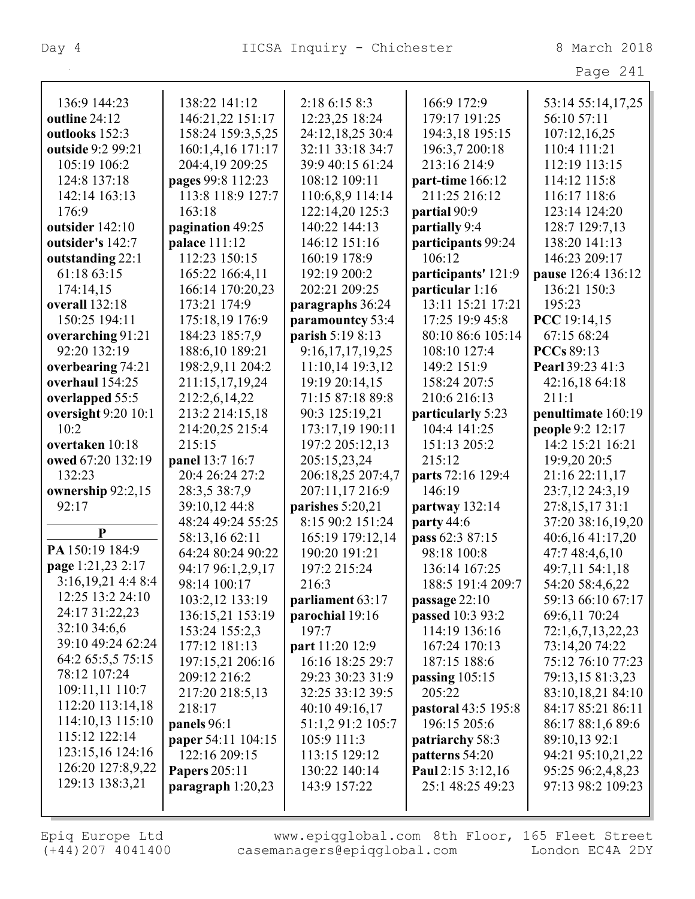Page 241

| 136:9 144:23          | 138:22 141:12        | 2:18 6:15 8:3     | 166:9 172:9         | 53:14 55:14,17,25  |
|-----------------------|----------------------|-------------------|---------------------|--------------------|
| outline 24:12         | 146:21,22 151:17     | 12:23,25 18:24    | 179:17 191:25       | 56:10 57:11        |
| outlooks 152:3        | 158:24 159:3,5,25    | 24:12,18,25 30:4  | 194:3,18 195:15     | 107:12,16,25       |
| outside 9:2 99:21     | 160:1,4,16 171:17    | 32:11 33:18 34:7  | 196:3,7 200:18      | 110:4 111:21       |
| 105:19 106:2          | 204:4,19 209:25      | 39:9 40:15 61:24  | 213:16 214:9        | 112:19 113:15      |
| 124:8 137:18          | pages 99:8 112:23    | 108:12 109:11     | part-time 166:12    | 114:12 115:8       |
| 142:14 163:13         | 113:8 118:9 127:7    | 110:6,8,9 114:14  | 211:25 216:12       | 116:17 118:6       |
| 176:9                 | 163:18               | 122:14,20 125:3   | partial 90:9        | 123:14 124:20      |
| outsider 142:10       | pagination 49:25     | 140:22 144:13     | partially 9:4       | 128:7 129:7,13     |
| outsider's 142:7      | <b>palace</b> 111:12 | 146:12 151:16     | participants 99:24  | 138:20 141:13      |
| outstanding 22:1      | 112:23 150:15        | 160:19 178:9      | 106:12              | 146:23 209:17      |
| 61:18 63:15           | 165:22 166:4,11      | 192:19 200:2      | participants' 121:9 | pause 126:4 136:12 |
| 174:14,15             | 166:14 170:20,23     | 202:21 209:25     | particular 1:16     | 136:21 150:3       |
| <b>overall</b> 132:18 | 173:21 174:9         | paragraphs 36:24  | 13:11 15:21 17:21   | 195:23             |
| 150:25 194:11         | 175:18,19 176:9      | paramountcy 53:4  | 17:25 19:9 45:8     | PCC 19:14,15       |
| overarching 91:21     | 184:23 185:7,9       | parish 5:19 8:13  | 80:10 86:6 105:14   | 67:15 68:24        |
| 92:20 132:19          | 188:6,10 189:21      | 9:16,17,17,19,25  | 108:10 127:4        | <b>PCCs</b> 89:13  |
| overbearing 74:21     | 198:2,9,11 204:2     | 11:10,14 19:3,12  | 149:2 151:9         | Pearl 39:23 41:3   |
| overhaul 154:25       | 211:15,17,19,24      | 19:19 20:14,15    | 158:24 207:5        | 42:16,18 64:18     |
| overlapped 55:5       | 212:2,6,14,22        | 71:15 87:18 89:8  | 210:6 216:13        | 211:1              |
| oversight 9:20 10:1   | 213:2 214:15,18      | 90:3 125:19,21    | particularly 5:23   | penultimate 160:19 |
| 10:2                  | 214:20,25 215:4      | 173:17,19 190:11  | 104:4 141:25        | people 9:2 12:17   |
| overtaken 10:18       | 215:15               | 197:2 205:12,13   | 151:13 205:2        | 14:2 15:21 16:21   |
| owed 67:20 132:19     | panel 13:7 16:7      | 205:15,23,24      | 215:12              | 19:9,20 20:5       |
| 132:23                | 20:4 26:24 27:2      | 206:18,25 207:4,7 | parts 72:16 129:4   | 21:16 22:11,17     |
| ownership 92:2,15     | 28:3,5 38:7,9        | 207:11,17 216:9   | 146:19              | 23:7,12 24:3,19    |
| 92:17                 | 39:10,12 44:8        | parishes 5:20,21  | partway $132:14$    | 27:8,15,17 31:1    |
|                       | 48:24 49:24 55:25    | 8:15 90:2 151:24  | party 44:6          | 37:20 38:16,19,20  |
| $\mathbf{P}$          | 58:13,16 62:11       | 165:19 179:12,14  | pass 62:3 87:15     | 40:6,16 41:17,20   |
| PA 150:19 184:9       | 64:24 80:24 90:22    | 190:20 191:21     | 98:18 100:8         | 47:7 48:4,6,10     |
| page 1:21,23 2:17     | 94:17 96:1,2,9,17    | 197:2 215:24      | 136:14 167:25       | 49:7,11 54:1,18    |
| 3:16,19,21 4:4 8:4    | 98:14 100:17         | 216:3             | 188:5 191:4 209:7   | 54:20 58:4,6,22    |
| 12:25 13:2 24:10      | 103:2,12 133:19      | parliament 63:17  | passage 22:10       | 59:13 66:10 67:17  |
| 24:17 31:22,23        | 136:15,21 153:19     | parochial 19:16   | passed 10:3 93:2    | 69:6,11 70:24      |
| 32:10 34:6,6          | 153:24 155:2,3       | 197:7             | 114:19 136:16       | 72:1,6,7,13,22,23  |
| 39:10 49:24 62:24     | 177:12 181:13        | part 11:20 12:9   | 167:24 170:13       | 73:14,20 74:22     |
| 64:2 65:5,5 75:15     | 197:15,21 206:16     | 16:16 18:25 29:7  | 187:15 188:6        | 75:12 76:10 77:23  |
| 78:12 107:24          | 209:12 216:2         | 29:23 30:23 31:9  | passing $105:15$    | 79:13,15 81:3,23   |
| 109:11,11 110:7       | 217:20 218:5,13      | 32:25 33:12 39:5  | 205:22              | 83:10,18,21 84:10  |
| 112:20 113:14,18      | 218:17               | 40:10 49:16,17    | pastoral 43:5 195:8 | 84:17 85:21 86:11  |
| 114:10,13 115:10      | panels 96:1          | 51:1,2 91:2 105:7 | 196:15 205:6        | 86:17 88:1,6 89:6  |
| 115:12 122:14         | paper 54:11 104:15   | 105:9 111:3       | patriarchy 58:3     | 89:10,13 92:1      |
| 123:15,16 124:16      | 122:16 209:15        | 113:15 129:12     | patterns 54:20      | 94:21 95:10,21,22  |
| 126:20 127:8,9,22     | <b>Papers 205:11</b> | 130:22 140:14     | Paul 2:15 3:12,16   | 95:25 96:2,4,8,23  |
| 129:13 138:3,21       | paragraph $1:20,23$  | 143:9 157:22      | 25:1 48:25 49:23    | 97:13 98:2 109:23  |
|                       |                      |                   |                     |                    |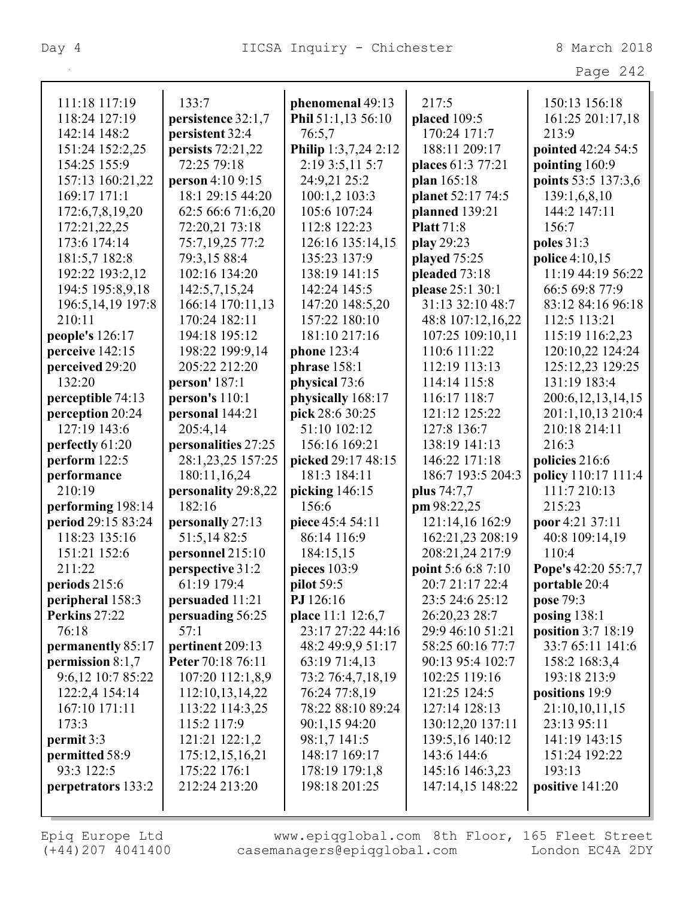Page 242

| 111:18 117:19       | 133:7               | phenomenal 49:13     | 217:5              | 150:13 156:18         |
|---------------------|---------------------|----------------------|--------------------|-----------------------|
| 118:24 127:19       | persistence 32:1,7  | Phil 51:1,13 56:10   | placed 109:5       | 161:25 201:17,18      |
| 142:14 148:2        | persistent 32:4     | 76:5,7               | 170:24 171:7       | 213:9                 |
| 151:24 152:2,25     | persists 72:21,22   | Philip 1:3,7,24 2:12 | 188:11 209:17      | pointed 42:24 54:5    |
| 154:25 155:9        | 72:25 79:18         | 2:19 3:5,11 5:7      | places 61:3 77:21  | pointing 160:9        |
| 157:13 160:21,22    | person 4:10 9:15    | 24:9,21 25:2         | plan 165:18        | points 53:5 137:3,6   |
| 169:17 171:1        | 18:1 29:15 44:20    | 100:1,2 103:3        | planet 52:17 74:5  | 139:1,6,8,10          |
| 172:6,7,8,19,20     | 62:5 66:6 71:6,20   | 105:6 107:24         | planned 139:21     | 144:2 147:11          |
| 172:21,22,25        | 72:20,21 73:18      | 112:8 122:23         | <b>Platt</b> 71:8  | 156:7                 |
| 173:6 174:14        | 75:7,19,25 77:2     | 126:16 135:14,15     | play 29:23         | poles 31:3            |
| 181:5,7 182:8       | 79:3,15 88:4        | 135:23 137:9         | played 75:25       | police 4:10,15        |
| 192:22 193:2,12     | 102:16 134:20       | 138:19 141:15        | pleaded 73:18      | 11:19 44:19 56:22     |
| 194:5 195:8,9,18    | 142:5,7,15,24       | 142:24 145:5         | please 25:1 30:1   | 66:5 69:8 77:9        |
| 196:5, 14, 19 197:8 | 166:14 170:11,13    | 147:20 148:5,20      | 31:13 32:10 48:7   | 83:12 84:16 96:18     |
| 210:11              | 170:24 182:11       | 157:22 180:10        | 48:8 107:12,16,22  | 112:5 113:21          |
| people's 126:17     | 194:18 195:12       | 181:10 217:16        | 107:25 109:10,11   | 115:19 116:2,23       |
| perceive 142:15     | 198:22 199:9,14     | phone 123:4          | 110:6 111:22       | 120:10,22 124:24      |
| perceived 29:20     | 205:22 212:20       | phrase 158:1         | 112:19 113:13      | 125:12,23 129:25      |
| 132:20              | person' 187:1       | physical 73:6        | 114:14 115:8       | 131:19 183:4          |
| perceptible 74:13   | person's 110:1      | physically 168:17    | 116:17 118:7       | 200:6, 12, 13, 14, 15 |
| perception 20:24    | personal 144:21     | pick 28:6 30:25      | 121:12 125:22      | 201:1,10,13 210:4     |
| 127:19 143:6        | 205:4,14            | 51:10 102:12         | 127:8 136:7        | 210:18 214:11         |
| perfectly 61:20     | personalities 27:25 | 156:16 169:21        | 138:19 141:13      | 216:3                 |
| perform 122:5       | 28:1,23,25 157:25   | picked 29:17 48:15   | 146:22 171:18      | policies 216:6        |
| performance         | 180:11,16,24        | 181:3 184:11         | 186:7 193:5 204:3  | policy 110:17 111:4   |
| 210:19              | personality 29:8,22 | picking 146:15       | plus 74:7,7        | 111:7 210:13          |
| performing 198:14   | 182:16              | 156:6                | pm 98:22,25        | 215:23                |
| period 29:15 83:24  | personally 27:13    | piece 45:4 54:11     | 121:14,16 162:9    | poor 4:21 37:11       |
| 118:23 135:16       | 51:5,14 82:5        | 86:14 116:9          | 162:21,23 208:19   | 40:8 109:14,19        |
| 151:21 152:6        | personnel 215:10    | 184:15,15            | 208:21,24 217:9    | 110:4                 |
| 211:22              | perspective 31:2    | pieces 103:9         | point 5:6 6:8 7:10 | Pope's 42:20 55:7,7   |
| periods $215:6$     | 61:19 179:4         | pilot 59:5           | 20:7 21:17 22:4    | portable 20:4         |
| peripheral 158:3    | persuaded 11:21     | PJ 126:16            | 23:5 24:6 25:12    | pose 79:3             |
| Perkins 27:22       | persuading 56:25    | place 11:1 12:6,7    | 26:20,23 28:7      | posing 138:1          |
| 76:18               | 57:1                | 23:17 27:22 44:16    | 29:9 46:10 51:21   | position 3:7 18:19    |
| permanently 85:17   | pertinent 209:13    | 48:2 49:9,9 51:17    | 58:25 60:16 77:7   | 33:7 65:11 141:6      |
| permission $8:1,7$  | Peter 70:18 76:11   | 63:19 71:4,13        | 90:13 95:4 102:7   | 158:2 168:3,4         |
| 9:6,12 10:7 85:22   | 107:20 112:1,8,9    | 73:2 76:4,7,18,19    | 102:25 119:16      | 193:18 213:9          |
| 122:2,4 154:14      | 112:10,13,14,22     | 76:24 77:8,19        | 121:25 124:5       | positions 19:9        |
| 167:10 171:11       | 113:22 114:3,25     | 78:22 88:10 89:24    | 127:14 128:13      | 21:10,10,11,15        |
| 173:3               | 115:2 117:9         | 90:1,15 94:20        | 130:12,20 137:11   | 23:13 95:11           |
| permit 3:3          | 121:21 122:1,2      | 98:1,7 141:5         | 139:5,16 140:12    | 141:19 143:15         |
| permitted 58:9      | 175:12,15,16,21     | 148:17 169:17        | 143:6 144:6        | 151:24 192:22         |
| 93:3 122:5          | 175:22 176:1        | 178:19 179:1,8       | 145:16 146:3,23    | 193:13                |
| perpetrators 133:2  | 212:24 213:20       | 198:18 201:25        | 147:14,15 148:22   | positive 141:20       |
|                     |                     |                      |                    |                       |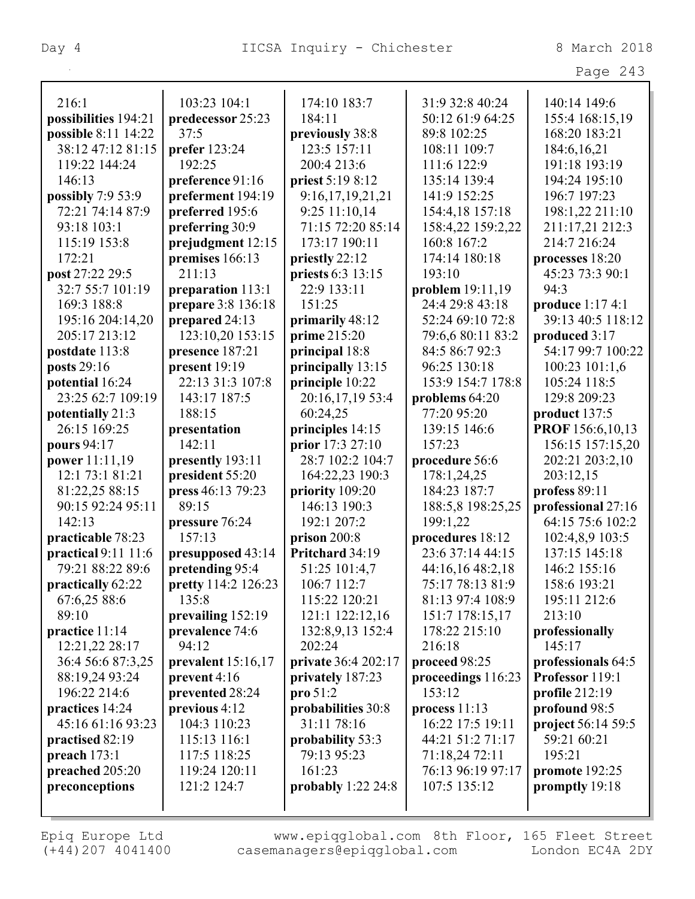| 21 C |  |
|------|--|
|      |  |

| 216:1                | 103:23 104:1         | 174:10 183:7          | 31:9 32:8 40:24    | 140:14 149:6       |
|----------------------|----------------------|-----------------------|--------------------|--------------------|
| possibilities 194:21 | predecessor 25:23    | 184:11                | 50:12 61:9 64:25   | 155:4 168:15,19    |
| possible 8:11 14:22  | 37:5                 | previously 38:8       | 89:8 102:25        | 168:20 183:21      |
| 38:12 47:12 81:15    | <b>prefer</b> 123:24 | 123:5 157:11          | 108:11 109:7       | 184:6, 16, 21      |
| 119:22 144:24        | 192:25               | 200:4 213:6           | 111:6 122:9        | 191:18 193:19      |
| 146:13               | preference 91:16     | priest 5:19 8:12      | 135:14 139:4       | 194:24 195:10      |
| possibly 7:9 53:9    | preferment 194:19    | 9:16,17,19,21,21      | 141:9 152:25       | 196:7 197:23       |
| 72:21 74:14 87:9     | preferred 195:6      | 9:25 11:10,14         | 154:4,18 157:18    | 198:1,22 211:10    |
| 93:18 103:1          | preferring 30:9      | 71:15 72:20 85:14     | 158:4,22 159:2,22  | 211:17,21 212:3    |
| 115:19 153:8         | prejudgment 12:15    | 173:17 190:11         | 160:8 167:2        | 214:7 216:24       |
| 172:21               | premises 166:13      | priestly 22:12        | 174:14 180:18      | processes 18:20    |
| post 27:22 29:5      | 211:13               | priests 6:3 13:15     | 193:10             | 45:23 73:3 90:1    |
| 32:7 55:7 101:19     | preparation 113:1    | 22:9 133:11           | problem 19:11,19   | 94:3               |
| 169:3 188:8          | prepare 3:8 136:18   | 151:25                | 24:4 29:8 43:18    | produce 1:17 4:1   |
| 195:16 204:14,20     | prepared 24:13       | primarily 48:12       | 52:24 69:10 72:8   | 39:13 40:5 118:12  |
| 205:17 213:12        | 123:10,20 153:15     | prime 215:20          | 79:6,6 80:11 83:2  | produced 3:17      |
| postdate 113:8       | presence 187:21      | principal 18:8        | 84:5 86:7 92:3     | 54:17 99:7 100:22  |
| posts 29:16          | present 19:19        | principally 13:15     | 96:25 130:18       | 100:23 101:1,6     |
| potential 16:24      | 22:13 31:3 107:8     | principle 10:22       | 153:9 154:7 178:8  | 105:24 118:5       |
| 23:25 62:7 109:19    | 143:17 187:5         | 20:16,17,19 53:4      | problems 64:20     | 129:8 209:23       |
| potentially 21:3     | 188:15               | 60:24,25              | 77:20 95:20        | product 137:5      |
| 26:15 169:25         | presentation         | principles 14:15      | 139:15 146:6       | PROF 156:6,10,13   |
| pours 94:17          | 142:11               | prior 17:3 27:10      | 157:23             | 156:15 157:15,20   |
| power 11:11,19       | presently 193:11     | 28:7 102:2 104:7      | procedure 56:6     | 202:21 203:2,10    |
| 12:1 73:1 81:21      | president 55:20      | 164:22,23 190:3       | 178:1,24,25        | 203:12,15          |
| 81:22,25 88:15       | press 46:13 79:23    | priority 109:20       | 184:23 187:7       | profess 89:11      |
| 90:15 92:24 95:11    | 89:15                | 146:13 190:3          | 188:5,8 198:25,25  | professional 27:16 |
| 142:13               | pressure 76:24       | 192:1 207:2           | 199:1,22           | 64:15 75:6 102:2   |
| practicable 78:23    | 157:13               | prison $200:8$        | procedures 18:12   | 102:4,8,9 103:5    |
| practical 9:11 11:6  | presupposed 43:14    | Pritchard 34:19       | 23:6 37:14 44:15   | 137:15 145:18      |
| 79:21 88:22 89:6     | pretending 95:4      | 51:25 101:4,7         | 44:16,16 48:2,18   | 146:2 155:16       |
| practically 62:22    | pretty 114:2 126:23  | 106:7 112:7           | 75:17 78:13 81:9   | 158:6 193:21       |
| 67:6,25 88:6         | 135:8                | 115:22 120:21         | 81:13 97:4 108:9   | 195:11 212:6       |
| 89:10                | prevailing 152:19    | 121:1 122:12,16       | 151:7 178:15,17    | 213:10             |
| practice 11:14       | prevalence 74:6      | 132:8,9,13 152:4      | 178:22 215:10      | professionally     |
| 12:21,22 28:17       | 94:12                | 202:24                | 216:18             | 145:17             |
| 36:4 56:6 87:3,25    | prevalent $15:16,17$ | private 36:4 202:17   | proceed 98:25      | professionals 64:5 |
| 88:19,24 93:24       | prevent 4:16         | privately 187:23      | proceedings 116:23 | Professor 119:1    |
| 196:22 214:6         | prevented 28:24      | $\mathbf{proj} 51:2$  | 153:12             | profile 212:19     |
| practices 14:24      | previous 4:12        | probabilities 30:8    | process $11:13$    | profound 98:5      |
| 45:16 61:16 93:23    | 104:3 110:23         | 31:11 78:16           | 16:22 17:5 19:11   | project 56:14 59:5 |
| practised 82:19      | 115:13 116:1         | probability 53:3      | 44:21 51:2 71:17   | 59:21 60:21        |
| preach $173:1$       | 117:5 118:25         | 79:13 95:23           | 71:18,24 72:11     | 195:21             |
| preached 205:20      | 119:24 120:11        | 161:23                | 76:13 96:19 97:17  | promote 192:25     |
| preconceptions       | 121:2 124:7          | probably $1:22\,24:8$ | 107:5 135:12       | promptly 19:18     |
|                      |                      |                       |                    |                    |
|                      |                      |                       |                    |                    |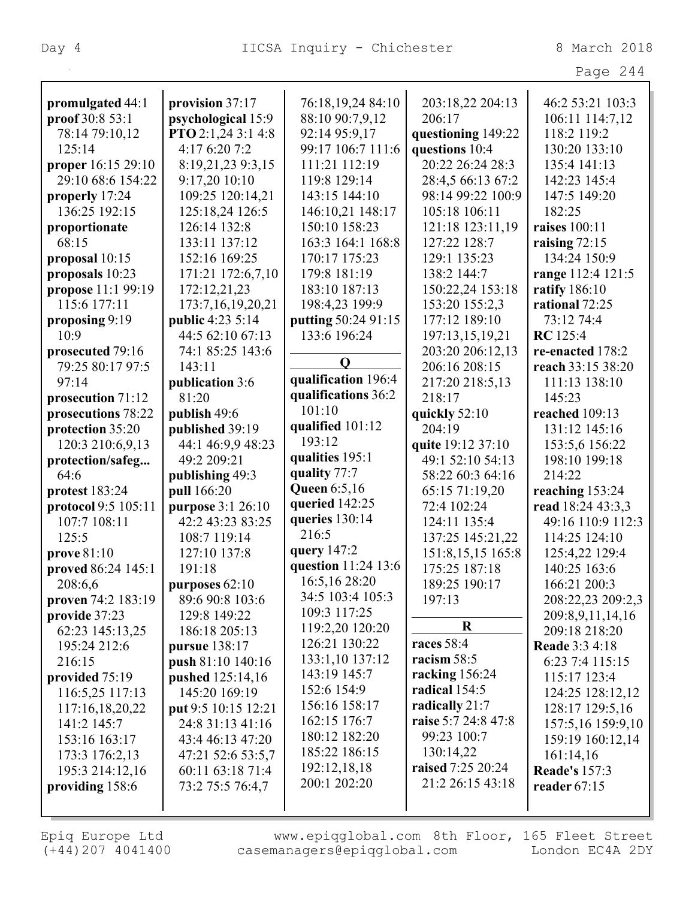| v<br>- 1<br>⌒ |  |
|---------------|--|
|---------------|--|

| promulgated 44:1                     | provision 37:17                             | 76:18,19,24 84:10                   | 203:18,22 204:13    | 46:2 53:21 103:3      |
|--------------------------------------|---------------------------------------------|-------------------------------------|---------------------|-----------------------|
| proof 30:8 53:1                      | psychological 15:9                          | 88:10 90:7,9,12                     | 206:17              | 106:11 114:7,12       |
| 78:14 79:10,12                       | PTO 2:1,24 3:1 4:8                          | 92:14 95:9,17                       | questioning 149:22  | 118:2 119:2           |
| 125:14                               | 4:17 6:20 7:2                               | 99:17 106:7 111:6                   | questions 10:4      | 130:20 133:10         |
| proper 16:15 29:10                   | 8:19,21,23 9:3,15                           | 111:21 112:19                       | 20:22 26:24 28:3    | 135:4 141:13          |
| 29:10 68:6 154:22                    | 9:17,20 10:10                               | 119:8 129:14                        | 28:4,5 66:13 67:2   | 142:23 145:4          |
| properly 17:24                       | 109:25 120:14,21                            | 143:15 144:10                       | 98:14 99:22 100:9   | 147:5 149:20          |
| 136:25 192:15                        | 125:18,24 126:5                             | 146:10,21 148:17                    | 105:18 106:11       | 182:25                |
| proportionate                        | 126:14 132:8                                | 150:10 158:23                       | 121:18 123:11,19    | raises 100:11         |
| 68:15                                | 133:11 137:12                               | 163:3 164:1 168:8                   | 127:22 128:7        | raising $72:15$       |
| proposal 10:15                       | 152:16 169:25                               | 170:17 175:23                       | 129:1 135:23        | 134:24 150:9          |
| proposals 10:23                      | 171:21 172:6,7,10                           | 179:8 181:19                        | 138:2 144:7         | range 112:4 121:5     |
| propose 11:1 99:19                   | 172:12,21,23                                | 183:10 187:13                       | 150:22,24 153:18    | ratify 186:10         |
| 115:6 177:11                         |                                             | 198:4,23 199:9                      | 153:20 155:2,3      | rational 72:25        |
|                                      | 173:7,16,19,20,21                           |                                     | 177:12 189:10       | 73:12 74:4            |
| proposing 9:19<br>10:9               | <b>public</b> 4:23 5:14<br>44:5 62:10 67:13 | putting 50:24 91:15<br>133:6 196:24 |                     |                       |
|                                      |                                             |                                     | 197:13,15,19,21     | <b>RC</b> 125:4       |
| prosecuted 79:16<br>79:25 80:17 97:5 | 74:1 85:25 143:6                            | $\mathbf 0$                         | 203:20 206:12,13    | re-enacted 178:2      |
|                                      | 143:11                                      | qualification 196:4                 | 206:16 208:15       | reach 33:15 38:20     |
| 97:14                                | publication 3:6<br>81:20                    | qualifications 36:2                 | 217:20 218:5,13     | 111:13 138:10         |
| prosecution 71:12                    |                                             | 101:10                              | 218:17              | 145:23                |
| prosecutions 78:22                   | publish 49:6                                | qualified 101:12                    | quickly 52:10       | reached 109:13        |
| protection 35:20                     | published 39:19                             | 193:12                              | 204:19              | 131:12 145:16         |
| 120:3 210:6,9,13                     | 44:1 46:9,9 48:23                           | qualities 195:1                     | quite 19:12 37:10   | 153:5,6 156:22        |
| protection/safeg                     | 49:2 209:21                                 | quality 77:7                        | 49:1 52:10 54:13    | 198:10 199:18         |
| 64:6                                 | publishing 49:3                             | <b>Queen</b> 6:5,16                 | 58:22 60:3 64:16    | 214:22                |
| protest 183:24                       | pull 166:20                                 | queried 142:25                      | 65:15 71:19,20      | reaching 153:24       |
| protocol 9:5 105:11                  | purpose 3:1 26:10                           | queries 130:14                      | 72:4 102:24         | read 18:24 43:3,3     |
| 107:7 108:11                         | 42:2 43:23 83:25                            | 216:5                               | 124:11 135:4        | 49:16 110:9 112:3     |
| 125:5                                | 108:7 119:14                                | query 147:2                         | 137:25 145:21,22    | 114:25 124:10         |
| prove 81:10                          | 127:10 137:8                                | question 11:24 13:6                 | 151:8, 15, 15 165:8 | 125:4,22 129:4        |
| proved 86:24 145:1                   | 191:18                                      | 16:5,16 28:20                       | 175:25 187:18       | 140:25 163:6          |
| 208:6,6                              | purposes 62:10                              | 34:5 103:4 105:3                    | 189:25 190:17       | 166:21 200:3          |
| proven 74:2 183:19                   | 89:6 90:8 103:6                             | 109:3 117:25                        | 197:13              | 208:22,23 209:2,3     |
| provide 37:23                        | 129:8 149:22                                | 119:2,20 120:20                     | $\bf R$             | 209:8,9,11,14,16      |
| 62:23 145:13,25                      | 186:18 205:13                               | 126:21 130:22                       | races 58:4          | 209:18 218:20         |
| 195:24 212:6                         | pursue 138:17                               |                                     | racism 58:5         | <b>Reade</b> 3:3 4:18 |
| 216:15                               | push 81:10 140:16                           | 133:1,10 137:12                     |                     | 6:23 7:4 115:15       |
| provided 75:19                       | pushed 125:14,16                            | 143:19 145:7                        | racking 156:24      | 115:17 123:4          |
| 116:5,25 117:13                      | 145:20 169:19                               | 152:6 154:9                         | radical 154:5       | 124:25 128:12,12      |
| 117:16,18,20,22                      | put 9:5 10:15 12:21                         | 156:16 158:17                       | radically 21:7      | 128:17 129:5,16       |
| 141:2 145:7                          | 24:8 31:13 41:16                            | 162:15 176:7                        | raise 5:7 24:8 47:8 | 157:5,16 159:9,10     |
| 153:16 163:17                        | 43:4 46:13 47:20                            | 180:12 182:20                       | 99:23 100:7         | 159:19 160:12,14      |
| 173:3 176:2,13                       | 47:21 52:6 53:5,7                           | 185:22 186:15                       | 130:14,22           | 161:14,16             |
| 195:3 214:12,16                      | 60:11 63:18 71:4                            | 192:12,18,18                        | raised 7:25 20:24   | <b>Reade's 157:3</b>  |
| providing 158:6                      | 73:2 75:5 76:4,7                            | 200:1 202:20                        | 21:2 26:15 43:18    | reader $67:15$        |
|                                      |                                             |                                     |                     |                       |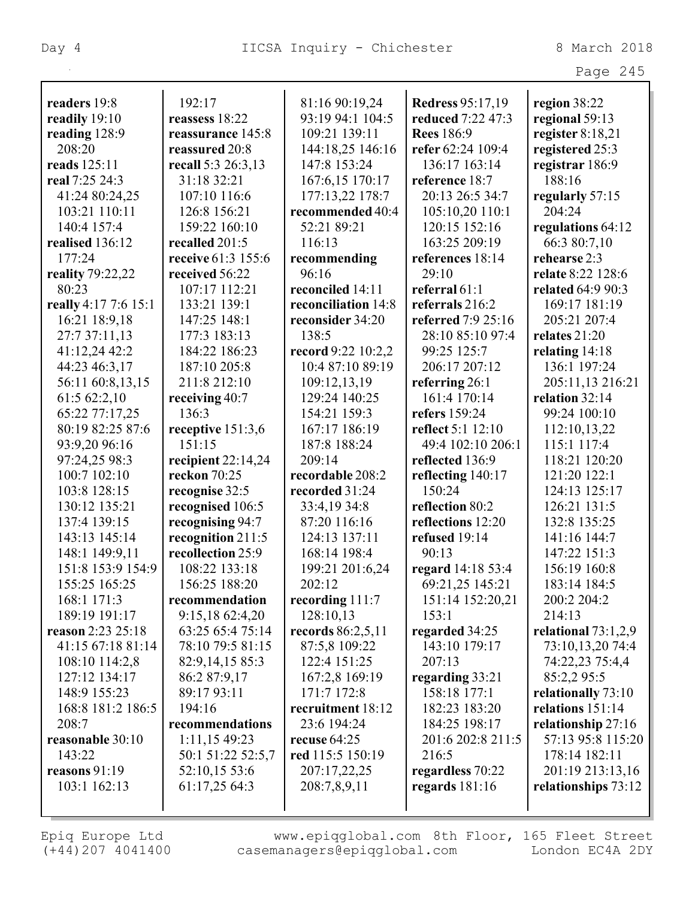|                               |                                        |                     |                                      | Page 245                     |
|-------------------------------|----------------------------------------|---------------------|--------------------------------------|------------------------------|
| readers 19:8                  | 192:17                                 | 81:16 90:19,24      | <b>Redress 95:17,19</b>              | region 38:22                 |
| readily 19:10                 | reassess 18:22                         | 93:19 94:1 104:5    | reduced 7:22 47:3                    | regional 59:13               |
| reading 128:9                 | reassurance 145:8                      | 109:21 139:11       | <b>Rees</b> 186:9                    | register $8:18,21$           |
| 208:20                        | reassured 20:8                         | 144:18,25 146:16    | refer 62:24 109:4                    | registered 25:3              |
| reads 125:11                  | recall 5:3 26:3,13                     | 147:8 153:24        | 136:17 163:14                        | registrar 186:9              |
| real 7:25 24:3                | 31:18 32:21                            | 167:6,15 170:17     | reference 18:7                       | 188:16                       |
| 41:24 80:24,25                | 107:10 116:6                           | 177:13,22 178:7     | 20:13 26:5 34:7                      | regularly 57:15              |
| 103:21 110:11                 | 126:8 156:21                           | recommended 40:4    | 105:10,20 110:1                      | 204:24                       |
| 140:4 157:4                   | 159:22 160:10                          | 52:21 89:21         | 120:15 152:16                        | regulations 64:12            |
| realised 136:12               | recalled 201:5                         | 116:13              | 163:25 209:19                        | 66:3 80:7,10                 |
| 177:24                        | receive 61:3 155:6                     | recommending        | references 18:14                     | rehearse 2:3                 |
| reality 79:22,22              | received 56:22                         | 96:16               | 29:10                                | relate 8:22 128:6            |
| 80:23                         | 107:17 112:21                          | reconciled 14:11    | referral $61:1$                      | related 64:9 90:3            |
| really 4:17 7:6 15:1          | 133:21 139:1                           | reconciliation 14:8 | referrals 216:2                      | 169:17 181:19                |
| 16:21 18:9,18                 | 147:25 148:1                           | reconsider 34:20    | referred 7:9 25:16                   | 205:21 207:4                 |
| 27:7 37:11,13                 | 177:3 183:13                           | 138:5               | 28:10 85:10 97:4                     | relates 21:20                |
| 41:12,24 42:2                 | 184:22 186:23                          | record 9:22 10:2,2  | 99:25 125:7                          | relating $14:18$             |
| 44:23 46:3,17                 | 187:10 205:8                           | 10:4 87:10 89:19    | 206:17 207:12                        | 136:1 197:24                 |
| 56:11 60:8,13,15              | 211:8 212:10                           | 109:12,13,19        | referring 26:1                       | 205:11,13 216:21             |
| 61:5 62:2,10                  | receiving 40:7                         | 129:24 140:25       | 161:4 170:14                         | relation 32:14               |
| 65:22 77:17,25                | 136:3                                  | 154:21 159:3        | refers 159:24                        | 99:24 100:10                 |
| 80:19 82:25 87:6              |                                        | 167:17 186:19       | reflect 5:1 12:10                    | 112:10,13,22                 |
|                               | receptive 151:3,6<br>151:15            | 187:8 188:24        | 49:4 102:10 206:1                    | 115:1 117:4                  |
| 93:9,20 96:16                 | recipient $22:14,24$                   | 209:14              | reflected 136:9                      | 118:21 120:20                |
| 97:24,25 98:3<br>100:7 102:10 | reckon 70:25                           | recordable 208:2    |                                      | 121:20 122:1                 |
| 103:8 128:15                  |                                        | recorded 31:24      | reflecting 140:17<br>150:24          | 124:13 125:17                |
| 130:12 135:21                 | recognise 32:5<br>recognised 106:5     | 33:4,19 34:8        | reflection 80:2                      | 126:21 131:5                 |
| 137:4 139:15                  | recognising 94:7                       | 87:20 116:16        | reflections 12:20                    | 132:8 135:25                 |
| 143:13 145:14                 |                                        | 124:13 137:11       | refused 19:14                        | 141:16 144:7                 |
| 148:1 149:9,11                | recognition 211:5<br>recollection 25:9 | 168:14 198:4        | 90:13                                | 147:22 151:3                 |
| 151:8 153:9 154:9             | 108:22 133:18                          | 199:21 201:6,24     |                                      |                              |
| 155:25 165:25                 | 156:25 188:20                          | 202:12              | regard 14:18 53:4<br>69:21,25 145:21 | 156:19 160:8<br>183:14 184:5 |
| 168:1 171:3                   | recommendation                         | recording 111:7     | 151:14 152:20,21                     | 200:2 204:2                  |
| 189:19 191:17                 | 9:15,18 62:4,20                        | 128:10,13           | 153:1                                | 214:13                       |
| reason 2:23 25:18             | 63:25 65:4 75:14                       | records 86:2,5,11   | regarded 34:25                       | relational $73:1,2,9$        |
| 41:15 67:18 81:14             | 78:10 79:5 81:15                       | 87:5,8 109:22       | 143:10 179:17                        | 73:10,13,20 74:4             |
| 108:10 114:2,8                | 82:9, 14, 15 85:3                      | 122:4 151:25        | 207:13                               | 74:22,23 75:4,4              |
| 127:12 134:17                 | 86:2 87:9,17                           | 167:2,8 169:19      |                                      | 85:2,295:5                   |
| 148:9 155:23                  | 89:17 93:11                            | 171:7 172:8         | regarding 33:21<br>158:18 177:1      | relationally 73:10           |
| 168:8 181:2 186:5             | 194:16                                 | recruitment 18:12   | 182:23 183:20                        | relations 151:14             |
| 208:7                         | recommendations                        | 23:6 194:24         | 184:25 198:17                        | relationship 27:16           |
| reasonable 30:10              | 1:11,15 49:23                          | recuse $64:25$      | 201:6 202:8 211:5                    | 57:13 95:8 115:20            |
| 143:22                        | 50:1 51:22 52:5,7                      | red 115:5 150:19    | 216:5                                | 178:14 182:11                |
| reasons 91:19                 | 52:10,15 53:6                          | 207:17,22,25        | regardless 70:22                     | 201:19 213:13,16             |
| 103:1 162:13                  | 61:17,25 64:3                          | 208:7,8,9,11        | regards $181:16$                     | relationships 73:12          |
|                               |                                        |                     |                                      |                              |
|                               |                                        |                     |                                      |                              |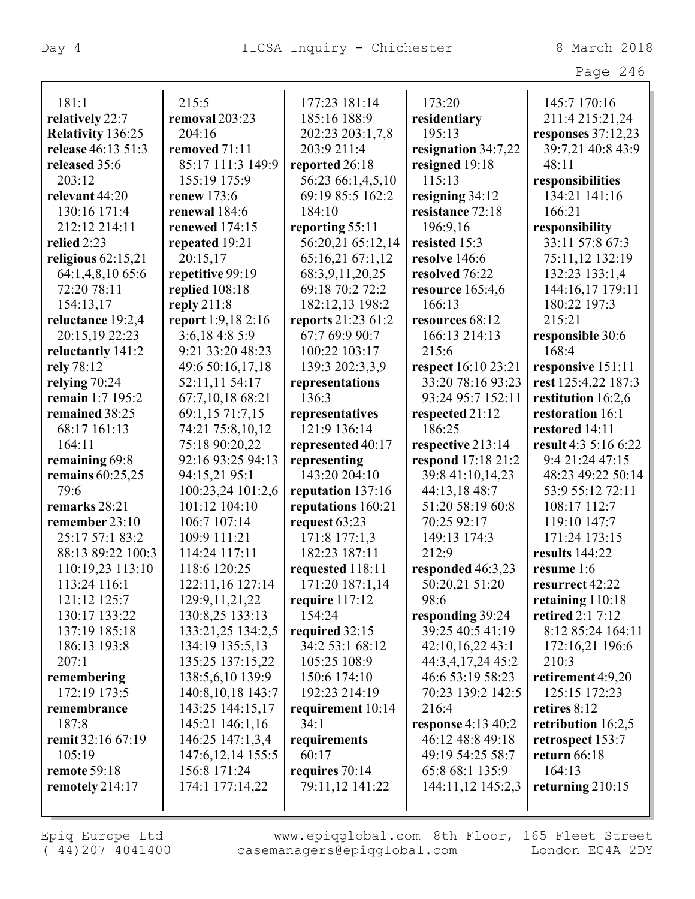Page 246

| 181:1                       | 215:5                                 | 177:23 181:14              | 173:20                              | 145:7 170:16             |
|-----------------------------|---------------------------------------|----------------------------|-------------------------------------|--------------------------|
| relatively 22:7             | removal 203:23                        | 185:16 188:9               | residentiary                        | 211:4 215:21,24          |
| <b>Relativity 136:25</b>    | 204:16                                | 202:23 203:1,7,8           | 195:13                              | responses $37:12,23$     |
| release 46:13 51:3          | removed 71:11                         | 203:9 211:4                | resignation 34:7,22                 | 39:7,21 40:8 43:9        |
| released 35:6               | 85:17 111:3 149:9                     | reported 26:18             | resigned 19:18                      | 48:11                    |
| 203:12                      | 155:19 175:9                          | 56:23 66:1,4,5,10          | 115:13                              | responsibilities         |
| relevant 44:20              | renew 173:6                           | 69:19 85:5 162:2           | resigning $34:12$                   | 134:21 141:16            |
| 130:16 171:4                | renewal 184:6                         | 184:10                     | resistance 72:18                    | 166:21                   |
| 212:12 214:11               | <b>renewed</b> 174:15                 | reporting 55:11            | 196:9,16                            | responsibility           |
| relied 2:23                 | repeated 19:21                        | 56:20,21 65:12,14          | resisted 15:3                       | 33:11 57:8 67:3          |
| religious $62:15,21$        | 20:15,17                              | 65:16,21 67:1,12           | resolve 146:6                       | 75:11,12 132:19          |
| 64:1,4,8,10 65:6            | repetitive 99:19                      | 68:3,9,11,20,25            | resolved 76:22                      | 132:23 133:1,4           |
| 72:20 78:11                 | replied 108:18                        | 69:18 70:2 72:2            | resource 165:4,6                    | 144:16,17 179:11         |
| 154:13,17                   | reply $211:8$                         | 182:12,13 198:2            | 166:13                              | 180:22 197:3             |
| reluctance 19:2,4           | report 1:9,18 2:16                    | reports 21:23 61:2         | resources 68:12                     | 215:21                   |
| 20:15,19 22:23              | 3:6,184:85:9                          | 67:7 69:9 90:7             | 166:13 214:13                       | responsible 30:6         |
| reluctantly 141:2           | 9:21 33:20 48:23                      | 100:22 103:17              | 215:6                               | 168:4                    |
| rely 78:12                  | 49:6 50:16,17,18                      | 139:3 202:3,3,9            | respect 16:10 23:21                 | responsive 151:11        |
| relying 70:24               | 52:11,11 54:17                        | representations            | 33:20 78:16 93:23                   | rest 125:4,22 187:3      |
| remain 1:7 195:2            | 67:7,10,18 68:21                      | 136:3                      | 93:24 95:7 152:11                   | restitution 16:2,6       |
| remained 38:25              | 69:1,15 71:7,15                       | representatives            | respected 21:12                     | restoration 16:1         |
| 68:17 161:13                | 74:21 75:8,10,12                      | 121:9 136:14               | 186:25                              | restored 14:11           |
| 164:11                      | 75:18 90:20,22                        | represented 40:17          | respective 213:14                   | result 4:3 5:16 6:22     |
| remaining 69:8              | 92:16 93:25 94:13                     | representing               | respond 17:18 21:2                  | 9:4 21:24 47:15          |
| remains $60:25,25$          | 94:15,21 95:1                         | 143:20 204:10              | 39:8 41:10,14,23                    | 48:23 49:22 50:14        |
| 79:6                        | 100:23,24 101:2,6                     | reputation 137:16          | 44:13,18 48:7                       | 53:9 55:12 72:11         |
| remarks 28:21               | 101:12 104:10                         | reputations 160:21         | 51:20 58:19 60:8                    | 108:17 112:7             |
| remember $23:10$            | 106:7 107:14                          | request 63:23              | 70:25 92:17                         | 119:10 147:7             |
| 25:17 57:1 83:2             | 109:9 111:21                          | 171:8 177:1,3              | 149:13 174:3                        | 171:24 173:15            |
| 88:13 89:22 100:3           | 114:24 117:11                         | 182:23 187:11              | 212:9                               | results 144:22           |
| 110:19,23 113:10            | 118:6 120:25                          | requested 118:11           |                                     | resume 1:6               |
| 113:24 116:1                |                                       | 171:20 187:1,14            | responded 46:3,23<br>50:20,21 51:20 | resurrect 42:22          |
| 121:12 125:7                | 122:11,16 127:14<br>129:9, 11, 21, 22 |                            | 98:6                                | retaining 110:18         |
| 130:17 133:22               | 130:8,25 133:13                       | require $117:12$<br>154:24 | responding 39:24                    | <b>retired 2:1 7:12</b>  |
| 137:19 185:18               | 133:21,25 134:2,5                     |                            | 39:25 40:5 41:19                    | 8:12 85:24 164:11        |
|                             |                                       | required 32:15             |                                     |                          |
| 186:13 193:8<br>207:1       | 134:19 135:5,13                       | 34:2 53:1 68:12            | 42:10,16,22 43:1                    | 172:16,21 196:6<br>210:3 |
|                             | 135:25 137:15,22                      | 105:25 108:9               | 44:3,4,17,24 45:2                   |                          |
| remembering<br>172:19 173:5 | 138:5,6,10 139:9                      | 150:6 174:10               | 46:6 53:19 58:23                    | retirement 4:9,20        |
|                             | 140:8, 10, 18 143:7                   | 192:23 214:19              | 70:23 139:2 142:5                   | 125:15 172:23            |
| remembrance                 | 143:25 144:15,17                      | requirement 10:14          | 216:4                               | retires 8:12             |
| 187:8                       | 145:21 146:1,16                       | 34:1                       | <b>response</b> 4:13 40:2           | retribution $16:2,5$     |
| remit 32:16 67:19           | 146:25 147:1,3,4                      | requirements               | 46:12 48:8 49:18                    | retrospect 153:7         |
| 105:19                      | 147:6, 12, 14 155:5                   | 60:17                      | 49:19 54:25 58:7                    | return 66:18             |
| <b>remote 59:18</b>         | 156:8 171:24                          | requires $70:14$           | 65:8 68:1 135:9                     | 164:13                   |
| remotely 214:17             | 174:1 177:14,22                       | 79:11,12 141:22            | 144:11,12 145:2,3                   | returning $210:15$       |
|                             |                                       |                            |                                     |                          |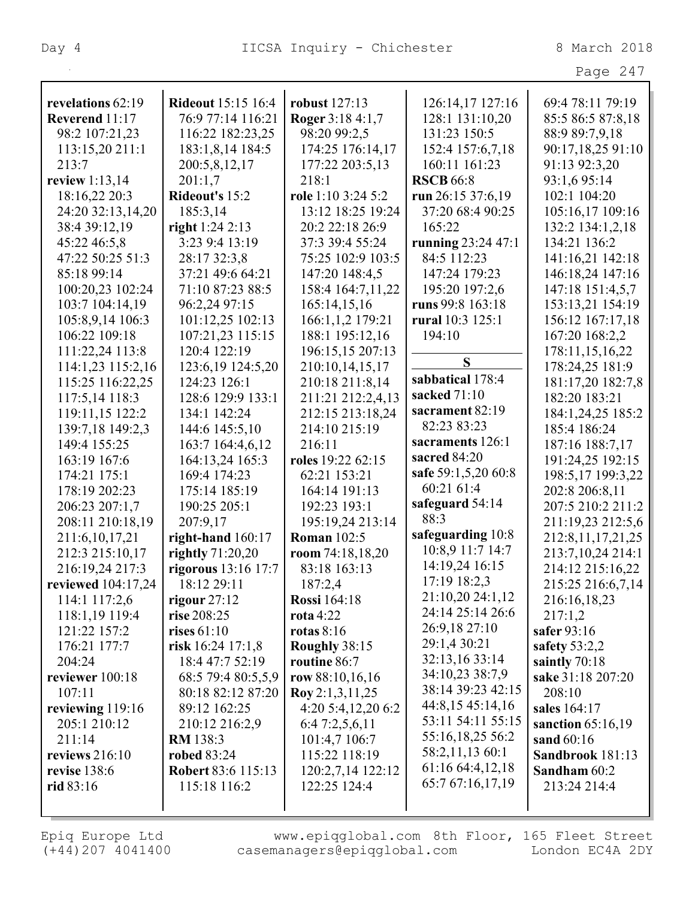| . . |  |  |
|-----|--|--|
|-----|--|--|

| revelations 62:19         | <b>Rideout</b> 15:15 16:4 | robust 127:13      | 126:14,17 127:16     | 69:4 78:11 79:19      |
|---------------------------|---------------------------|--------------------|----------------------|-----------------------|
| Reverend 11:17            | 76:9 77:14 116:21         | Roger 3:18 4:1,7   | 128:1 131:10,20      | 85:5 86:5 87:8,18     |
| 98:2 107:21,23            | 116:22 182:23,25          | 98:20 99:2,5       | 131:23 150:5         | 88:9 89:7,9,18        |
| 113:15,20 211:1           | 183:1,8,14 184:5          | 174:25 176:14,17   | 152:4 157:6,7,18     | 90:17,18,25 91:10     |
| 213:7                     | 200:5,8,12,17             | 177:22 203:5,13    | 160:11 161:23        | 91:13 92:3,20         |
| review $1:13,14$          | 201:1,7                   | 218:1              | <b>RSCB</b> 66:8     | 93:1,6 95:14          |
| 18:16,22 20:3             | Rideout's 15:2            | role 1:10 3:24 5:2 | run $26:15\,37:6,19$ | 102:1 104:20          |
| 24:20 32:13,14,20         | 185:3,14                  | 13:12 18:25 19:24  | 37:20 68:4 90:25     | 105:16,17 109:16      |
| 38:4 39:12,19             | right 1:24 2:13           | 20:2 22:18 26:9    | 165:22               | 132:2 134:1,2,18      |
| 45:22 46:5,8              | 3:23 9:4 13:19            | 37:3 39:4 55:24    | running 23:24 47:1   | 134:21 136:2          |
| 47:22 50:25 51:3          | 28:17 32:3,8              | 75:25 102:9 103:5  | 84:5 112:23          | 141:16,21 142:18      |
| 85:18 99:14               | 37:21 49:6 64:21          | 147:20 148:4,5     | 147:24 179:23        | 146:18,24 147:16      |
| 100:20,23 102:24          | 71:10 87:23 88:5          | 158:4 164:7,11,22  | 195:20 197:2,6       | 147:18 151:4,5,7      |
| 103:7 104:14,19           | 96:2,24 97:15             | 165:14,15,16       | runs 99:8 163:18     | 153:13,21 154:19      |
| 105:8,9,14 106:3          | 101:12,25 102:13          | 166:1,1,2 179:21   | rural 10:3 125:1     | 156:12 167:17,18      |
| 106:22 109:18             | 107:21,23 115:15          | 188:1 195:12,16    | 194:10               | 167:20 168:2,2        |
| 111:22,24 113:8           | 120:4 122:19              | 196:15,15 207:13   |                      | 178:11,15,16,22       |
| 114:1,23 115:2,16         | 123:6,19 124:5,20         | 210:10,14,15,17    | S                    | 178:24,25 181:9       |
| 115:25 116:22,25          | 124:23 126:1              | 210:18 211:8,14    | sabbatical 178:4     | 181:17,20 182:7,8     |
| 117:5,14 118:3            | 128:6 129:9 133:1         | 211:21 212:2,4,13  | sacked 71:10         | 182:20 183:21         |
| 119:11,15 122:2           | 134:1 142:24              | 212:15 213:18,24   | sacrament 82:19      | 184:1,24,25 185:2     |
| 139:7,18 149:2,3          | 144:6 145:5,10            | 214:10 215:19      | 82:23 83:23          | 185:4 186:24          |
| 149:4 155:25              | 163:7 164:4,6,12          | 216:11             | sacraments 126:1     | 187:16 188:7,17       |
| 163:19 167:6              | 164:13,24 165:3           | roles 19:22 62:15  | sacred 84:20         | 191:24,25 192:15      |
| 174:21 175:1              | 169:4 174:23              | 62:21 153:21       | safe 59:1,5,20 60:8  | 198:5,17 199:3,22     |
| 178:19 202:23             | 175:14 185:19             | 164:14 191:13      | 60:21 61:4           | 202:8 206:8,11        |
| 206:23 207:1,7            | 190:25 205:1              | 192:23 193:1       | safeguard 54:14      | 207:5 210:2 211:2     |
| 208:11 210:18,19          | 207:9,17                  | 195:19,24 213:14   | 88:3                 | 211:19,23 212:5,6     |
| 211:6, 10, 17, 21         | right-hand $160:17$       | <b>Roman</b> 102:5 | safeguarding 10:8    | 212:8, 11, 17, 21, 25 |
| 212:3 215:10,17           | rightly $71:20,20$        | room $74:18,18,20$ | 10:8,9 11:7 14:7     | 213:7,10,24 214:1     |
| 216:19,24 217:3           | rigorous 13:16 17:7       | 83:18 163:13       | 14:19,24 16:15       | 214:12 215:16,22      |
| <b>reviewed</b> 104:17,24 | 18:12 29:11               | 187:2,4            | 17:19 18:2,3         | 215:25 216:6,7,14     |
| 114:1 117:2,6             | rigour $27:12$            | Rossi 164:18       | 21:10,20 24:1,12     | 216:16,18,23          |
| 118:1,19 119:4            | rise 208:25               | rota 4:22          | 24:14 25:14 26:6     | 217:1,2               |
| 121:22 157:2              | rises $61:10$             | rotas $8:16$       | 26:9,18 27:10        | safer 93:16           |
| 176:21 177:7              | risk 16:24 17:1,8         | Roughly 38:15      | 29:1,4 30:21         | safety $53:2,2$       |
| 204:24                    | 18:4 47:7 52:19           | routine 86:7       | 32:13,16 33:14       | saintly 70:18         |
| reviewer 100:18           | 68:5 79:4 80:5,5,9        | row 88:10,16,16    | 34:10,23 38:7,9      | sake 31:18 207:20     |
| 107:11                    | 80:18 82:12 87:20         | Roy $2:1,3,11,25$  | 38:14 39:23 42:15    | 208:10                |
| reviewing 119:16          | 89:12 162:25              | 4:20 5:4,12,20 6:2 | 44:8,15 45:14,16     | sales 164:17          |
| 205:1 210:12              | 210:12 216:2,9            | 6:47:2,5,6,11      | 53:11 54:11 55:15    | sanction $65:16,19$   |
| 211:14                    | <b>RM</b> 138:3           | 101:4,7 106:7      | 55:16,18,25 56:2     | sand $60:16$          |
| reviews $216:10$          | <b>robed 83:24</b>        | 115:22 118:19      | 58:2,11,13 60:1      | Sandbrook 181:13      |
| <b>revise</b> 138:6       | <b>Robert 83:6 115:13</b> | 120:2,7,14 122:12  | 61:16 64:4,12,18     | Sandham 60:2          |
| rid $83:16$               | 115:18 116:2              | 122:25 124:4       | 65:7 67:16,17,19     | 213:24 214:4          |
|                           |                           |                    |                      |                       |
|                           |                           |                    |                      |                       |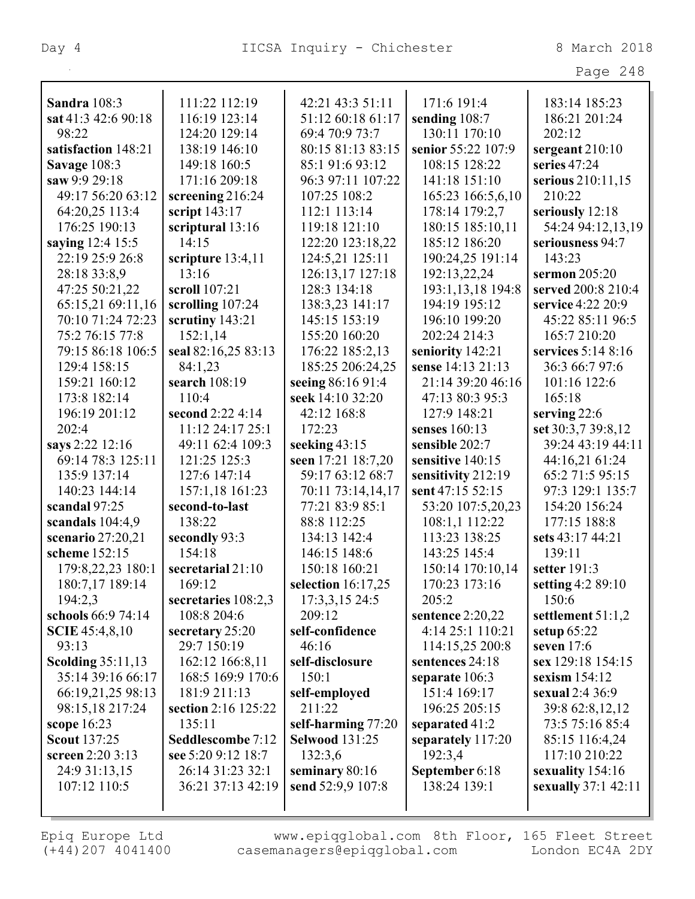| $\sim$ $\sim$<br>21 C | O |
|-----------------------|---|
|-----------------------|---|

| Sandra 108:3             | 111:22 112:19         | 42:21 43:3 51:11      | 171:6 191:4        | 183:14 185:23              |
|--------------------------|-----------------------|-----------------------|--------------------|----------------------------|
| sat 41:3 42:6 90:18      | 116:19 123:14         | 51:12 60:18 61:17     | sending 108:7      | 186:21 201:24              |
| 98:22                    | 124:20 129:14         | 69:4 70:9 73:7        | 130:11 170:10      | 202:12                     |
| satisfaction 148:21      | 138:19 146:10         | 80:15 81:13 83:15     | senior 55:22 107:9 | sergeant $210:10$          |
| Savage 108:3             | 149:18 160:5          | 85:1 91:6 93:12       | 108:15 128:22      | series 47:24               |
| saw 9:9 29:18            | 171:16 209:18         | 96:3 97:11 107:22     | 141:18 151:10      | serious 210:11,15          |
| 49:17 56:20 63:12        | screening 216:24      | 107:25 108:2          | 165:23 166:5,6,10  | 210:22                     |
| 64:20,25 113:4           | script 143:17         | 112:1 113:14          | 178:14 179:2,7     | seriously 12:18            |
| 176:25 190:13            | scriptural 13:16      | 119:18 121:10         | 180:15 185:10,11   | 54:24 94:12,13,19          |
| saying 12:4 15:5         | 14:15                 | 122:20 123:18,22      | 185:12 186:20      | seriousness 94:7           |
| 22:19 25:9 26:8          | scripture 13:4,11     | 124:5,21 125:11       | 190:24,25 191:14   | 143:23                     |
| 28:18 33:8,9             | 13:16                 | 126:13,17 127:18      | 192:13,22,24       | sermon 205:20              |
| 47:25 50:21,22           | scroll 107:21         | 128:3 134:18          | 193:1,13,18 194:8  | served 200:8 210:4         |
| 65:15,21 69:11,16        | scrolling 107:24      | 138:3,23 141:17       | 194:19 195:12      | service 4:22 20:9          |
| 70:10 71:24 72:23        | scrutiny 143:21       | 145:15 153:19         | 196:10 199:20      | 45:22 85:11 96:5           |
| 75:2 76:15 77:8          | 152:1,14              | 155:20 160:20         | 202:24 214:3       | 165:7 210:20               |
| 79:15 86:18 106:5        | seal 82:16,25 83:13   | 176:22 185:2,13       | seniority 142:21   | services 5:14 8:16         |
| 129:4 158:15             | 84:1,23               | 185:25 206:24,25      | sense 14:13 21:13  | 36:3 66:7 97:6             |
| 159:21 160:12            | search 108:19         | seeing 86:16 91:4     | 21:14 39:20 46:16  | 101:16 122:6               |
| 173:8 182:14             | 110:4                 | seek 14:10 32:20      | 47:13 80:3 95:3    | 165:18                     |
| 196:19 201:12            | second 2:22 4:14      | 42:12 168:8           | 127:9 148:21       | serving 22:6               |
| 202:4                    | 11:12 24:17 25:1      | 172:23                | senses $160:13$    | set 30:3,7 39:8,12         |
| says 2:22 12:16          | 49:11 62:4 109:3      | seeking 43:15         | sensible 202:7     | 39:24 43:19 44:11          |
| 69:14 78:3 125:11        | 121:25 125:3          | seen 17:21 18:7,20    | sensitive 140:15   | 44:16,21 61:24             |
| 135:9 137:14             | 127:6 147:14          | 59:17 63:12 68:7      | sensitivity 212:19 | 65:2 71:5 95:15            |
| 140:23 144:14            | 157:1,18 161:23       | 70:11 73:14,14,17     | sent 47:15 52:15   | 97:3 129:1 135:7           |
| scandal 97:25            | second-to-last        | 77:21 83:9 85:1       | 53:20 107:5,20,23  | 154:20 156:24              |
| scandals $104:4,9$       | 138:22                | 88:8 112:25           | 108:1,1 112:22     | 177:15 188:8               |
| scenario 27:20,21        | secondly 93:3         | 134:13 142:4          | 113:23 138:25      | sets 43:17 44:21           |
| scheme 152:15            | 154:18                | 146:15 148:6          | 143:25 145:4       | 139:11                     |
| 179:8,22,23 180:1        | secretarial 21:10     | 150:18 160:21         | 150:14 170:10,14   | setter 191:3               |
| 180:7,17 189:14          | 169:12                | selection $16:17,25$  | 170:23 173:16      | setting 4:2 89:10          |
| 194:2,3                  | secretaries $108:2,3$ | 17:3,3,15 24:5        | 205:2              | 150:6                      |
| schools 66:9 74:14       | 108:8 204:6           | 209:12                | sentence $2:20,22$ | settlement 51:1,2          |
| <b>SCIE</b> 45:4,8,10    | secretary $25:20$     | self-confidence       | 4:14 25:1 110:21   | setup $65:22$              |
| 93:13                    | 29:7 150:19           | 46:16                 | 114:15,25 200:8    | seven $17:6$               |
| <b>Scolding 35:11,13</b> | 162:12 166:8,11       | self-disclosure       | sentences 24:18    | sex 129:18 154:15          |
| 35:14 39:16 66:17        | 168:5 169:9 170:6     | 150:1                 | separate 106:3     | sexism $154:12$            |
| 66:19,21,25 98:13        | 181:9 211:13          | self-employed         | 151:4 169:17       | sexual 2:4 36:9            |
| 98:15,18 217:24          | section 2:16 125:22   | 211:22                | 196:25 205:15      | 39:8 62:8,12,12            |
| scope $16:23$            | 135:11                | self-harming 77:20    | separated 41:2     | 73:5 75:16 85:4            |
| <b>Scout 137:25</b>      | Seddlescombe 7:12     | <b>Selwood 131:25</b> | separately 117:20  | 85:15 116:4,24             |
| screen 2:20 3:13         | see 5:20 9:12 18:7    | 132:3,6               | 192:3,4            | 117:10 210:22              |
| 24:9 31:13,15            | 26:14 31:23 32:1      | seminary 80:16        | September 6:18     | sexuality 154:16           |
| 107:12 110:5             | 36:21 37:13 42:19     | send 52:9,9 107:8     | 138:24 139:1       | <b>sexually</b> 37:1 42:11 |
|                          |                       |                       |                    |                            |
|                          |                       |                       |                    |                            |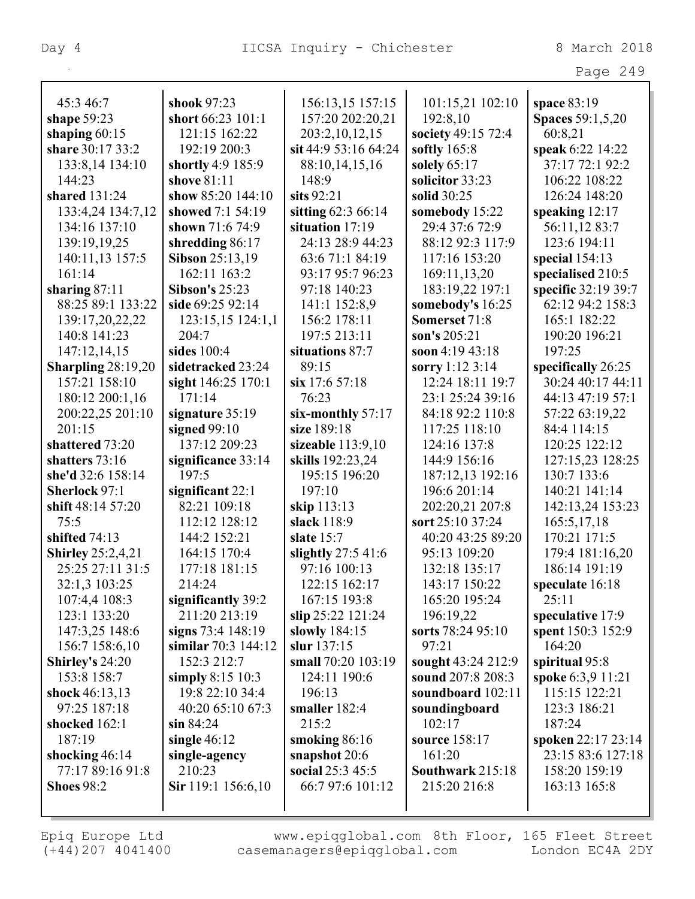| 45:3 46:7                | shook 97:23            | 156:13,15 157:15     | 101:15,21 102:10   | space 83:19             |
|--------------------------|------------------------|----------------------|--------------------|-------------------------|
| shape 59:23              | short 66:23 101:1      | 157:20 202:20,21     | 192:8,10           | <b>Spaces</b> 59:1,5,20 |
| shaping $60:15$          | 121:15 162:22          | 203:2,10,12,15       | society 49:15 72:4 | 60:8,21                 |
| share 30:17 33:2         | 192:19 200:3           | sit 44:9 53:16 64:24 | softly $165:8$     | speak 6:22 14:22        |
| 133:8,14 134:10          | shortly 4:9 185:9      | 88:10,14,15,16       | solely $65:17$     | 37:17 72:1 92:2         |
| 144:23                   | shove 81:11            | 148:9                | solicitor 33:23    | 106:22 108:22           |
| shared 131:24            | show 85:20 144:10      | sits $92:21$         | solid 30:25        | 126:24 148:20           |
| 133:4,24 134:7,12        | showed 7:1 54:19       | sitting 62:3 66:14   | somebody 15:22     | speaking 12:17          |
| 134:16 137:10            | shown 71:6 74:9        | situation 17:19      | 29:4 37:6 72:9     | 56:11,12 83:7           |
| 139:19,19,25             | shredding 86:17        | 24:13 28:9 44:23     | 88:12 92:3 117:9   | 123:6 194:11            |
| 140:11,13 157:5          | <b>Sibson 25:13,19</b> | 63:671:184:19        | 117:16 153:20      | special $154:13$        |
| 161:14                   | 162:11 163:2           | 93:17 95:7 96:23     | 169:11,13,20       | specialised 210:5       |
| sharing $87:11$          | <b>Sibson's 25:23</b>  | 97:18 140:23         | 183:19,22 197:1    | specific 32:19 39:7     |
| 88:25 89:1 133:22        | side 69:25 92:14       | 141:1 152:8,9        | somebody's 16:25   | 62:12 94:2 158:3        |
| 139:17,20,22,22          | 123:15,15 124:1,1      | 156:2 178:11         | Somerset 71:8      | 165:1 182:22            |
| 140:8 141:23             | 204:7                  | 197:5 213:11         | son's 205:21       | 190:20 196:21           |
| 147:12,14,15             | sides 100:4            | situations 87:7      | soon 4:19 43:18    | 197:25                  |
| Sharpling $28:19,20$     | sidetracked 23:24      | 89:15                | sorry 1:12 3:14    | specifically 26:25      |
| 157:21 158:10            | sight 146:25 170:1     | six 17:6 57:18       | 12:24 18:11 19:7   | 30:24 40:17 44:11       |
| 180:12 200:1,16          | 171:14                 | 76:23                | 23:1 25:24 39:16   | 44:13 47:19 57:1        |
| 200:22,25 201:10         | signature 35:19        | six-monthly 57:17    | 84:18 92:2 110:8   | 57:22 63:19,22          |
| 201:15                   | signed $99:10$         | size 189:18          | 117:25 118:10      | 84:4 114:15             |
| shattered 73:20          | 137:12 209:23          | sizeable $113:9,10$  | 124:16 137:8       | 120:25 122:12           |
| shatters 73:16           | significance 33:14     | skills 192:23,24     | 144:9 156:16       | 127:15,23 128:25        |
| she'd 32:6 158:14        | 197:5                  | 195:15 196:20        | 187:12,13 192:16   | 130:7 133:6             |
| Sherlock 97:1            | significant 22:1       | 197:10               | 196:6 201:14       | 140:21 141:14           |
| shift 48:14 57:20        | 82:21 109:18           | skip 113:13          | 202:20,21 207:8    | 142:13,24 153:23        |
| 75:5                     | 112:12 128:12          | slack 118:9          | sort 25:10 37:24   | 165:5,17,18             |
| shifted 74:13            | 144:2 152:21           | slate 15:7           | 40:20 43:25 89:20  | 170:21 171:5            |
| <b>Shirley</b> 25:2,4,21 | 164:15 170:4           | slightly $27:541:6$  | 95:13 109:20       | 179:4 181:16,20         |
| 25:25 27:11 31:5         | 177:18 181:15          | 97:16 100:13         | 132:18 135:17      | 186:14 191:19           |
| 32:1,3 103:25            | 214:24                 | 122:15 162:17        | 143:17 150:22      | speculate 16:18         |
| 107:4,4 108:3            | significantly 39:2     | 167:15 193:8         | 165:20 195:24      | 25:11                   |
| 123:1 133:20             | 211:20 213:19          | slip 25:22 121:24    | 196:19,22          | speculative 17:9        |
| 147:3,25 148:6           | signs 73:4 148:19      | slowly $184:15$      | sorts 78:24 95:10  | spent 150:3 152:9       |
| 156:7 158:6,10           | similar $70:3$ 144:12  | slur 137:15          | 97:21              | 164:20                  |
| <b>Shirley's</b> $24:20$ | 152:3 212:7            | small 70:20 103:19   | sought 43:24 212:9 | spiritual 95:8          |
| 153:8 158:7              | simply $8:15 \; 10:3$  | 124:11 190:6         | sound 207:8 208:3  | spoke 6:3,9 11:21       |
| shock 46:13,13           | 19:8 22:10 34:4        | 196:13               | soundboard 102:11  | 115:15 122:21           |
| 97:25 187:18             | 40:20 65:10 67:3       | smaller 182:4        | soundingboard      | 123:3 186:21            |
| shocked 162:1            | $\sin 84:24$           | 215:2                | 102:17             | 187:24                  |
| 187:19                   | single $46:12$         | smoking 86:16        | source 158:17      | spoken 22:17 23:14      |
| shocking 46:14           | single-agency          | snapshot 20:6        | 161:20             | 23:15 83:6 127:18       |
| 77:17 89:16 91:8         | 210:23                 | social 25:3 45:5     | Southwark 215:18   | 158:20 159:19           |
| <b>Shoes 98:2</b>        | Sir 119:1 156:6,10     | 66:7 97:6 101:12     | 215:20 216:8       | 163:13 165:8            |
|                          |                        |                      |                    |                         |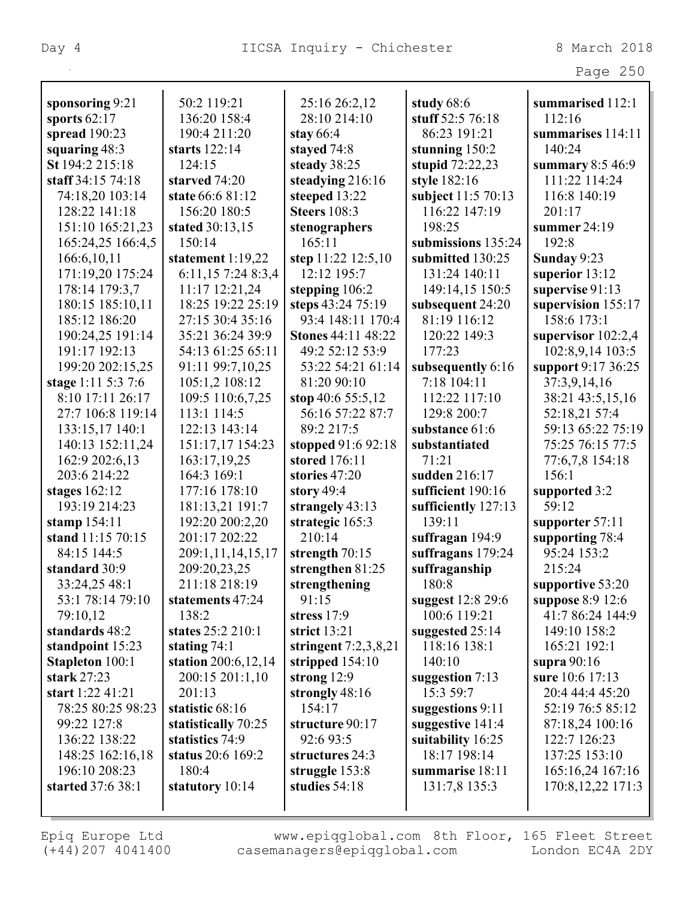|                        |                       |                           |                     | Page 250             |
|------------------------|-----------------------|---------------------------|---------------------|----------------------|
| sponsoring 9:21        | 50:2 119:21           | 25:16 26:2,12             | study 68:6          | summarised 112:1     |
| sports $62:17$         | 136:20 158:4          | 28:10 214:10              | stuff 52:5 76:18    | 112:16               |
| spread $190:23$        | 190:4 211:20          | stay $66:4$               | 86:23 191:21        | summarises 114:11    |
| squaring 48:3          | starts 122:14         | stayed 74:8               | stunning $150:2$    | 140:24               |
| St 194:2 215:18        | 124:15                | steady 38:25              | stupid $72:22,23$   | summary $8:546:9$    |
| staff 34:15 74:18      | starved 74:20         | steadying 216:16          | style 182:16        | 111:22 114:24        |
| 74:18,20 103:14        | state 66:6 81:12      | steeped 13:22             | subject 11:5 70:13  | 116:8 140:19         |
| 128:22 141:18          | 156:20 180:5          | <b>Steers</b> 108:3       | 116:22 147:19       | 201:17               |
| 151:10 165:21,23       | stated 30:13,15       | stenographers             | 198:25              | summer $24:19$       |
| 165:24,25 166:4,5      | 150:14                | 165:11                    | submissions 135:24  | 192:8                |
| 166:6,10,11            | statement $1:19,22$   | step 11:22 12:5,10        | submitted 130:25    | Sunday 9:23          |
| 171:19,20 175:24       | 6:11,15 7:24 8:3,4    | 12:12 195:7               | 131:24 140:11       | superior 13:12       |
| 178:14 179:3,7         | 11:17 12:21,24        | stepping $106:2$          | 149:14,15 150:5     | supervise 91:13      |
| 180:15 185:10,11       | 18:25 19:22 25:19     | steps 43:24 75:19         | subsequent 24:20    | supervision 155:17   |
| 185:12 186:20          | 27:15 30:4 35:16      | 93:4 148:11 170:4         | 81:19 116:12        | 158:6 173:1          |
| 190:24,25 191:14       | 35:21 36:24 39:9      | <b>Stones 44:11 48:22</b> | 120:22 149:3        | supervisor $102:2,4$ |
| 191:17 192:13          | 54:13 61:25 65:11     | 49:2 52:12 53:9           | 177:23              | 102:8,9,14 103:5     |
| 199:20 202:15,25       | 91:11 99:7,10,25      | 53:22 54:21 61:14         | subsequently 6:16   | support 9:17 36:25   |
| stage 1:11 5:3 7:6     | 105:1,2 108:12        | 81:20 90:10               | 7:18 104:11         | 37:3,9,14,16         |
| 8:10 17:11 26:17       | 109:5 110:6,7,25      | stop 40:6 55:5,12         | 112:22 117:10       | 38:21 43:5,15,16     |
| 27:7 106:8 119:14      | 113:1 114:5           | 56:16 57:22 87:7          | 129:8 200:7         | 52:18,21 57:4        |
| 133:15,17 140:1        | 122:13 143:14         | 89:2 217:5                | substance 61:6      | 59:13 65:22 75:19    |
| 140:13 152:11,24       | 151:17,17 154:23      | stopped 91:6 92:18        | substantiated       | 75:25 76:15 77:5     |
| 162:9 202:6,13         | 163:17,19,25          | stored 176:11             | 71:21               | 77:6,7,8 154:18      |
| 203:6 214:22           | 164:3 169:1           | stories 47:20             | sudden 216:17       | 156:1                |
| stages $162:12$        | 177:16 178:10         | story $49:4$              | sufficient 190:16   | supported 3:2        |
| 193:19 214:23          | 181:13,21 191:7       | strangely 43:13           | sufficiently 127:13 | 59:12                |
| stamp $154:11$         | 192:20 200:2,20       | strategic 165:3           | 139:11              | supporter 57:11      |
| stand 11:15 70:15      | 201:17 202:22         | 210:14                    | suffragan 194:9     | supporting 78:4      |
| 84:15 144:5            | 209:1,11,14,15,17     | strength $70:15$          | suffragans $179:24$ | 95:24 153:2          |
| standard 30:9          | 209:20,23,25          | strengthen 81:25          | suffraganship       | 215:24               |
| 33:24,25 48:1          | 211:18 218:19         | strengthening             | 180:8               | supportive 53:20     |
| 53:1 78:14 79:10       | statements 47:24      | 91:15                     | suggest 12:8 29:6   | suppose 8:9 12:6     |
| 79:10,12               | 138:2                 | stress $17:9$             | 100:6 119:21        | 41:7 86:24 144:9     |
| standards 48:2         | states 25:2 210:1     | strict $13:21$            | suggested $25:14$   | 149:10 158:2         |
| standpoint 15:23       | stating $74:1$        | stringent $7:2,3,8,21$    | 118:16 138:1        | 165:21 192:1         |
| <b>Stapleton</b> 100:1 | station $200:6,12,14$ | stripped $154:10$         | 140:10              | supra $90:16$        |
| <b>stark</b> 27:23     | 200:15 201:1,10       | strong $12:9$             | suggestion 7:13     | sure 10:6 17:13      |
| start 1:22 41:21       | 201:13                | strongly 48:16            | 15:3 59:7           | 20:4 44:4 45:20      |
| 78:25 80:25 98:23      | statistic 68:16       | 154:17                    | suggestions 9:11    | 52:19 76:5 85:12     |
| 99:22 127:8            | statistically 70:25   | structure 90:17           | suggestive 141:4    | 87:18,24 100:16      |
| 136:22 138:22          | statistics 74:9       | 92:6 93:5                 | suitability 16:25   | 122:7 126:23         |
| 148:25 162:16,18       | status 20:6 169:2     | structures 24:3           | 18:17 198:14        | 137:25 153:10        |
| 196:10 208:23          | 180:4                 | struggle 153:8            | summarise 18:11     | 165:16,24 167:16     |
| started 37:6 38:1      | statutory 10:14       | studies $54:18$           | 131:7,8 135:3       | 170:8, 12, 22 171:3  |
|                        |                       |                           |                     |                      |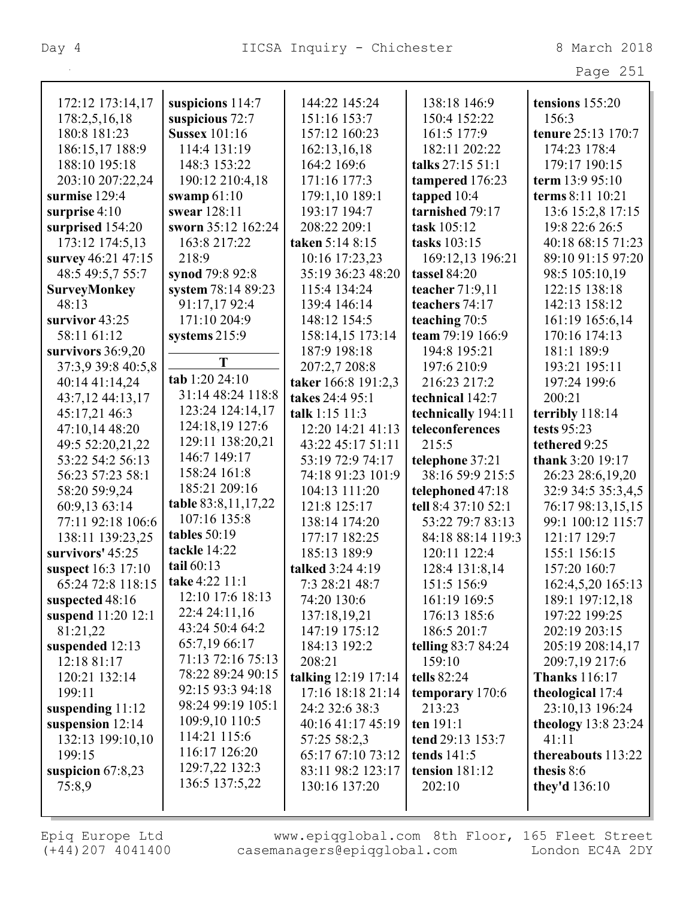| $\sim$<br>٠ |  |
|-------------|--|
|-------------|--|

| 172:12 173:14,17    | suspicions 114:7     | 144:22 145:24       | 138:18 146:9        | tensions 155:20      |
|---------------------|----------------------|---------------------|---------------------|----------------------|
| 178:2,5,16,18       | suspicious 72:7      | 151:16 153:7        | 150:4 152:22        | 156:3                |
| 180:8 181:23        | <b>Sussex 101:16</b> | 157:12 160:23       | 161:5 177:9         | tenure 25:13 170:7   |
| 186:15,17 188:9     | 114:4 131:19         | 162:13,16,18        | 182:11 202:22       | 174:23 178:4         |
| 188:10 195:18       | 148:3 153:22         | 164:2 169:6         | talks 27:15 51:1    | 179:17 190:15        |
| 203:10 207:22,24    | 190:12 210:4,18      | 171:16 177:3        | tampered 176:23     | term 13:9 95:10      |
| surmise 129:4       | swamp $61:10$        | 179:1,10 189:1      | tapped $10:4$       | terms 8:11 10:21     |
| surprise $4:10$     | swear 128:11         | 193:17 194:7        | tarnished 79:17     | 13:6 15:2,8 17:15    |
| surprised 154:20    | sworn 35:12 162:24   | 208:22 209:1        | task 105:12         | 19:8 22:6 26:5       |
| 173:12 174:5,13     | 163:8 217:22         | taken 5:14 8:15     | tasks 103:15        | 40:18 68:15 71:23    |
| survey 46:21 47:15  | 218:9                | 10:16 17:23,23      | 169:12,13 196:21    | 89:10 91:15 97:20    |
| 48:5 49:5,7 55:7    | synod 79:8 92:8      | 35:19 36:23 48:20   | <b>tassel</b> 84:20 | 98:5 105:10,19       |
| <b>SurveyMonkey</b> | system 78:14 89:23   | 115:4 134:24        | teacher $71:9,11$   | 122:15 138:18        |
| 48:13               | 91:17,17 92:4        | 139:4 146:14        | teachers 74:17      | 142:13 158:12        |
| survivor 43:25      | 171:10 204:9         | 148:12 154:5        | teaching 70:5       | 161:19 165:6,14      |
| 58:11 61:12         | systems 215:9        | 158:14,15 173:14    | team 79:19 166:9    | 170:16 174:13        |
| survivors $36:9,20$ |                      | 187:9 198:18        | 194:8 195:21        | 181:1 189:9          |
| 37:3,9 39:8 40:5,8  | T                    | 207:2,7 208:8       | 197:6 210:9         | 193:21 195:11        |
| 40:14 41:14,24      | tab 1:20 24:10       | taker 166:8 191:2,3 | 216:23 217:2        | 197:24 199:6         |
| 43:7,12 44:13,17    | 31:14 48:24 118:8    | takes 24:4 95:1     | technical 142:7     | 200:21               |
| 45:17,21 46:3       | 123:24 124:14,17     | talk 1:15 11:3      | technically 194:11  | terribly 118:14      |
| 47:10,14 48:20      | 124:18,19 127:6      | 12:20 14:21 41:13   | teleconferences     | <b>tests</b> 95:23   |
| 49:5 52:20,21,22    | 129:11 138:20,21     | 43:22 45:17 51:11   | 215:5               | tethered 9:25        |
| 53:22 54:2 56:13    | 146:7 149:17         | 53:19 72:9 74:17    | telephone 37:21     | thank 3:20 19:17     |
| 56:23 57:23 58:1    | 158:24 161:8         | 74:18 91:23 101:9   | 38:16 59:9 215:5    | 26:23 28:6,19,20     |
| 58:20 59:9,24       | 185:21 209:16        | 104:13 111:20       | telephoned 47:18    | 32:9 34:5 35:3,4,5   |
| 60:9,13 63:14       | table 83:8,11,17,22  | 121:8 125:17        | tell 8:4 37:10 52:1 | 76:17 98:13,15,15    |
| 77:11 92:18 106:6   | 107:16 135:8         | 138:14 174:20       | 53:22 79:7 83:13    | 99:1 100:12 115:7    |
| 138:11 139:23,25    | tables 50:19         | 177:17 182:25       | 84:18 88:14 119:3   | 121:17 129:7         |
| survivors' 45:25    | tackle 14:22         | 185:13 189:9        | 120:11 122:4        | 155:1 156:15         |
| suspect 16:3 17:10  | tail 60:13           | talked 3:24 4:19    | 128:4 131:8,14      | 157:20 160:7         |
| 65:24 72:8 118:15   | take 4:22 11:1       | 7:3 28:21 48:7      | 151:5 156:9         | 162:4,5,20 165:13    |
| suspected 48:16     | 12:10 17:6 18:13     | 74:20 130:6         | 161:19 169:5        | 189:1 197:12,18      |
| suspend 11:20 12:1  | 22:4 24:11,16        | 137:18,19,21        | 176:13 185:6        | 197:22 199:25        |
| 81:21,22            | 43:24 50:4 64:2      | 147:19 175:12       | 186:5 201:7         | 202:19 203:15        |
| suspended 12:13     | 65:7,19 66:17        | 184:13 192:2        | telling 83:7 84:24  | 205:19 208:14,17     |
| 12:18 81:17         | 71:13 72:16 75:13    | 208:21              | 159:10              | 209:7,19 217:6       |
| 120:21 132:14       | 78:22 89:24 90:15    | talking 12:19 17:14 | tells 82:24         | <b>Thanks</b> 116:17 |
| 199:11              | 92:15 93:3 94:18     | 17:16 18:18 21:14   | temporary 170:6     | theological 17:4     |
| suspending 11:12    | 98:24 99:19 105:1    | 24:2 32:6 38:3      | 213:23              | 23:10,13 196:24      |
| suspension 12:14    | 109:9,10 110:5       | 40:16 41:17 45:19   | ten 191:1           | theology $13:823:24$ |
| 132:13 199:10,10    | 114:21 115:6         | 57:25 58:2,3        | tend 29:13 153:7    | 41:11                |
| 199:15              | 116:17 126:20        | 65:17 67:10 73:12   | tends $141:5$       | thereabouts 113:22   |
| suspicion $67:8,23$ | 129:7,22 132:3       | 83:11 98:2 123:17   | tension $181:12$    | thesis 8:6           |
| 75:8,9              | 136:5 137:5,22       | 130:16 137:20       | 202:10              | they'd $136:10$      |
|                     |                      |                     |                     |                      |
|                     |                      |                     |                     |                      |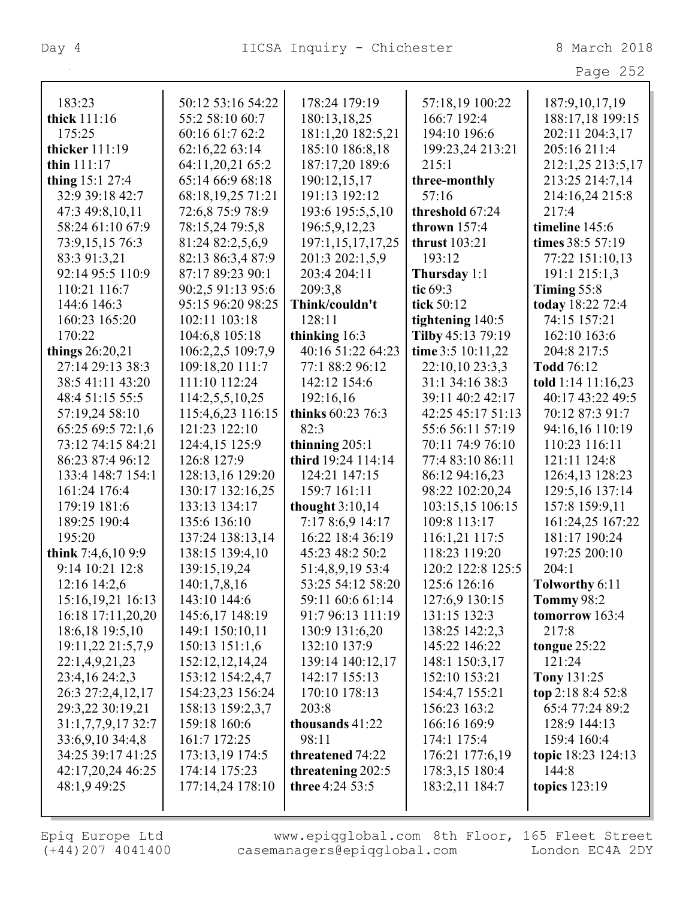| Page | $\cap E$<br>ノコノ |
|------|-----------------|

| 183:23              | 50:12 53:16 54:22 | 178:24 179:19      | 57:18,19 100:22      | 187:9, 10, 17, 19      |
|---------------------|-------------------|--------------------|----------------------|------------------------|
| thick 111:16        | 55:2 58:10 60:7   | 180:13,18,25       | 166:7 192:4          | 188:17,18 199:15       |
| 175:25              | 60:16 61:7 62:2   | 181:1,20 182:5,21  | 194:10 196:6         | 202:11 204:3,17        |
| thicker 111:19      | 62:16,22 63:14    | 185:10 186:8,18    | 199:23,24 213:21     | 205:16 211:4           |
| thin $111:17$       | 64:11,20,21 65:2  | 187:17,20 189:6    | 215:1                | 212:1,25 213:5,17      |
| thing 15:1 27:4     | 65:14 66:9 68:18  | 190:12,15,17       | three-monthly        | 213:25 214:7,14        |
| 32:9 39:18 42:7     | 68:18,19,25 71:21 | 191:13 192:12      | 57:16                | 214:16,24 215:8        |
| 47:3 49:8,10,11     | 72:6,8 75:9 78:9  | 193:6 195:5,5,10   | threshold 67:24      | 217:4                  |
| 58:24 61:10 67:9    | 78:15,24 79:5,8   | 196:5,9,12,23      | thrown $157:4$       | timeline 145:6         |
| 73:9,15,15 76:3     | 81:24 82:2,5,6,9  | 197:1,15,17,17,25  | <b>thrust</b> 103:21 | times 38:5 57:19       |
| 83:3 91:3,21        | 82:13 86:3,4 87:9 | 201:3 202:1,5,9    | 193:12               | 77:22 151:10,13        |
| 92:14 95:5 110:9    | 87:17 89:23 90:1  | 203:4 204:11       | Thursday 1:1         | 191:1 215:1,3          |
| 110:21 116:7        | 90:2,5 91:13 95:6 | 209:3,8            | tic $69:3$           | Timing $55:8$          |
| 144:6 146:3         | 95:15 96:20 98:25 | Think/couldn't     | tick 50:12           | today 18:22 72:4       |
| 160:23 165:20       | 102:11 103:18     | 128:11             | tightening 140:5     | 74:15 157:21           |
| 170:22              | 104:6,8 105:18    | thinking 16:3      | Tilby 45:13 79:19    | 162:10 163:6           |
| things 26:20,21     | 106:2,2,5 109:7,9 | 40:16 51:22 64:23  | time 3:5 10:11,22    | 204:8 217:5            |
| 27:14 29:13 38:3    | 109:18,20 111:7   | 77:1 88:2 96:12    | 22:10,10 23:3,3      | <b>Todd 76:12</b>      |
| 38:5 41:11 43:20    | 111:10 112:24     | 142:12 154:6       | 31:1 34:16 38:3      | told $1:14$ $11:16,23$ |
| 48:4 51:15 55:5     | 114:2,5,5,10,25   | 192:16,16          | 39:11 40:2 42:17     | 40:17 43:22 49:5       |
| 57:19,24 58:10      | 115:4,6,23 116:15 | thinks 60:23 76:3  | 42:25 45:17 51:13    | 70:12 87:3 91:7        |
| 65:25 69:5 72:1,6   | 121:23 122:10     | 82:3               | 55:6 56:11 57:19     | 94:16,16 110:19        |
| 73:12 74:15 84:21   | 124:4,15 125:9    | thinning $205:1$   | 70:11 74:9 76:10     | 110:23 116:11          |
| 86:23 87:4 96:12    | 126:8 127:9       | third 19:24 114:14 | 77:4 83:10 86:11     | 121:11 124:8           |
| 133:4 148:7 154:1   | 128:13,16 129:20  | 124:21 147:15      | 86:12 94:16,23       | 126:4,13 128:23        |
| 161:24 176:4        | 130:17 132:16,25  | 159:7 161:11       | 98:22 102:20,24      | 129:5,16 137:14        |
| 179:19 181:6        | 133:13 134:17     | thought $3:10,14$  | 103:15,15 106:15     | 157:8 159:9,11         |
| 189:25 190:4        | 135:6 136:10      | 7:17 8:6,9 14:17   | 109:8 113:17         | 161:24,25 167:22       |
| 195:20              | 137:24 138:13,14  | 16:22 18:4 36:19   | 116:1,21 117:5       | 181:17 190:24          |
| think $7:4,6,109:9$ | 138:15 139:4,10   | 45:23 48:2 50:2    | 118:23 119:20        | 197:25 200:10          |
| 9:14 10:21 12:8     | 139:15,19,24      | 51:4,8,9,19 53:4   | 120:2 122:8 125:5    | 204:1                  |
| 12:16 14:2,6        | 140:1,7,8,16      | 53:25 54:12 58:20  | 125:6 126:16         | <b>Tolworthy 6:11</b>  |
| 15:16,19,21 16:13   | 143:10 144:6      | 59:11 60:6 61:14   | 127:6,9 130:15       | <b>Tommy 98:2</b>      |
| 16:18 17:11,20,20   | 145:6,17 148:19   | 91:7 96:13 111:19  | 131:15 132:3         | tomorrow $163:4$       |
| 18:6, 18 19:5, 10   | 149:1 150:10,11   | 130:9 131:6,20     | 138:25 142:2,3       | 217:8                  |
| 19:11,22 21:5,7,9   | 150:13 151:1,6    | 132:10 137:9       | 145:22 146:22        | tongue $25:22$         |
| 22:1,4,9,21,23      | 152:12,12,14,24   | 139:14 140:12,17   | 148:1 150:3,17       | 121:24                 |
| 23:4,16 24:2,3      | 153:12 154:2,4,7  | 142:17 155:13      | 152:10 153:21        | <b>Tony 131:25</b>     |
| 26:3 27:2,4,12,17   | 154:23,23 156:24  | 170:10 178:13      | 154:4,7 155:21       | top 2:18 8:4 52:8      |
| 29:3,22 30:19,21    | 158:13 159:2,3,7  | 203:8              | 156:23 163:2         | 65:4 77:24 89:2        |
| 31:1,7,7,9,17 32:7  | 159:18 160:6      | thousands 41:22    | 166:16 169:9         | 128:9 144:13           |
| 33:6,9,10 34:4,8    | 161:7 172:25      | 98:11              | 174:1 175:4          | 159:4 160:4            |
| 34:25 39:17 41:25   | 173:13,19 174:5   | threatened 74:22   | 176:21 177:6,19      | topic 18:23 124:13     |
| 42:17,20,24 46:25   | 174:14 175:23     | threatening 202:5  | 178:3,15 180:4       | 144:8                  |
| 48:1,9 49:25        | 177:14,24 178:10  | three 4:24 53:5    | 183:2,11 184:7       | <b>topics</b> 123:19   |
|                     |                   |                    |                      |                        |
|                     |                   |                    |                      |                        |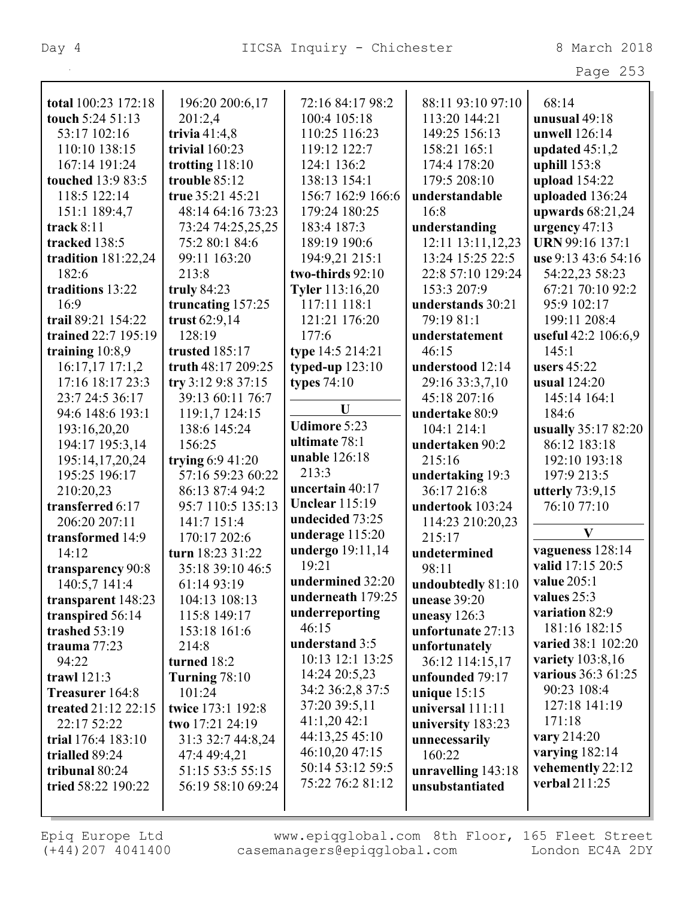|                          |                    |                       |                     | Page 253                |
|--------------------------|--------------------|-----------------------|---------------------|-------------------------|
|                          |                    |                       |                     |                         |
| total 100:23 172:18      | 196:20 200:6,17    | 72:16 84:17 98:2      | 88:11 93:10 97:10   | 68:14                   |
| touch 5:24 51:13         | 201:2,4            | 100:4 105:18          | 113:20 144:21       | unusual 49:18           |
| 53:17 102:16             | trivia $41:4,8$    | 110:25 116:23         | 149:25 156:13       | unwell 126:14           |
| 110:10 138:15            | trivial 160:23     | 119:12 122:7          | 158:21 165:1        | updated $45:1,2$        |
| 167:14 191:24            | trotting $118:10$  | 124:1 136:2           | 174:4 178:20        | uphill 153:8            |
| <b>touched</b> 13:9 83:5 | trouble 85:12      | 138:13 154:1          | 179:5 208:10        | upload 154:22           |
| 118:5 122:14             | true 35:21 45:21   | 156:7 162:9 166:6     | understandable      | uploaded 136:24         |
| 151:1 189:4,7            | 48:14 64:16 73:23  | 179:24 180:25         | 16:8                | upwards $68:21,24$      |
| track $8:11$             | 73:24 74:25,25,25  | 183:4 187:3           | understanding       | urgency $47:13$         |
| tracked 138:5            | 75:2 80:1 84:6     | 189:19 190:6          | 12:11 13:11,12,23   | URN 99:16 137:1         |
| tradition 181:22,24      | 99:11 163:20       | 194:9,21 215:1        | 13:24 15:25 22:5    | use 9:13 43:6 54:16     |
| 182:6                    | 213:8              | two-thirds 92:10      | 22:8 57:10 129:24   | 54:22,23 58:23          |
| traditions 13:22         | truly $84:23$      | Tyler 113:16,20       | 153:3 207:9         | 67:21 70:10 92:2        |
| 16:9                     | truncating 157:25  | 117:11 118:1          | understands 30:21   | 95:9 102:17             |
| trail 89:21 154:22       | trust 62:9,14      | 121:21 176:20         | 79:19 81:1          | 199:11 208:4            |
| trained 22:7 195:19      | 128:19             | 177:6                 | understatement      | useful 42:2 106:6,9     |
| training $10:8,9$        | trusted 185:17     | type 14:5 214:21      | 46:15               | 145:1                   |
| 16:17,17 17:1,2          | truth 48:17 209:25 | typed-up $123:10$     | understood 12:14    | users $45:22$           |
| 17:16 18:17 23:3         | try $3:129:837:15$ | types $74:10$         | 29:16 33:3,7,10     | <b>usual</b> 124:20     |
| 23:7 24:5 36:17          | 39:13 60:11 76:7   |                       | 45:18 207:16        | 145:14 164:1            |
| 94:6 148:6 193:1         | 119:1,7 124:15     | U                     | undertake 80:9      | 184:6                   |
| 193:16,20,20             | 138:6 145:24       | <b>Udimore 5:23</b>   | 104:1 214:1         | usually 35:17 82:20     |
| 194:17 195:3,14          | 156:25             | ultimate 78:1         | undertaken 90:2     | 86:12 183:18            |
| 195:14,17,20,24          | trying $6:9$ 41:20 | unable 126:18         | 215:16              | 192:10 193:18           |
| 195:25 196:17            | 57:16 59:23 60:22  | 213:3                 | undertaking 19:3    | 197:9 213:5             |
| 210:20,23                | 86:13 87:4 94:2    | uncertain 40:17       | 36:17 216:8         | utterly $73:9,15$       |
| transferred 6:17         | 95:7 110:5 135:13  | <b>Unclear 115:19</b> | undertook 103:24    | 76:10 77:10             |
| 206:20 207:11            | 141:7 151:4        | undecided 73:25       | 114:23 210:20,23    |                         |
| transformed 14:9         | 170:17 202:6       | underage 115:20       | 215:17              | $\mathbf{V}$            |
| 14:12                    | turn 18:23 31:22   | undergo 19:11,14      | undetermined        | vagueness 128:14        |
| transparency 90:8        | 35:18 39:10 46:5   | 19:21                 | 98:11               | valid 17:15 20:5        |
| 140:5,7 141:4            | 61:14 93:19        | undermined 32:20      | undoubtedly 81:10   | value 205:1             |
| transparent 148:23       | 104:13 108:13      | underneath 179:25     | <b>unease 39:20</b> | values 25:3             |
| transpired 56:14         | 115:8 149:17       | underreporting        | uneasy $126:3$      | variation 82:9          |
| trashed 53:19            | 153:18 161:6       | 46:15                 | unfortunate 27:13   | 181:16 182:15           |
| trauma 77:23             | 214:8              | understand 3:5        | unfortunately       | varied 38:1 102:20      |
| 94:22                    | turned 18:2        | 10:13 12:1 13:25      | 36:12 114:15,17     | <b>variety</b> 103:8,16 |
| trawl 121:3              | Turning $78:10$    | 14:24 20:5,23         | unfounded 79:17     | various 36:3 61:25      |
| Treasurer 164:8          | 101:24             | 34:2 36:2,8 37:5      | unique $15:15$      | 90:23 108:4             |
| treated 21:12 22:15      | twice 173:1 192:8  | 37:20 39:5,11         | universal 111:11    | 127:18 141:19           |
| 22:17 52:22              | two 17:21 24:19    | 41:1,2042:1           | university 183:23   | 171:18                  |
| trial 176:4 183:10       | 31:3 32:7 44:8,24  | 44:13,25 45:10        | unnecessarily       | vary 214:20             |
| trialled 89:24           | 47:4 49:4,21       | 46:10,20 47:15        | 160:22              | varying $182:14$        |
| tribunal 80:24           | 51:15 53:5 55:15   | 50:14 53:12 59:5      | unravelling 143:18  | vehemently 22:12        |
| tried 58:22 190:22       | 56:19 58:10 69:24  | 75:22 76:2 81:12      | unsubstantiated     | verbal 211:25           |
|                          |                    |                       |                     |                         |
|                          |                    |                       |                     |                         |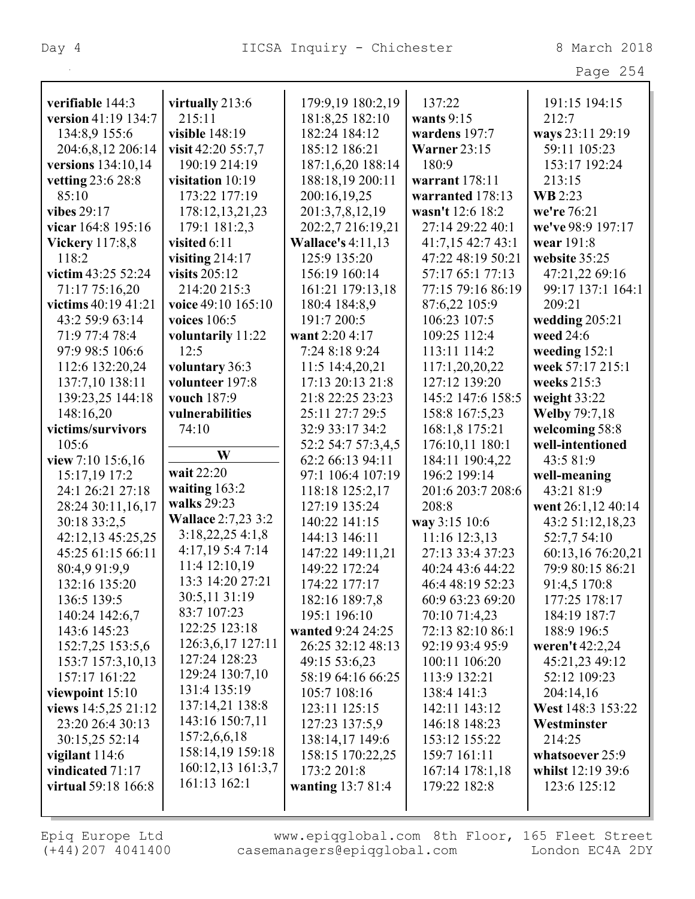| verifiable 144:3                 | virtually 213:6           | 179:9,19 180:2,19                 | 137:22                               | 191:15 194:15                         |
|----------------------------------|---------------------------|-----------------------------------|--------------------------------------|---------------------------------------|
| version 41:19 134:7              | 215:11                    | 181:8,25 182:10                   | wants $9:15$                         | 212:7                                 |
| 134:8,9 155:6                    | visible 148:19            | 182:24 184:12                     | wardens 197:7                        | ways 23:11 29:19                      |
| 204:6,8,12 206:14                | visit 42:20 55:7,7        | 185:12 186:21                     | <b>Warner 23:15</b>                  | 59:11 105:23                          |
| versions 134:10,14               | 190:19 214:19             | 187:1,6,20 188:14                 | 180:9                                | 153:17 192:24                         |
| vetting 23:6 28:8                | visitation 10:19          | 188:18,19 200:11                  | warrant 178:11                       | 213:15                                |
| 85:10                            | 173:22 177:19             | 200:16,19,25                      | warranted 178:13                     | <b>WB</b> 2:23                        |
| vibes 29:17                      | 178:12,13,21,23           | 201:3,7,8,12,19                   | wasn't 12:6 18:2                     | we're 76:21                           |
| vicar 164:8 195:16               | 179:1 181:2,3             | 202:2,7 216:19,21                 | 27:14 29:22 40:1                     | we've 98:9 197:17                     |
| <b>Vickery</b> 117:8,8           | visited 6:11              | <b>Wallace's 4:11,13</b>          | 41:7,15 42:7 43:1                    | wear 191:8                            |
| 118:2                            | visiting $214:17$         | 125:9 135:20                      | 47:22 48:19 50:21                    | website 35:25                         |
| victim 43:25 52:24               | visits $205:12$           | 156:19 160:14                     | 57:17 65:1 77:13                     | 47:21,22 69:16                        |
| 71:17 75:16,20                   | 214:20 215:3              | 161:21 179:13,18                  | 77:15 79:16 86:19                    | 99:17 137:1 164:1                     |
| victims 40:19 41:21              | voice 49:10 165:10        | 180:4 184:8,9                     | 87:6,22 105:9                        | 209:21                                |
| 43:2 59:9 63:14                  | voices $106:5$            | 191:7 200:5                       | 106:23 107:5                         | wedding $205:21$                      |
| 71:9 77:4 78:4                   | voluntarily 11:22         | want 2:20 4:17                    | 109:25 112:4                         | weed 24:6                             |
| 97:9 98:5 106:6                  | 12:5                      | 7:24 8:18 9:24                    | 113:11 114:2                         | weeding $152:1$                       |
| 112:6 132:20,24                  | voluntary 36:3            | 11:5 14:4,20,21                   | 117:1,20,20,22                       | week 57:17 215:1                      |
| 137:7,10 138:11                  | volunteer 197:8           | 17:13 20:13 21:8                  | 127:12 139:20                        | weeks 215:3                           |
| 139:23,25 144:18                 | vouch 187:9               | 21:8 22:25 23:23                  | 145:2 147:6 158:5                    | weight 33:22                          |
| 148:16,20                        | vulnerabilities           | 25:11 27:7 29:5                   | 158:8 167:5,23                       | <b>Welby 79:7,18</b>                  |
| victims/survivors                | 74:10                     | 32:9 33:17 34:2                   | 168:1,8 175:21                       | welcoming 58:8                        |
| 105:6                            |                           | 52:2 54:7 57:3,4,5                | 176:10,11 180:1                      | well-intentioned                      |
| view 7:10 15:6,16                | W                         | 62:2 66:13 94:11                  | 184:11 190:4,22                      | 43:5 81:9                             |
| 15:17,19 17:2                    | wait 22:20                | 97:1 106:4 107:19                 | 196:2 199:14                         | well-meaning                          |
| 24:1 26:21 27:18                 | waiting $163:2$           | 118:18 125:2,17                   | 201:6 203:7 208:6                    | 43:21 81:9                            |
| 28:24 30:11,16,17                | walks 29:23               | 127:19 135:24                     | 208:8                                | went 26:1,12 40:14                    |
| 30:18 33:2,5                     | <b>Wallace 2:7,23 3:2</b> | 140:22 141:15                     | way 3:15 10:6                        | 43:2 51:12,18,23                      |
| 42:12,13 45:25,25                | 3:18,22,254:1,8           |                                   |                                      |                                       |
|                                  |                           |                                   |                                      |                                       |
| 45:25 61:15 66:11                | 4:17,19 5:4 7:14          | 144:13 146:11<br>147:22 149:11,21 | 11:16 12:3,13<br>27:13 33:4 37:23    | 52:7,7 54:10                          |
| 80:4,9 91:9,9                    | 11:4 12:10,19             | 149:22 172:24                     | 40:24 43:6 44:22                     | 60:13,16 76:20,21<br>79:9 80:15 86:21 |
|                                  | 13:3 14:20 27:21          |                                   |                                      |                                       |
| 132:16 135:20<br>136:5 139:5     | 30:5,11 31:19             | 174:22 177:17                     | 46:4 48:19 52:23<br>60:9 63:23 69:20 | 91:4,5 170:8<br>177:25 178:17         |
|                                  | 83:7 107:23               | 182:16 189:7,8<br>195:1 196:10    |                                      |                                       |
| 140:24 142:6,7<br>143:6 145:23   | 122:25 123:18             | wanted 9:24 24:25                 | 70:10 71:4,23<br>72:13 82:10 86:1    | 184:19 187:7<br>188:9 196:5           |
|                                  | 126:3,6,17 127:11         |                                   |                                      |                                       |
| 152:7,25 153:5,6                 | 127:24 128:23             | 26:25 32:12 48:13                 | 92:19 93:4 95:9                      | weren't 42:2,24                       |
| 153:7 157:3,10,13                | 129:24 130:7,10           | 49:15 53:6,23                     | 100:11 106:20                        | 45:21,23 49:12                        |
| 157:17 161:22<br>viewpoint 15:10 | 131:4 135:19              | 58:19 64:16 66:25<br>105:7 108:16 | 113:9 132:21<br>138:4 141:3          | 52:12 109:23<br>204:14,16             |
|                                  | 137:14,21 138:8           | 123:11 125:15                     | 142:11 143:12                        | West 148:3 153:22                     |
| views $14:5,25$ 21:12            | 143:16 150:7,11           |                                   |                                      | Westminster                           |
| 23:20 26:4 30:13                 | 157:2,6,6,18              | 127:23 137:5,9                    | 146:18 148:23                        |                                       |
| 30:15,25 52:14                   | 158:14,19 159:18          | 138:14,17 149:6                   | 153:12 155:22                        | 214:25                                |
| vigilant $114:6$                 | 160:12,13 161:3,7         | 158:15 170:22,25                  | 159:7 161:11                         | whatsoever 25:9                       |
| vindicated 71:17                 | 161:13 162:1              | 173:2 201:8                       | 167:14 178:1,18                      | whilst 12:19 39:6                     |
| <b>virtual</b> 59:18 166:8       |                           | <b>wanting 13:7 81:4</b>          | 179:22 182:8                         | 123:6 125:12                          |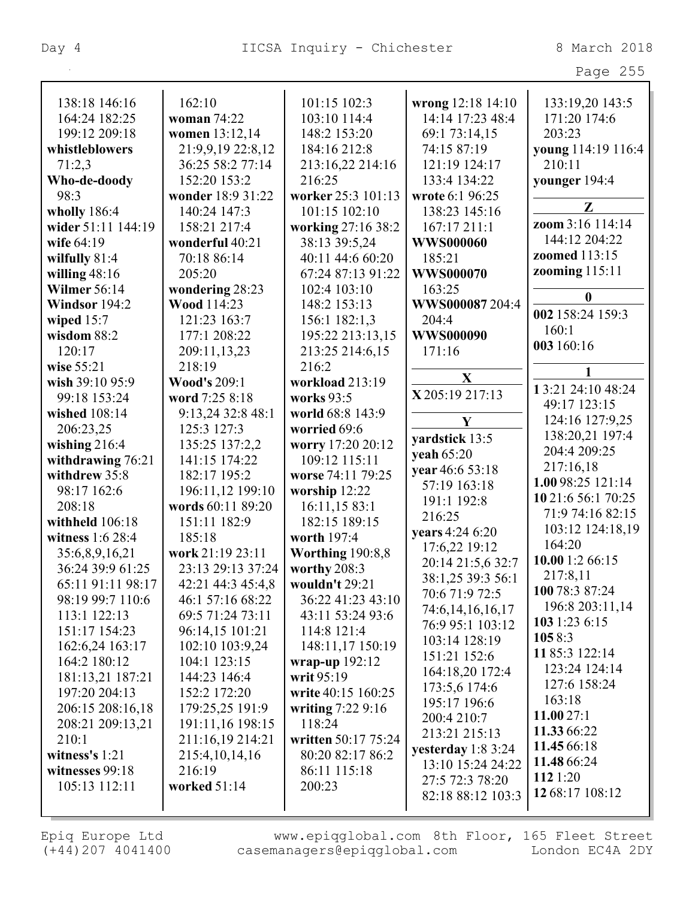|                                        |                       |                         |                           | Page 255              |
|----------------------------------------|-----------------------|-------------------------|---------------------------|-----------------------|
| 138:18 146:16                          | 162:10                | 101:15 102:3            | wrong 12:18 14:10         | 133:19,20 143:5       |
| 164:24 182:25                          | woman 74:22           | 103:10 114:4            | 14:14 17:23 48:4          | 171:20 174:6          |
| 199:12 209:18                          | women 13:12,14        | 148:2 153:20            | 69:1 73:14,15             | 203:23                |
| whistleblowers                         | 21:9,9,19 22:8,12     | 184:16 212:8            | 74:15 87:19               | young 114:19 116:4    |
| 71:2,3                                 | 36:25 58:2 77:14      | 213:16,22 214:16        | 121:19 124:17             | 210:11                |
|                                        | 152:20 153:2          | 216:25                  | 133:4 134:22              |                       |
| Who-de-doody<br>98:3                   | wonder 18:9 31:22     | worker 25:3 101:13      | wrote 6:1 96:25           | younger 194:4         |
|                                        | 140:24 147:3          | 101:15 102:10           | 138:23 145:16             | $\mathbf{Z}$          |
| wholly $186:4$<br>wider 51:11 144:19   | 158:21 217:4          |                         | 167:17 211:1              | zoom 3:16 114:14      |
| wife 64:19                             |                       | working 27:16 38:2      | <b>WWS000060</b>          | 144:12 204:22         |
|                                        | wonderful 40:21       | 38:13 39:5,24           |                           | <b>zoomed</b> 113:15  |
| wilfully 81:4                          | 70:18 86:14<br>205:20 | 40:11 44:6 60:20        | 185:21                    | <b>zooming</b> 115:11 |
| willing $48:16$<br><b>Wilmer 56:14</b> |                       | 67:24 87:13 91:22       | WWS000070                 |                       |
|                                        | wondering 28:23       | 102:4 103:10            | 163:25<br>WWS000087 204:4 | $\boldsymbol{0}$      |
| Windsor 194:2                          | Wood 114:23           | 148:2 153:13            |                           | 002 158:24 159:3      |
| wiped $15:7$                           | 121:23 163:7          | 156:1 182:1,3           | 204:4                     | 160:1                 |
| wisdom 88:2                            | 177:1 208:22          | 195:22 213:13,15        | WWS000090                 | 003 160:16            |
| 120:17                                 | 209:11,13,23          | 213:25 214:6,15         | 171:16                    |                       |
| wise 55:21                             | 218:19                | 216:2                   | $\mathbf X$               | 1                     |
| wish 39:10 95:9                        | <b>Wood's 209:1</b>   | workload 213:19         | X 205:19 217:13           | 13:21 24:10 48:24     |
| 99:18 153:24                           | word 7:25 8:18        | <b>works</b> 93:5       |                           | 49:17 123:15          |
| wished 108:14                          | 9:13,24 32:8 48:1     | world 68:8 143:9        | $\mathbf{Y}$              | 124:16 127:9,25       |
| 206:23,25                              | 125:3 127:3           | worried 69:6            | yardstick 13:5            | 138:20,21 197:4       |
| wishing $216:4$                        | 135:25 137:2,2        | worry 17:20 20:12       | yeah 65:20                | 204:4 209:25          |
| withdrawing 76:21                      | 141:15 174:22         | 109:12 115:11           | year 46:6 53:18           | 217:16,18             |
| withdrew 35:8                          | 182:17 195:2          | worse 74:11 79:25       | 57:19 163:18              | 1.00 98:25 121:14     |
| 98:17 162:6                            | 196:11,12 199:10      | worship 12:22           | 191:1 192:8               | 10 21:6 56:1 70:25    |
| 208:18                                 | words 60:11 89:20     | 16:11,15 83:1           | 216:25                    | 71:9 74:16 82:15      |
| withheld 106:18                        | 151:11 182:9          | 182:15 189:15           | years 4:24 6:20           | 103:12 124:18,19      |
| witness 1:6 28:4                       | 185:18                | worth 197:4             | 17:6,22 19:12             | 164:20                |
| 35:6,8,9,16,21                         | work 21:19 23:11      | <b>Worthing 190:8,8</b> | 20:14 21:5,6 32:7         | 10.00 1:2 66:15       |
| 36:24 39:9 61:25                       | 23:13 29:13 37:24     | worthy $208:3$          | 38:1,25 39:3 56:1         | 217:8,11              |
| 65:11 91:11 98:17                      | 42:21 44:3 45:4,8     | wouldn't 29:21          | 70:6 71:9 72:5            | 100 78:3 87:24        |
| 98:19 99:7 110:6                       | 46:1 57:16 68:22      | 36:22 41:23 43:10       | 74:6, 14, 16, 16, 17      | 196:8 203:11,14       |
| 113:1 122:13                           | 69:5 71:24 73:11      | 43:11 53:24 93:6        | 76:9 95:1 103:12          | 103 1:23 6:15         |
| 151:17 154:23                          | 96:14,15 101:21       | 114:8 121:4             | 103:14 128:19             | 1058:3                |
| 162:6,24 163:17                        | 102:10 103:9,24       | 148:11,17 150:19        | 151:21 152:6              | 11 85:3 122:14        |
| 164:2 180:12                           | 104:1 123:15          | wrap-up $192:12$        | 164:18,20 172:4           | 123:24 124:14         |
| 181:13,21 187:21                       | 144:23 146:4          | writ $95:19$            | 173:5,6 174:6             | 127:6 158:24          |
| 197:20 204:13                          | 152:2 172:20          | write 40:15 160:25      | 195:17 196:6              | 163:18                |
| 206:15 208:16,18                       | 179:25,25 191:9       | writing $7:229:16$      | 200:4 210:7               | 11.0027:1             |
| 208:21 209:13,21                       | 191:11,16 198:15      | 118:24                  | 213:21 215:13             | 11.33 66:22           |
| 210:1                                  | 211:16,19 214:21      | written 50:17 75:24     | yesterday 1:8 3:24        | 11.45 66:18           |
| witness's $1:21$                       | 215:4, 10, 14, 16     | 80:20 82:17 86:2        | 13:10 15:24 24:22         | 11.48 66:24           |
| witnesses 99:18                        | 216:19                | 86:11 115:18            | 27:5 72:3 78:20           | 112 1:20              |
| 105:13 112:11                          | worked 51:14          | 200:23                  | 82:18 88:12 103:3         | 12 68:17 108:12       |
|                                        |                       |                         |                           |                       |